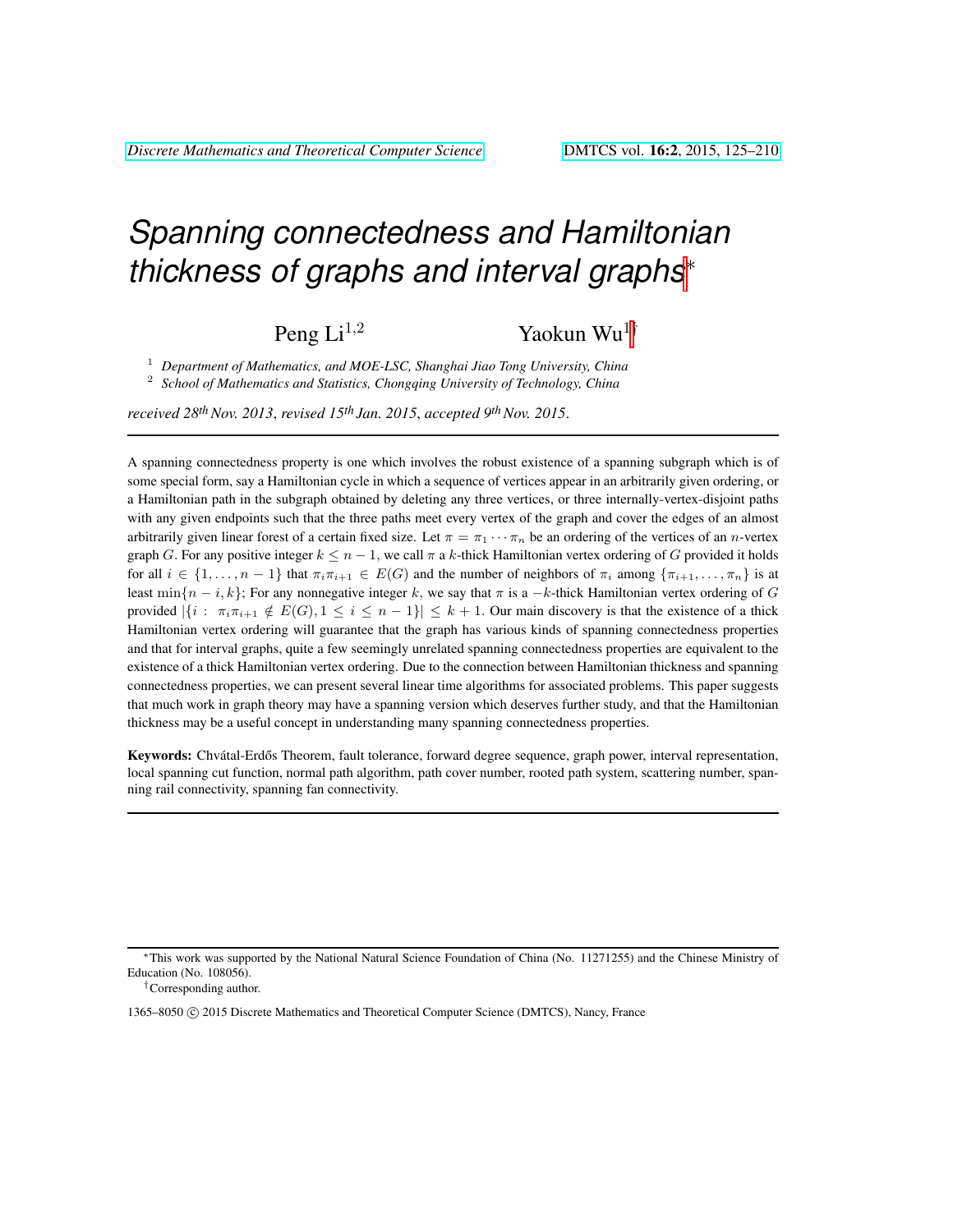# *Spanning connectedness and Hamiltonian thickness of graphs and interval graphs*<sup>∗</sup>

Peng Li<sup>1,2</sup> Yaokun Wu<sup>1†</sup>

<sup>1</sup> *Department of Mathematics, and MOE-LSC, Shanghai Jiao Tong University, China* 2 *School of Mathematics and Statistics, Chongqing University of Technology, China*

*received 28thNov. 2013*, *revised 15th Jan. 2015*, *accepted 9thNov. 2015*.

A spanning connectedness property is one which involves the robust existence of a spanning subgraph which is of some special form, say a Hamiltonian cycle in which a sequence of vertices appear in an arbitrarily given ordering, or a Hamiltonian path in the subgraph obtained by deleting any three vertices, or three internally-vertex-disjoint paths with any given endpoints such that the three paths meet every vertex of the graph and cover the edges of an almost arbitrarily given linear forest of a certain fixed size. Let  $\pi = \pi_1 \cdots \pi_n$  be an ordering of the vertices of an *n*-vertex graph G. For any positive integer  $k \leq n - 1$ , we call  $\pi$  a k-thick Hamiltonian vertex ordering of G provided it holds for all  $i \in \{1, \ldots, n-1\}$  that  $\pi_i \pi_{i+1} \in E(G)$  and the number of neighbors of  $\pi_i$  among  $\{\pi_{i+1}, \ldots, \pi_n\}$  is at least min $\{n-i, k\}$ ; For any nonnegative integer k, we say that  $\pi$  is a  $-k$ -thick Hamiltonian vertex ordering of G provided  $|\{i : \pi_i \pi_{i+1} \notin E(G), 1 \le i \le n-1\}| \le k+1$ . Our main discovery is that the existence of a thick Hamiltonian vertex ordering will guarantee that the graph has various kinds of spanning connectedness properties and that for interval graphs, quite a few seemingly unrelated spanning connectedness properties are equivalent to the existence of a thick Hamiltonian vertex ordering. Due to the connection between Hamiltonian thickness and spanning connectedness properties, we can present several linear time algorithms for associated problems. This paper suggests that much work in graph theory may have a spanning version which deserves further study, and that the Hamiltonian thickness may be a useful concept in understanding many spanning connectedness properties.

Keywords: Chvátal-Erdős Theorem, fault tolerance, forward degree sequence, graph power, interval representation, local spanning cut function, normal path algorithm, path cover number, rooted path system, scattering number, spanning rail connectivity, spanning fan connectivity.

<sup>∗</sup>This work was supported by the National Natural Science Foundation of China (No. 11271255) and the Chinese Ministry of Education (No. 108056).

<sup>†</sup>Corresponding author.

<sup>1365–8050 (</sup>C) 2015 Discrete Mathematics and Theoretical Computer Science (DMTCS), Nancy, France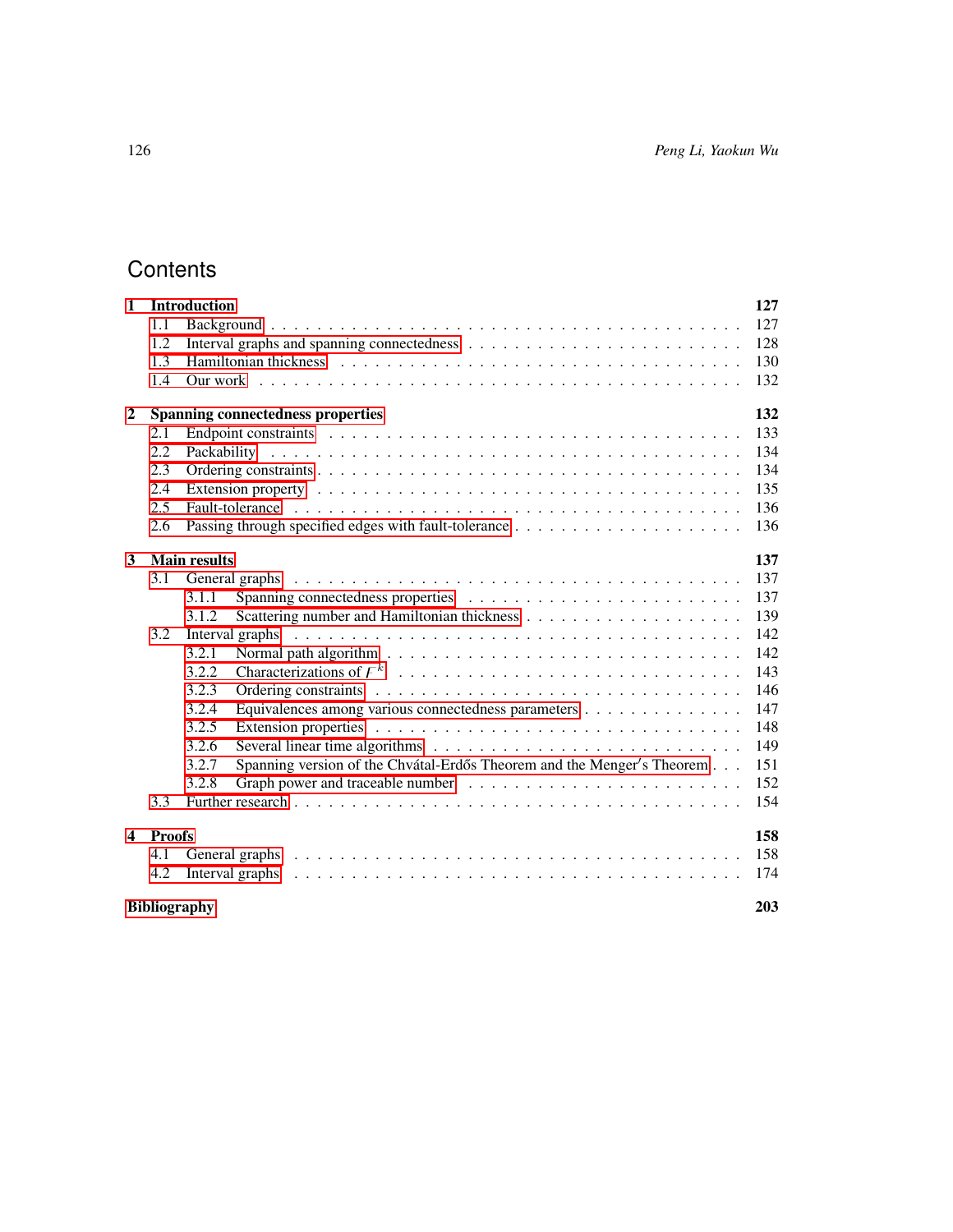## **Contents**

| $\mathbf{1}$               |               | <b>Introduction</b>                                                                                                                                                                                                            | 127 |  |
|----------------------------|---------------|--------------------------------------------------------------------------------------------------------------------------------------------------------------------------------------------------------------------------------|-----|--|
|                            | 1.1           |                                                                                                                                                                                                                                | 127 |  |
|                            | 1.2           |                                                                                                                                                                                                                                | 128 |  |
|                            | 1.3           |                                                                                                                                                                                                                                | 130 |  |
|                            | 1.4           |                                                                                                                                                                                                                                | 132 |  |
| $\overline{2}$             |               | <b>Spanning connectedness properties</b>                                                                                                                                                                                       | 132 |  |
|                            | 2.1           | Endpoint constraints entertainty and the contract of the contract of the contract of the contract of the contract of the contract of the contract of the contract of the contract of the contract of the contract of the contr | 133 |  |
|                            | 2.2           |                                                                                                                                                                                                                                | 134 |  |
|                            | 2.3           |                                                                                                                                                                                                                                | 134 |  |
|                            | 2.4           |                                                                                                                                                                                                                                | 135 |  |
|                            | 2.5           |                                                                                                                                                                                                                                | 136 |  |
|                            | 2.6           |                                                                                                                                                                                                                                | 136 |  |
| 3                          |               | <b>Main results</b>                                                                                                                                                                                                            | 137 |  |
|                            | 3.1           | General graphs (and all contact and all contact and all contact and all contact and all contact and all contact and all contact and all contact and all contact and all contact and all contact and all contact and all contac | 137 |  |
|                            |               | 3.1.1                                                                                                                                                                                                                          | 137 |  |
|                            |               | 3.1.2                                                                                                                                                                                                                          | 139 |  |
|                            | 3.2           |                                                                                                                                                                                                                                | 142 |  |
|                            |               | 3.2.1                                                                                                                                                                                                                          | 142 |  |
|                            |               | 3.2.2                                                                                                                                                                                                                          | 143 |  |
|                            |               | 3.2.3                                                                                                                                                                                                                          | 146 |  |
|                            |               | 3.2.4<br>Equivalences among various connectedness parameters                                                                                                                                                                   | 147 |  |
|                            |               | 3.2.5                                                                                                                                                                                                                          | 148 |  |
|                            |               | 3.2.6                                                                                                                                                                                                                          | 149 |  |
|                            |               | Spanning version of the Chvátal-Erdős Theorem and the Menger's Theorem<br>3.2.7                                                                                                                                                | 151 |  |
|                            |               | 3.2.8                                                                                                                                                                                                                          | 152 |  |
|                            | 3.3           |                                                                                                                                                                                                                                | 154 |  |
| $\boldsymbol{4}$           | <b>Proofs</b> |                                                                                                                                                                                                                                | 158 |  |
|                            | 4.1           | General graphs (and all contact and all contact and all contact and all contact and all contact and all contact and all contact and all contact and all contact and all contact and all contact and all contact and all contac | 158 |  |
|                            | 4.2           | Interval graphs                                                                                                                                                                                                                | 174 |  |
| <b>Bibliography</b><br>203 |               |                                                                                                                                                                                                                                |     |  |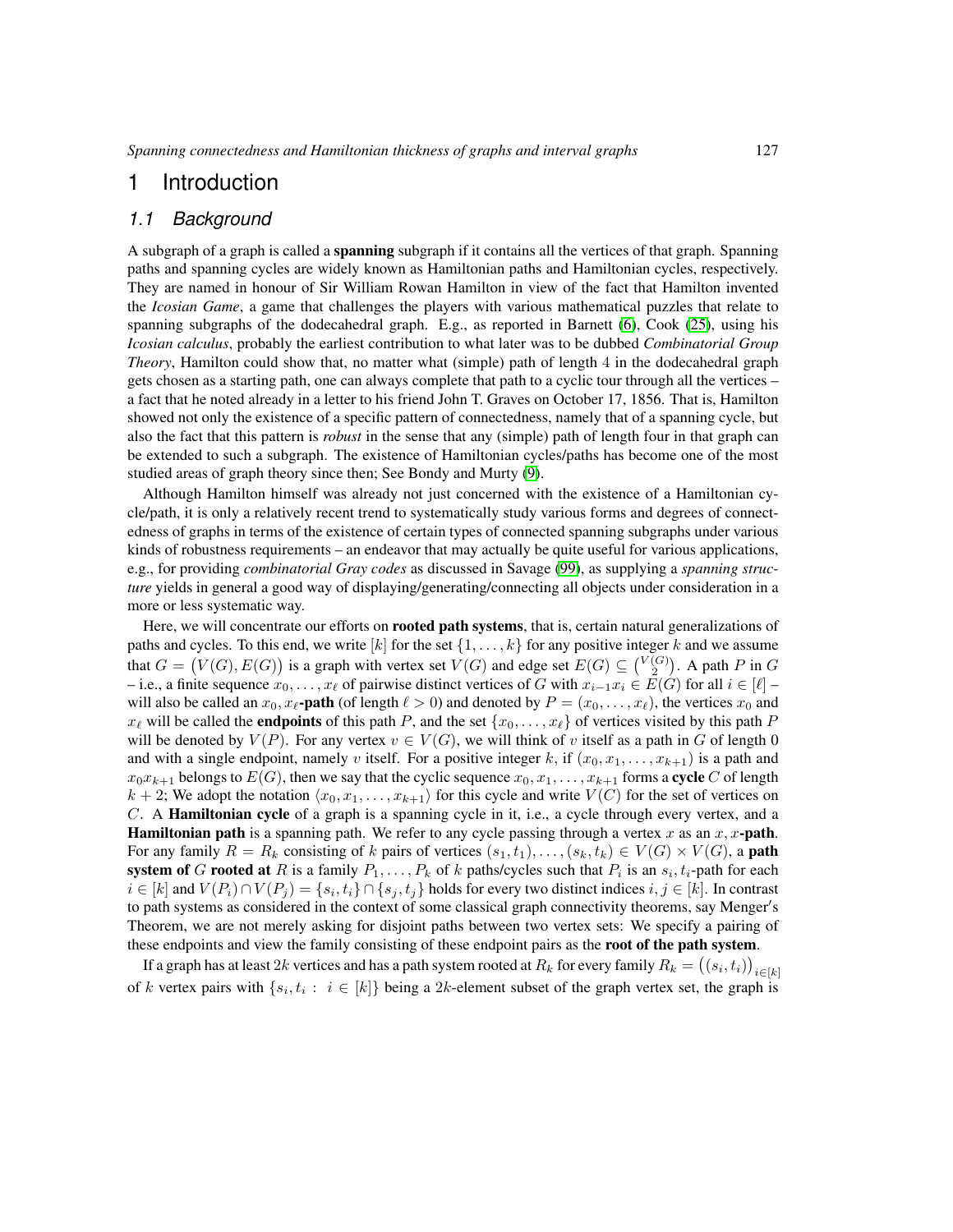## <span id="page-2-0"></span>1 Introduction

#### <span id="page-2-1"></span>*1.1 Background*

A subgraph of a graph is called a **spanning** subgraph if it contains all the vertices of that graph. Spanning paths and spanning cycles are widely known as Hamiltonian paths and Hamiltonian cycles, respectively. They are named in honour of Sir William Rowan Hamilton in view of the fact that Hamilton invented the *Icosian Game*, a game that challenges the players with various mathematical puzzles that relate to spanning subgraphs of the dodecahedral graph. E.g., as reported in Barnett [\(6\)](#page-78-1), Cook [\(25\)](#page-79-0), using his *Icosian calculus*, probably the earliest contribution to what later was to be dubbed *Combinatorial Group Theory*, Hamilton could show that, no matter what (simple) path of length 4 in the dodecahedral graph gets chosen as a starting path, one can always complete that path to a cyclic tour through all the vertices – a fact that he noted already in a letter to his friend John T. Graves on October 17, 1856. That is, Hamilton showed not only the existence of a specific pattern of connectedness, namely that of a spanning cycle, but also the fact that this pattern is *robust* in the sense that any (simple) path of length four in that graph can be extended to such a subgraph. The existence of Hamiltonian cycles/paths has become one of the most studied areas of graph theory since then; See Bondy and Murty [\(9\)](#page-78-2).

Although Hamilton himself was already not just concerned with the existence of a Hamiltonian cycle/path, it is only a relatively recent trend to systematically study various forms and degrees of connectedness of graphs in terms of the existence of certain types of connected spanning subgraphs under various kinds of robustness requirements – an endeavor that may actually be quite useful for various applications, e.g., for providing *combinatorial Gray codes* as discussed in Savage [\(99\)](#page-85-0), as supplying a *spanning structure* yields in general a good way of displaying/generating/connecting all objects under consideration in a more or less systematic way.

Here, we will concentrate our efforts on **rooted path systems**, that is, certain natural generalizations of paths and cycles. To this end, we write  $[k]$  for the set  $\{1, \ldots, k\}$  for any positive integer k and we assume that  $G = (V(G), E(G))$  is a graph with vertex set  $V(G)$  and edge set  $E(G) \subseteq {V(G) \choose 2}$ . A path P in G – i.e., a finite sequence  $x_0, \ldots, x_\ell$  of pairwise distinct vertices of G with  $x_{i-1}x_i \in \overline{E}(G)$  for all  $i \in [\ell]$  – will also be called an  $x_0, x_\ell$ -path (of length  $\ell > 0$ ) and denoted by  $P = (x_0, \ldots, x_\ell)$ , the vertices  $x_0$  and  $x_{\ell}$  will be called the **endpoints** of this path P, and the set  $\{x_0, \ldots, x_{\ell}\}$  of vertices visited by this path P will be denoted by  $V(P)$ . For any vertex  $v \in V(G)$ , we will think of v itself as a path in G of length 0 and with a single endpoint, namely v itself. For a positive integer k, if  $(x_0, x_1, \ldots, x_{k+1})$  is a path and  $x_0x_{k+1}$  belongs to  $E(G)$ , then we say that the cyclic sequence  $x_0, x_1, \ldots, x_{k+1}$  forms a **cycle** C of length  $k + 2$ ; We adopt the notation  $\langle x_0, x_1, \ldots, x_{k+1} \rangle$  for this cycle and write  $V (C)$  for the set of vertices on C. A Hamiltonian cycle of a graph is a spanning cycle in it, i.e., a cycle through every vertex, and a **Hamiltonian path** is a spanning path. We refer to any cycle passing through a vertex x as an  $x, x$ -**path**. For any family  $R = R_k$  consisting of k pairs of vertices  $(s_1, t_1), \ldots, (s_k, t_k) \in V(G) \times V(G)$ , a **path** system of G rooted at R is a family  $P_1, \ldots, P_k$  of k paths/cycles such that  $P_i$  is an  $s_i, t_i$ -path for each  $i \in [k]$  and  $V(P_i) \cap V(P_j) = \{s_i, t_i\} \cap \{s_j, t_j\}$  holds for every two distinct indices  $i, j \in [k]$ . In contrast to path systems as considered in the context of some classical graph connectivity theorems, say Menger's Theorem, we are not merely asking for disjoint paths between two vertex sets: We specify a pairing of these endpoints and view the family consisting of these endpoint pairs as the root of the path system.

If a graph has at least  $2k$  vertices and has a path system rooted at  $R_k$  for every family  $R_k = ((s_i, t_i))_{i \in [k]}$ of k vertex pairs with  $\{s_i, t_i : i \in [k]\}$  being a 2k-element subset of the graph vertex set, the graph is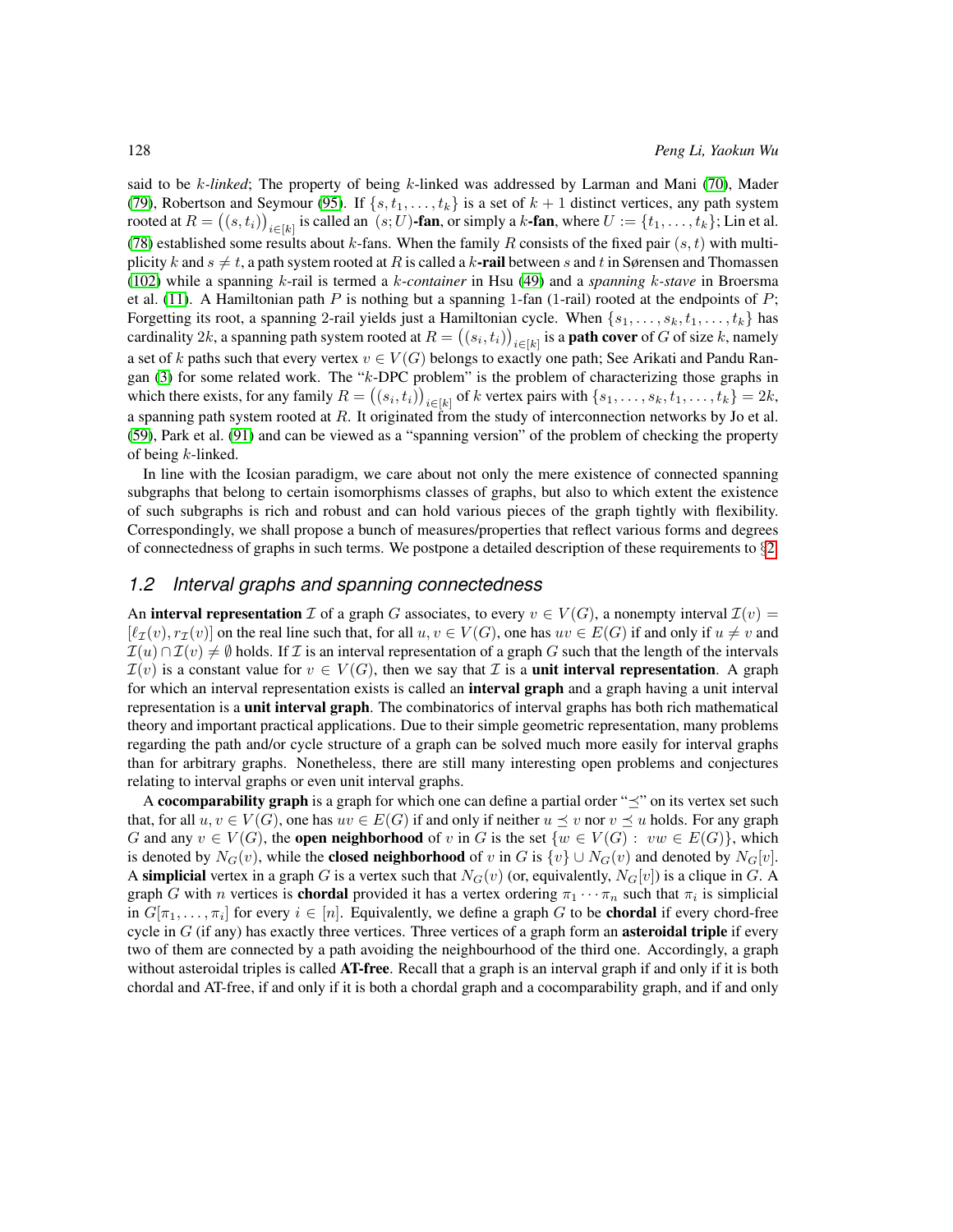said to be k*-linked*; The property of being k-linked was addressed by Larman and Mani [\(70\)](#page-83-0), Mader [\(79\)](#page-83-1), Robertson and Seymour [\(95\)](#page-84-0). If  $\{s, t_1, \ldots, t_k\}$  is a set of  $k + 1$  distinct vertices, any path system rooted at  $R = ((s, t_i))_{i \in [k]}$  is called an  $(s; U)$ -fan, or simply a k-fan, where  $U := \{t_1, \ldots, t_k\}$ ; Lin et al. [\(78\)](#page-83-2) established some results about k-fans. When the family R consists of the fixed pair  $(s, t)$  with multiplicity k and  $s \neq t$ , a path system rooted at R is called a k-rail between s and t in Sørensen and Thomassen [\(102\)](#page-85-1) while a spanning k-rail is termed a k-*container* in Hsu [\(49\)](#page-81-0) and a *spanning* k*-stave* in Broersma et al. [\(11\)](#page-78-3). A Hamiltonian path P is nothing but a spanning 1-fan (1-rail) rooted at the endpoints of P; Forgetting its root, a spanning 2-rail yields just a Hamiltonian cycle. When  $\{s_1, \ldots, s_k, t_1, \ldots, t_k\}$  has cardinality 2k, a spanning path system rooted at  $R = ((s_i, t_i))_{i \in [k]}$  is a **path cover** of G of size k, namely a set of k paths such that every vertex  $v \in V(G)$  belongs to exactly one path; See Arikati and Pandu Rangan [\(3\)](#page-78-4) for some related work. The "k-DPC problem" is the problem of characterizing those graphs in which there exists, for any family  $R = ((s_i, t_i))_{i \in [k]}$  of k vertex pairs with  $\{s_1, \ldots, s_k, t_1, \ldots, t_k\} = 2k$ , a spanning path system rooted at  $R$ . It originated from the study of interconnection networks by Jo et al. [\(59\)](#page-82-0), Park et al. [\(91\)](#page-84-1) and can be viewed as a "spanning version" of the problem of checking the property of being  $k$ -linked.

In line with the Icosian paradigm, we care about not only the mere existence of connected spanning subgraphs that belong to certain isomorphisms classes of graphs, but also to which extent the existence of such subgraphs is rich and robust and can hold various pieces of the graph tightly with flexibility. Correspondingly, we shall propose a bunch of measures/properties that reflect various forms and degrees of connectedness of graphs in such terms. We postpone a detailed description of these requirements to §[2.](#page-7-1)

#### <span id="page-3-0"></span>*1.2 Interval graphs and spanning connectedness*

An **interval representation**  $\mathcal I$  of a graph G associates, to every  $v \in V(G)$ , a nonempty interval  $\mathcal I(v)$  =  $[\ell_{\mathcal{I}}(v), r_{\mathcal{I}}(v)]$  on the real line such that, for all  $u, v \in V(G)$ , one has  $uv \in E(G)$  if and only if  $u \neq v$  and  $\mathcal{I}(u) \cap \mathcal{I}(v) \neq \emptyset$  holds. If  $\mathcal{I}$  is an interval representation of a graph G such that the length of the intervals  $\mathcal{I}(v)$  is a constant value for  $v \in V(G)$ , then we say that  $\mathcal I$  is a **unit interval representation**. A graph for which an interval representation exists is called an **interval graph** and a graph having a unit interval representation is a **unit interval graph**. The combinatorics of interval graphs has both rich mathematical theory and important practical applications. Due to their simple geometric representation, many problems regarding the path and/or cycle structure of a graph can be solved much more easily for interval graphs than for arbitrary graphs. Nonetheless, there are still many interesting open problems and conjectures relating to interval graphs or even unit interval graphs.

A cocomparability graph is a graph for which one can define a partial order " $\preceq$ " on its vertex set such that, for all  $u, v \in V(G)$ , one has  $uv \in E(G)$  if and only if neither  $u \preceq v$  nor  $v \preceq u$  holds. For any graph G and any  $v \in V(G)$ , the **open neighborhood** of v in G is the set  $\{w \in V(G): vw \in E(G)\}\)$ , which is denoted by  $N_G(v)$ , while the **closed neighborhood** of v in G is  $\{v\} \cup N_G(v)$  and denoted by  $N_G[v]$ . A simplicial vertex in a graph G is a vertex such that  $N_G(v)$  (or, equivalently,  $N_G[v]$ ) is a clique in G. A graph G with n vertices is **chordal** provided it has a vertex ordering  $\pi_1 \cdots \pi_n$  such that  $\pi_i$  is simplicial in  $G[\pi_1, \ldots, \pi_i]$  for every  $i \in [n]$ . Equivalently, we define a graph G to be **chordal** if every chord-free cycle in  $G$  (if any) has exactly three vertices. Three vertices of a graph form an **asteroidal triple** if every two of them are connected by a path avoiding the neighbourhood of the third one. Accordingly, a graph without asteroidal triples is called **AT-free**. Recall that a graph is an interval graph if and only if it is both chordal and AT-free, if and only if it is both a chordal graph and a cocomparability graph, and if and only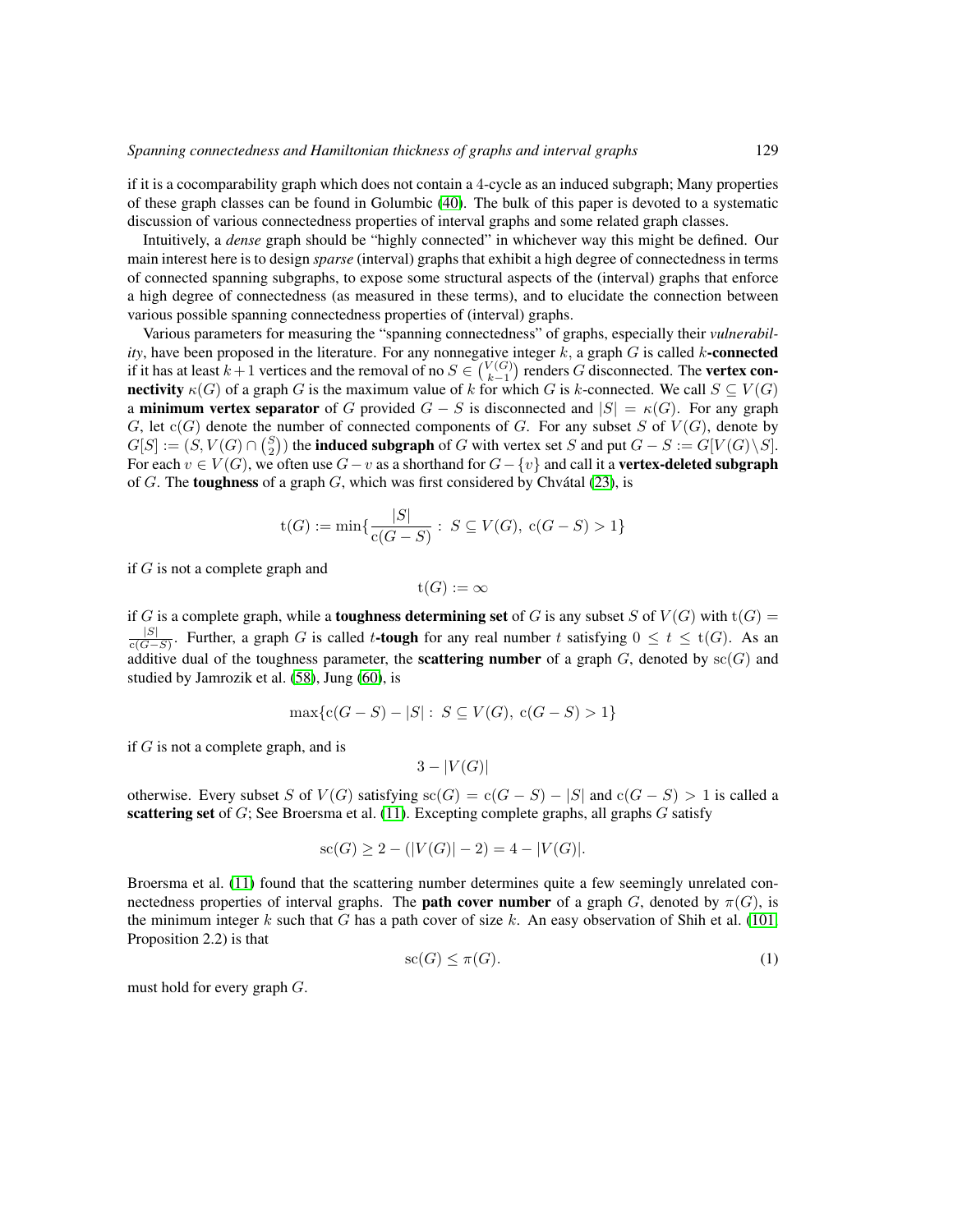if it is a cocomparability graph which does not contain a 4-cycle as an induced subgraph; Many properties of these graph classes can be found in Golumbic [\(40\)](#page-81-1). The bulk of this paper is devoted to a systematic discussion of various connectedness properties of interval graphs and some related graph classes.

Intuitively, a *dense* graph should be "highly connected" in whichever way this might be defined. Our main interest here is to design *sparse* (interval) graphs that exhibit a high degree of connectedness in terms of connected spanning subgraphs, to expose some structural aspects of the (interval) graphs that enforce a high degree of connectedness (as measured in these terms), and to elucidate the connection between various possible spanning connectedness properties of (interval) graphs.

Various parameters for measuring the "spanning connectedness" of graphs, especially their *vulnerability*, have been proposed in the literature. For any nonnegative integer  $k$ , a graph  $G$  is called  $k$ -connected if it has at least  $k + 1$  vertices and the removal of no  $S \in \binom{V(G)}{k-1}$  renders G disconnected. The vertex con**nectivity**  $\kappa(G)$  of a graph G is the maximum value of k for which G is k-connected. We call  $S \subseteq V(G)$ a **minimum vertex separator** of G provided  $G - S$  is disconnected and  $|S| = \kappa(G)$ . For any graph G, let  $c(G)$  denote the number of connected components of G. For any subset S of  $V(G)$ , denote by  $G[S] := (S, V(G) \cap {S \choose 2})$  the **induced subgraph** of G with vertex set S and put  $G - S := G[V(G) \setminus S]$ . For each  $v \in V(G)$ , we often use  $G - v$  as a shorthand for  $G - \{v\}$  and call it a **vertex-deleted subgraph** of  $G$ . The toughness of a graph  $G$ , which was first considered by Chvátal [\(23\)](#page-79-1), is

$$
t(G) := \min\{\frac{|S|}{c(G-S)} : S \subseteq V(G), c(G-S) > 1\}
$$

if  $G$  is not a complete graph and

$$
\mathrm{t}(G):=\infty
$$

if G is a complete graph, while a **toughness determining set** of G is any subset S of  $V(G)$  with  $t(G)$  =  $\frac{|S|}{|S|}$  $\frac{|S|}{c(G-S)}$ . Further, a graph G is called t-tough for any real number t satisfying  $0 \le t \le t(G)$ . As an additive dual of the toughness parameter, the **scattering number** of a graph  $G$ , denoted by  $\text{sc}(G)$  and studied by Jamrozik et al. [\(58\)](#page-82-1), Jung [\(60\)](#page-82-2), is

$$
\max\{c(G-S) - |S| : S \subseteq V(G), c(G-S) > 1\}
$$

if  $G$  is not a complete graph, and is

$$
3-|V(G)|
$$

otherwise. Every subset S of  $V(G)$  satisfying  $\operatorname{sc}(G) = \operatorname{c}(G - S) - |S|$  and  $\operatorname{c}(G - S) > 1$  is called a scattering set of  $G$ ; See Broersma et al. [\(11\)](#page-78-3). Excepting complete graphs, all graphs  $G$  satisfy

<span id="page-4-0"></span>
$$
sc(G) \ge 2 - (|V(G)| - 2) = 4 - |V(G)|.
$$

Broersma et al. [\(11\)](#page-78-3) found that the scattering number determines quite a few seemingly unrelated connectedness properties of interval graphs. The **path cover number** of a graph G, denoted by  $\pi(G)$ , is the minimum integer k such that G has a path cover of size k. An easy observation of Shih et al. [\(101,](#page-85-2) Proposition 2.2) is that

$$
sc(G) \le \pi(G). \tag{1}
$$

must hold for every graph G.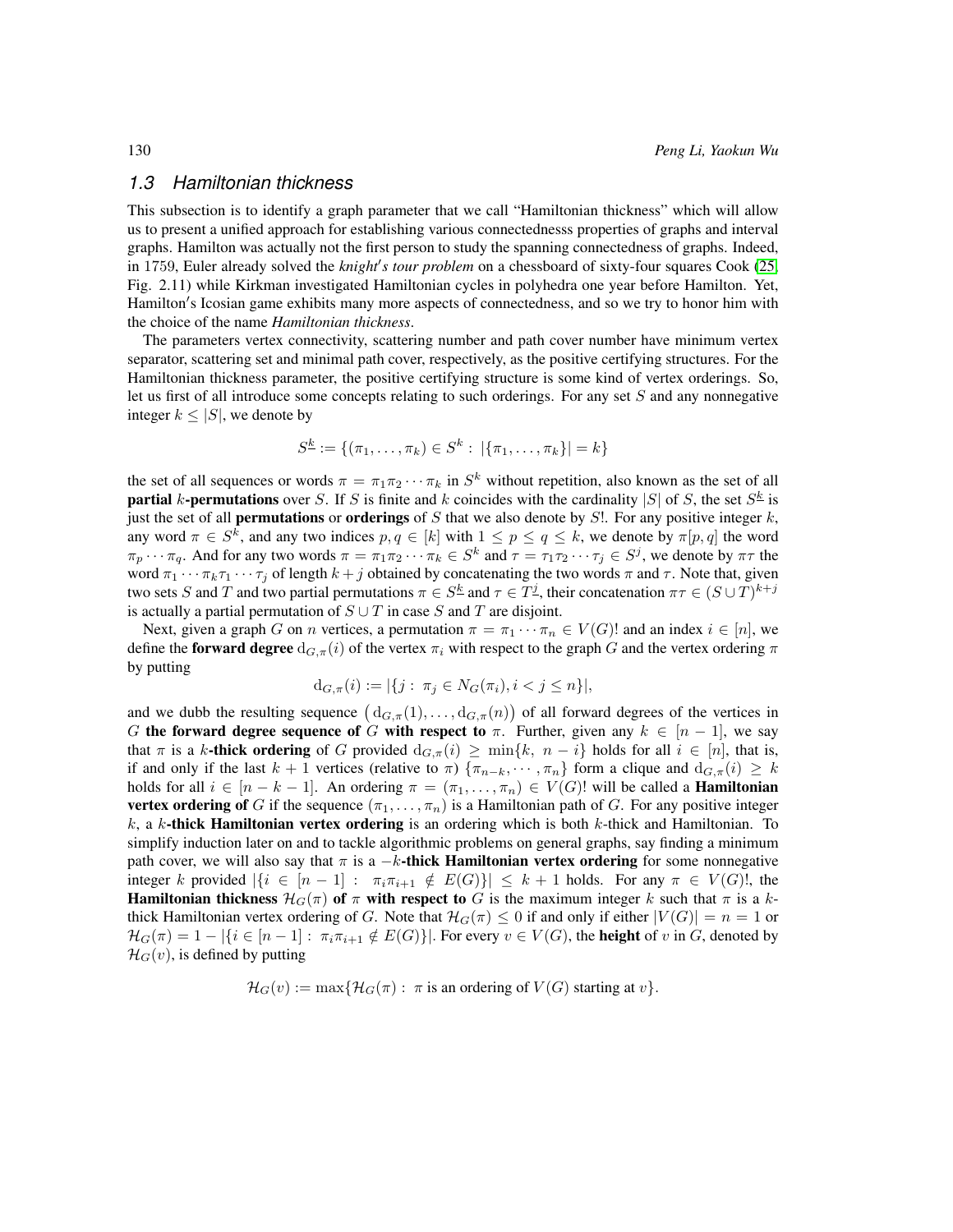#### <span id="page-5-0"></span>*1.3 Hamiltonian thickness*

This subsection is to identify a graph parameter that we call "Hamiltonian thickness" which will allow us to present a unified approach for establishing various connectednesss properties of graphs and interval graphs. Hamilton was actually not the first person to study the spanning connectedness of graphs. Indeed, in 1759, Euler already solved the *knight's tour problem* on a chessboard of sixty-four squares Cook [\(25,](#page-79-0) Fig. 2.11) while Kirkman investigated Hamiltonian cycles in polyhedra one year before Hamilton. Yet, Hamilton's Icosian game exhibits many more aspects of connectedness, and so we try to honor him with the choice of the name *Hamiltonian thickness*.

The parameters vertex connectivity, scattering number and path cover number have minimum vertex separator, scattering set and minimal path cover, respectively, as the positive certifying structures. For the Hamiltonian thickness parameter, the positive certifying structure is some kind of vertex orderings. So, let us first of all introduce some concepts relating to such orderings. For any set  $S$  and any nonnegative integer  $k \leq |S|$ , we denote by

$$
S^{\underline{k}} := \{(\pi_1, \ldots, \pi_k) \in S^k : |\{\pi_1, \ldots, \pi_k\}| = k\}
$$

the set of all sequences or words  $\pi = \pi_1 \pi_2 \cdots \pi_k$  in  $S^k$  without repetition, also known as the set of all **partial** k-**permutations** over S. If S is finite and k coincides with the cardinality |S| of S, the set  $S^{\underline{k}}$  is just the set of all **permutations** or **orderings** of S that we also denote by S!. For any positive integer  $k$ , any word  $\pi \in S^k$ , and any two indices  $p, q \in [k]$  with  $1 \le p \le q \le k$ , we denote by  $\pi[p, q]$  the word  $\pi_p \cdots \pi_q$ . And for any two words  $\pi = \pi_1 \pi_2 \cdots \pi_k \in S^k$  and  $\tau = \tau_1 \tau_2 \cdots \tau_j \in S^j$ , we denote by  $\pi \tau$  the word  $\pi_1 \cdots \pi_k \tau_1 \cdots \tau_j$  of length  $k + j$  obtained by concatenating the two words  $\pi$  and  $\tau$ . Note that, given two sets S and T and two partial permutations  $\pi \in S^{\underline{k}}$  and  $\tau \in T^{\underline{j}}$ , their concatenation  $\pi \tau \in (S \cup T)^{k+j}$ is actually a partial permutation of  $S \cup T$  in case S and T are disjoint.

Next, given a graph G on n vertices, a permutation  $\pi = \pi_1 \cdots \pi_n \in V(G)!$  and an index  $i \in [n]$ , we define the forward degree  $d_{G,\pi}(i)$  of the vertex  $\pi_i$  with respect to the graph G and the vertex ordering  $\pi$ by putting

$$
d_{G,\pi}(i) := |\{j : \pi_j \in N_G(\pi_i), i < j \le n\}|,
$$

and we dubb the resulting sequence  $(d_{G,\pi}(1),...,d_{G,\pi}(n))$  of all forward degrees of the vertices in G the forward degree sequence of G with respect to  $\pi$ . Further, given any  $k \in [n-1]$ , we say that  $\pi$  is a k-thick ordering of G provided  $d_{G,\pi}(i) \ge \min\{k, n - i\}$  holds for all  $i \in [n]$ , that is, if and only if the last  $k + 1$  vertices (relative to  $\pi$ )  $\{\pi_{n-k}, \dots, \pi_n\}$  form a clique and  $d_{G,\pi}(i) \geq k$ holds for all  $i \in [n - k - 1]$ . An ordering  $\pi = (\pi_1, \dots, \pi_n) \in V(G)!$  will be called a **Hamiltonian vertex ordering of** G if the sequence  $(\pi_1, \ldots, \pi_n)$  is a Hamiltonian path of G. For any positive integer k, a k-thick Hamiltonian vertex ordering is an ordering which is both  $k$ -thick and Hamiltonian. To simplify induction later on and to tackle algorithmic problems on general graphs, say finding a minimum path cover, we will also say that  $\pi$  is a  $-k$ -thick Hamiltonian vertex ordering for some nonnegative integer k provided  $|\{i \in [n-1]: \pi_i \pi_{i+1} \notin E(G)\}| \leq k+1$  holds. For any  $\pi \in V(G)!$ , the Hamiltonian thickness  $\mathcal{H}_G(\pi)$  of  $\pi$  with respect to G is the maximum integer k such that  $\pi$  is a kthick Hamiltonian vertex ordering of G. Note that  $\mathcal{H}_G(\pi) \leq 0$  if and only if either  $|V(G)| = n = 1$  or  $\mathcal{H}_G(\pi) = 1 - |\{i \in [n-1]: \pi_i \pi_{i+1} \notin E(G)\}|.$  For every  $v \in V(G)$ , the **height** of v in G, denoted by  $\mathcal{H}_G(v)$ , is defined by putting

$$
\mathcal{H}_G(v) := \max\{\mathcal{H}_G(\pi) : \pi \text{ is an ordering of } V(G) \text{ starting at } v\}.
$$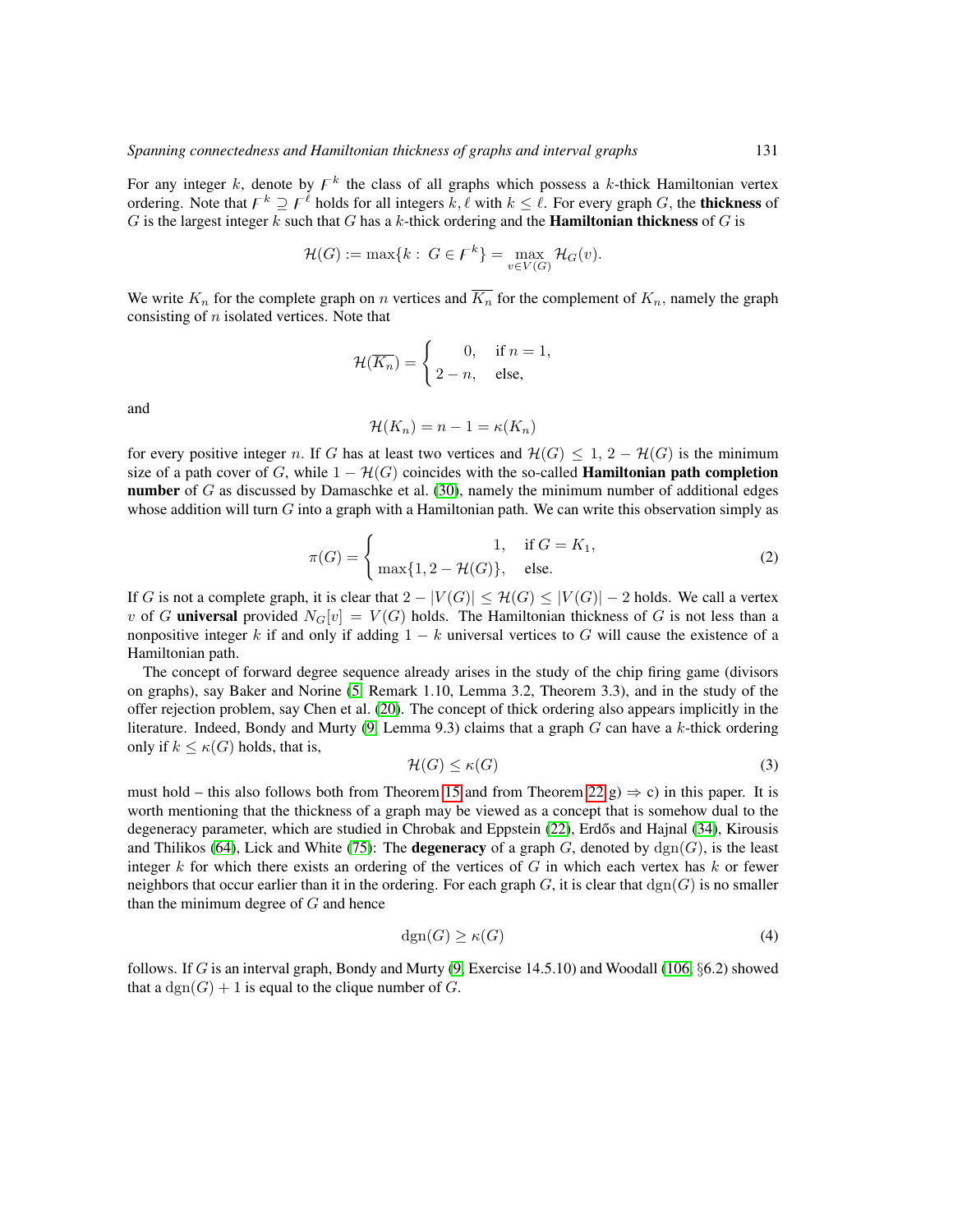For any integer k, denote by  $F^k$  the class of all graphs which possess a k-thick Hamiltonian vertex ordering. Note that  $F^k \supseteq F^{\ell}$  holds for all integers k,  $\ell$  with  $k \leq \ell$ . For every graph G, the thickness of G is the largest integer k such that G has a k-thick ordering and the **Hamiltonian thickness** of G is

$$
\mathcal{H}(G) := \max\{k : G \in F^k\} = \max_{v \in V(G)} \mathcal{H}_G(v).
$$

We write  $K_n$  for the complete graph on n vertices and  $\overline{K_n}$  for the complement of  $K_n$ , namely the graph consisting of  $n$  isolated vertices. Note that

$$
\mathcal{H}(\overline{K_n}) = \begin{cases} 0, & \text{if } n = 1, \\ 2 - n, & \text{else,} \end{cases}
$$

and

$$
\mathcal{H}(K_n) = n - 1 = \kappa(K_n)
$$

<span id="page-6-1"></span>for every positive integer n. If G has at least two vertices and  $\mathcal{H}(G) \leq 1$ ,  $2 - \mathcal{H}(G)$  is the minimum size of a path cover of G, while  $1 - \mathcal{H}(G)$  coincides with the so-called **Hamiltonian path completion number** of  $G$  as discussed by Damaschke et al.  $(30)$ , namely the minimum number of additional edges whose addition will turn  $G$  into a graph with a Hamiltonian path. We can write this observation simply as

$$
\pi(G) = \begin{cases}\n1, & \text{if } G = K_1, \\
\max\{1, 2 - \mathcal{H}(G)\}, & \text{else.} \n\end{cases}
$$
\n(2)

If G is not a complete graph, it is clear that  $2 - |V(G)| \leq \mathcal{H}(G) \leq |V(G)| - 2$  holds. We call a vertex v of G universal provided  $N_G[v] = V(G)$  holds. The Hamiltonian thickness of G is not less than a nonpositive integer k if and only if adding  $1 - k$  universal vertices to G will cause the existence of a Hamiltonian path.

The concept of forward degree sequence already arises in the study of the chip firing game (divisors on graphs), say Baker and Norine [\(5,](#page-78-5) Remark 1.10, Lemma 3.2, Theorem 3.3), and in the study of the offer rejection problem, say Chen et al. [\(20\)](#page-79-2). The concept of thick ordering also appears implicitly in the literature. Indeed, Bondy and Murty [\(9,](#page-78-2) Lemma 9.3) claims that a graph  $G$  can have a  $k$ -thick ordering only if  $k \leq \kappa(G)$  holds, that is,

<span id="page-6-0"></span>
$$
\mathcal{H}(G) \le \kappa(G) \tag{3}
$$

must hold – this also follows both from Theorem [15](#page-15-0) and from Theorem [22](#page-19-0) g)  $\Rightarrow$  c) in this paper. It is worth mentioning that the thickness of a graph may be viewed as a concept that is somehow dual to the degeneracy parameter, which are studied in Chrobak and Eppstein [\(22\)](#page-79-3), Erdős and Hajnal [\(34\)](#page-80-1), Kirousis and Thilikos [\(64\)](#page-82-3), Lick and White [\(75\)](#page-83-3): The **degeneracy** of a graph  $G$ , denoted by  $\text{dgn}(G)$ , is the least integer k for which there exists an ordering of the vertices of G in which each vertex has k or fewer neighbors that occur earlier than it in the ordering. For each graph G, it is clear that  $\text{dgm}(G)$  is no smaller than the minimum degree of  $G$  and hence

<span id="page-6-2"></span>
$$
dgn(G) \ge \kappa(G) \tag{4}
$$

follows. If G is an interval graph, Bondy and Murty  $(9, \text{Exercise } 14.5.10)$  $(9, \text{Exercise } 14.5.10)$  and Woodall  $(106, \S6.2)$  $(106, \S6.2)$  showed that a  $\text{dgm}(G) + 1$  is equal to the clique number of G.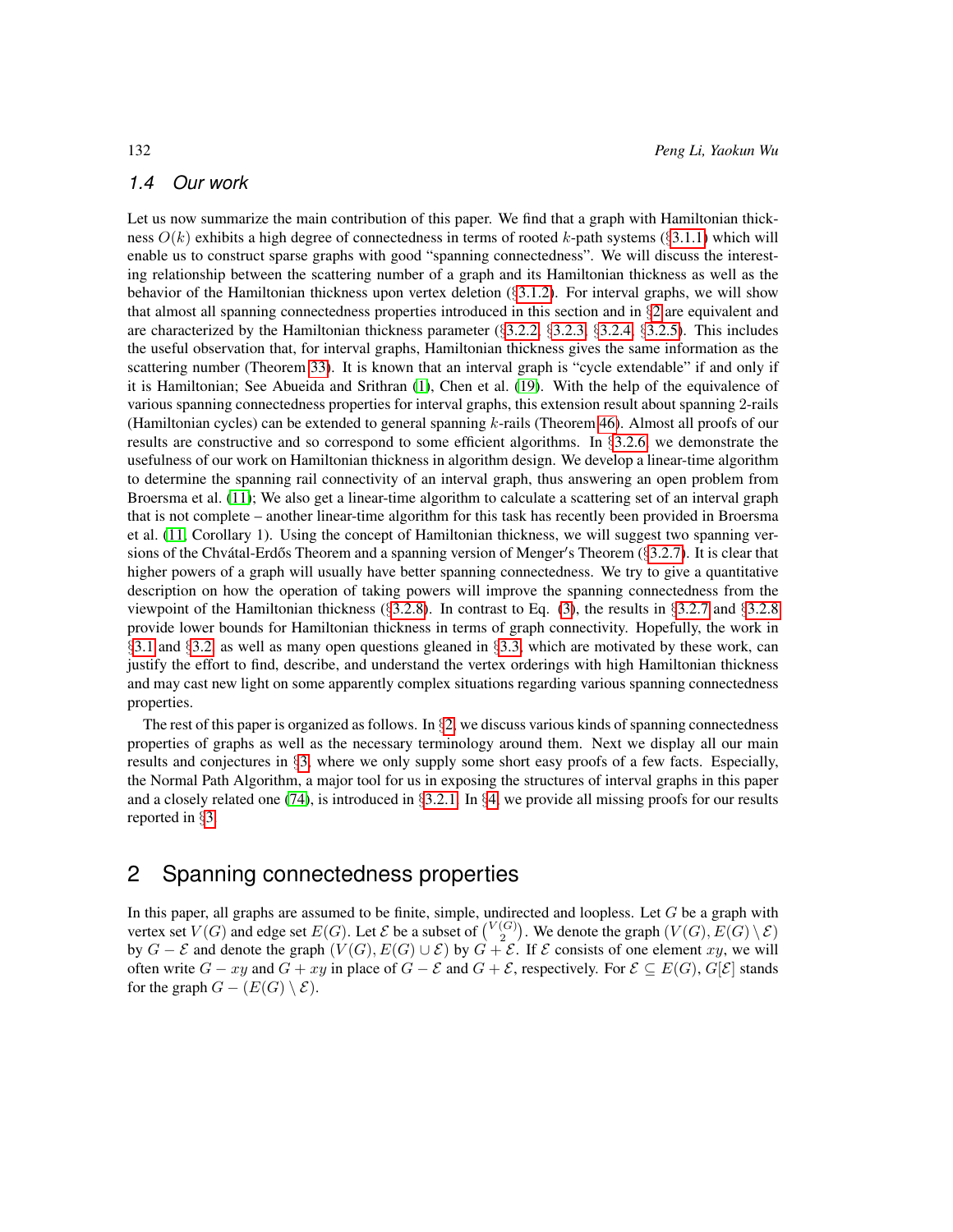#### <span id="page-7-0"></span>*1.4 Our work*

Let us now summarize the main contribution of this paper. We find that a graph with Hamiltonian thickness  $O(k)$  exhibits a high degree of connectedness in terms of rooted k-path systems (§[3.1.1\)](#page-12-2) which will enable us to construct sparse graphs with good "spanning connectedness". We will discuss the interesting relationship between the scattering number of a graph and its Hamiltonian thickness as well as the behavior of the Hamiltonian thickness upon vertex deletion (§[3.1.2\)](#page-14-0). For interval graphs, we will show that almost all spanning connectedness properties introduced in this section and in  $\S$ [2](#page-7-1) are equivalent and are characterized by the Hamiltonian thickness parameter  $(\S3.2.2, \S3.2.3, \S3.2.4, \S3.2.5)$  $(\S3.2.2, \S3.2.3, \S3.2.4, \S3.2.5)$  $(\S3.2.2, \S3.2.3, \S3.2.4, \S3.2.5)$  $(\S3.2.2, \S3.2.3, \S3.2.4, \S3.2.5)$  $(\S3.2.2, \S3.2.3, \S3.2.4, \S3.2.5)$  $(\S3.2.2, \S3.2.3, \S3.2.4, \S3.2.5)$  $(\S3.2.2, \S3.2.3, \S3.2.4, \S3.2.5)$  $(\S3.2.2, \S3.2.3, \S3.2.4, \S3.2.5)$ . This includes the useful observation that, for interval graphs, Hamiltonian thickness gives the same information as the scattering number (Theorem [33\)](#page-21-1). It is known that an interval graph is "cycle extendable" if and only if it is Hamiltonian; See Abueida and Srithran [\(1\)](#page-78-6), Chen et al. [\(19\)](#page-79-4). With the help of the equivalence of various spanning connectedness properties for interval graphs, this extension result about spanning 2-rails (Hamiltonian cycles) can be extended to general spanning k-rails (Theorem [46\)](#page-24-1). Almost all proofs of our results are constructive and so correspond to some efficient algorithms. In §[3.2.6,](#page-24-0) we demonstrate the usefulness of our work on Hamiltonian thickness in algorithm design. We develop a linear-time algorithm to determine the spanning rail connectivity of an interval graph, thus answering an open problem from Broersma et al. [\(11\)](#page-78-3); We also get a linear-time algorithm to calculate a scattering set of an interval graph that is not complete – another linear-time algorithm for this task has recently been provided in Broersma et al. [\(11,](#page-78-3) Corollary 1). Using the concept of Hamiltonian thickness, we will suggest two spanning ver-sions of the Chvátal-Erdős Theorem and a spanning version of Menger's Theorem (§[3.2.7\)](#page-26-0). It is clear that higher powers of a graph will usually have better spanning connectedness. We try to give a quantitative description on how the operation of taking powers will improve the spanning connectedness from the viewpoint of the Hamiltonian thickness (§[3.2.8\)](#page-27-0). In contrast to Eq. [\(3\)](#page-6-0), the results in §[3.2.7](#page-26-0) and §[3.2.8](#page-27-0) provide lower bounds for Hamiltonian thickness in terms of graph connectivity. Hopefully, the work in §[3.1](#page-12-1) and §[3.2,](#page-17-0) as well as many open questions gleaned in §[3.3,](#page-29-0) which are motivated by these work, can justify the effort to find, describe, and understand the vertex orderings with high Hamiltonian thickness and may cast new light on some apparently complex situations regarding various spanning connectedness properties.

The rest of this paper is organized as follows. In  $\S2$ , we discuss various kinds of spanning connectedness properties of graphs as well as the necessary terminology around them. Next we display all our main results and conjectures in §[3,](#page-12-0) where we only supply some short easy proofs of a few facts. Especially, the Normal Path Algorithm, a major tool for us in exposing the structures of interval graphs in this paper and a closely related one [\(74\)](#page-83-4), is introduced in  $\S 3.2.1$ . In  $\S 4$ , we provide all missing proofs for our results reported in §[3.](#page-12-0)

## <span id="page-7-1"></span>2 Spanning connectedness properties

In this paper, all graphs are assumed to be finite, simple, undirected and loopless. Let  $G$  be a graph with vertex set  $V(G)$  and edge set  $E(G)$ . Let  $\mathcal E$  be a subset of  ${V(G) \choose 2}$ . We denote the graph  $(V(G), E(G) \setminus \mathcal E)$ by  $G - \mathcal{E}$  and denote the graph  $(V(G), E(G) \cup \mathcal{E})$  by  $G + \mathcal{E}$ . If  $\mathcal{E}$  consists of one element xy, we will often write  $G - xy$  and  $G + xy$  in place of  $G - \mathcal{E}$  and  $G + \mathcal{E}$ , respectively. For  $\mathcal{E} \subseteq E(G)$ ,  $G[\mathcal{E}]$  stands for the graph  $G - (E(G) \setminus \mathcal{E})$ .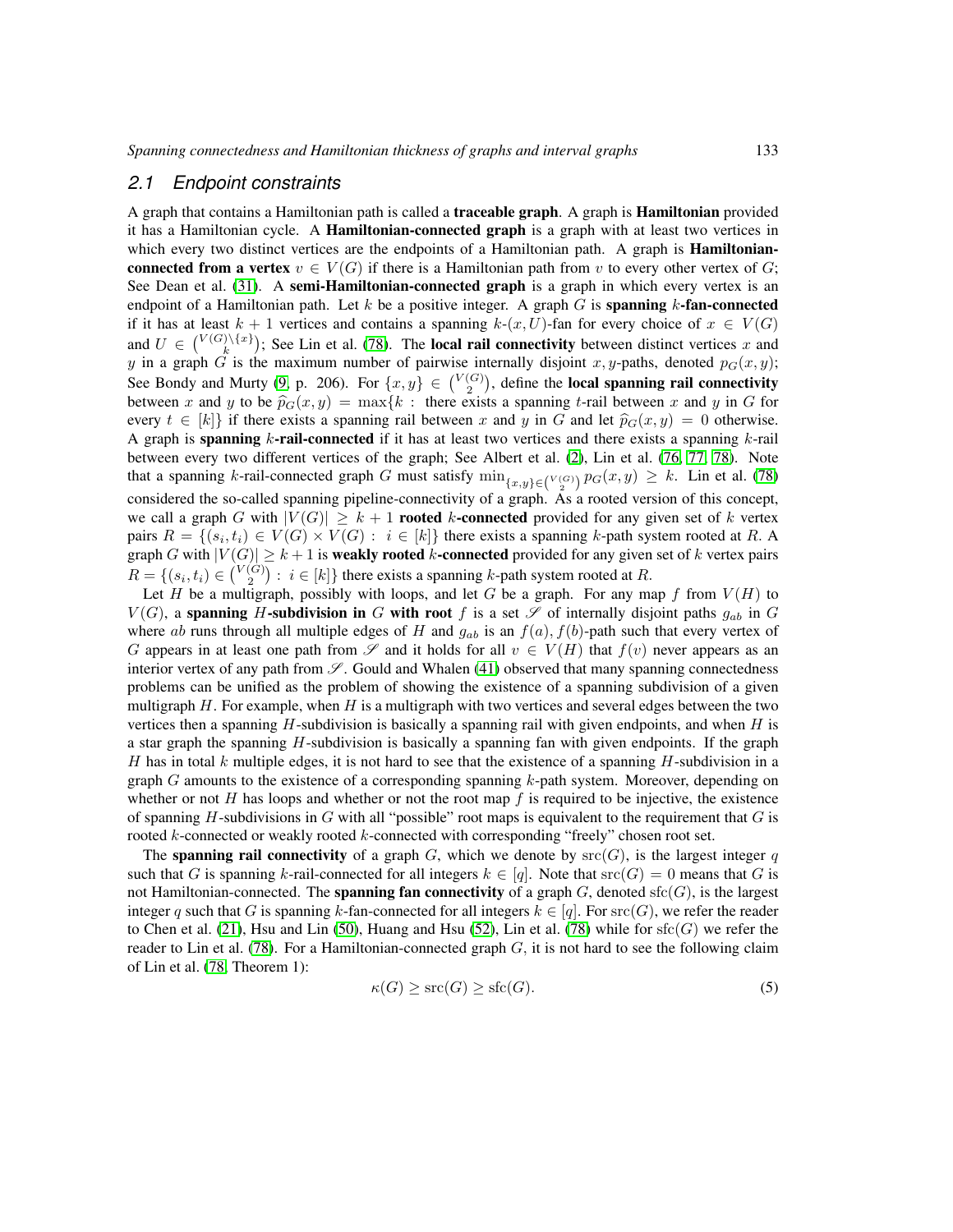#### <span id="page-8-0"></span>*2.1 Endpoint constraints*

A graph that contains a Hamiltonian path is called a traceable graph. A graph is Hamiltonian provided it has a Hamiltonian cycle. A **Hamiltonian-connected graph** is a graph with at least two vertices in which every two distinct vertices are the endpoints of a Hamiltonian path. A graph is **Hamiltonian**connected from a vertex  $v \in V(G)$  if there is a Hamiltonian path from v to every other vertex of G; See Dean et al. [\(31\)](#page-80-2). A **semi-Hamiltonian-connected graph** is a graph in which every vertex is an endpoint of a Hamiltonian path. Let k be a positive integer. A graph  $G$  is spanning k-fan-connected if it has at least  $k + 1$  vertices and contains a spanning  $k-(x, U)$ -fan for every choice of  $x \in V(G)$ and  $U \in \binom{V(G)\setminus \{x\}}{k}$ ; See Lin et al. [\(78\)](#page-83-2). The **local rail connectivity** between distinct vertices x and y in a graph G is the maximum number of pairwise internally disjoint x, y-paths, denoted  $p_G(x, y)$ ; See Bondy and Murty [\(9,](#page-78-2) p. 206). For  $\{x, y\} \in \binom{V(G)}{2}$ , define the local spanning rail connectivity between x and y to be  $\hat{p}_G(x, y) = \max\{k : \text{ there exists a spanning } t\text{-tail between } x \text{ and } y \text{ in } G \text{ for } t\}$ every  $t \in [k]$  if there exists a spanning rail between x and y in G and let  $\hat{p}_G(x, y) = 0$  otherwise. A graph is **spanning** k-rail-connected if it has at least two vertices and there exists a spanning k-rail between every two different vertices of the graph; See Albert et al. [\(2\)](#page-78-7), Lin et al. [\(76,](#page-83-5) [77,](#page-83-6) [78\)](#page-83-2). Note that a spanning k-rail-connected graph G must satisfy  $\min_{\{x,y\}\in \binom{V(G)}{2}} p_G(x,y) \geq k$ . Lin et al. [\(78\)](#page-83-2) considered the so-called spanning pipeline-connectivity of a graph. As a rooted version of this concept, we call a graph G with  $|V(G)| \geq k+1$  rooted k-connected provided for any given set of k vertex pairs  $R = \{(s_i, t_i) \in V(G) \times V(G) : i \in [k]\}$  there exists a spanning k-path system rooted at R. A graph G with  $|V(G)| \geq k+1$  is **weakly rooted** k-connected provided for any given set of k vertex pairs  $R = \{(s_i, t_i) \in \binom{V(G)}{2} : i \in [k]\}$  there exists a spanning k-path system rooted at R.

Let H be a multigraph, possibly with loops, and let G be a graph. For any map f from  $V(H)$  to  $V(G)$ , a spanning H-subdivision in G with root f is a set  $\mathscr S$  of internally disjoint paths  $g_{ab}$  in G where ab runs through all multiple edges of H and  $g_{ab}$  is an  $f(a)$ ,  $f(b)$ -path such that every vertex of G appears in at least one path from  $\mathscr S$  and it holds for all  $v \in V(H)$  that  $f(v)$  never appears as an interior vertex of any path from  $\mathscr{S}$ . Gould and Whalen [\(41\)](#page-81-2) observed that many spanning connectedness problems can be unified as the problem of showing the existence of a spanning subdivision of a given multigraph H. For example, when H is a multigraph with two vertices and several edges between the two vertices then a spanning  $H$ -subdivision is basically a spanning rail with given endpoints, and when  $H$  is a star graph the spanning  $H$ -subdivision is basically a spanning fan with given endpoints. If the graph H has in total k multiple edges, it is not hard to see that the existence of a spanning  $H$ -subdivision in a graph G amounts to the existence of a corresponding spanning  $k$ -path system. Moreover, depending on whether or not H has loops and whether or not the root map  $f$  is required to be injective, the existence of spanning H-subdivisions in G with all "possible" root maps is equivalent to the requirement that G is rooted k-connected or weakly rooted k-connected with corresponding "freely" chosen root set.

The spanning rail connectivity of a graph G, which we denote by  $src(G)$ , is the largest integer q such that G is spanning k-rail-connected for all integers  $k \in [q]$ . Note that  $\text{src}(G) = 0$  means that G is not Hamiltonian-connected. The **spanning fan connectivity** of a graph  $G$ , denoted sfc( $G$ ), is the largest integer q such that G is spanning k-fan-connected for all integers  $k \in [q]$ . For  $\text{src}(G)$ , we refer the reader to Chen et al. [\(21\)](#page-79-5), Hsu and Lin [\(50\)](#page-81-3), Huang and Hsu [\(52\)](#page-81-4), Lin et al. [\(78\)](#page-83-2) while for  $sfc(G)$  we refer the reader to Lin et al. [\(78\)](#page-83-2). For a Hamiltonian-connected graph  $G$ , it is not hard to see the following claim of Lin et al. [\(78,](#page-83-2) Theorem 1):

<span id="page-8-1"></span>
$$
\kappa(G) \ge \text{src}(G) \ge \text{sfc}(G). \tag{5}
$$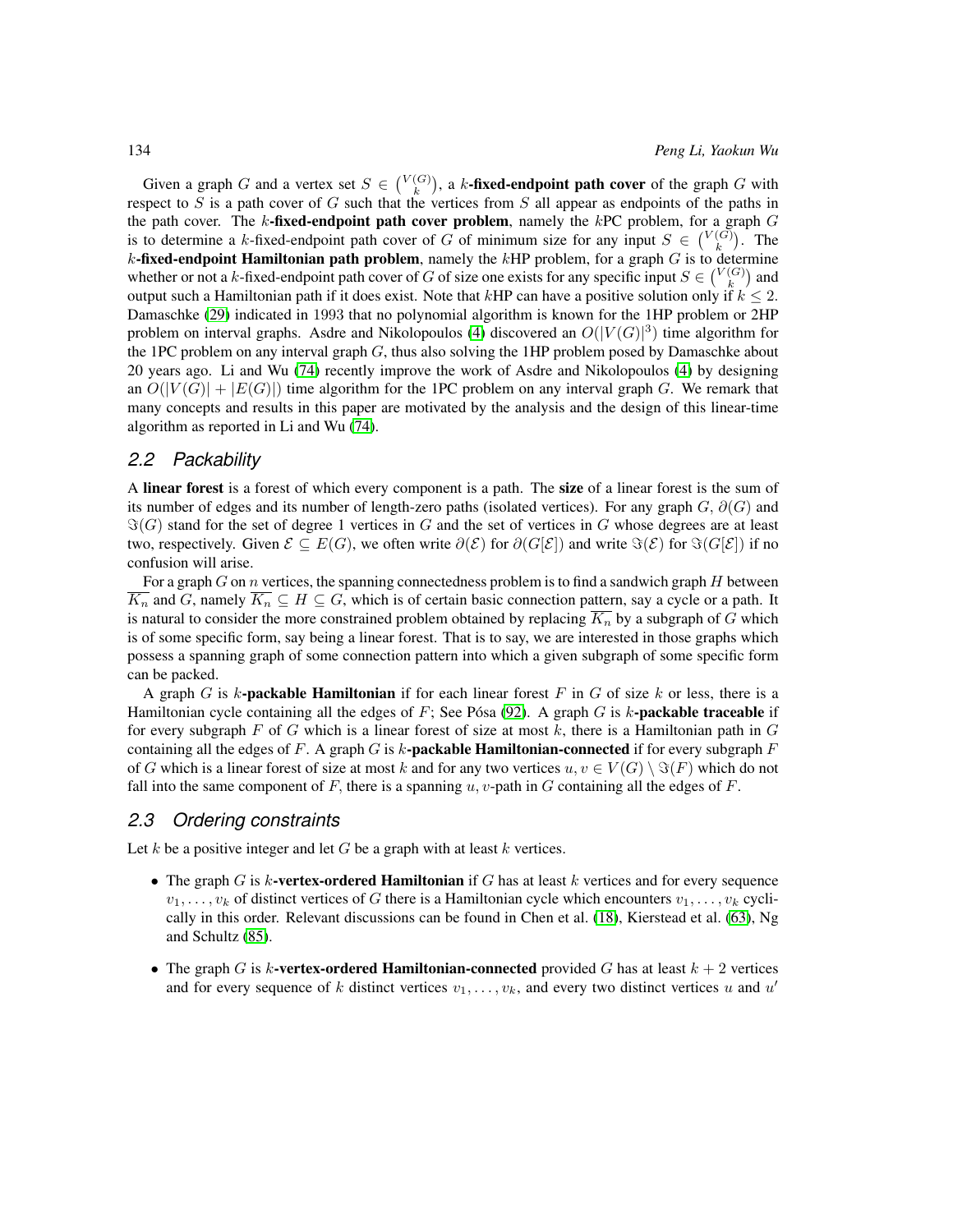Given a graph G and a vertex set  $S \in \binom{V(G)}{k}$ , a k-fixed-endpoint path cover of the graph G with respect to S is a path cover of G such that the vertices from S all appear as endpoints of the paths in the path cover. The k-fixed-endpoint path cover problem, namely the kPC problem, for a graph  $G$ is to determine a k-fixed-endpoint path cover of G of minimum size for any input  $S \in \binom{V(G)}{k}$ . The  $k$ -fixed-endpoint Hamiltonian path problem, namely the  $k$ HP problem, for a graph  $G$  is to determine whether or not a k-fixed-endpoint path cover of G of size one exists for any specific input  $S \in \binom{V(G)}{k}$  and output such a Hamiltonian path if it does exist. Note that kHP can have a positive solution only if  $k \leq 2$ . Damaschke [\(29\)](#page-80-3) indicated in 1993 that no polynomial algorithm is known for the 1HP problem or 2HP problem on interval graphs. Asdre and Nikolopoulos [\(4\)](#page-78-8) discovered an  $O(|V(G)|^3)$  time algorithm for the 1PC problem on any interval graph  $G$ , thus also solving the 1HP problem posed by Damaschke about 20 years ago. Li and Wu [\(74\)](#page-83-4) recently improve the work of Asdre and Nikolopoulos [\(4\)](#page-78-8) by designing an  $O(|V(G)| + |E(G)|)$  time algorithm for the 1PC problem on any interval graph G. We remark that many concepts and results in this paper are motivated by the analysis and the design of this linear-time algorithm as reported in Li and Wu [\(74\)](#page-83-4).

#### <span id="page-9-0"></span>*2.2 Packability*

A linear forest is a forest of which every component is a path. The size of a linear forest is the sum of its number of edges and its number of length-zero paths (isolated vertices). For any graph  $G$ ,  $\partial(G)$  and  $\Im(G)$  stand for the set of degree 1 vertices in G and the set of vertices in G whose degrees are at least two, respectively. Given  $\mathcal{E} \subseteq E(G)$ , we often write  $\partial(\mathcal{E})$  for  $\partial(G[\mathcal{E}])$  and write  $\Im(\mathcal{E})$  for  $\Im(G[\mathcal{E}])$  if no confusion will arise.

For a graph  $G$  on  $n$  vertices, the spanning connectedness problem is to find a sandwich graph  $H$  between  $K_n$  and G, namely  $K_n \subseteq H \subseteq G$ , which is of certain basic connection pattern, say a cycle or a path. It is natural to consider the more constrained problem obtained by replacing  $K_n$  by a subgraph of G which is of some specific form, say being a linear forest. That is to say, we are interested in those graphs which possess a spanning graph of some connection pattern into which a given subgraph of some specific form can be packed.

A graph G is  $k$ -packable Hamiltonian if for each linear forest F in G of size k or less, there is a Hamiltonian cycle containing all the edges of  $F$ ; See Pósa [\(92\)](#page-84-2). A graph  $G$  is k-**packable traceable** if for every subgraph F of G which is a linear forest of size at most  $k$ , there is a Hamiltonian path in  $G$ containing all the edges of F. A graph G is k-**packable Hamiltonian-connected** if for every subgraph  $F$ of G which is a linear forest of size at most k and for any two vertices  $u, v \in V(G) \setminus \Im(F)$  which do not fall into the same component of F, there is a spanning  $u, v$ -path in G containing all the edges of F.

#### <span id="page-9-1"></span>*2.3 Ordering constraints*

Let k be a positive integer and let  $G$  be a graph with at least k vertices.

- The graph G is k-vertex-ordered Hamiltonian if G has at least  $k$  vertices and for every sequence  $v_1, \ldots, v_k$  of distinct vertices of G there is a Hamiltonian cycle which encounters  $v_1, \ldots, v_k$  cyclically in this order. Relevant discussions can be found in Chen et al. [\(18\)](#page-79-6), Kierstead et al. [\(63\)](#page-82-4), Ng and Schultz [\(85\)](#page-84-3).
- The graph G is k-vertex-ordered Hamiltonian-connected provided G has at least  $k + 2$  vertices and for every sequence of k distinct vertices  $v_1, \ldots, v_k$ , and every two distinct vertices u and u'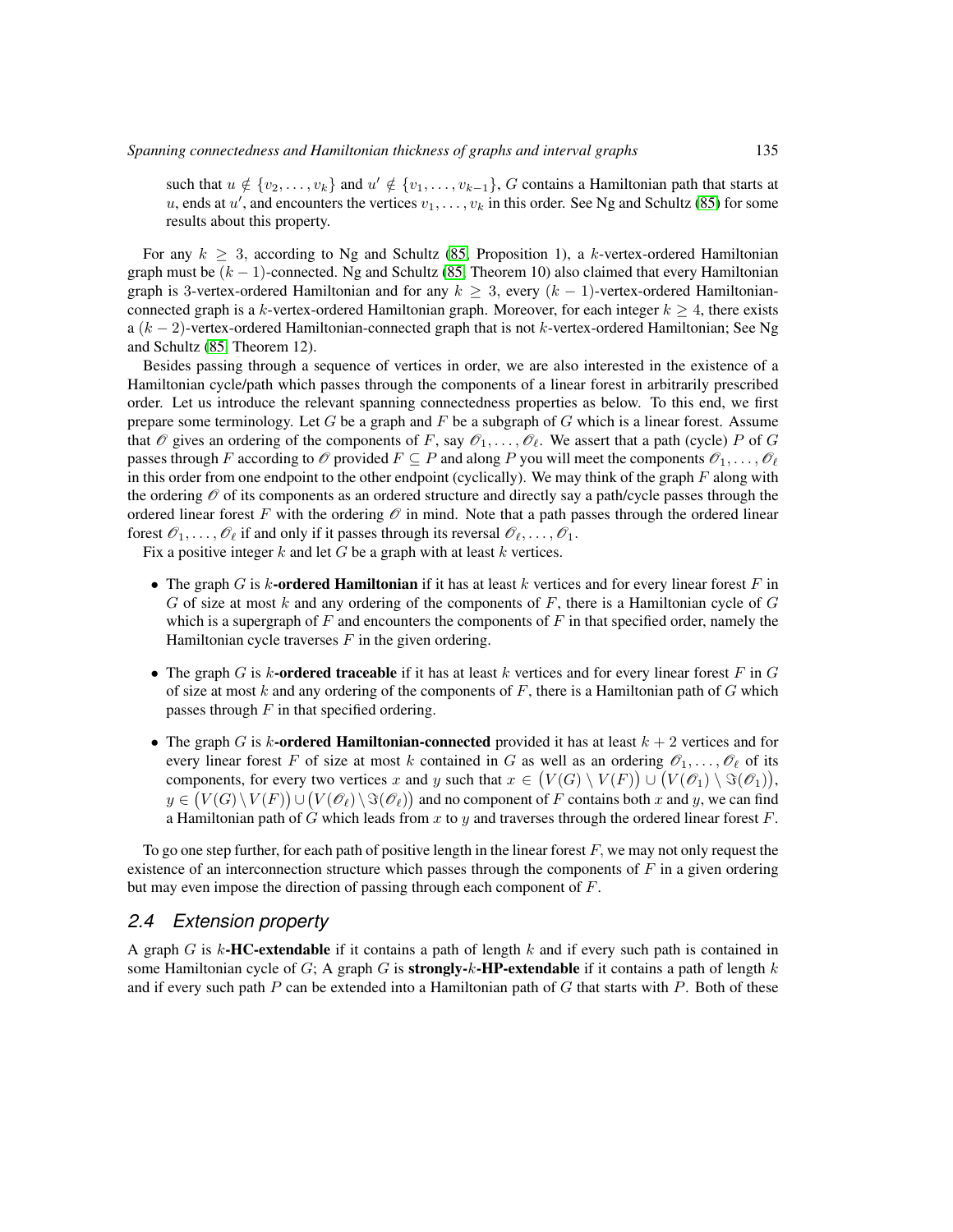such that  $u \notin \{v_2, \ldots, v_k\}$  and  $u' \notin \{v_1, \ldots, v_{k-1}\}$ , G contains a Hamiltonian path that starts at u, ends at  $u'$ , and encounters the vertices  $v_1, \ldots, v_k$  in this order. See Ng and Schultz [\(85\)](#page-84-3) for some results about this property.

For any  $k \geq 3$ , according to Ng and Schultz [\(85,](#page-84-3) Proposition 1), a k-vertex-ordered Hamiltonian graph must be  $(k - 1)$ -connected. Ng and Schultz [\(85,](#page-84-3) Theorem 10) also claimed that every Hamiltonian graph is 3-vertex-ordered Hamiltonian and for any  $k \geq 3$ , every  $(k-1)$ -vertex-ordered Hamiltonianconnected graph is a k-vertex-ordered Hamiltonian graph. Moreover, for each integer  $k \geq 4$ , there exists a  $(k-2)$ -vertex-ordered Hamiltonian-connected graph that is not k-vertex-ordered Hamiltonian; See Ng and Schultz [\(85,](#page-84-3) Theorem 12).

Besides passing through a sequence of vertices in order, we are also interested in the existence of a Hamiltonian cycle/path which passes through the components of a linear forest in arbitrarily prescribed order. Let us introduce the relevant spanning connectedness properties as below. To this end, we first prepare some terminology. Let G be a graph and  $F$  be a subgraph of G which is a linear forest. Assume that  $\mathcal O$  gives an ordering of the components of F, say  $\mathcal O_1,\ldots,\mathcal O_\ell$ . We assert that a path (cycle) P of G passes through F according to  $\mathcal O$  provided  $F \subseteq P$  and along P you will meet the components  $\mathcal O_1,\ldots,\mathcal O_\ell$ in this order from one endpoint to the other endpoint (cyclically). We may think of the graph  $F$  along with the ordering  $\mathcal O$  of its components as an ordered structure and directly say a path/cycle passes through the ordered linear forest F with the ordering  $\mathcal O$  in mind. Note that a path passes through the ordered linear forest  $\mathscr{O}_1, \ldots, \mathscr{O}_\ell$  if and only if it passes through its reversal  $\mathscr{O}_\ell, \ldots, \mathscr{O}_1$ .

Fix a positive integer  $k$  and let  $G$  be a graph with at least  $k$  vertices.

- The graph G is k-ordered Hamiltonian if it has at least k vertices and for every linear forest F in G of size at most k and any ordering of the components of F, there is a Hamiltonian cycle of  $G$ which is a supergraph of  $F$  and encounters the components of  $F$  in that specified order, namely the Hamiltonian cycle traverses  $F$  in the given ordering.
- The graph G is k-ordered traceable if it has at least k vertices and for every linear forest F in G of size at most  $k$  and any ordering of the components of  $F$ , there is a Hamiltonian path of  $G$  which passes through  $F$  in that specified ordering.
- The graph G is k-ordered Hamiltonian-connected provided it has at least  $k + 2$  vertices and for every linear forest F of size at most k contained in G as well as an ordering  $\mathcal{O}_1, \ldots, \mathcal{O}_\ell$  of its components, for every two vertices x and y such that  $x \in (V(G) \setminus V(F)) \cup (V(\mathscr{O}_1) \setminus \Im(\mathscr{O}_1)),$  $y\in \big(V(G)\setminus V(F)\big)\cup \big(V(\mathscr{O}_\ell)\setminus \Im(\mathscr{O}_\ell)\big)$  and no component of  $F$  contains both  $x$  and  $y,$  we can find a Hamiltonian path of G which leads from x to y and traverses through the ordered linear forest  $F$ .

To go one step further, for each path of positive length in the linear forest  $F$ , we may not only request the existence of an interconnection structure which passes through the components of  $F$  in a given ordering but may even impose the direction of passing through each component of F.

#### <span id="page-10-0"></span>*2.4 Extension property*

A graph G is  $k$ -HC-extendable if it contains a path of length k and if every such path is contained in some Hamiltonian cycle of G; A graph G is **strongly-k-HP-extendable** if it contains a path of length k and if every such path  $P$  can be extended into a Hamiltonian path of  $G$  that starts with  $P$ . Both of these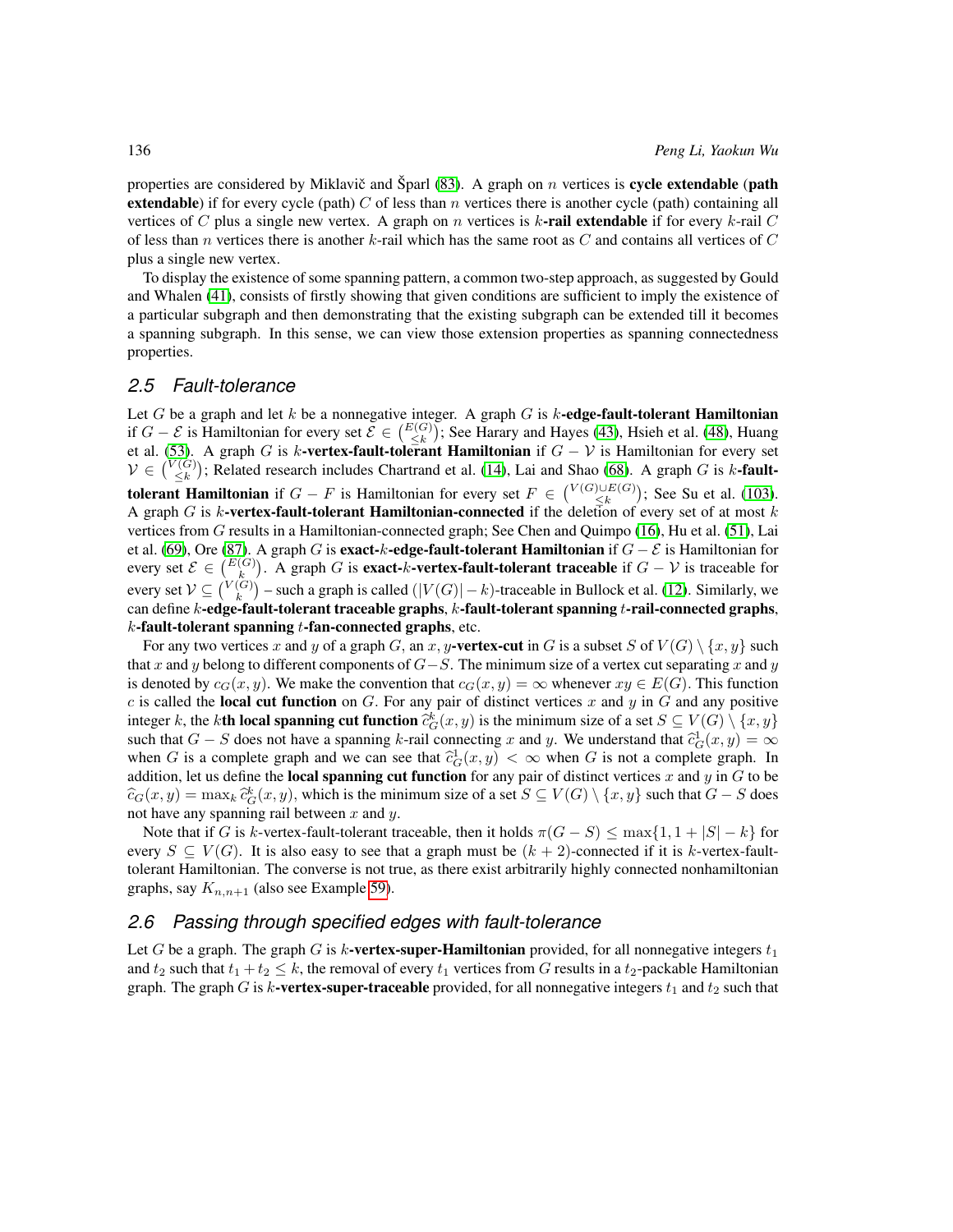properties are considered by Miklavič and Šparl [\(83\)](#page-84-4). A graph on  $n$  vertices is **cycle extendable** (**path extendable**) if for every cycle (path) C of less than n vertices there is another cycle (path) containing all vertices of C plus a single new vertex. A graph on n vertices is k-rail extendable if for every k-rail C of less than n vertices there is another k-rail which has the same root as  $C$  and contains all vertices of  $C$ plus a single new vertex.

To display the existence of some spanning pattern, a common two-step approach, as suggested by Gould and Whalen [\(41\)](#page-81-2), consists of firstly showing that given conditions are sufficient to imply the existence of a particular subgraph and then demonstrating that the existing subgraph can be extended till it becomes a spanning subgraph. In this sense, we can view those extension properties as spanning connectedness properties.

#### <span id="page-11-0"></span>*2.5 Fault-tolerance*

Let G be a graph and let k be a nonnegative integer. A graph G is k-edge-fault-tolerant Hamiltonian if  $G - \mathcal{E}$  is Hamiltonian for every set  $\mathcal{E} \in {E(G) \choose \leq k}$ ; See Harary and Hayes [\(43\)](#page-81-5), Hsieh et al. [\(48\)](#page-81-6), Huang et al. [\(53\)](#page-82-5). A graph G is k-vertex-fault-tolerant Hamiltonian if  $G - V$  is Hamiltonian for every set  $V \in \binom{V(G)}{\leq k}$ ; Related research includes Chartrand et al. [\(14\)](#page-79-7), Lai and Shao [\(68\)](#page-83-7). A graph G is k-fault**tolerant Hamiltonian** if  $G - F$  is Hamiltonian for every set  $F \in \binom{V(G) \cup E(G)}{\leq k}$ ; See Su et al. [\(103\)](#page-85-4). A graph G is k-vertex-fault-tolerant Hamiltonian-connected if the deletion of every set of at most  $k$ vertices from G results in a Hamiltonian-connected graph; See Chen and Quimpo [\(16\)](#page-79-8), Hu et al. [\(51\)](#page-81-7), Lai et al. [\(69\)](#page-83-8), Ore [\(87\)](#page-84-5). A graph G is **exact-k-edge-fault-tolerant Hamiltonian** if  $G - \mathcal{E}$  is Hamiltonian for every set  $\mathcal{E} \in {E(G) \choose k}$ . A graph G is **exact-k-vertex-fault-tolerant traceable** if  $G - V$  is traceable for every set  $\mathcal{V} \subseteq \binom{V(G)}{k}$  – such a graph is called  $(|V(G)| - k)$ -traceable in Bullock et al. [\(12\)](#page-78-9). Similarly, we can define  $k$ -edge-fault-tolerant traceable graphs,  $k$ -fault-tolerant spanning  $t$ -rail-connected graphs,  $k$ -fault-tolerant spanning  $t$ -fan-connected graphs, etc.

For any two vertices x and y of a graph G, an x, y-vertex-cut in G is a subset S of  $V(G) \setminus \{x, y\}$  such that x and y belong to different components of  $G-S$ . The minimum size of a vertex cut separating x and y is denoted by  $c_G(x, y)$ . We make the convention that  $c_G(x, y) = \infty$  whenever  $xy \in E(G)$ . This function c is called the local cut function on G. For any pair of distinct vertices x and y in G and any positive integer k, the k**th local spanning cut function**  $\hat{c}_G^k(x, y)$  is the minimum size of a set  $S \subseteq V(G) \setminus \{x, y\}$ <br>such that  $G = S$  does not have a spanning k rail connecting x and u. We understand that  $\hat{c}_L^1(x, y) = \infty$ such that  $G - S$  does not have a spanning k-rail connecting x and y. We understand that  $\hat{c}_G^1(x, y) = \infty$ <br>when C is a complete graph and we can see that  $\hat{c}_G^1(x, y) \leq \infty$  when C is not a complete graph. In when G is a complete graph and we can see that  $\hat{c}_G^1(x, y) < \infty$  when G is not a complete graph. In addition, let us define the **local spanning cut function** for any pair of distinct vertices x and u in G to be addition, let us define the **local spanning cut function** for any pair of distinct vertices x and y in  $G$  to be  $\widehat{c}_G(x, y) = \max_k \widehat{c}_G^k(x, y)$ , which is the minimum size of a set  $S \subseteq V(G) \setminus \{x, y\}$  such that  $G - S$  does not have any spanning rail between  $x$  and  $y$ .

Note that if G is k-vertex-fault-tolerant traceable, then it holds  $\pi(G - S) \le \max\{1, 1 + |S| - k\}$  for every  $S \subseteq V(G)$ . It is also easy to see that a graph must be  $(k + 2)$ -connected if it is k-vertex-faulttolerant Hamiltonian. The converse is not true, as there exist arbitrarily highly connected nonhamiltonian graphs, say  $K_{n,n+1}$  (also see Example [59\)](#page-27-1).

#### <span id="page-11-1"></span>*2.6 Passing through specified edges with fault-tolerance*

Let G be a graph. The graph G is k-vertex-super-Hamiltonian provided, for all nonnegative integers  $t_1$ and  $t_2$  such that  $t_1 + t_2 \leq k$ , the removal of every  $t_1$  vertices from G results in a  $t_2$ -packable Hamiltonian graph. The graph G is k-vertex-super-traceable provided, for all nonnegative integers  $t_1$  and  $t_2$  such that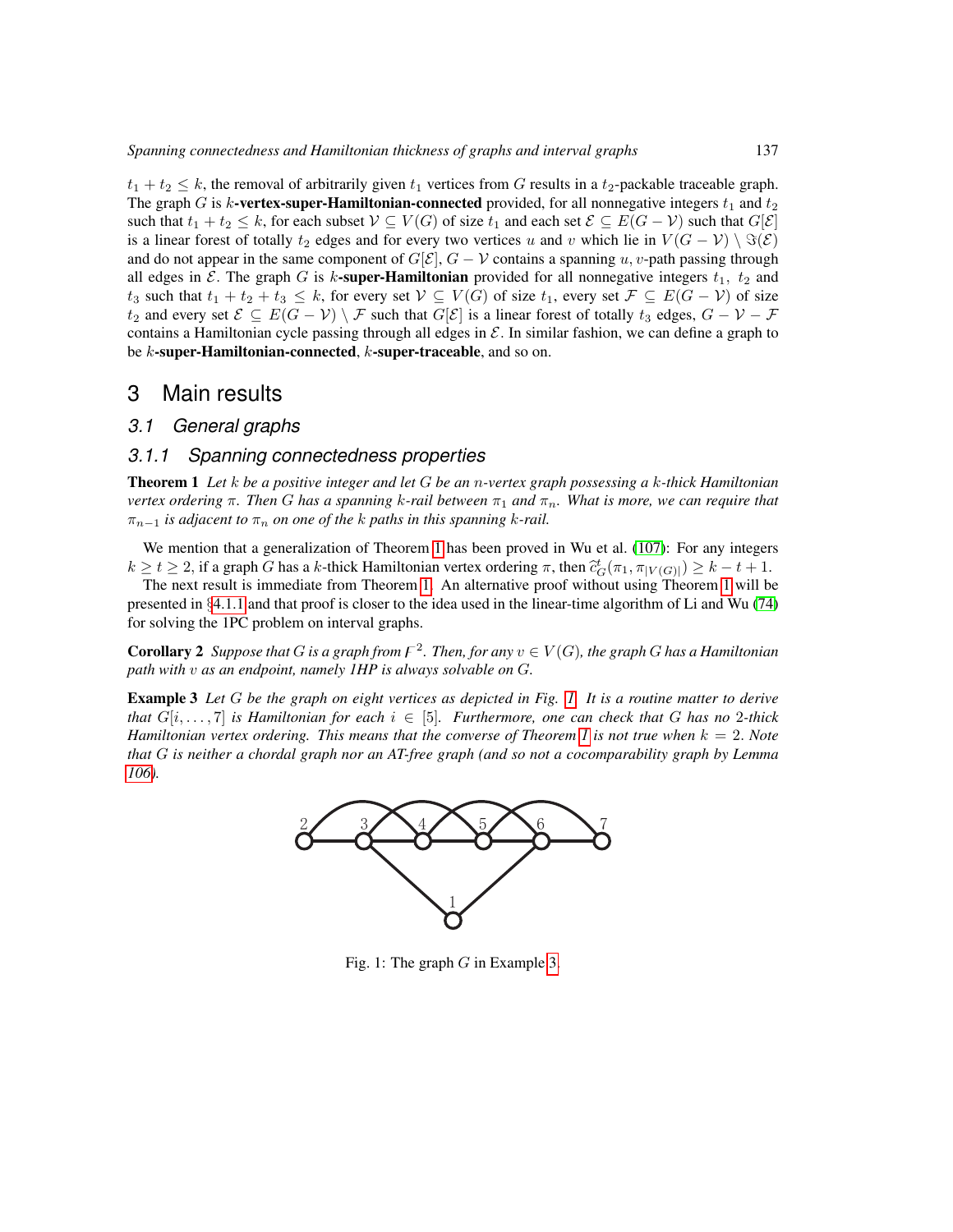$t_1 + t_2 \leq k$ , the removal of arbitrarily given  $t_1$  vertices from G results in a  $t_2$ -packable traceable graph. The graph G is k-vertex-super-Hamiltonian-connected provided, for all nonnegative integers  $t_1$  and  $t_2$ such that  $t_1 + t_2 \leq k$ , for each subset  $V \subseteq V(G)$  of size  $t_1$  and each set  $\mathcal{E} \subseteq E(G - V)$  such that  $G[\mathcal{E}]$ is a linear forest of totally  $t_2$  edges and for every two vertices u and v which lie in  $V(G - V) \setminus \Im(\mathcal{E})$ and do not appear in the same component of  $G[\mathcal{E}]$ ,  $G - \mathcal{V}$  contains a spanning u, v-path passing through all edges in  $\mathcal E$ . The graph G is k-super-Hamiltonian provided for all nonnegative integers  $t_1$ ,  $t_2$  and  $t_3$  such that  $t_1 + t_2 + t_3 \leq k$ , for every set  $\mathcal{V} \subseteq V(G)$  of size  $t_1$ , every set  $\mathcal{F} \subseteq E(G - \mathcal{V})$  of size  $t_2$  and every set  $\mathcal{E} \subseteq E(G - \mathcal{V}) \setminus \mathcal{F}$  such that  $G[\mathcal{E}]$  is a linear forest of totally  $t_3$  edges,  $G - \mathcal{V} - \mathcal{F}$ contains a Hamiltonian cycle passing through all edges in  $\mathcal E$ . In similar fashion, we can define a graph to be  $k$ -super-Hamiltonian-connected,  $k$ -super-traceable, and so on.

## <span id="page-12-0"></span>3 Main results

#### <span id="page-12-1"></span>*3.1 General graphs*

#### <span id="page-12-2"></span>*3.1.1 Spanning connectedness properties*

<span id="page-12-3"></span>Theorem 1 *Let* k *be a positive integer and let* G *be an* n*-vertex graph possessing a* k*-thick Hamiltonian vertex ordering* π*. Then* G *has a spanning* k*-rail between* π<sup>1</sup> *and* πn*. What is more, we can require that*  $\pi_{n-1}$  *is adjacent to*  $\pi_n$  *on one of the k paths in this spanning k-rail.* 

We mention that a generalization of Theorem [1](#page-12-3) has been proved in Wu et al. [\(107\)](#page-85-5): For any integers  $k \ge t \ge 2$ , if a graph G has a k-thick Hamiltonian vertex ordering  $\pi$ , then  $\tilde{c}_G^t(\pi_1, \pi_{|V(G)|}) \ge k - t + 1$ .<br>The next result is immediate from Theorem 1. An elternative proof without using Theorem 1 will be

The next result is immediate from Theorem [1.](#page-12-3) An alternative proof without using Theorem [1](#page-12-3) will be presented in §[4.1.1](#page-33-2) and that proof is closer to the idea used in the linear-time algorithm of Li and Wu [\(74\)](#page-83-4) for solving the 1PC problem on interval graphs.

<span id="page-12-6"></span>**Corollary 2** Suppose that G is a graph from  $F^2$ . Then, for any  $v \in V(G)$ , the graph G has a Hamiltonian *path with* v *as an endpoint, namely 1HP is always solvable on* G*.*

<span id="page-12-5"></span><span id="page-12-4"></span>Example 3 *Let* G *be the graph on eight vertices as depicted in Fig. [1.](#page-12-4) It is a routine matter to derive that*  $G[i, \ldots, 7]$  *is Hamiltonian for each*  $i \in [5]$ *. Furthermore, one can check that* G *has no* 2*-thick Hamiltonian vertex ordering. This means that the converse of Theorem [1](#page-12-3) is not true when* k = 2. *Note that* G *is neither a chordal graph nor an AT-free graph (and so not a cocomparability graph by Lemma [106\)](#page-50-0).*



Fig. 1: The graph  $G$  in Example [3.](#page-12-5)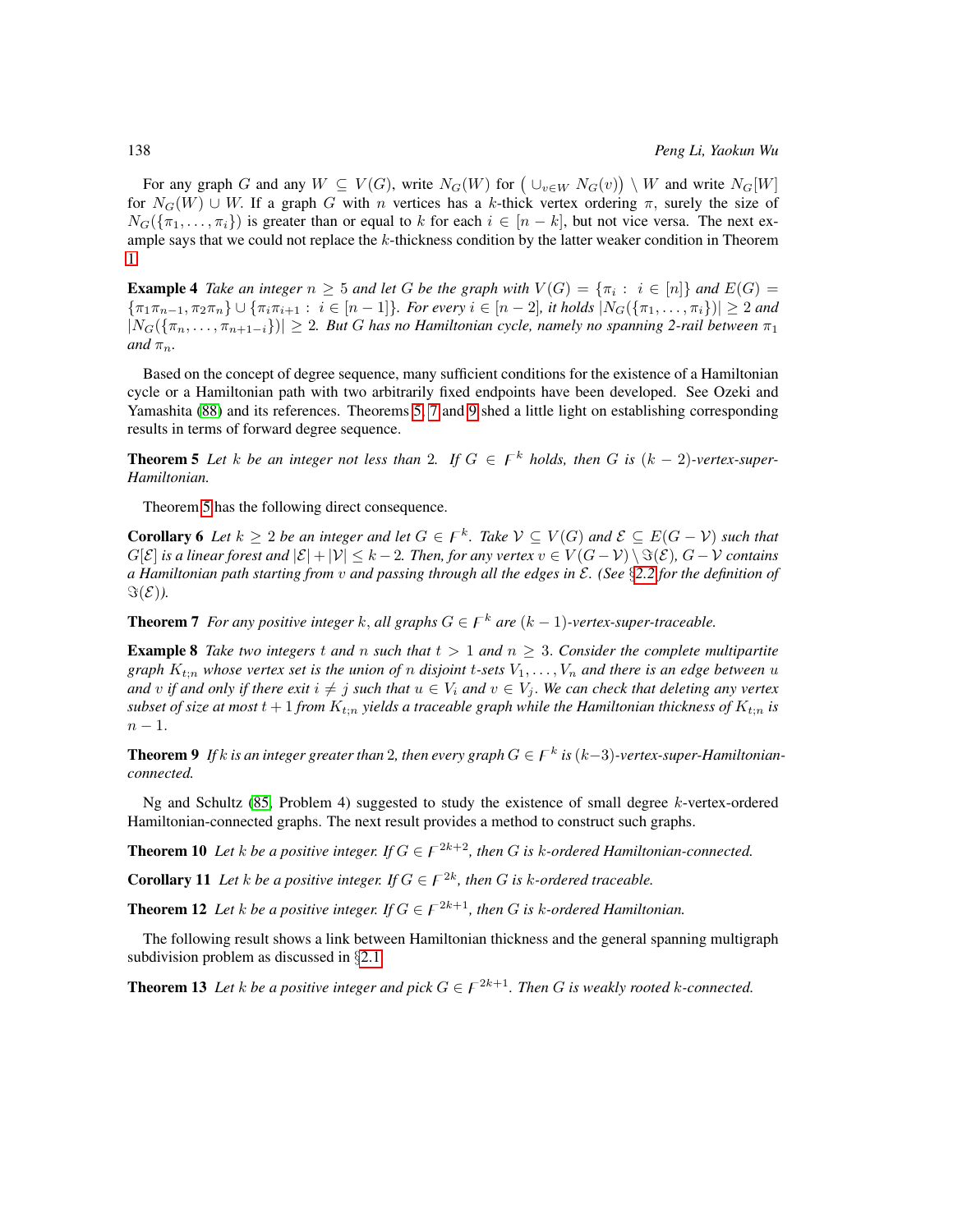For any graph G and any  $W \subseteq V(G)$ , write  $N_G(W)$  for  $(\cup_{v \in W} N_G(v)) \setminus W$  and write  $N_G[W]$ for  $N_G(W) \cup W$ . If a graph G with n vertices has a k-thick vertex ordering  $\pi$ , surely the size of  $N_G({\{\pi_1,\ldots,\pi_i\}})$  is greater than or equal to k for each  $i \in [n-k]$ , but not vice versa. The next example says that we could not replace the  $k$ -thickness condition by the latter weaker condition in Theorem [1.](#page-12-3)

**Example 4** Take an integer  $n \geq 5$  and let G be the graph with  $V(G) = \{\pi_i : i \in [n]\}$  and  $E(G) =$  ${\lbrace \pi_1 \pi_{n-1}, \pi_2 \pi_n \rbrace \cup {\lbrace \pi_i \pi_{i+1} : i \in [n-1] \rbrace}}$ *. For every*  $i \in [n-2]$ *, it holds*  $|N_G(\lbrace \pi_1, \ldots, \pi_i \rbrace)| \geq 2$  *and*  $|N_G(\{\pi_n,\ldots,\pi_{n+1-i}\})| \geq 2$ . But G has no Hamiltonian cycle, namely no spanning 2-rail between  $\pi_1$ *and*  $\pi_n$ *.* 

Based on the concept of degree sequence, many sufficient conditions for the existence of a Hamiltonian cycle or a Hamiltonian path with two arbitrarily fixed endpoints have been developed. See Ozeki and Yamashita [\(88\)](#page-84-6) and its references. Theorems [5,](#page-13-0) [7](#page-13-1) and [9](#page-13-2) shed a little light on establishing corresponding results in terms of forward degree sequence.

<span id="page-13-0"></span>**Theorem 5** Let *k* be an integer not less than 2. If  $G \in F^k$  holds, then G is  $(k-2)$ -vertex-super-*Hamiltonian.*

Theorem [5](#page-13-0) has the following direct consequence.

**Corollary 6** Let  $k \geq 2$  be an integer and let  $G \in F^k$ . Take  $V \subseteq V(G)$  and  $\mathcal{E} \subseteq E(G - V)$  such that  $G[\mathcal{E}]$  *is a linear forest and*  $|\mathcal{E}| + |\mathcal{V}| \leq k - 2$ . Then, for any vertex  $v \in V(G - \mathcal{V}) \setminus \mathcal{F}(\mathcal{E})$ ,  $G - \mathcal{V}$  contains *a Hamiltonian path starting from* v *and passing through all the edges in* E*. (See* §*[2.2](#page-9-0) for the definition of*  $\Im(\mathcal{E})$ *)*.

<span id="page-13-1"></span>**Theorem 7** *For any positive integer* k, all graphs  $G \in \mathcal{F}^k$  are  $(k-1)$ *-vertex-super-traceable.* 

<span id="page-13-4"></span>**Example 8** Take two integers t and n such that  $t > 1$  and  $n \geq 3$ . Consider the complete multipartite *graph*  $K_{t:n}$  whose vertex set is the union of n disjoint t-sets  $V_1, \ldots, V_n$  and there is an edge between u *and* v if and only if there exit  $i \neq j$  such that  $u \in V_i$  and  $v \in V_j$ . We can check that deleting any vertex *subset of size at most*  $t + 1$  *from*  $K_{t:n}$  *yields a traceable graph while the Hamiltonian thickness of*  $K_{t:n}$  *is*  $n-1$ .

<span id="page-13-2"></span>**Theorem 9** If k is an integer greater than 2, then every graph  $G \in F^k$  is  $(k-3)$ -vertex-super-Hamiltonian*connected.*

Ng and Schultz  $(85,$  Problem 4) suggested to study the existence of small degree  $k$ -vertex-ordered Hamiltonian-connected graphs. The next result provides a method to construct such graphs.

**Theorem 10** Let *k* be a positive integer. If  $G \in F^{2k+2}$ , then G is *k*-ordered Hamiltonian-connected.

**Corollary 11** Let *k* be a positive integer. If  $G \in F^{2k}$ , then G is *k*-ordered traceable.

**Theorem 12** Let *k* be a positive integer. If  $G \in F^{2k+1}$ , then G is *k*-ordered Hamiltonian.

The following result shows a link between Hamiltonian thickness and the general spanning multigraph subdivision problem as discussed in §[2.1.](#page-8-0)

<span id="page-13-3"></span>**Theorem 13** Let *k* be a positive integer and pick  $G \in F^{2k+1}$ . Then G is weakly rooted *k*-connected.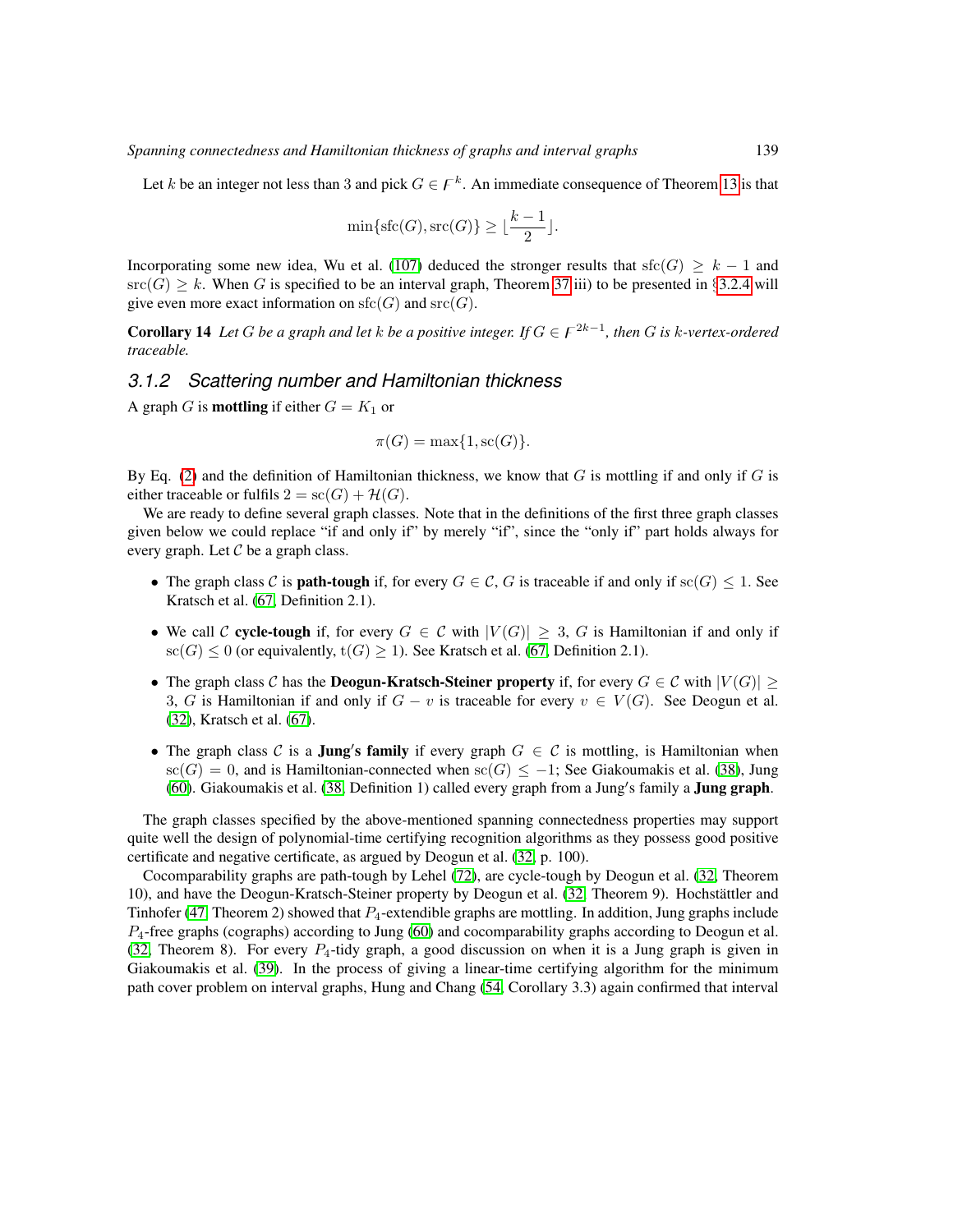Let k be an integer not less than 3 and pick  $G \in \mathcal{F}^k$ . An immediate consequence of Theorem [13](#page-13-3) is that

$$
\min\{\text{sfc}(G), \text{src}(G)\} \geq \lfloor\frac{k-1}{2}\rfloor.
$$

Incorporating some new idea, Wu et al. [\(107\)](#page-85-5) deduced the stronger results that sfc(G)  $\geq k - 1$  and  $\text{src}(G) \ge k$ . When G is specified to be an interval graph, Theorem [37](#page-22-1) iii) to be presented in §[3.2.4](#page-22-0) will give even more exact information on  $sfc(G)$  and  $src(G)$ .

**Corollary 14** Let G be a graph and let k be a positive integer. If  $G \in F^{2k-1}$ , then G is k-vertex-ordered *traceable.*

#### <span id="page-14-0"></span>*3.1.2 Scattering number and Hamiltonian thickness*

A graph G is **mottling** if either  $G = K_1$  or

$$
\pi(G) = \max\{1, \operatorname{sc}(G)\}.
$$

By Eq. [\(2\)](#page-6-1) and the definition of Hamiltonian thickness, we know that  $G$  is mottling if and only if  $G$  is either traceable or fulfils  $2 = sc(G) + H(G)$ .

We are ready to define several graph classes. Note that in the definitions of the first three graph classes given below we could replace "if and only if" by merely "if", since the "only if" part holds always for every graph. Let  $\mathcal C$  be a graph class.

- The graph class C is **path-tough** if, for every  $G \in \mathcal{C}$ , G is traceable if and only if sc(G)  $\leq 1$ . See Kratsch et al. [\(67,](#page-83-9) Definition 2.1).
- We call C cycle-tough if, for every  $G \in \mathcal{C}$  with  $|V(G)| \geq 3$ , G is Hamiltonian if and only if sc(G)  $\leq$  0 (or equivalently,  $t(G) \geq 1$ ). See Kratsch et al. [\(67,](#page-83-9) Definition 2.1).
- The graph class C has the **Deogun-Kratsch-Steiner property** if, for every  $G \in \mathcal{C}$  with  $|V(G)| >$ 3, G is Hamiltonian if and only if  $G - v$  is traceable for every  $v \in V(G)$ . See Deogun et al. [\(32\)](#page-80-4), Kratsch et al. [\(67\)](#page-83-9).
- The graph class C is a **Jung's family** if every graph  $G \in \mathcal{C}$  is mottling, is Hamiltonian when  $\operatorname{sc}(G) = 0$ , and is Hamiltonian-connected when  $\operatorname{sc}(G) \leq -1$ ; See Giakoumakis et al. [\(38\)](#page-80-5), Jung [\(60\)](#page-82-2). Giakoumakis et al. [\(38,](#page-80-5) Definition 1) called every graph from a Jung's family a Jung graph.

The graph classes specified by the above-mentioned spanning connectedness properties may support quite well the design of polynomial-time certifying recognition algorithms as they possess good positive certificate and negative certificate, as argued by Deogun et al. [\(32,](#page-80-4) p. 100).

Cocomparability graphs are path-tough by Lehel [\(72\)](#page-83-10), are cycle-tough by Deogun et al. [\(32,](#page-80-4) Theorem 10), and have the Deogun-Kratsch-Steiner property by Deogun et al. [\(32,](#page-80-4) Theorem 9). Hochstattler and ¨ Tinhofer [\(47,](#page-81-8) Theorem 2) showed that  $P_4$ -extendible graphs are mottling. In addition, Jung graphs include  $P_4$ -free graphs (cographs) according to Jung [\(60\)](#page-82-2) and cocomparability graphs according to Deogun et al. [\(32,](#page-80-4) Theorem 8). For every  $P_4$ -tidy graph, a good discussion on when it is a Jung graph is given in Giakoumakis et al. [\(39\)](#page-80-6). In the process of giving a linear-time certifying algorithm for the minimum path cover problem on interval graphs, Hung and Chang [\(54,](#page-82-6) Corollary 3.3) again confirmed that interval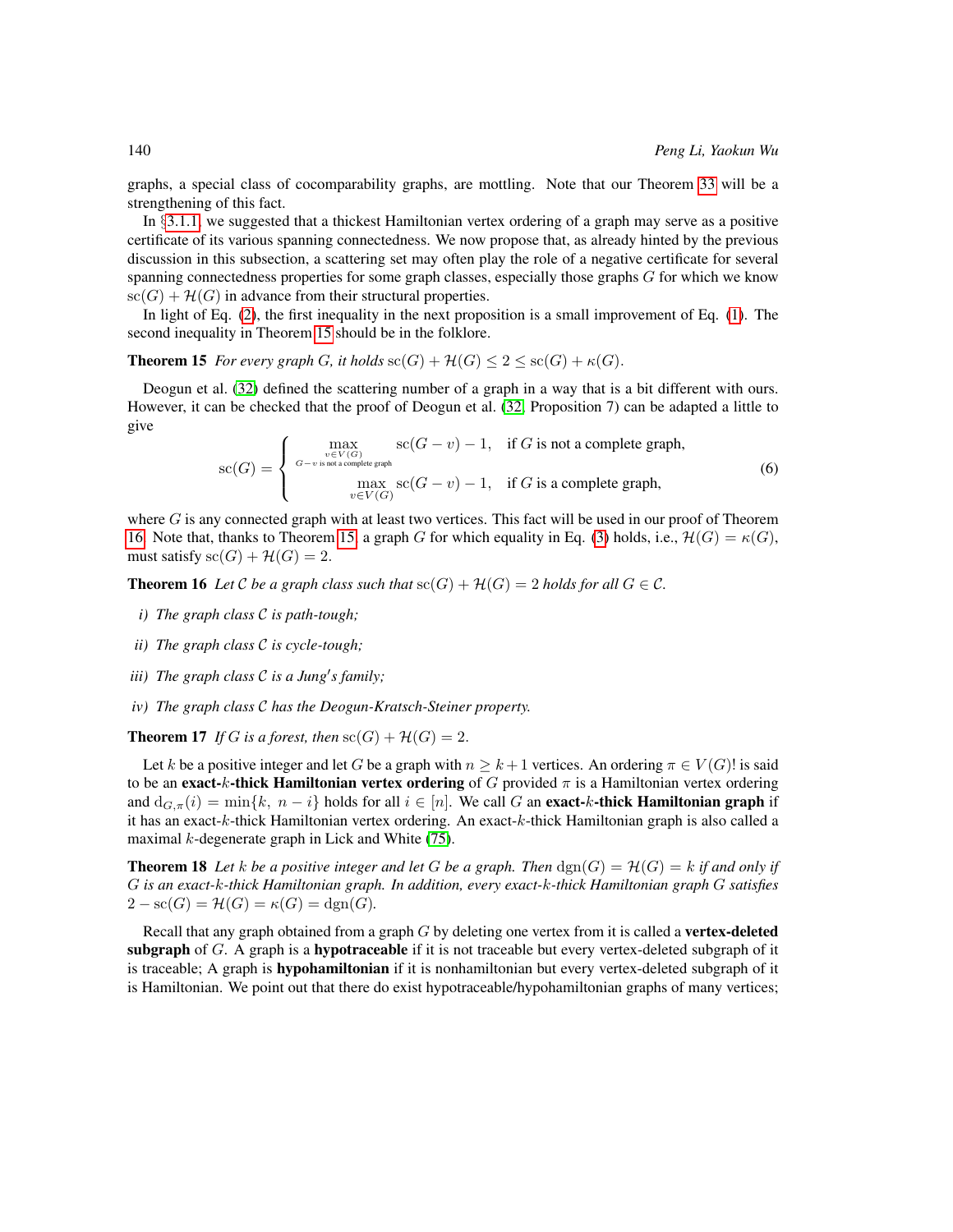graphs, a special class of cocomparability graphs, are mottling. Note that our Theorem [33](#page-21-1) will be a strengthening of this fact.

In §[3.1.1,](#page-12-2) we suggested that a thickest Hamiltonian vertex ordering of a graph may serve as a positive certificate of its various spanning connectedness. We now propose that, as already hinted by the previous discussion in this subsection, a scattering set may often play the role of a negative certificate for several spanning connectedness properties for some graph classes, especially those graphs  $G$  for which we know  $\operatorname{sc}(G) + \mathcal{H}(G)$  in advance from their structural properties.

In light of Eq. [\(2\)](#page-6-1), the first inequality in the next proposition is a small improvement of Eq. [\(1\)](#page-4-0). The second inequality in Theorem [15](#page-15-0) should be in the folklore.

<span id="page-15-0"></span>**Theorem 15** *For every graph G*, *it holds*  $\operatorname{sc}(G) + \mathcal{H}(G) \leq 2 \leq \operatorname{sc}(G) + \kappa(G)$ .

<span id="page-15-2"></span>Deogun et al. [\(32\)](#page-80-4) defined the scattering number of a graph in a way that is a bit different with ours. However, it can be checked that the proof of Deogun et al. [\(32,](#page-80-4) Proposition 7) can be adapted a little to give

$$
\mathrm{sc}(G) = \begin{cases} \max_{\substack{v \in V(G) \\ G - v \text{ is not a complete graph,}}} \mathrm{sc}(G - v) - 1, & \text{if } G \text{ is not a complete graph,} \\ \max_{v \in V(G)} \mathrm{sc}(G - v) - 1, & \text{if } G \text{ is a complete graph,} \end{cases} \tag{6}
$$

where  $G$  is any connected graph with at least two vertices. This fact will be used in our proof of Theorem [16.](#page-15-1) Note that, thanks to Theorem [15,](#page-15-0) a graph G for which equality in Eq. [\(3\)](#page-6-0) holds, i.e.,  $\mathcal{H}(G) = \kappa(G)$ , must satisfy  $\operatorname{sc}(G) + \mathcal{H}(G) = 2$ .

<span id="page-15-1"></span>**Theorem 16** Let C be a graph class such that  $\operatorname{sc}(G) + \mathcal{H}(G) = 2$  holds for all  $G \in \mathcal{C}$ .

- *i) The graph class* C *is path-tough;*
- *ii) The graph class* C *is cycle-tough;*
- *iii*) The graph class C is a Jung's family;
- *iv) The graph class* C *has the Deogun-Kratsch-Steiner property.*

**Theorem 17** *If* G *is a forest, then*  $\operatorname{sc}(G) + \mathcal{H}(G) = 2$ .

Let k be a positive integer and let G be a graph with  $n \geq k+1$  vertices. An ordering  $\pi \in V(G)!$  is said to be an exact-k-thick Hamiltonian vertex ordering of G provided  $\pi$  is a Hamiltonian vertex ordering and  $d_{G,\pi}(i) = \min\{k, n - i\}$  holds for all  $i \in [n]$ . We call G an **exact-k-thick Hamiltonian graph** if it has an exact-k-thick Hamiltonian vertex ordering. An exact-k-thick Hamiltonian graph is also called a maximal  $k$ -degenerate graph in Lick and White  $(75)$ .

<span id="page-15-3"></span>**Theorem 18** Let *k* be a positive integer and let G be a graph. Then  $\text{dgn}(G) = \mathcal{H}(G) = k$  if and only if G *is an exact-*k*-thick Hamiltonian graph. In addition, every exact-*k*-thick Hamiltonian graph* G *satisfies*  $2 - \text{sc}(G) = \mathcal{H}(G) = \kappa(G) = \text{dgn}(G)$ .

Recall that any graph obtained from a graph  $G$  by deleting one vertex from it is called a **vertex-deleted** subgraph of  $G$ . A graph is a hypotraceable if it is not traceable but every vertex-deleted subgraph of it is traceable; A graph is **hypohamiltonian** if it is nonhamiltonian but every vertex-deleted subgraph of it is Hamiltonian. We point out that there do exist hypotraceable/hypohamiltonian graphs of many vertices;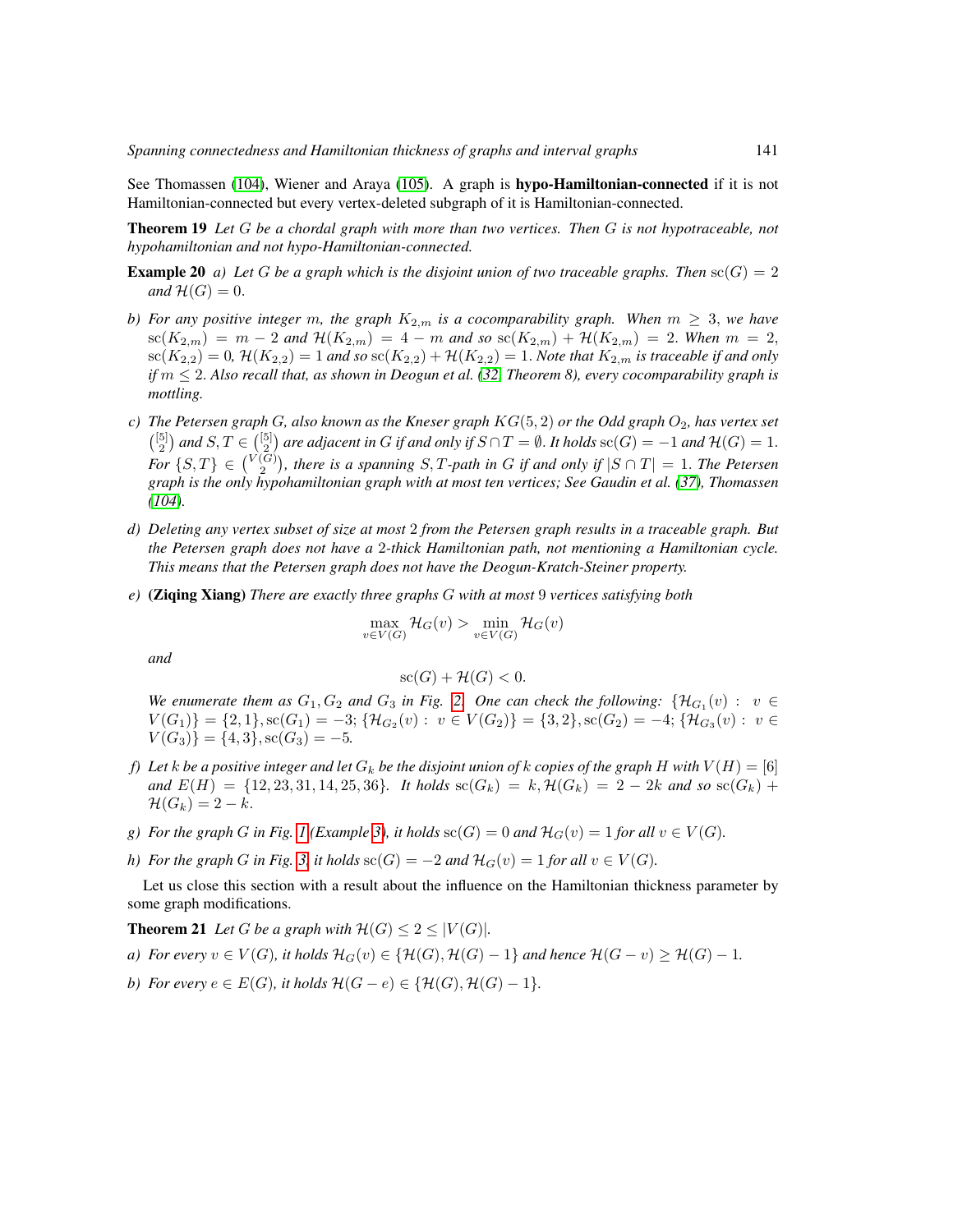See Thomassen [\(104\)](#page-85-6), Wiener and Araya [\(105\)](#page-85-7). A graph is hypo-Hamiltonian-connected if it is not Hamiltonian-connected but every vertex-deleted subgraph of it is Hamiltonian-connected.

<span id="page-16-0"></span>Theorem 19 *Let* G *be a chordal graph with more than two vertices. Then* G *is not hypotraceable, not hypohamiltonian and not hypo-Hamiltonian-connected.*

- <span id="page-16-1"></span>**Example 20** *a)* Let G be a graph which is the disjoint union of two traceable graphs. Then  $\operatorname{sc}(G) = 2$ *and*  $\mathcal{H}(G) = 0$ .
- *b)* For any positive integer m, the graph  $K_{2,m}$  is a cocomparability graph. When  $m \geq 3$ , we have  $\operatorname{sc}(K_{2,m}) = m - 2$  and  $\mathcal{H}(K_{2,m}) = 4 - m$  and so  $\operatorname{sc}(K_{2,m}) + \mathcal{H}(K_{2,m}) = 2$ . When  $m = 2$ ,  $\text{sc}(K_{2,2}) = 0$ ,  $\mathcal{H}(K_{2,2}) = 1$  *and so*  $\text{sc}(K_{2,2}) + \mathcal{H}(K_{2,2}) = 1$ . *Note that*  $K_{2,m}$  *is traceable if and only if*  $m$  ≤ 2. Also recall that, as shown in Deogun et al. [\(32,](#page-80-4) Theorem 8), every cocomparability graph is *mottling.*
- *c) The Petersen graph* G*, also known as the Kneser graph* KG(5, 2) *or the Odd graph* O2*, has vertex set*  $\binom{[5]}{2}$  and  $S, T \in \binom{[5]}{2}$  are adjacent in G if and only if  $S \cap T = \emptyset$ . It holds  $\operatorname{sc}(G) = -1$  and  $\mathcal{H}(G) = 1$ .  $For \{S, T\} \in \binom{V(G)}{2}$ , there is a spanning  $S, T$ -path in G if and only if  $|S \cap T| = 1$ . The Petersen *graph is the only hypohamiltonian graph with at most ten vertices; See Gaudin et al. [\(37\)](#page-80-7), Thomassen [\(104\)](#page-85-6).*
- *d) Deleting any vertex subset of size at most* 2 *from the Petersen graph results in a traceable graph. But the Petersen graph does not have a* 2*-thick Hamiltonian path, not mentioning a Hamiltonian cycle. This means that the Petersen graph does not have the Deogun-Kratch-Steiner property.*
- *e)* (Ziqing Xiang) *There are exactly three graphs* G *with at most* 9 *vertices satisfying both*

$$
\max_{v \in V(G)} \mathcal{H}_G(v) > \min_{v \in V(G)} \mathcal{H}_G(v)
$$

*and*

$$
\mathrm{sc}(G) + \mathcal{H}(G) < 0.
$$

*We enumerate them as*  $G_1, G_2$  *and*  $G_3$  *in Fig.* [2.](#page-17-2) One can check the following:  $\{H_{G_1}(v) : v \in G_1\}$  $V(G_1) = \{2, 1\}, \operatorname{sc}(G_1) = -3; \{ \mathcal{H}_{G_2}(v) : v \in V(G_2) \} = \{3, 2\}, \operatorname{sc}(G_2) = -4; \{ \mathcal{H}_{G_3}(v) : v \in V(G_1) \}$  $V(G_3) = \{4,3\}, \text{sc}(G_3) = -5.$ 

- *f*) Let k be a positive integer and let  $G_k$  be the disjoint union of k copies of the graph H with  $V(H) = [6]$ *and*  $E(H) = \{12, 23, 31, 14, 25, 36\}$ *. It holds*  $\operatorname{sc}(G_k) = k$ ,  $\mathcal{H}(G_k) = 2 - 2k$  *and so*  $\operatorname{sc}(G_k)$  +  $\mathcal{H}(G_k) = 2 - k.$
- *g*) For the graph G in Fig. [1](#page-12-4) (Example [3\)](#page-12-5), it holds  $\operatorname{sc}(G) = 0$  and  $\mathcal{H}_G(v) = 1$  for all  $v \in V(G)$ .
- *h)* For the graph G in Fig. [3,](#page-17-3) it holds  $\operatorname{sc}(G) = -2$  and  $\mathcal{H}_G(v) = 1$  for all  $v \in V(G)$ .

Let us close this section with a result about the influence on the Hamiltonian thickness parameter by some graph modifications.

<span id="page-16-2"></span>**Theorem 21** Let G be a graph with  $H(G) \leq 2 \leq |V(G)|$ .

- *a)* For every  $v \in V(G)$ , it holds  $\mathcal{H}_G(v) \in \{ \mathcal{H}(G), \mathcal{H}(G) 1 \}$  and hence  $\mathcal{H}(G v) \geq \mathcal{H}(G) 1$ .
- *b)* For every  $e \in E(G)$ , it holds  $\mathcal{H}(G e) \in \{ \mathcal{H}(G), \mathcal{H}(G) 1 \}.$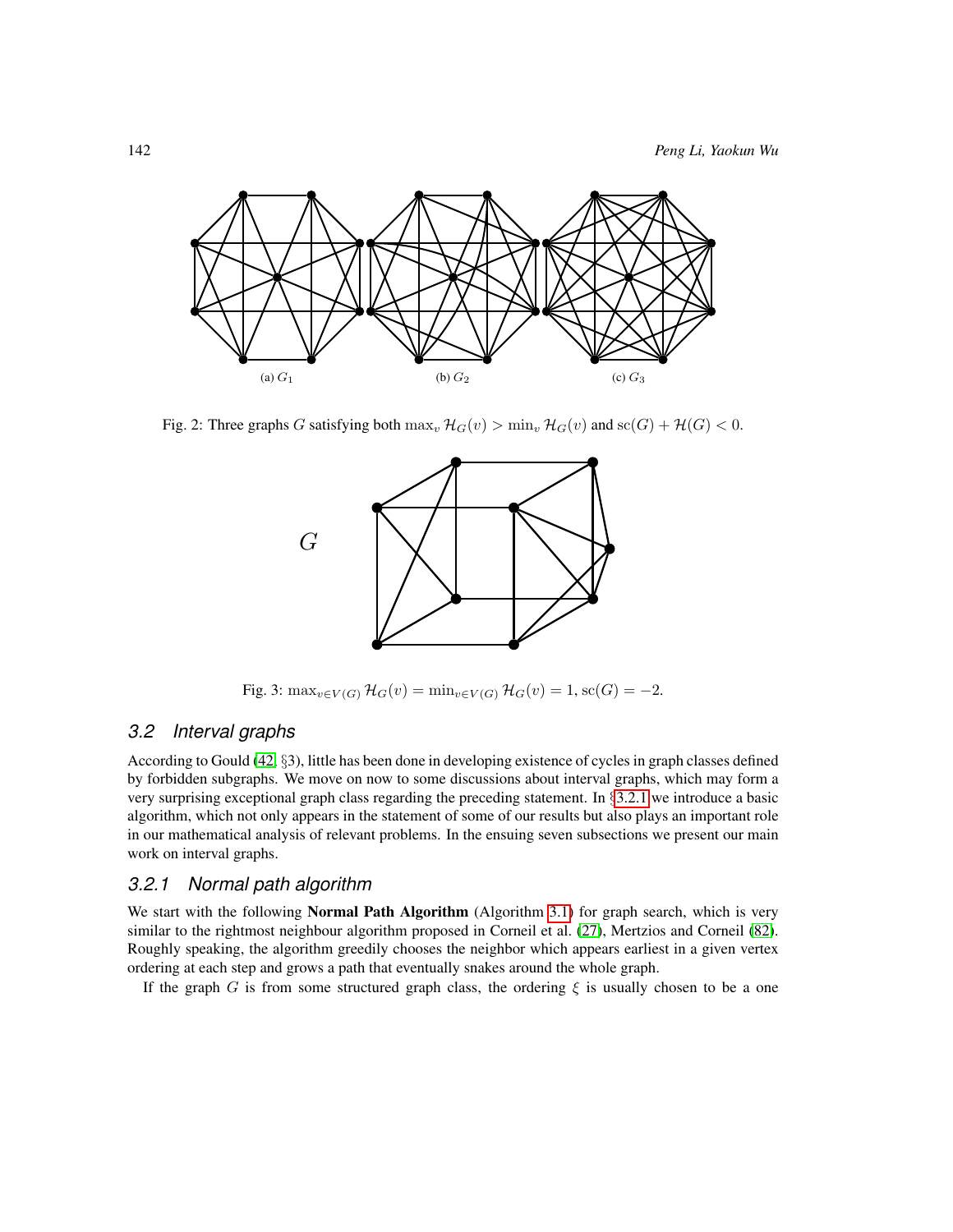<span id="page-17-2"></span>

<span id="page-17-3"></span>Fig. 2: Three graphs G satisfying both  $\max_v \mathcal{H}_G(v) > \min_v \mathcal{H}_G(v)$  and  $\operatorname{sc}(G) + \mathcal{H}(G) < 0$ .



Fig. 3:  $\max_{v \in V(G)} \mathcal{H}_G(v) = \min_{v \in V(G)} \mathcal{H}_G(v) = 1$ , sc $(G) = -2$ .

#### <span id="page-17-0"></span>*3.2 Interval graphs*

According to Gould [\(42,](#page-81-9) §3), little has been done in developing existence of cycles in graph classes defined by forbidden subgraphs. We move on now to some discussions about interval graphs, which may form a very surprising exceptional graph class regarding the preceding statement. In §[3.2.1](#page-17-1) we introduce a basic algorithm, which not only appears in the statement of some of our results but also plays an important role in our mathematical analysis of relevant problems. In the ensuing seven subsections we present our main work on interval graphs.

#### <span id="page-17-1"></span>*3.2.1 Normal path algorithm*

We start with the following Normal Path Algorithm (Algorithm [3.1\)](#page-18-1) for graph search, which is very similar to the rightmost neighbour algorithm proposed in Corneil et al. [\(27\)](#page-80-8), Mertzios and Corneil [\(82\)](#page-84-7). Roughly speaking, the algorithm greedily chooses the neighbor which appears earliest in a given vertex ordering at each step and grows a path that eventually snakes around the whole graph.

If the graph G is from some structured graph class, the ordering  $\xi$  is usually chosen to be a one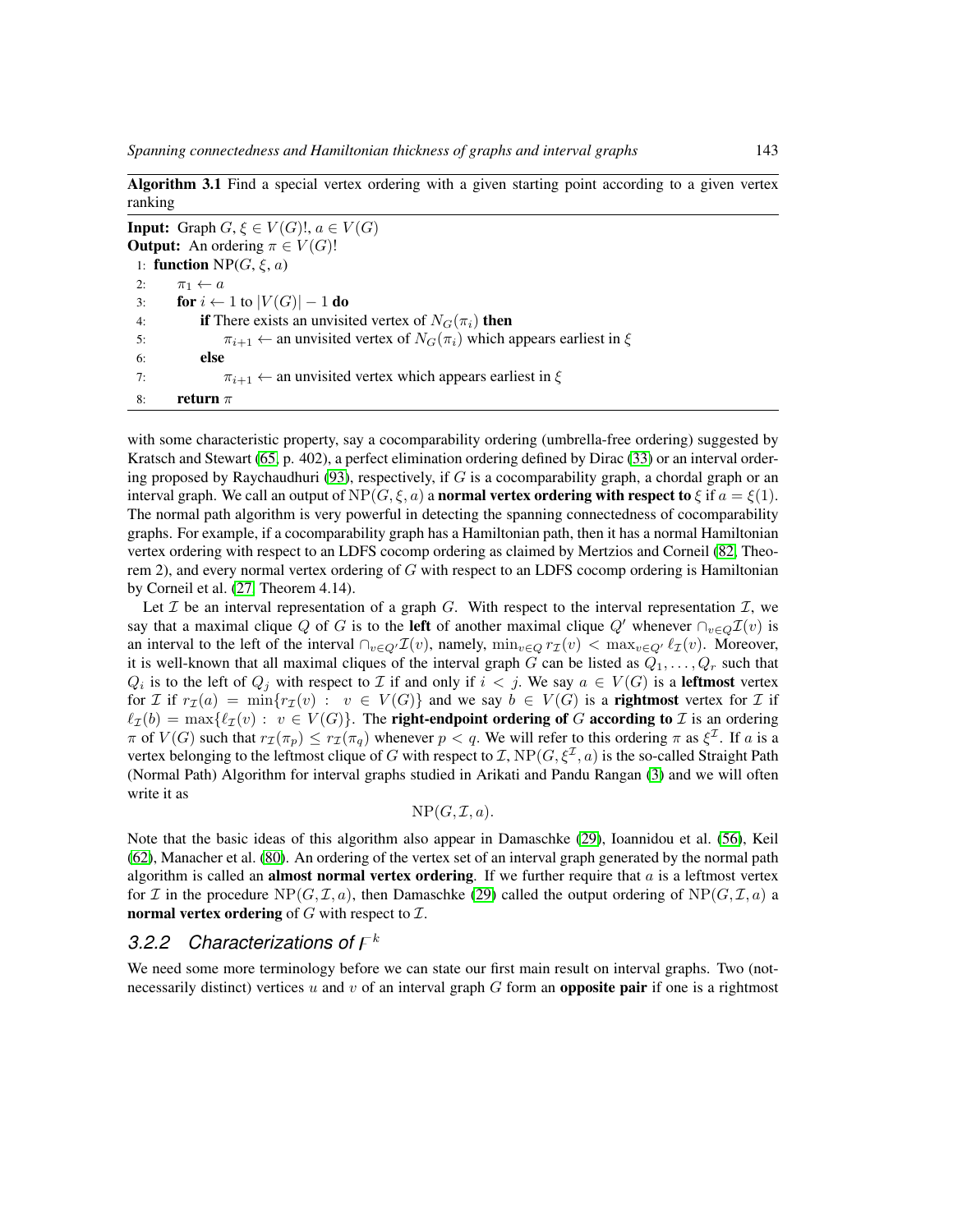<span id="page-18-1"></span>

| ranking | Algorithm 3.1 Find a special vertex ordering with a given starting point according to a given vertex |
|---------|------------------------------------------------------------------------------------------------------|
|         | <b>Input:</b> Graph $G, \xi \in V(G)!$ , $a \in V(G)$                                                |
|         | <b>Output:</b> An ordering $\pi \in V(G)!$                                                           |
|         | 1: <b>function</b> NP( $G, \xi, a$ )                                                                 |
| 2:      | $\pi_1 \leftarrow a$                                                                                 |
| 3:      | <b>for</b> $i \leftarrow 1$ to $ V(G)  - 1$ <b>do</b>                                                |
| 4:      | <b>if</b> There exists an unvisited vertex of $N_G(\pi_i)$ then                                      |
| 5:      | $\pi_{i+1}$ $\leftarrow$ an unvisited vertex of $N_G(\pi_i)$ which appears earliest in $\xi$         |
| 6:      | else                                                                                                 |
| 7:      | $\pi_{i+1} \leftarrow$ an unvisited vertex which appears earliest in $\xi$                           |
| 8:      | return $\pi$                                                                                         |

with some characteristic property, say a cocomparability ordering (umbrella-free ordering) suggested by Kratsch and Stewart [\(65,](#page-82-7) p. 402), a perfect elimination ordering defined by Dirac [\(33\)](#page-80-9) or an interval order-ing proposed by Raychaudhuri [\(93\)](#page-84-8), respectively, if  $G$  is a cocomparability graph, a chordal graph or an interval graph. We call an output of  $NP(G, \xi, a)$  a normal vertex ordering with respect to  $\xi$  if  $a = \xi(1)$ . The normal path algorithm is very powerful in detecting the spanning connectedness of cocomparability graphs. For example, if a cocomparability graph has a Hamiltonian path, then it has a normal Hamiltonian vertex ordering with respect to an LDFS cocomp ordering as claimed by Mertzios and Corneil [\(82,](#page-84-7) Theorem 2), and every normal vertex ordering of  $G$  with respect to an LDFS cocomp ordering is Hamiltonian by Corneil et al. [\(27,](#page-80-8) Theorem 4.14).

Let  $\mathcal I$  be an interval representation of a graph  $G$ . With respect to the interval representation  $\mathcal I$ , we say that a maximal clique Q of G is to the left of another maximal clique Q' whenever  $\cap_{v \in Q} \mathcal{I}(v)$  is an interval to the left of the interval  $\bigcap_{v\in Q'}\mathcal{I}(v)$ , namely,  $\min_{v\in Q}r_{\mathcal{I}}(v) < \max_{v\in Q'}\ell_{\mathcal{I}}(v)$ . Moreover, it is well-known that all maximal cliques of the interval graph G can be listed as  $Q_1, \ldots, Q_r$  such that  $Q_i$  is to the left of  $Q_j$  with respect to  $\mathcal I$  if and only if  $i < j$ . We say  $a \in V(G)$  is a **leftmost** vertex for I if  $r_{\mathcal{I}}(a) = \min\{r_{\mathcal{I}}(v) : v \in V(G)\}\$  and we say  $b \in V(G)$  is a **rightmost** vertex for I if  $\ell_{\mathcal{I}}(b) = \max{\{\ell_{\mathcal{I}}(v) : v \in V(G)\}}$ . The **right-endpoint ordering of** G **according to** *I* is an ordering  $\pi$  of  $V(G)$  such that  $r_{\mathcal{I}}(\pi_p) \leq r_{\mathcal{I}}(\pi_q)$  whenever  $p < q$ . We will refer to this ordering  $\pi$  as  $\xi^{\mathcal{I}}$ . If a is a vertex belonging to the leftmost clique of G with respect to  $\mathcal{I}, NP(G, \xi^{\mathcal{I}}, a)$  is the so-called Straight Path (Normal Path) Algorithm for interval graphs studied in Arikati and Pandu Rangan [\(3\)](#page-78-4) and we will often write it as

#### $NP(G, \mathcal{I}, a)$ .

Note that the basic ideas of this algorithm also appear in Damaschke [\(29\)](#page-80-3), Ioannidou et al. [\(56\)](#page-82-8), Keil [\(62\)](#page-82-9), Manacher et al. [\(80\)](#page-83-11). An ordering of the vertex set of an interval graph generated by the normal path algorithm is called an **almost normal vertex ordering**. If we further require that  $a$  is a leftmost vertex for I in the procedure  $NP(G, \mathcal{I}, a)$ , then Damaschke [\(29\)](#page-80-3) called the output ordering of  $NP(G, \mathcal{I}, a)$  a normal vertex ordering of  $G$  with respect to  $\mathcal{I}$ .

### <span id="page-18-0"></span>3.2.2 Characterizations of  $F^k$

We need some more terminology before we can state our first main result on interval graphs. Two (notnecessarily distinct) vertices u and v of an interval graph  $G$  form an **opposite pair** if one is a rightmost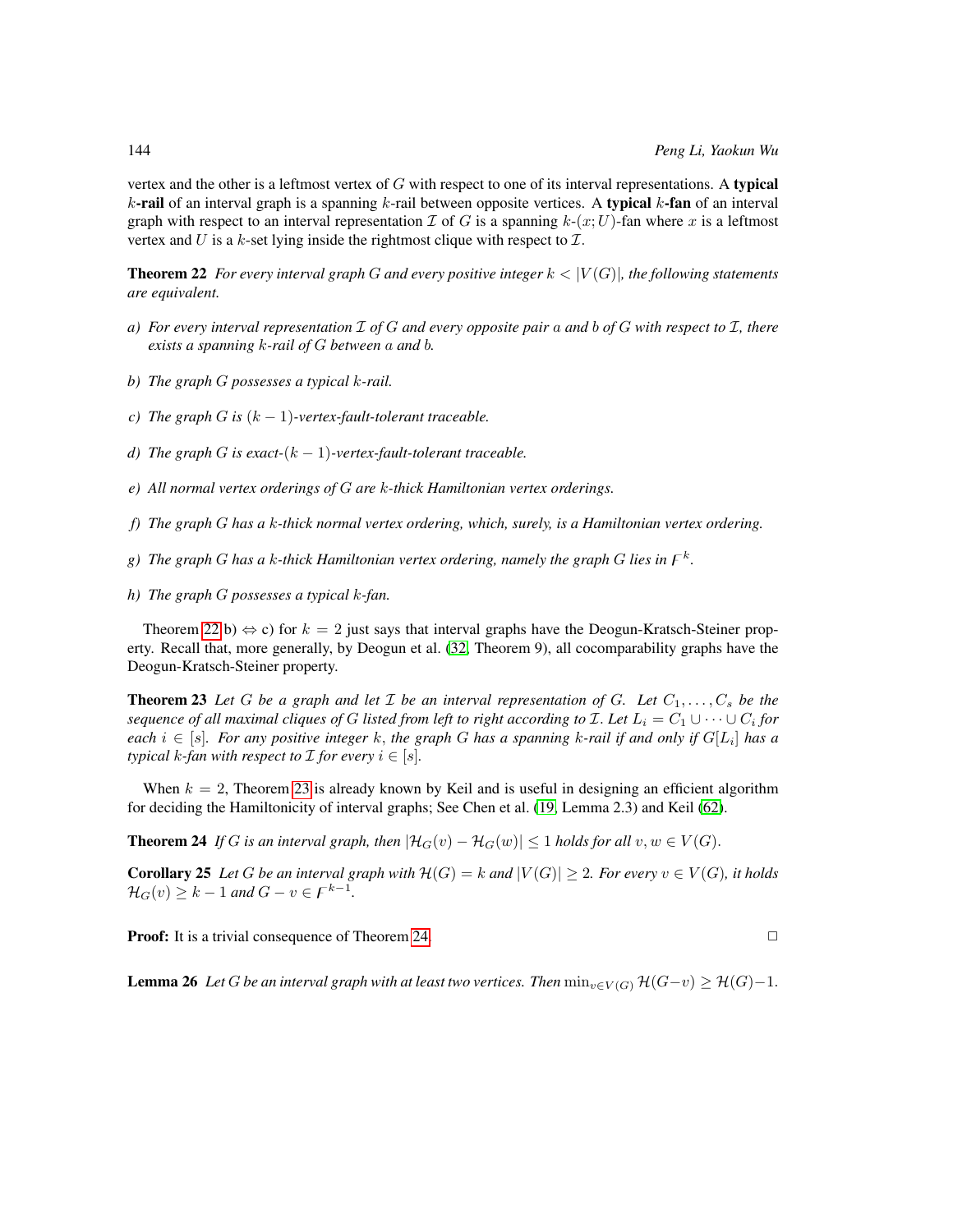vertex and the other is a leftmost vertex of G with respect to one of its interval representations. A typical k-rail of an interval graph is a spanning  $k$ -rail between opposite vertices. A typical  $k$ -fan of an interval graph with respect to an interval representation  $\mathcal I$  of G is a spanning  $k$ - $(x;U)$ -fan where x is a leftmost vertex and U is a  $k$ -set lying inside the rightmost clique with respect to  $\mathcal{I}$ .

<span id="page-19-0"></span>**Theorem 22** *For every interval graph* G *and every positive integer*  $k < |V(G)|$ *, the following statements are equivalent.*

- *a) For every interval representation* I *of* G *and every opposite pair* a *and* b *of* G *with respect to* I*, there exists a spanning* k*-rail of* G *between* a *and* b*.*
- *b) The graph* G *possesses a typical* k*-rail.*
- *c*) The graph G is  $(k 1)$ -vertex-fault-tolerant traceable.
- *d)* The graph G is exact- $(k 1)$ -vertex-fault-tolerant traceable.
- *e) All normal vertex orderings of* G *are* k*-thick Hamiltonian vertex orderings.*
- *f) The graph* G *has a* k*-thick normal vertex ordering, which, surely, is a Hamiltonian vertex ordering.*
- g) The graph G has a k-thick Hamiltonian vertex ordering, namely the graph G lies in  $\digamma^k$ .
- *h) The graph* G *possesses a typical* k*-fan.*

Theorem [22](#page-19-0) b)  $\Leftrightarrow$  c) for  $k = 2$  just says that interval graphs have the Deogun-Kratsch-Steiner property. Recall that, more generally, by Deogun et al. [\(32,](#page-80-4) Theorem 9), all cocomparability graphs have the Deogun-Kratsch-Steiner property.

<span id="page-19-1"></span>**Theorem 23** Let G be a graph and let  $\mathcal I$  be an interval representation of G. Let  $C_1, \ldots, C_s$  be the  $s$ equence of all maximal cliques of  $G$  listed from left to right according to  ${\cal I}.$  Let  $L_i = C_1 \cup \cdots \cup C_i$  for  $e$ ach  $i \in [s]$ . For any positive integer  $k$ , the graph  $G$  has a spanning  $k$ -rail if and only if  $G[L_i]$  has a *typical*  $k$ *-fan with respect to*  $\mathcal I$  *for every*  $i \in [s]$ *.* 

When  $k = 2$ , Theorem [23](#page-19-1) is already known by Keil and is useful in designing an efficient algorithm for deciding the Hamiltonicity of interval graphs; See Chen et al. [\(19,](#page-79-4) Lemma 2.3) and Keil [\(62\)](#page-82-9).

<span id="page-19-2"></span>**Theorem 24** If G is an interval graph, then  $|\mathcal{H}_G(v) - \mathcal{H}_G(w)| \leq 1$  holds for all  $v, w \in V(G)$ .

**Corollary 25** Let G be an interval graph with  $\mathcal{H}(G) = k$  and  $|V(G)| \geq 2$ . For every  $v \in V(G)$ , it holds  $\mathcal{H}_G(v) \geq k - 1$  and  $G - v \in F^{k-1}$ .

**Proof:** It is a trivial consequence of Theorem [24.](#page-19-2)  $\Box$ 

<span id="page-19-4"></span><span id="page-19-3"></span>**Lemma 26** *Let* G *be an interval graph with at least two vertices. Then*  $\min_{v \in V(G)} \mathcal{H}(G-v) \geq \mathcal{H}(G)-1$ .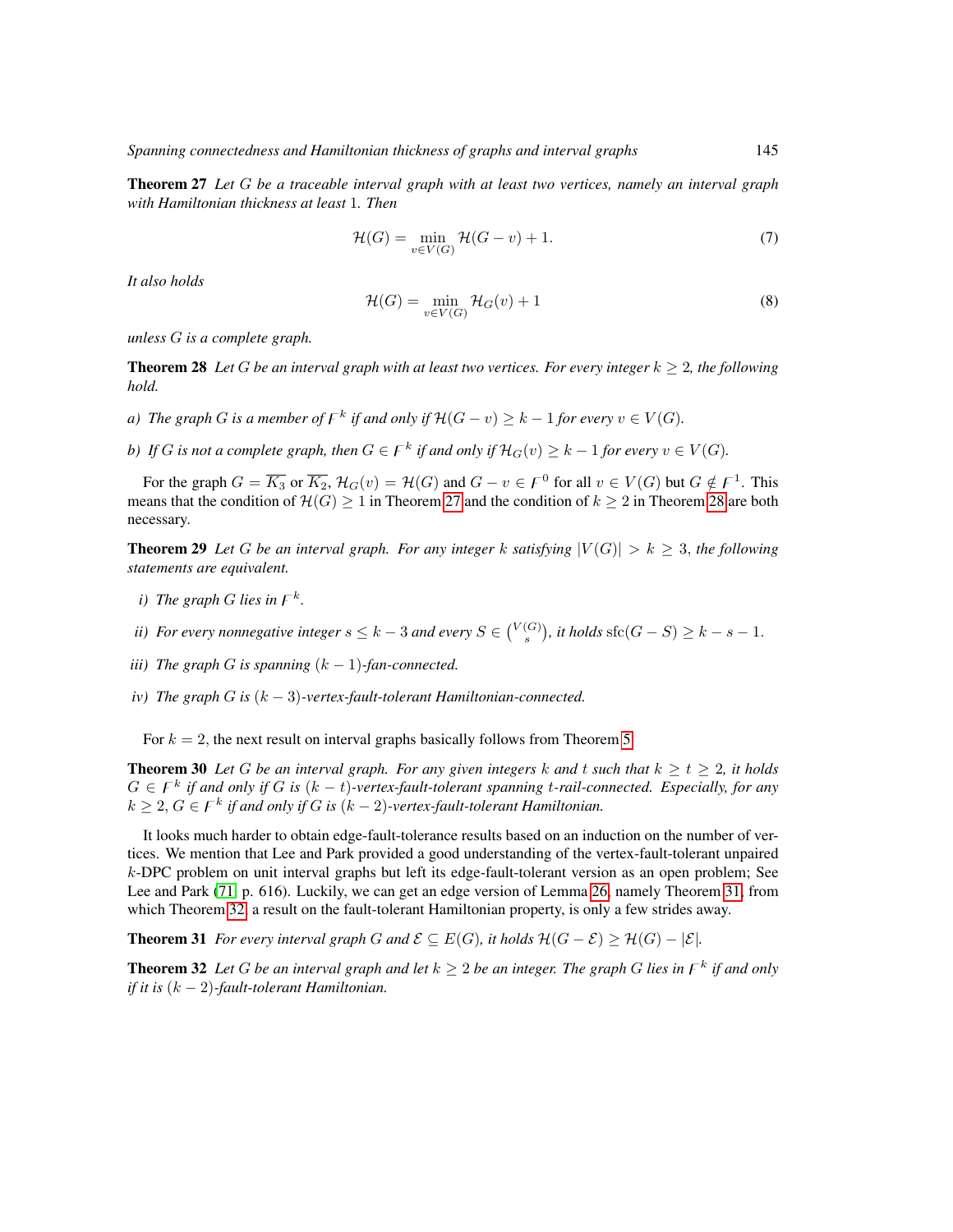Theorem 27 *Let* G *be a traceable interval graph with at least two vertices, namely an interval graph with Hamiltonian thickness at least* 1*. Then*

<span id="page-20-4"></span>
$$
\mathcal{H}(G) = \min_{v \in V(G)} \mathcal{H}(G - v) + 1.
$$
 (7)

*It also holds*

$$
\mathcal{H}(G) = \min_{v \in V(G)} \mathcal{H}_G(v) + 1 \tag{8}
$$

*unless* G *is a complete graph.*

<span id="page-20-0"></span>**Theorem 28** Let G be an interval graph with at least two vertices. For every integer  $k \geq 2$ , the following *hold.*

- *a*) The graph G is a member of  $F^k$  if and only if  $\mathcal{H}(G v) \geq k 1$  for every  $v \in V(G)$ .
- *b*) If G is not a complete graph, then  $G \in F^k$  if and only if  $\mathcal{H}_G(v) \geq k 1$  for every  $v \in V(G)$ .

For the graph  $G = \overline{K_3}$  or  $\overline{K_2}$ ,  $\mathcal{H}_G(v) = \mathcal{H}(G)$  and  $G - v \in \mathcal{F}^0$  for all  $v \in V(G)$  but  $G \notin \mathcal{F}^1$ . This means that the condition of  $\mathcal{H}(G) \geq 1$  in Theorem [27](#page-19-3) and the condition of  $k \geq 2$  in Theorem [28](#page-20-0) are both necessary.

**Theorem 29** Let G be an interval graph. For any integer k satisfying  $|V(G)| > k > 3$ , the following *statements are equivalent.*

- *i*) The graph G lies in  $F^k$ .
- *ii)* For every nonnegative integer  $s \leq k-3$  and every  $S \in {V(G) \choose s}$ , it holds sfc $(G-S) \geq k-s-1$ .
- *iii*) The graph G is spanning  $(k 1)$ -fan-connected.
- <span id="page-20-5"></span>*iv) The graph* G *is* (k − 3)*-vertex-fault-tolerant Hamiltonian-connected.*

For  $k = 2$ , the next result on interval graphs basically follows from Theorem [5.](#page-13-0)

<span id="page-20-3"></span>**Theorem 30** Let G be an interval graph. For any given integers k and t such that  $k \ge t \ge 2$ , it holds  $G \in F^k$  if and only if G is  $(k - t)$ -vertex-fault-tolerant spanning t-rail-connected. Especially, for any  $k \geq 2, G \in F^k$  if and only if G is  $(k-2)$ -vertex-fault-tolerant Hamiltonian.

It looks much harder to obtain edge-fault-tolerance results based on an induction on the number of vertices. We mention that Lee and Park provided a good understanding of the vertex-fault-tolerant unpaired k-DPC problem on unit interval graphs but left its edge-fault-tolerant version as an open problem; See Lee and Park [\(71,](#page-83-12) p. 616). Luckily, we can get an edge version of Lemma [26,](#page-19-4) namely Theorem [31,](#page-20-1) from which Theorem [32,](#page-20-2) a result on the fault-tolerant Hamiltonian property, is only a few strides away.

<span id="page-20-1"></span>**Theorem 31** *For every interval graph* G and  $\mathcal{E} \subseteq E(G)$ *, it holds*  $\mathcal{H}(G - \mathcal{E}) \geq \mathcal{H}(G) - |\mathcal{E}|$ *.* 

<span id="page-20-2"></span>**Theorem 32** Let G be an interval graph and let  $k \geq 2$  be an integer. The graph G lies in  $F^k$  if and only *if it is* (k − 2)*-fault-tolerant Hamiltonian.*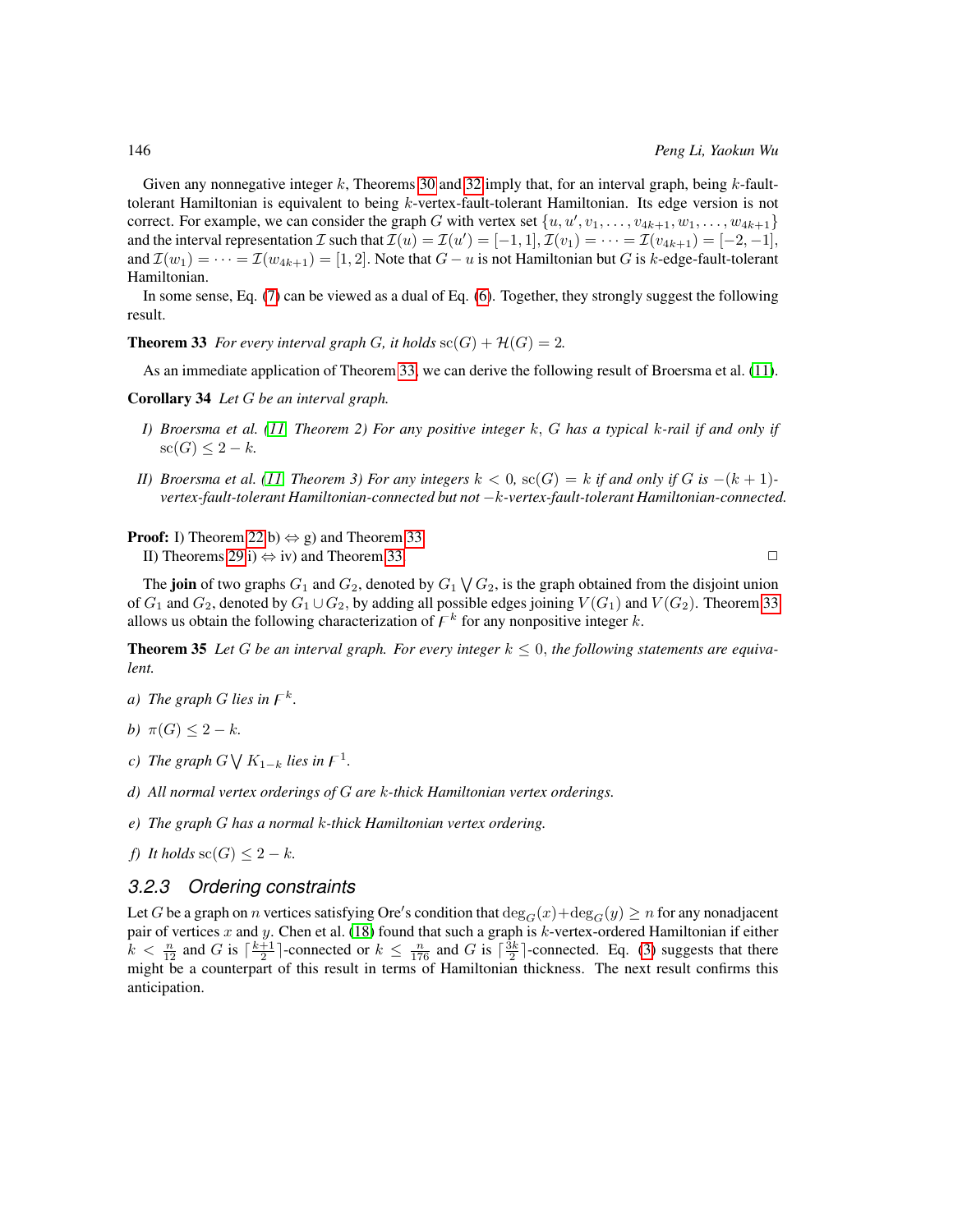Given any nonnegative integer k, Theorems [30](#page-20-3) and [32](#page-20-2) imply that, for an interval graph, being k-faulttolerant Hamiltonian is equivalent to being  $k$ -vertex-fault-tolerant Hamiltonian. Its edge version is not correct. For example, we can consider the graph G with vertex set  $\{u, u', v_1, \ldots, v_{4k+1}, w_1, \ldots, w_{4k+1}\}\$ and the interval representation  $\mathcal I$  such that  $\mathcal I(u)=\mathcal I(u')=[-1,1],$   $\mathcal I(v_1)=\cdots=\mathcal I(v_{4k+1})=[-2,-1],$ and  $\mathcal{I}(w_1) = \cdots = \mathcal{I}(w_{4k+1}) = [1, 2]$ . Note that  $G - u$  is not Hamiltonian but G is k-edge-fault-tolerant Hamiltonian.

In some sense, Eq. [\(7\)](#page-20-4) can be viewed as a dual of Eq. [\(6\)](#page-15-2). Together, they strongly suggest the following result.

<span id="page-21-1"></span>**Theorem 33** *For every interval graph G*, *it holds*  $\operatorname{sc}(G) + \mathcal{H}(G) = 2$ *.* 

As an immediate application of Theorem [33,](#page-21-1) we can derive the following result of Broersma et al. [\(11\)](#page-78-3).

Corollary 34 *Let* G *be an interval graph.*

- *I) Broersma et al. [\(11,](#page-78-3) Theorem 2) For any positive integer* k, G *has a typical* k*-rail if and only if*  $\operatorname{sc}(G) \leq 2 - k$ .
- *II)* Broersma et al. [\(11,](#page-78-3) Theorem 3) For any integers  $k < 0$ , sc(G) = k if and only if G is  $-(k+1)$ *vertex-fault-tolerant Hamiltonian-connected but not* −k*-vertex-fault-tolerant Hamiltonian-connected.*

**Proof:** I) Theorem [22](#page-19-0) b)  $\Leftrightarrow$  g) and Theorem [33.](#page-21-1) II) Theorems [29](#page-20-5) i)  $\Leftrightarrow$  iv) and Theorem [33.](#page-21-1)

The **join** of two graphs  $G_1$  and  $G_2$ , denoted by  $G_1 \setminus G_2$ , is the graph obtained from the disjoint union of  $G_1$  and  $G_2$ , denoted by  $G_1 \cup G_2$ , by adding all possible edges joining  $V(G_1)$  and  $V(G_2)$ . Theorem [33](#page-21-1) allows us obtain the following characterization of  $\digamma^k$  for any nonpositive integer k.

<span id="page-21-2"></span>**Theorem 35** Let G be an interval graph. For every integer  $k \leq 0$ , the following statements are equiva*lent.*

- *a*) The graph G lies in  $\digamma^k$ .
- *b*)  $\pi(G) < 2 k$ .
- *c*) The graph  $G \bigvee K_{1-k}$  lies in  $F^1$ .
- *d) All normal vertex orderings of* G *are* k*-thick Hamiltonian vertex orderings.*
- *e) The graph* G *has a normal* k*-thick Hamiltonian vertex ordering.*
- *f) It holds* sc( $G$ ) < 2 k.

#### <span id="page-21-0"></span>*3.2.3 Ordering constraints*

<span id="page-21-3"></span>Let  $G$  be a graph on  $n$  vertices satisfying Ore's condition that  $\deg_G(x)+\deg_G(y)\geq n$  for any nonadjacent pair of vertices x and y. Chen et al. [\(18\)](#page-79-6) found that such a graph is  $k$ -vertex-ordered Hamiltonian if either  $k < \frac{n}{12}$  and G is  $\lceil \frac{k+1}{2} \rceil$ -connected or  $k \leq \frac{n}{176}$  and G is  $\lceil \frac{3k}{2} \rceil$ -connected. Eq. [\(3\)](#page-6-0) suggests that there might be a counterpart of this result in terms of Hamiltonian thickness. The next result confirms this anticipation.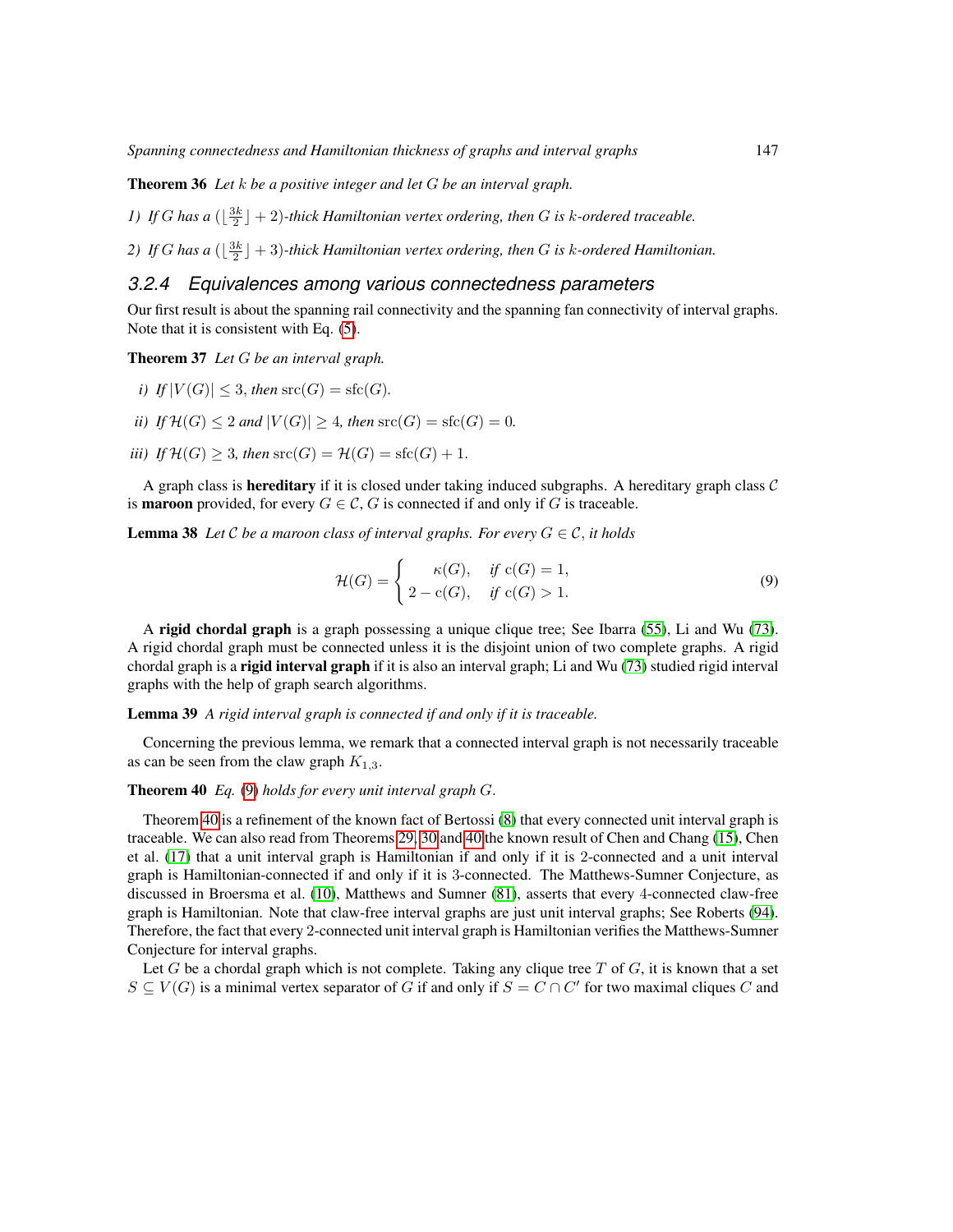Theorem 36 *Let* k *be a positive integer and let* G *be an interval graph.*

*1)* If G has a  $(\frac{3k}{2} + 2)$ -thick Hamiltonian vertex ordering, then G is k-ordered traceable.

2) If G has a  $(\lfloor \frac{3k}{2} \rfloor + 3)$ -thick Hamiltonian vertex ordering, then G is k-ordered Hamiltonian.

#### <span id="page-22-0"></span>*3.2.4 Equivalences among various connectedness parameters*

Our first result is about the spanning rail connectivity and the spanning fan connectivity of interval graphs. Note that it is consistent with Eq. [\(5\)](#page-8-1).

<span id="page-22-1"></span>Theorem 37 *Let* G *be an interval graph.*

- *i*) If  $|V(G)| \leq 3$ , *then*  $\operatorname{src}(G) = \operatorname{sfc}(G)$ .
- *ii)* If  $H(G) \leq 2$  *and*  $|V(G)| \geq 4$ *, then*  $src(G) = src(G) = 0$ *.*
- *iii)* If  $\mathcal{H}(G) \geq 3$ *, then*  $src(G) = \mathcal{H}(G) = \text{sfc}(G) + 1$ .

A graph class is **hereditary** if it is closed under taking induced subgraphs. A hereditary graph class  $C$ is **maroon** provided, for every  $G \in \mathcal{C}$ , G is connected if and only if G is traceable.

**Lemma 38** Let C be a maroon class of interval graphs. For every  $G \in \mathcal{C}$ , it holds

<span id="page-22-2"></span>
$$
\mathcal{H}(G) = \begin{cases}\n\kappa(G), & \text{if } c(G) = 1, \\
2 - c(G), & \text{if } c(G) > 1.\n\end{cases}
$$
\n(9)

A rigid chordal graph is a graph possessing a unique clique tree; See Ibarra [\(55\)](#page-82-10), Li and Wu [\(73\)](#page-83-13). A rigid chordal graph must be connected unless it is the disjoint union of two complete graphs. A rigid chordal graph is a rigid interval graph if it is also an interval graph; Li and Wu [\(73\)](#page-83-13) studied rigid interval graphs with the help of graph search algorithms.

#### Lemma 39 *A rigid interval graph is connected if and only if it is traceable.*

Concerning the previous lemma, we remark that a connected interval graph is not necessarily traceable as can be seen from the claw graph  $K_{1,3}$ .

#### <span id="page-22-3"></span>Theorem 40 *Eq.* [\(9\)](#page-22-2) *holds for every unit interval graph* G.

Theorem [40](#page-22-3) is a refinement of the known fact of Bertossi [\(8\)](#page-78-10) that every connected unit interval graph is traceable. We can also read from Theorems [29,](#page-20-5) [30](#page-20-3) and [40](#page-22-3) the known result of Chen and Chang [\(15\)](#page-79-9), Chen et al. [\(17\)](#page-79-10) that a unit interval graph is Hamiltonian if and only if it is 2-connected and a unit interval graph is Hamiltonian-connected if and only if it is 3-connected. The Matthews-Sumner Conjecture, as discussed in Broersma et al. [\(10\)](#page-78-11), Matthews and Sumner [\(81\)](#page-84-9), asserts that every 4-connected claw-free graph is Hamiltonian. Note that claw-free interval graphs are just unit interval graphs; See Roberts [\(94\)](#page-84-10). Therefore, the fact that every 2-connected unit interval graph is Hamiltonian verifies the Matthews-Sumner Conjecture for interval graphs.

Let G be a chordal graph which is not complete. Taking any clique tree T of G, it is known that a set  $S \subseteq V(G)$  is a minimal vertex separator of G if and only if  $S = C \cap C'$  for two maximal cliques C and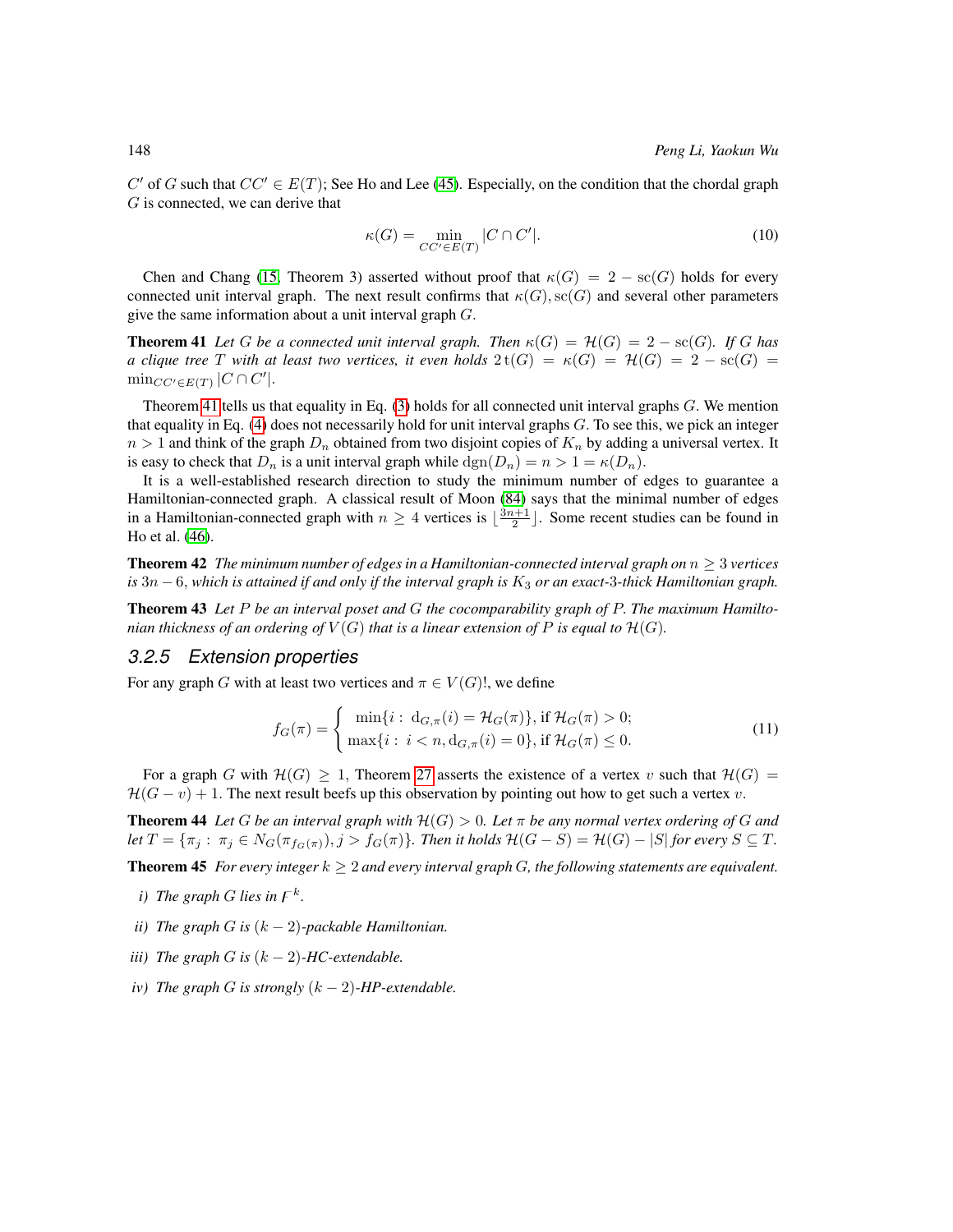C' of G such that  $CC' \in E(T)$ ; See Ho and Lee [\(45\)](#page-81-10). Especially, on the condition that the chordal graph G is connected, we can derive that

$$
\kappa(G) = \min_{CC' \in E(T)} |C \cap C'|.
$$
\n(10)

Chen and Chang [\(15,](#page-79-9) Theorem 3) asserted without proof that  $\kappa(G) = 2 - \kappa(G)$  holds for every connected unit interval graph. The next result confirms that  $\kappa(G), \operatorname{sc}(G)$  and several other parameters give the same information about a unit interval graph  $G$ .

<span id="page-23-1"></span>**Theorem 41** Let G be a connected unit interval graph. Then  $\kappa(G) = \mathcal{H}(G) = 2 - \text{sc}(G)$ . If G has *a clique tree* T *with at least two vertices, it even holds*  $2 t(G) = \kappa(G) = \mathcal{H}(G) = 2 - \text{sc}(G) =$  $\min_{CC'\in E(T)} |C\cap C'|.$ 

Theorem [41](#page-23-1) tells us that equality in Eq.  $(3)$  holds for all connected unit interval graphs  $G$ . We mention that equality in Eq.  $(4)$  does not necessarily hold for unit interval graphs G. To see this, we pick an integer  $n > 1$  and think of the graph  $D_n$  obtained from two disjoint copies of  $K_n$  by adding a universal vertex. It is easy to check that  $D_n$  is a unit interval graph while  $\text{dgn}(D_n) = n > 1 = \kappa(D_n)$ .

It is a well-established research direction to study the minimum number of edges to guarantee a Hamiltonian-connected graph. A classical result of Moon [\(84\)](#page-84-11) says that the minimal number of edges in a Hamiltonian-connected graph with  $n \geq 4$  vertices is  $\lfloor \frac{3n+1}{2} \rfloor$ . Some recent studies can be found in Ho et al. [\(46\)](#page-81-11).

**Theorem 42** *The minimum number of edges in a Hamiltonian-connected interval graph on*  $n \geq 3$  *vertices*  $is$  3n  $-$  6, which is attained if and only if the interval graph is  $K_3$  or an exact-3*-thick Hamiltonian graph*.

<span id="page-23-4"></span>Theorem 43 *Let* P *be an interval poset and* G *the cocomparability graph of* P. *The maximum Hamiltonian thickness of an ordering of*  $V(G)$  *that is a linear extension of* P *is equal to*  $\mathcal{H}(G)$ *.* 

#### <span id="page-23-0"></span>*3.2.5 Extension properties*

For any graph G with at least two vertices and  $\pi \in V(G)!$ , we define

$$
f_G(\pi) = \begin{cases} \min\{i : \ d_{G,\pi}(i) = \mathcal{H}_G(\pi)\}, \text{if } \mathcal{H}_G(\pi) > 0; \\ \max\{i : i < n, \ d_{G,\pi}(i) = 0\}, \text{if } \mathcal{H}_G(\pi) \le 0. \end{cases} \tag{11}
$$

For a graph G with  $\mathcal{H}(G) \geq 1$ , Theorem [27](#page-19-3) asserts the existence of a vertex v such that  $\mathcal{H}(G)$  =  $H(G - v) + 1$ . The next result beefs up this observation by pointing out how to get such a vertex v.

<span id="page-23-3"></span>**Theorem 44** Let G be an interval graph with  $H(G) > 0$ . Let  $\pi$  be any normal vertex ordering of G and *let*  $T = {\pi_j : \pi_j \in N_G(\pi_{f_G(\pi)}), j > f_G(\pi)}$ *. Then it holds*  $H(G - S) = H(G) - |S|$  *for every*  $S \subseteq T$ *.* 

<span id="page-23-2"></span>Theorem 45 *For every integer*  $k \geq 2$  *and every interval graph G, the following statements are equivalent.* 

- *i*) The graph G lies in  $F^k$ .
- *ii*) The graph G is  $(k-2)$ -packable Hamiltonian.
- *iii*) The graph G is  $(k 2)$ -HC-extendable.
- *iv*) The graph G is strongly  $(k-2)$ -HP-extendable.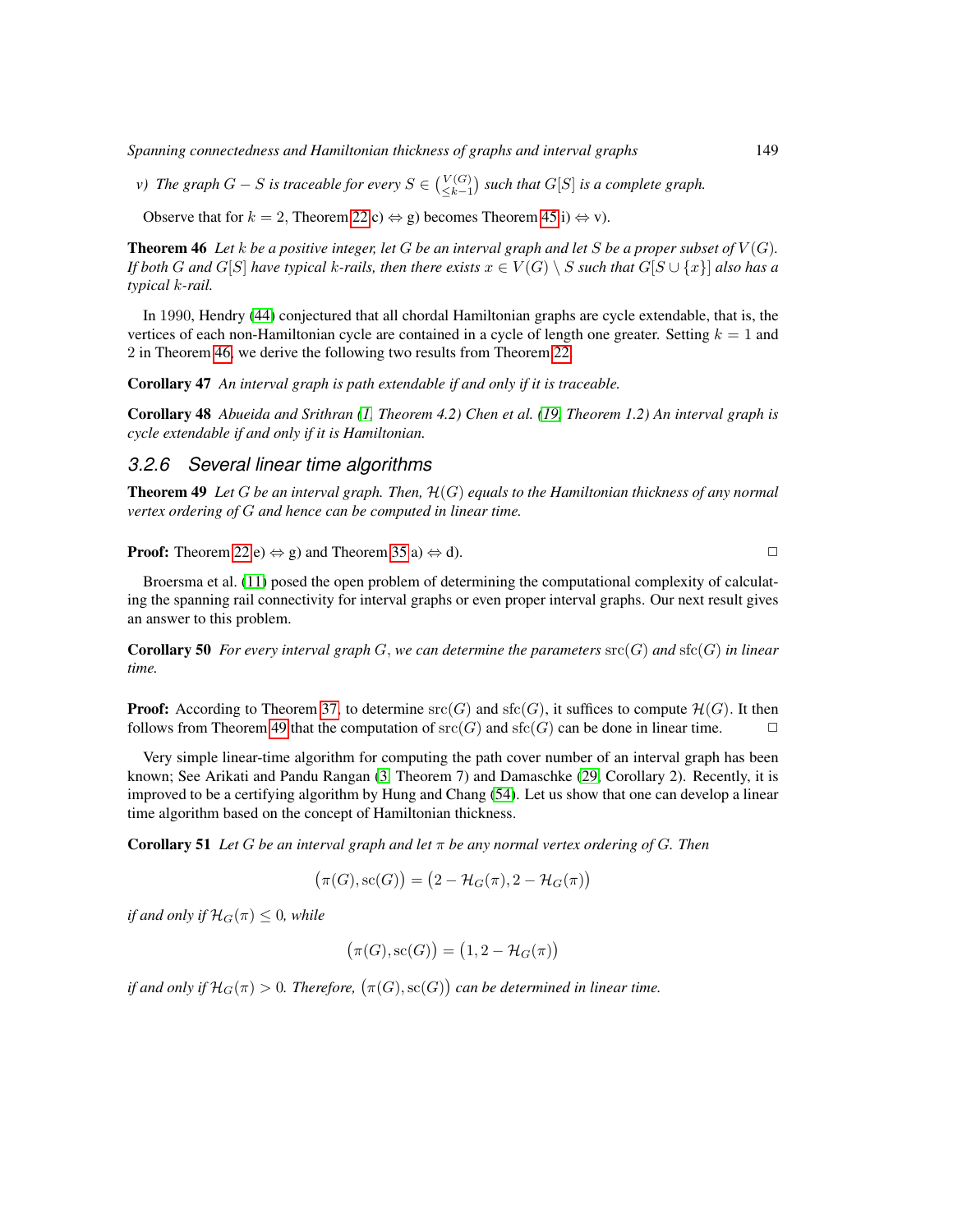*Spanning connectedness and Hamiltonian thickness of graphs and interval graphs* 149

*v*) The graph  $G - S$  is traceable for every  $S \in \binom{V(G)}{\leq k-1}$  such that  $G[S]$  is a complete graph.

Observe that for  $k = 2$ , Theorem [22](#page-19-0) c)  $\Leftrightarrow$  g) becomes Theorem [45](#page-23-2) i)  $\Leftrightarrow$  v).

<span id="page-24-1"></span>**Theorem 46** Let *k* be a positive integer, let G be an interval graph and let S be a proper subset of  $V(G)$ . *If both* G and G[S] have typical k-rails, then there exists  $x \in V(G) \setminus S$  such that  $G[S \cup \{x\}]$  also has a *typical* k*-rail.*

In 1990, Hendry [\(44\)](#page-81-12) conjectured that all chordal Hamiltonian graphs are cycle extendable, that is, the vertices of each non-Hamiltonian cycle are contained in a cycle of length one greater. Setting  $k = 1$  and 2 in Theorem [46,](#page-24-1) we derive the following two results from Theorem [22.](#page-19-0)

<span id="page-24-4"></span>Corollary 47 *An interval graph is path extendable if and only if it is traceable.*

Corollary 48 *Abueida and Srithran [\(1,](#page-78-6) Theorem 4.2) Chen et al. [\(19,](#page-79-4) Theorem 1.2) An interval graph is cycle extendable if and only if it is Hamiltonian.*

#### <span id="page-24-0"></span>*3.2.6 Several linear time algorithms*

<span id="page-24-2"></span>Theorem 49 *Let* G *be an interval graph. Then,* H(G) *equals to the Hamiltonian thickness of any normal vertex ordering of* G *and hence can be computed in linear time.*

**Proof:** Theorem [22](#page-19-0) e)  $\Leftrightarrow$  g) and Theorem [35](#page-21-2) a)  $\Leftrightarrow$  d).

Broersma et al. [\(11\)](#page-78-3) posed the open problem of determining the computational complexity of calculating the spanning rail connectivity for interval graphs or even proper interval graphs. Our next result gives an answer to this problem.

**Corollary 50** For every interval graph  $G$ , we can determine the parameters  $src(G)$  and  $stc(G)$  in linear *time.*

**Proof:** According to Theorem [37,](#page-22-1) to determine  $src(G)$  and  $sfc(G)$ , it suffices to compute  $\mathcal{H}(G)$ . It then follows from Theorem [49](#page-24-2) that the computation of  $src(G)$  and  $sf(c)$  can be done in linear time.  $\Box$ 

Very simple linear-time algorithm for computing the path cover number of an interval graph has been known; See Arikati and Pandu Rangan [\(3,](#page-78-4) Theorem 7) and Damaschke [\(29,](#page-80-3) Corollary 2). Recently, it is improved to be a certifying algorithm by Hung and Chang [\(54\)](#page-82-6). Let us show that one can develop a linear time algorithm based on the concept of Hamiltonian thickness.

<span id="page-24-3"></span>**Corollary 51** Let G be an interval graph and let  $\pi$  be any normal vertex ordering of G. Then

$$
(\pi(G), \text{sc}(G)) = (2 - \mathcal{H}_G(\pi), 2 - \mathcal{H}_G(\pi))
$$

*if and only if*  $\mathcal{H}_G(\pi) \leq 0$ *, while* 

$$
(\pi(G), \text{sc}(G)) = (1, 2 - \mathcal{H}_G(\pi))
$$

if and only if  $\mathcal{H}_G(\pi) > 0$ . Therefore,  $\big(\pi(G), \mathrm{sc}(G)\big)$  can be determined in linear time.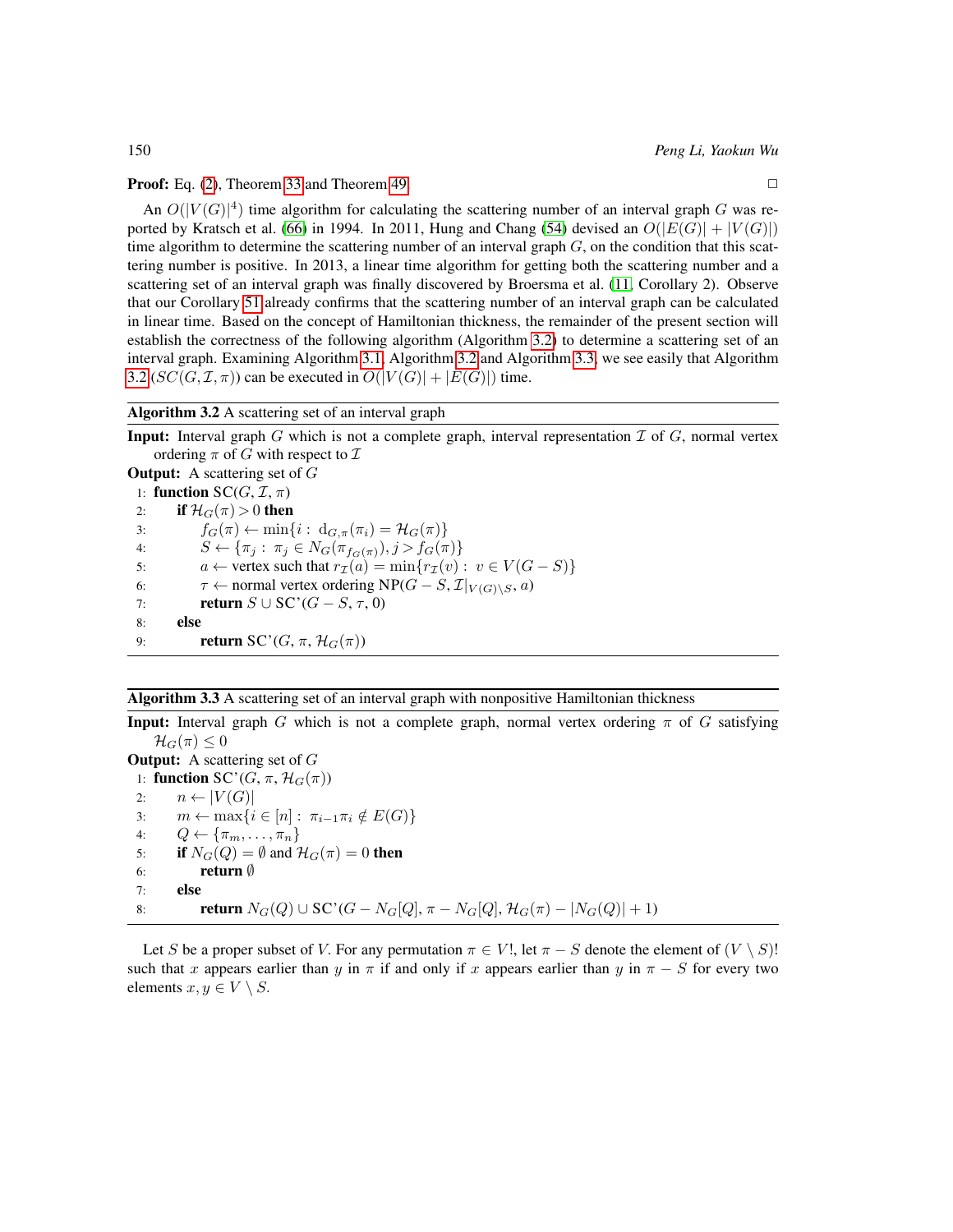**Proof:** Eq. [\(2\)](#page-6-1), Theorem [33](#page-21-1) and Theorem [49.](#page-24-2)  $\Box$ 

An  $O(|V(G)|^4)$  time algorithm for calculating the scattering number of an interval graph G was re-ported by Kratsch et al. [\(66\)](#page-83-14) in 1994. In 2011, Hung and Chang [\(54\)](#page-82-6) devised an  $O(|E(G)| + |V(G)|)$ time algorithm to determine the scattering number of an interval graph  $G$ , on the condition that this scattering number is positive. In 2013, a linear time algorithm for getting both the scattering number and a scattering set of an interval graph was finally discovered by Broersma et al. [\(11,](#page-78-3) Corollary 2). Observe that our Corollary [51](#page-24-3) already confirms that the scattering number of an interval graph can be calculated in linear time. Based on the concept of Hamiltonian thickness, the remainder of the present section will establish the correctness of the following algorithm (Algorithm [3.2\)](#page-25-0) to determine a scattering set of an interval graph. Examining Algorithm [3.1,](#page-18-1) Algorithm [3.2](#page-25-0) and Algorithm [3.3,](#page-25-1) we see easily that Algorithm [3.2](#page-25-0) ( $SC(G, \mathcal{I}, \pi)$ ) can be executed in  $O(|V(G)| + |E(G)|)$  time.

#### <span id="page-25-0"></span>Algorithm 3.2 A scattering set of an interval graph

**Input:** Interval graph  $G$  which is not a complete graph, interval representation  $\mathcal{I}$  of  $G$ , normal vertex ordering  $\pi$  of G with respect to  $\mathcal I$ 

**Output:** A scattering set of  $G$ 1: function  $SC(G, \mathcal{I}, \pi)$ 2: if  $\mathcal{H}_G(\pi) > 0$  then 3:  $f_G(\pi) \leftarrow \min\{i : d_{G,\pi}(\pi_i) = \mathcal{H}_G(\pi)\}\$ 4:  $S \leftarrow \{\pi_i : \pi_j \in N_G(\pi_{f_G(\pi)}), j > f_G(\pi)\}\$ 5:  $a \leftarrow$  vertex such that  $r_{\mathcal{I}}(a) = \min\{r_{\mathcal{I}}(v) : v \in V(G - S)\}\$ 6:  $\tau \leftarrow$  normal vertex ordering NP( $G - S$ ,  $\mathcal{I}|_{V(G)\setminus S}$ ,  $a$ )<br>7: **return**  $S \cup SC'(G - S, \tau, 0)$ return  $S \cup$  SC'( $G - S$ ,  $\tau$ , 0) 8: else 9: **return** SC'(G,  $\pi$ ,  $\mathcal{H}_G(\pi)$ )

#### <span id="page-25-1"></span>Algorithm 3.3 A scattering set of an interval graph with nonpositive Hamiltonian thickness

**Input:** Interval graph G which is not a complete graph, normal vertex ordering  $\pi$  of G satisfying  $\mathcal{H}_G(\pi) \leq 0$ 

**Output:** A scattering set of  $G$ 1: function SC'(G,  $\pi$ ,  $\mathcal{H}_G(\pi)$ ) 2:  $n \leftarrow |V(G)|$ 3:  $m \leftarrow \max\{i \in [n]: \pi_{i-1}\pi_i \notin E(G)\}$ <br>4:  $Q \leftarrow \{\pi_m, \dots, \pi_n\}$  $Q \leftarrow {\lbrace \pi_m, \ldots, \pi_n \rbrace}$ 5: if  $N_G(Q) = \emptyset$  and  $\mathcal{H}_G(\pi) = 0$  then 6: return ∅ 7: else 8: **return**  $N_G(Q) \cup SC'(G - N_G[Q], \pi - N_G[Q], \mathcal{H}_G(\pi) - |N_G(Q)| + 1)$ 

<span id="page-25-2"></span>Let S be a proper subset of V. For any permutation  $\pi \in V!$ , let  $\pi - S$  denote the element of  $(V \setminus S)!$ such that x appears earlier than y in  $\pi$  if and only if x appears earlier than y in  $\pi - S$  for every two elements  $x, y \in V \setminus S$ .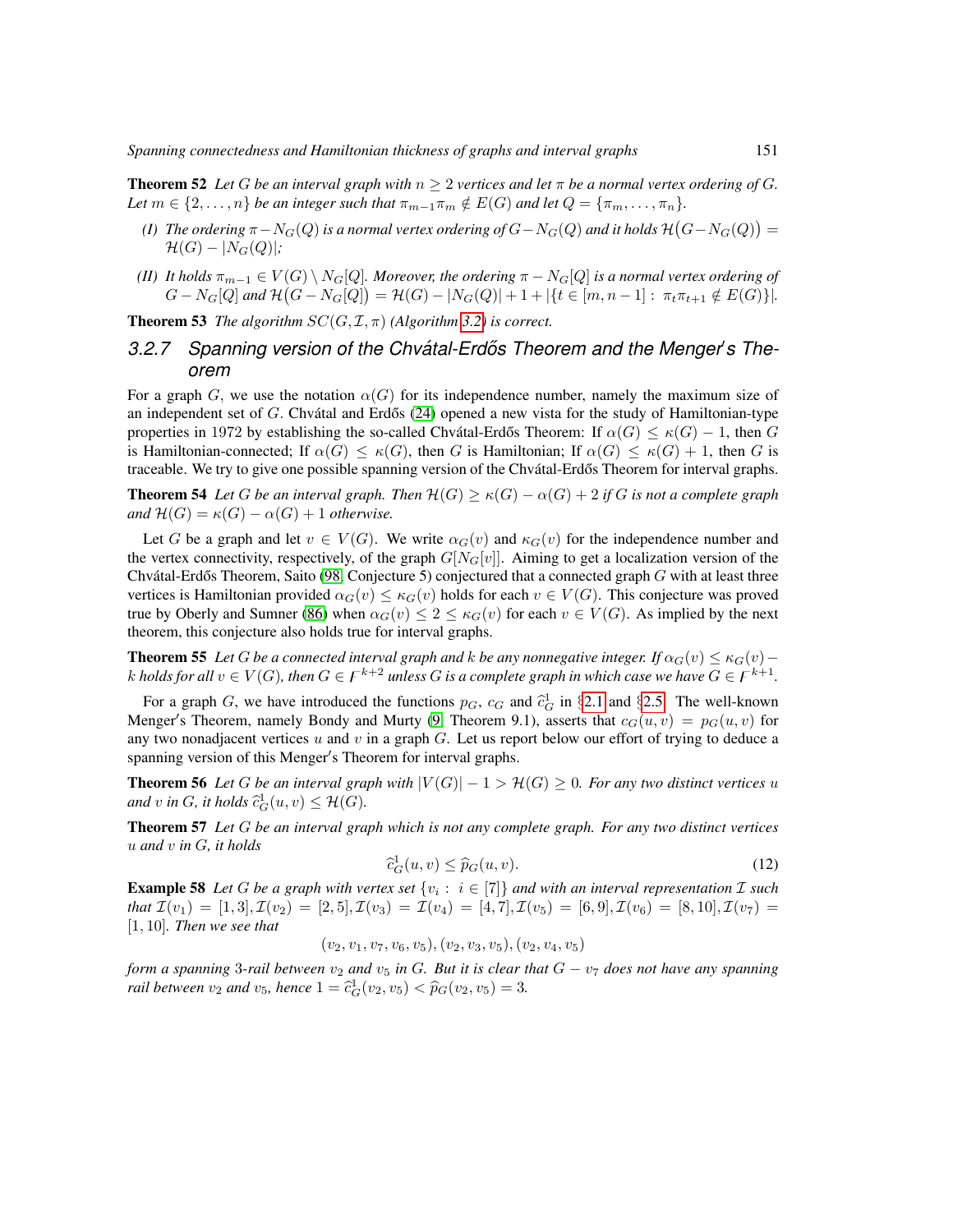**Theorem 52** Let G be an interval graph with  $n \geq 2$  vertices and let  $\pi$  be a normal vertex ordering of G. *Let*  $m \in \{2, \ldots, n\}$  *be an integer such that*  $\pi_{m-1}\pi_m \notin E(G)$  *and let*  $Q = {\pi_m, \ldots, \pi_n}$ *.* 

- (I) The ordering  $\pi N_G(Q)$  is a normal vertex ordering of  $G N_G(Q)$  and it holds  $\mathcal H\big(G N_G(Q)\big) = 0$  $\mathcal{H}(G) - |N_G(Q)|;$
- *(II) It holds*  $\pi_{m-1} \in V(G) \setminus N_G[Q]$ *. Moreover, the ordering*  $\pi N_G[Q]$  *is a normal vertex ordering of*  $G - N_G[Q]$  and  $\mathcal{H}(G - N_G[Q]) = \mathcal{H}(G) - |N_G(Q)| + 1 + |\{t \in [m, n-1]: \pi_t \pi_{t+1} \notin E(G)\}|.$

**Theorem 53** *The algorithm*  $SC(G, \mathcal{I}, \pi)$  *(Algorithm [3.2\)](#page-25-0) is correct.* 

## <span id="page-26-0"></span>3.2.7 Spanning version of the Chvátal-Erdős Theorem and the Menger's The*orem*

For a graph G, we use the notation  $\alpha(G)$  for its independence number, namely the maximum size of an independent set of G. Chvátal and Erdős  $(24)$  opened a new vista for the study of Hamiltonian-type properties in 1972 by establishing the so-called Chvatal-Erdős Theorem: If  $\alpha(G) \leq \kappa(G) - 1$ , then G is Hamiltonian-connected; If  $\alpha(G) \leq \kappa(G)$ , then G is Hamiltonian; If  $\alpha(G) \leq \kappa(G) + 1$ , then G is traceable. We try to give one possible spanning version of the Chvátal-Erdős Theorem for interval graphs.

<span id="page-26-1"></span>**Theorem 54** Let G be an interval graph. Then  $\mathcal{H}(G) \ge \kappa(G) - \alpha(G) + 2$  if G is not a complete graph *and*  $\mathcal{H}(G) = \kappa(G) - \alpha(G) + 1$  *otherwise.* 

Let G be a graph and let  $v \in V(G)$ . We write  $\alpha_G(v)$  and  $\kappa_G(v)$  for the independence number and the vertex connectivity, respectively, of the graph  $G[N_G[v]]$ . Aiming to get a localization version of the Chvátal-Erdős Theorem, Saito [\(98,](#page-85-8) Conjecture 5) conjectured that a connected graph  $G$  with at least three vertices is Hamiltonian provided  $\alpha_G(v) \leq \kappa_G(v)$  holds for each  $v \in V(G)$ . This conjecture was proved true by Oberly and Sumner [\(86\)](#page-84-12) when  $\alpha_G(v) \leq 2 \leq \kappa_G(v)$  for each  $v \in V(G)$ . As implied by the next theorem, this conjecture also holds true for interval graphs.

<span id="page-26-2"></span>**Theorem 55** *Let* G *be a connected interval graph and* k *be any nonnegative integer.* If  $\alpha_G(v) \leq \kappa_G(v)$ k holds for all  $v \in V(G)$ , then  $G \in F^{k+2}$  unless  $G$  is a complete graph in which case we have  $G \in F^{k+1}$ .

For a graph G, we have introduced the functions  $p_G$ ,  $c_G$  and  $\hat{c}_G^1$  in §[2.1](#page-8-0) and §[2.5.](#page-11-0) The well-known Menger's Theorem, namely Bondy and Murty [\(9,](#page-78-2) Theorem 9.1), asserts that  $c_G(u, v) = p_G(u, v)$  for any two nonadjacent vertices  $u$  and  $v$  in a graph  $G$ . Let us report below our effort of trying to deduce a spanning version of this Menger's Theorem for interval graphs.

**Theorem 56** Let G be an interval graph with  $|V(G)| - 1 > H(G) \ge 0$ . For any two distinct vertices u and v in G, it holds  $\widehat{c}_G^1(u, v) \leq \mathcal{H}(G)$ .

<span id="page-26-3"></span>Theorem 57 *Let* G *be an interval graph which is not any complete graph. For any two distinct vertices* u *and* v *in* G*, it holds*

$$
\hat{c}_G^1(u,v) \le \hat{p}_G(u,v). \tag{12}
$$

**Example 58** Let G be a graph with vertex set  $\{v_i : i \in [7]\}$  and with an interval representation  $\mathcal I$  such *that*  $\mathcal{I}(v_1) = [1, 3], \mathcal{I}(v_2) = [2, 5], \mathcal{I}(v_3) = \mathcal{I}(v_4) = [4, 7], \mathcal{I}(v_5) = [6, 9], \mathcal{I}(v_6) = [8, 10], \mathcal{I}(v_7) = [6, 10], \mathcal{I}(v_8) = [8, 10], \mathcal{I}(v_9) = [8, 10], \mathcal{I}(v_9) = [8, 10], \mathcal{I}(v_9) = [8, 10], \mathcal{I}(v_9) = [8, 10], \mathcal{I}(v_$ [1, 10]*. Then we see that*

 $(v_2, v_1, v_7, v_6, v_5), (v_2, v_3, v_5), (v_2, v_4, v_5)$ 

*form a spanning* 3-rail between  $v_2$  *and*  $v_5$  *in G. But it is clear that*  $G - v_7$  *does not have any spanning rail between*  $v_2$  *and*  $v_5$ *, hence*  $1 = \hat{c}_G^1(v_2, v_5) < \hat{p}_G(v_2, v_5) = 3$ *.*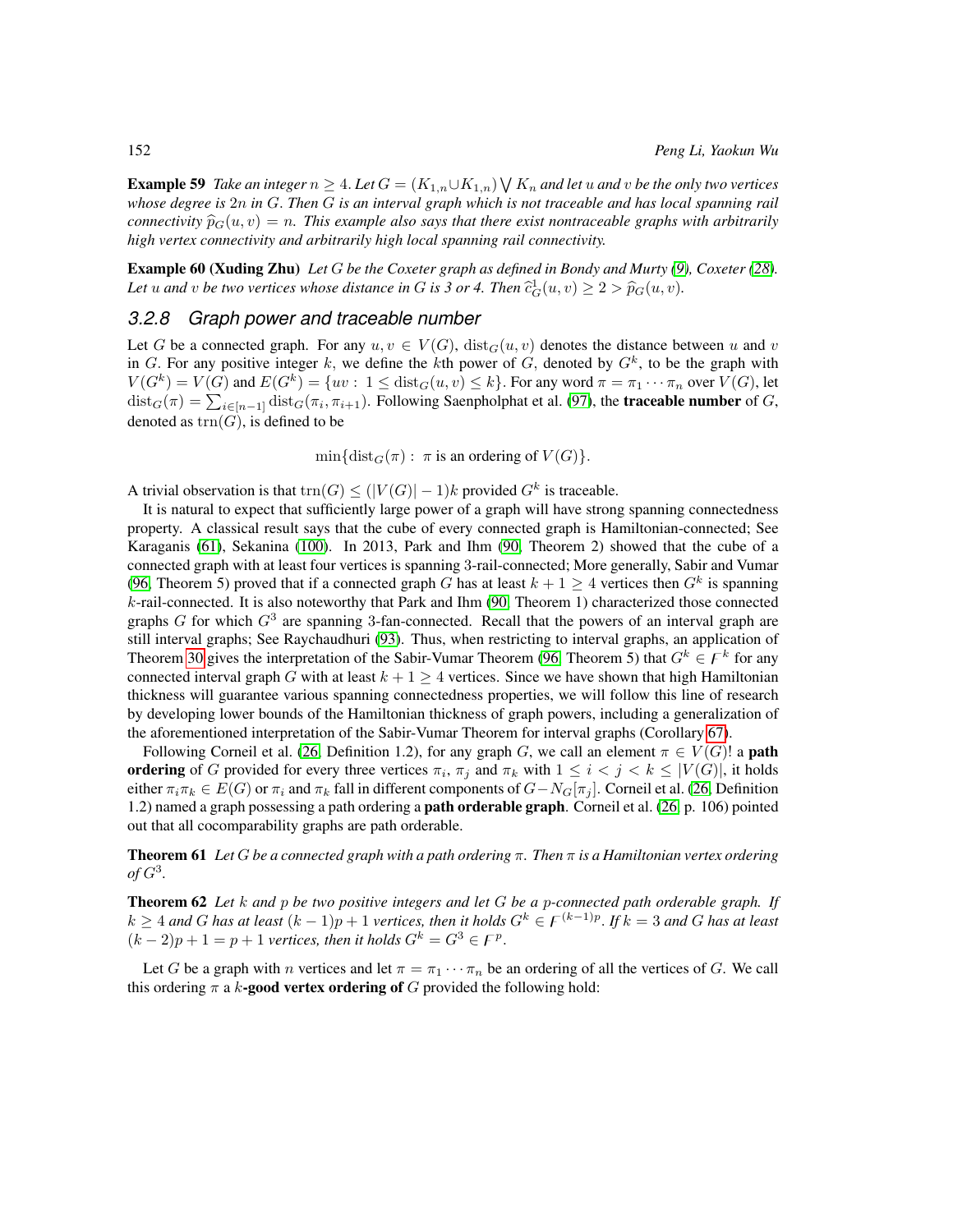<span id="page-27-1"></span>Example 59 Take an integer  $n \geq 4$ . Let  $G = (K_{1,n} \cup K_{1,n}) \bigvee K_n$  and let  $u$  and  $v$  be the only two vertices *whose degree is* 2n *in* G. *Then* G *is an interval graph which is not traceable and has local spanning rail connectivity*  $\widehat{p}_G(u, v) = n$ . This example also says that there exist nontraceable graphs with arbitrarily *high vertex connectivity and arbitrarily high local spanning rail connectivity.*

Example 60 (Xuding Zhu) *Let* G *be the Coxeter graph as defined in Bondy and Murty [\(9\)](#page-78-2), Coxeter [\(28\)](#page-80-10).* Let u and v be two vertices whose distance in G is 3 or 4. Then  $\widehat{c}_G^1(u, v) \geq 2 > \widehat{p}_G(u, v)$ .

#### <span id="page-27-0"></span>*3.2.8 Graph power and traceable number*

Let G be a connected graph. For any  $u, v \in V(G)$ ,  $dist_G(u, v)$  denotes the distance between u and v in G. For any positive integer k, we define the kth power of G, denoted by  $G^k$ , to be the graph with  $V(G^k) = V(G)$  and  $E(G^k) = \{uv : 1 \leq \text{dist}_G(u, v) \leq k\}$ . For any word  $\pi = \pi_1 \cdots \pi_n$  over  $V(G)$ , let  $\text{dist}_G(\pi) = \sum_{i \in [n-1]} \text{dist}_G(\pi_i, \pi_{i+1})$ . Following Saenpholphat et al. [\(97\)](#page-85-9), the **traceable number** of G, denoted as  $trn(G)$ , is defined to be

 $\min\{\text{dist}_G(\pi): \pi \text{ is an ordering of } V(G)\}.$ 

A trivial observation is that  $\text{trn}(G) \leq (|V(G)| - 1)k$  provided  $G^k$  is traceable.

It is natural to expect that sufficiently large power of a graph will have strong spanning connectedness property. A classical result says that the cube of every connected graph is Hamiltonian-connected; See Karaganis [\(61\)](#page-82-11), Sekanina [\(100\)](#page-85-10). In 2013, Park and Ihm [\(90,](#page-84-13) Theorem 2) showed that the cube of a connected graph with at least four vertices is spanning 3-rail-connected; More generally, Sabir and Vumar [\(96,](#page-85-11) Theorem 5) proved that if a connected graph G has at least  $k + 1 \ge 4$  vertices then  $G<sup>k</sup>$  is spanning k-rail-connected. It is also noteworthy that Park and Ihm [\(90,](#page-84-13) Theorem 1) characterized those connected graphs  $G$  for which  $G<sup>3</sup>$  are spanning 3-fan-connected. Recall that the powers of an interval graph are still interval graphs; See Raychaudhuri [\(93\)](#page-84-8). Thus, when restricting to interval graphs, an application of Theorem [30](#page-20-3) gives the interpretation of the Sabir-Vumar Theorem [\(96,](#page-85-11) Theorem 5) that  $G^k \in \mathcal{F}^k$  for any connected interval graph G with at least  $k + 1 \geq 4$  vertices. Since we have shown that high Hamiltonian thickness will guarantee various spanning connectedness properties, we will follow this line of research by developing lower bounds of the Hamiltonian thickness of graph powers, including a generalization of the aforementioned interpretation of the Sabir-Vumar Theorem for interval graphs (Corollary [67\)](#page-28-0).

Following Corneil et al. [\(26,](#page-80-11) Definition 1.2), for any graph G, we call an element  $\pi \in V(G)!$  a **path** ordering of G provided for every three vertices  $\pi_i$ ,  $\pi_j$  and  $\pi_k$  with  $1 \leq i < j < k \leq |V(G)|$ , it holds either  $\pi_i \pi_k \in E(G)$  or  $\pi_i$  and  $\pi_k$  fall in different components of  $G-N_G[\pi_i]$ . Corneil et al. [\(26,](#page-80-11) Definition 1.2) named a graph possessing a path ordering a path orderable graph. Corneil et al. [\(26,](#page-80-11) p. 106) pointed out that all cocomparability graphs are path orderable.

Theorem 61 *Let* G *be a connected graph with a path ordering* π*. Then* π *is a Hamiltonian vertex ordering*  $of G<sup>3</sup>$ .

<span id="page-27-2"></span>Theorem 62 *Let* k *and* p *be two positive integers and let* G *be a* p*-connected path orderable graph. If*  $k \geq 4$  and G has at least  $(k-1)p + 1$  vertices, then it holds  $G^k \in F^{(k-1)p}$ . If  $k = 3$  and G has at least  $(k-2)p + 1 = p + 1$  *vertices, then it holds*  $G<sup>k</sup> = G<sup>3</sup> \in F<sup>p</sup>$ .

Let G be a graph with n vertices and let  $\pi = \pi_1 \cdots \pi_n$  be an ordering of all the vertices of G. We call this ordering  $\pi$  a k-good vertex ordering of G provided the following hold: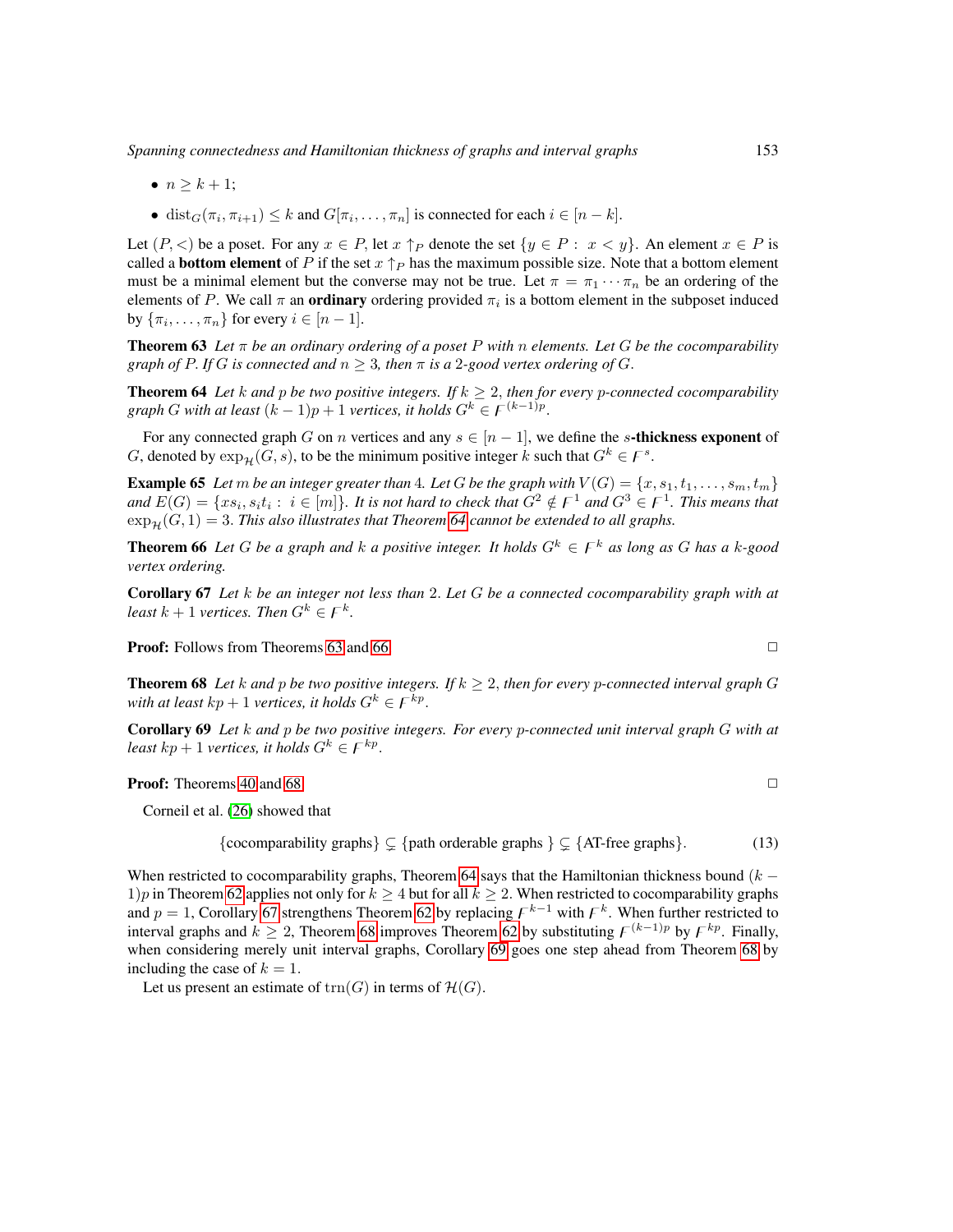*Spanning connectedness and Hamiltonian thickness of graphs and interval graphs* 153

- $n > k + 1$ ;
- dist $_G(\pi_i, \pi_{i+1}) \leq k$  and  $G[\pi_i, \ldots, \pi_n]$  is connected for each  $i \in [n-k]$ .

Let  $(P, \leq)$  be a poset. For any  $x \in P$ , let  $x \uparrow_P$  denote the set  $\{y \in P : x \leq y\}$ . An element  $x \in P$  is called a **bottom element** of P if the set  $x \uparrow_P$  has the maximum possible size. Note that a bottom element must be a minimal element but the converse may not be true. Let  $\pi = \pi_1 \cdots \pi_n$  be an ordering of the elements of P. We call  $\pi$  an **ordinary** ordering provided  $\pi_i$  is a bottom element in the subposet induced by  $\{\pi_i, \ldots, \pi_n\}$  for every  $i \in [n-1]$ .

<span id="page-28-2"></span>**Theorem 63** Let  $\pi$  be an ordinary ordering of a poset P with n elements. Let G be the cocomparability *graph of* P. If G *is connected and*  $n \geq 3$ *, then*  $\pi$  *is a* 2*-good vertex ordering of* G.

<span id="page-28-1"></span>**Theorem 64** Let *k* and *p* be two positive integers. If  $k \geq 2$ , then for every *p*-connected cocomparability *graph* G with at least  $(k-1)p + 1$  *vertices, it holds*  $G^k \in F^{(k-1)p}$ .

For any connected graph G on n vertices and any  $s \in [n-1]$ , we define the s-thickness exponent of G, denoted by  $\exp_{\mathcal{H}}(G, s)$ , to be the minimum positive integer  $k$  such that  $G^k \in F^s$ .

<span id="page-28-6"></span>**Example 65** Let m be an integer greater than 4. Let G be the graph with  $V(G) = \{x, s_1, t_1, \ldots, s_m, t_m\}$ and  $E(G) = \{xs_i, s_it_i:~i\in [m]\}$ . It is not hard to check that  $G^2 \notin F^1$  and  $G^3 \in F^1$ . This means that  $\exp_{\mathcal{H}}(G, 1) = 3$ . *This also illustrates that Theorem* [64](#page-28-1) *cannot be extended to all graphs.* 

<span id="page-28-3"></span>**Theorem 66** Let G be a graph and k a positive integer. It holds  $G^k \in F^k$  as long as G has a k-good *vertex ordering.*

<span id="page-28-0"></span>Corollary 67 *Let* k *be an integer not less than* 2. *Let* G *be a connected cocomparability graph with at least*  $k + 1$  *vertices. Then*  $G^k \in F^k$ .

**Proof:** Follows from Theorems [63](#page-28-2) and [66.](#page-28-3) ◯

<span id="page-28-4"></span>**Theorem 68** Let k and p be two positive integers. If  $k \geq 2$ , then for every p-connected interval graph G with at least  $kp + 1$  *vertices, it holds*  $G^k \in F^{\overline{k}p}$ .

<span id="page-28-5"></span>Corollary 69 *Let* k *and* p *be two positive integers. For every* p*-connected unit interval graph* G *with at least*  $kp + 1$  *vertices, it holds*  $G^k \in F^{kp}$ .

**Proof:** Theorems [40](#page-22-3) and [68.](#page-28-4)  $\Box$ 

Corneil et al. [\(26\)](#page-80-11) showed that

<span id="page-28-7"></span>{cocomparability graphs} 
$$
\subsetneq
$$
 {path orderable graphs }  $\subsetneq$  {AT-free graphs}. (13)

When restricted to cocomparability graphs, Theorem [64](#page-28-1) says that the Hamiltonian thickness bound  $(k -$ 1)p in Theorem [62](#page-27-2) applies not only for  $k > 4$  but for all  $k > 2$ . When restricted to cocomparability graphs and  $p = 1$ , Corollary [67](#page-28-0) strengthens Theorem [62](#page-27-2) by replacing  $F^{k-1}$  with  $F^k$ . When further restricted to interval graphs and  $k \ge 2$ , Theorem [68](#page-28-4) improves Theorem [62](#page-27-2) by substituting  $\digamma^{(k-1)p}$  by  $\digamma^{kp}$ . Finally, when considering merely unit interval graphs, Corollary [69](#page-28-5) goes one step ahead from Theorem [68](#page-28-4) by including the case of  $k = 1$ .

Let us present an estimate of  $trn(G)$  in terms of  $\mathcal{H}(G)$ .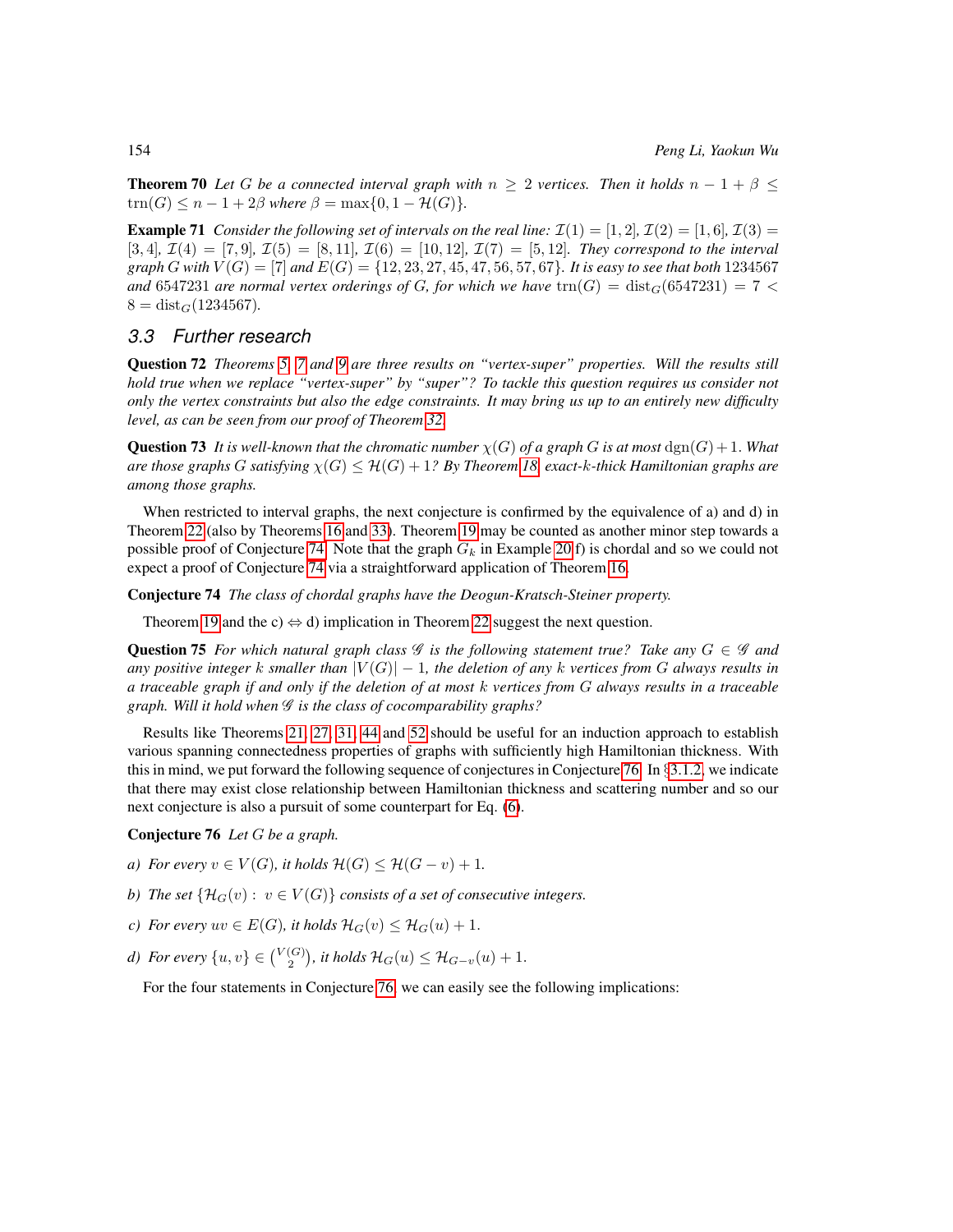**Theorem 70** Let G be a connected interval graph with  $n \geq 2$  vertices. Then it holds  $n - 1 + \beta \leq 1$  $trn(G) \leq n - 1 + 2\beta$  where  $\beta = \max\{0, 1 - \mathcal{H}(G)\}.$ 

**Example 71** *Consider the following set of intervals on the real line:*  $\mathcal{I}(1) = [1, 2]$ ,  $\mathcal{I}(2) = [1, 6]$ ,  $\mathcal{I}(3) =$  $[3, 4]$ ,  $\mathcal{I}(4) = [7, 9]$ ,  $\mathcal{I}(5) = [8, 11]$ ,  $\mathcal{I}(6) = [10, 12]$ ,  $\mathcal{I}(7) = [5, 12]$ . They correspond to the interval *graph G with*  $V(G) = [7]$  *and*  $E(G) = \{12, 23, 27, 45, 47, 56, 57, 67\}$ *. It is easy to see that both* 1234567 and 6547231 *are normal vertex orderings of G, for which we have*  $\text{trn}(G) = \text{dist}_G(6547231) = 7$  <  $8 = dist_G(1234567)$ .

#### <span id="page-29-0"></span>*3.3 Further research*

Question 72 *Theorems [5,](#page-13-0) [7](#page-13-1) and [9](#page-13-2) are three results on "vertex-super" properties. Will the results still hold true when we replace "vertex-super" by "super"? To tackle this question requires us consider not only the vertex constraints but also the edge constraints. It may bring us up to an entirely new difficulty level, as can be seen from our proof of Theorem [32.](#page-20-2)*

**Question 73** It is well-known that the chromatic number  $\chi(G)$  of a graph G is at most  $\text{dgn}(G) + 1$ . What *are those graphs* G *satisfying* χ(G) ≤ H(G) + 1*? By Theorem [18,](#page-15-3) exact-*k*-thick Hamiltonian graphs are among those graphs.*

When restricted to interval graphs, the next conjecture is confirmed by the equivalence of a) and d) in Theorem [22](#page-19-0) (also by Theorems [16](#page-15-1) and [33\)](#page-21-1). Theorem [19](#page-16-0) may be counted as another minor step towards a possible proof of Conjecture [74.](#page-29-1) Note that the graph  $G_k$  in Example [20](#page-16-1) f) is chordal and so we could not expect a proof of Conjecture [74](#page-29-1) via a straightforward application of Theorem [16.](#page-15-1)

<span id="page-29-1"></span>Conjecture 74 *The class of chordal graphs have the Deogun-Kratsch-Steiner property.*

Theorem [19](#page-16-0) and the c)  $\Leftrightarrow$  d) implication in Theorem [22](#page-19-0) suggest the next question.

**Question 75** For which natural graph class  $\mathscr G$  is the following statement true? Take any  $G \in \mathscr G$  and *any positive integer* k *smaller than*  $|V(G)| - 1$ *, the deletion of any* k *vertices from* G *always results in a traceable graph if and only if the deletion of at most* k *vertices from* G *always results in a traceable graph. Will it hold when* G *is the class of cocomparability graphs?*

Results like Theorems [21,](#page-16-2) [27,](#page-19-3) [31,](#page-20-1) [44](#page-23-3) and [52](#page-25-2) should be useful for an induction approach to establish various spanning connectedness properties of graphs with sufficiently high Hamiltonian thickness. With this in mind, we put forward the following sequence of conjectures in Conjecture [76.](#page-29-2) In  $\S 3.1.2$ , we indicate that there may exist close relationship between Hamiltonian thickness and scattering number and so our next conjecture is also a pursuit of some counterpart for Eq. [\(6\)](#page-15-2).

<span id="page-29-2"></span>Conjecture 76 *Let* G *be a graph.*

- *a)* For every  $v \in V(G)$ , it holds  $\mathcal{H}(G) \leq \mathcal{H}(G v) + 1$ .
- *b)* The set  $\{H_G(v): v \in V(G)\}$  consists of a set of consecutive integers.
- *c)* For every  $uv \in E(G)$ , it holds  $\mathcal{H}_G(v) \leq \mathcal{H}_G(u) + 1$ .
- *d)* For every  $\{u, v\} \in {V(G) \choose 2}$ , it holds  $\mathcal{H}_G(u) \leq \mathcal{H}_{G-v}(u) + 1$ .

For the four statements in Conjecture [76,](#page-29-2) we can easily see the following implications: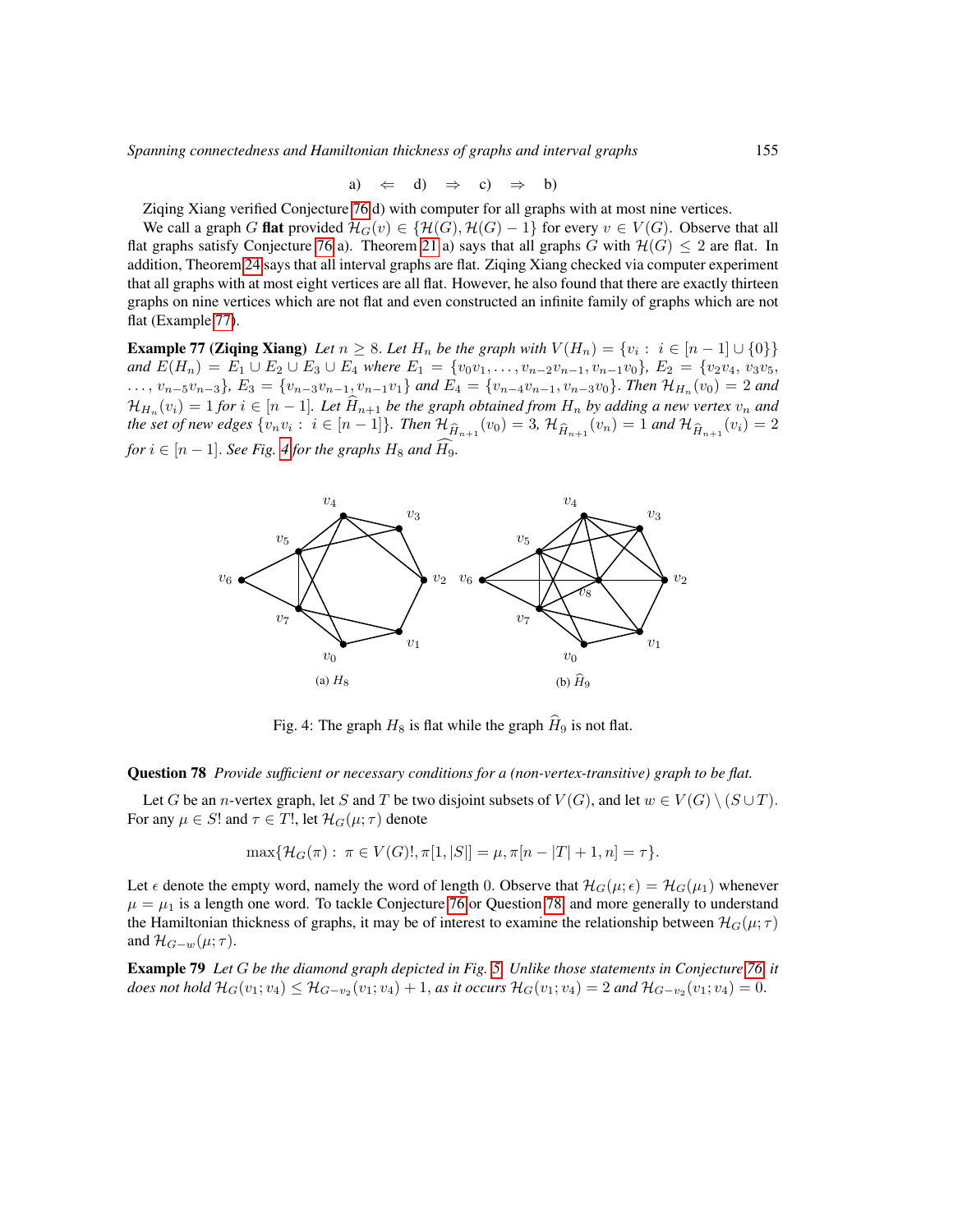*Spanning connectedness and Hamiltonian thickness of graphs and interval graphs* 155

a) 
$$
\Leftarrow
$$
 d)  $\Rightarrow$  c)  $\Rightarrow$  b)

Ziqing Xiang verified Conjecture [76](#page-29-2) d) with computer for all graphs with at most nine vertices.

We call a graph G **flat** provided  $\mathcal{H}_G(v) \in \{\mathcal{H}(G), \mathcal{H}(G) - 1\}$  for every  $v \in V(G)$ . Observe that all flat graphs satisfy Conjecture [76](#page-29-2) a). Theorem [21](#page-16-2) a) says that all graphs G with  $\mathcal{H}(G) \leq 2$  are flat. In addition, Theorem [24](#page-19-2) says that all interval graphs are flat. Ziqing Xiang checked via computer experiment that all graphs with at most eight vertices are all flat. However, he also found that there are exactly thirteen graphs on nine vertices which are not flat and even constructed an infinite family of graphs which are not flat (Example [77\)](#page-30-0).

**Example 77 (Ziqing Xiang)** *Let*  $n \geq 8$ . *Let*  $H_n$  *be the graph with*  $V(H_n) = \{v_i : i \in [n-1] \cup \{0\}\}\$ *and*  $E(H_n) = E_1 \cup E_2 \cup E_3 \cup E_4$  *where*  $E_1 = \{v_0v_1, \ldots, v_{n-2}v_{n-1}, v_{n-1}v_0\}$ *,*  $E_2 = \{v_2v_4, v_3v_5,$ ...,  $v_{n-5}v_{n-3}$ },  $E_3 = \{v_{n-3}v_{n-1}, v_{n-1}v_1\}$  and  $E_4 = \{v_{n-4}v_{n-1}, v_{n-3}v_0\}$ . Then  $\mathcal{H}_{H_n}(v_0) = 2$  and  $\mathcal{H}_{H_n}(v_i) = 1$  *for*  $i \in [n-1]$ *. Let*  $H_{n+1}$  *be the graph obtained from*  $H_n$  *by adding a new vertex*  $v_n$  *and*  $\mathcal{H}_n$ *the set of new edges*  $\{v_n v_i : i \in [n-1]\}$ . *Then*  $\mathcal{H}_{\widehat{H}_{n+1}}(v_0) = 3$ ,  $\mathcal{H}_{\widehat{H}_{n+1}}(v_n) = 1$  and  $\mathcal{H}_{\widehat{H}_{n+1}}(v_i) = 2$ *for*  $i \in [n-1]$ *. See Fig. [4](#page-30-0) for the graphs*  $H_8$  *and*  $\widehat{H_9}$ *.* 

<span id="page-30-0"></span>

Fig. 4: The graph  $H_8$  is flat while the graph  $\hat{H}_9$  is not flat.

<span id="page-30-1"></span>Question 78 *Provide sufficient or necessary conditions for a (non-vertex-transitive) graph to be flat.*

Let G be an n-vertex graph, let S and T be two disjoint subsets of  $V(G)$ , and let  $w \in V(G) \setminus (S \cup T)$ . For any  $\mu \in S!$  and  $\tau \in T!$ , let  $\mathcal{H}_G(\mu; \tau)$  denote

$$
\max\{\mathcal{H}_G(\pi): \ \pi \in V(G)!, \pi[1, |S|] = \mu, \pi[n - |T| + 1, n] = \tau\}.
$$

Let  $\epsilon$  denote the empty word, namely the word of length 0. Observe that  $\mathcal{H}_G(\mu; \epsilon) = \mathcal{H}_G(\mu_1)$  whenever  $\mu = \mu_1$  is a length one word. To tackle Conjecture [76](#page-29-2) or Question [78,](#page-30-1) and more generally to understand the Hamiltonian thickness of graphs, it may be of interest to examine the relationship between  $\mathcal{H}_G(\mu;\tau)$ and  $\mathcal{H}_{G-w}(\mu;\tau)$ .

Example 79 *Let* G *be the diamond graph depicted in Fig. [5.](#page-31-0) Unlike those statements in Conjecture [76,](#page-29-2) it does not hold*  $H_G(v_1; v_4)$  ≤  $H_{G-v_2}(v_1; v_4) + 1$ , *as it occurs*  $H_G(v_1; v_4) = 2$  *and*  $H_{G-v_2}(v_1; v_4) = 0$ .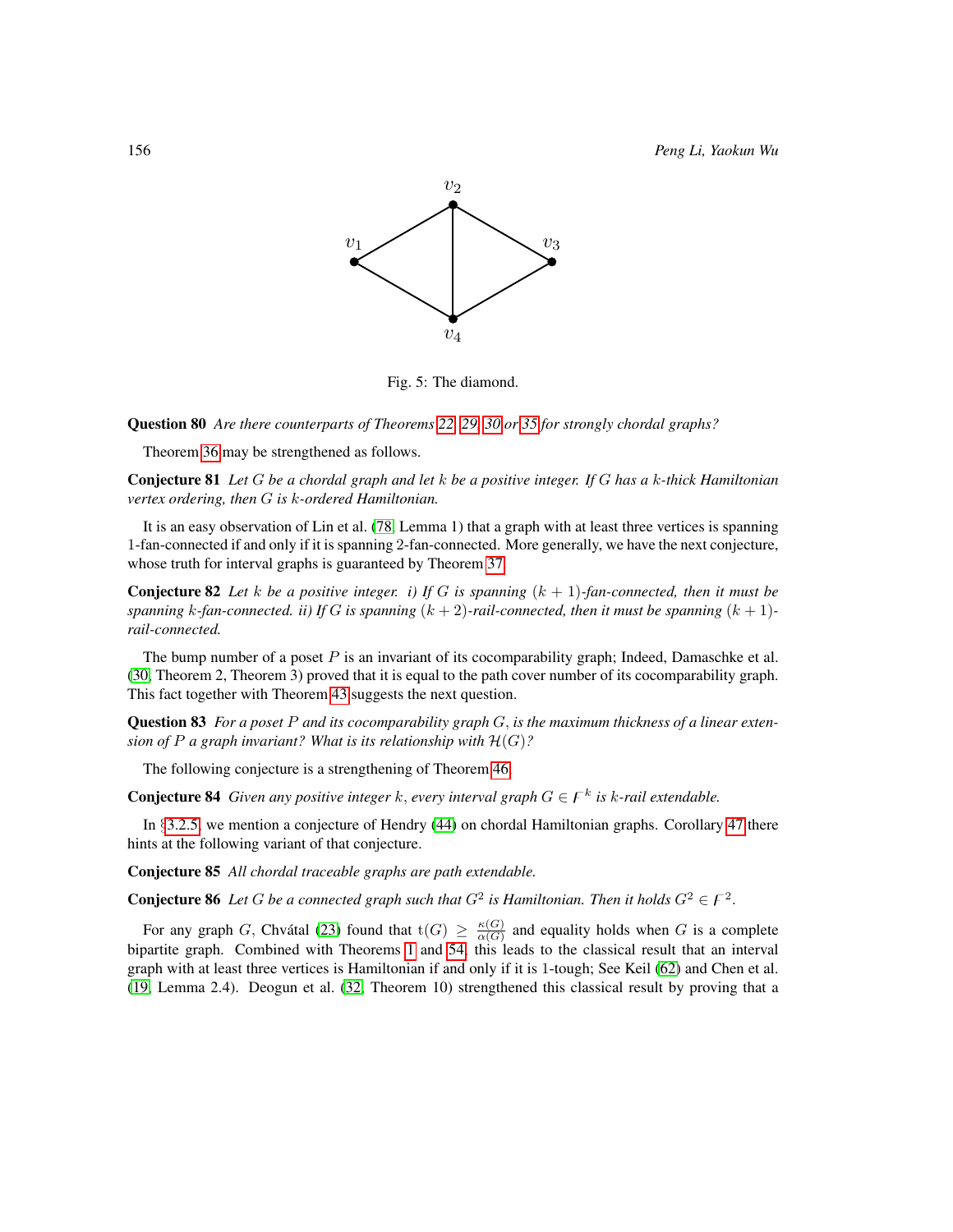<span id="page-31-0"></span>

Fig. 5: The diamond.

Question 80 *Are there counterparts of Theorems [22,](#page-19-0) [29,](#page-20-5) [30](#page-20-3) or [35](#page-21-2) for strongly chordal graphs?*

Theorem [36](#page-21-3) may be strengthened as follows.

Conjecture 81 *Let* G *be a chordal graph and let* k *be a positive integer. If* G *has a* k*-thick Hamiltonian vertex ordering, then* G *is* k*-ordered Hamiltonian.*

It is an easy observation of Lin et al. [\(78,](#page-83-2) Lemma 1) that a graph with at least three vertices is spanning 1-fan-connected if and only if it is spanning 2-fan-connected. More generally, we have the next conjecture, whose truth for interval graphs is guaranteed by Theorem [37.](#page-22-1)

**Conjecture 82** Let *k* be a positive integer. i) If G is spanning  $(k + 1)$ -fan-connected, then it must be *spanning* k-fan-connected. ii) If G is spanning  $(k + 2)$ -rail-connected, then it must be spanning  $(k + 1)$ *rail-connected.*

The bump number of a poset  $P$  is an invariant of its cocomparability graph; Indeed, Damaschke et al. [\(30,](#page-80-0) Theorem 2, Theorem 3) proved that it is equal to the path cover number of its cocomparability graph. This fact together with Theorem [43](#page-23-4) suggests the next question.

Question 83 *For a poset* P *and its cocomparability graph* G, *is the maximum thickness of a linear extension of*  $P$  *a graph invariant? What is its relationship with*  $\mathcal{H}(G)$ *?* 

The following conjecture is a strengthening of Theorem [46.](#page-24-1)

**Conjecture 84** Given any positive integer k, every interval graph  $G \in F^k$  is k-rail extendable.

In §[3.2.5,](#page-23-0) we mention a conjecture of Hendry [\(44\)](#page-81-12) on chordal Hamiltonian graphs. Corollary [47](#page-24-4) there hints at the following variant of that conjecture.

Conjecture 85 *All chordal traceable graphs are path extendable.*

**Conjecture 86** Let G be a connected graph such that  $G^2$  is Hamiltonian. Then it holds  $G^2 \in F^2$ .

For any graph G, Chvátal [\(23\)](#page-79-1) found that  $t(G) \ge \frac{\kappa(G)}{\alpha(G)}$  $\frac{\kappa(G)}{\alpha(G)}$  and equality holds when G is a complete bipartite graph. Combined with Theorems [1](#page-12-3) and [54,](#page-26-1) this leads to the classical result that an interval graph with at least three vertices is Hamiltonian if and only if it is 1-tough; See Keil [\(62\)](#page-82-9) and Chen et al. [\(19,](#page-79-4) Lemma 2.4). Deogun et al. [\(32,](#page-80-4) Theorem 10) strengthened this classical result by proving that a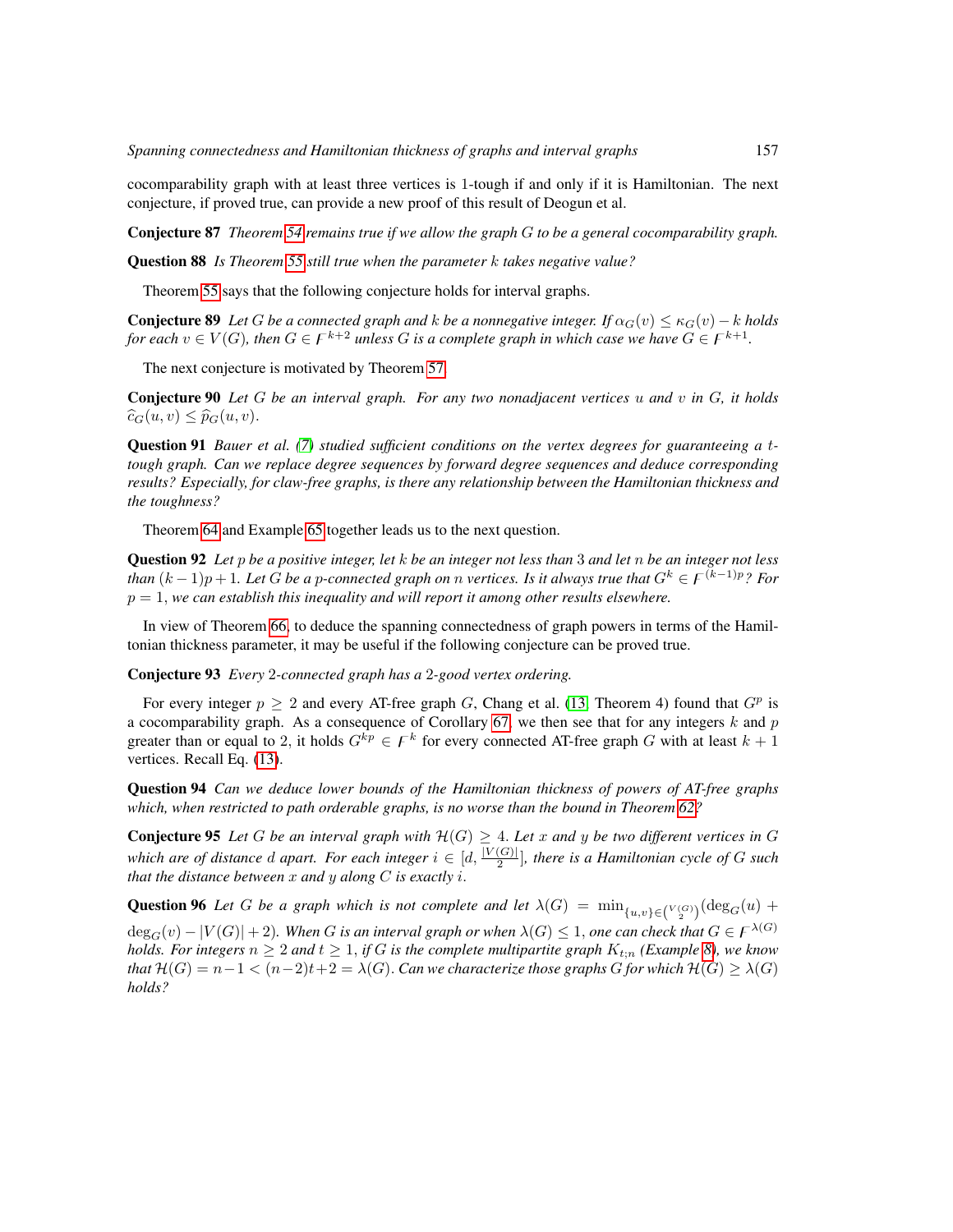cocomparability graph with at least three vertices is 1-tough if and only if it is Hamiltonian. The next conjecture, if proved true, can provide a new proof of this result of Deogun et al.

Conjecture 87 *Theorem [54](#page-26-1) remains true if we allow the graph* G *to be a general cocomparability graph.*

Question 88 *Is Theorem [55](#page-26-2) still true when the parameter* k *takes negative value?*

Theorem [55](#page-26-2) says that the following conjecture holds for interval graphs.

**Conjecture 89** Let G be a connected graph and k be a nonnegative integer. If  $\alpha_G(v) \leq \kappa_G(v) - k$  holds *for each*  $v \in V(G)$ , then  $G \in F^{k+2}$  unless G is a complete graph in which case we have  $G \in F^{k+1}$ .

The next conjecture is motivated by Theorem [57.](#page-26-3)

Conjecture 90 *Let* G *be an interval graph. For any two nonadjacent vertices* u *and* v *in* G*, it holds*  $\widehat{c}_G(u, v) \leq \widehat{p}_G(u, v).$ 

Question 91 *Bauer et al. [\(7\)](#page-78-12) studied sufficient conditions on the vertex degrees for guaranteeing a* t*tough graph. Can we replace degree sequences by forward degree sequences and deduce corresponding results? Especially, for claw-free graphs, is there any relationship between the Hamiltonian thickness and the toughness?*

Theorem [64](#page-28-1) and Example [65](#page-28-6) together leads us to the next question.

Question 92 *Let* p *be a positive integer, let* k *be an integer not less than* 3 *and let* n *be an integer not less than*  $(k-1)p+1$ *. Let* G *be a* p-connected graph on n *vertices. Is it always true that*  $G^k \in F^{(k-1)p}$ *? For*  $p = 1$ , we can establish this inequality and will report it among other results elsewhere.

In view of Theorem [66,](#page-28-3) to deduce the spanning connectedness of graph powers in terms of the Hamiltonian thickness parameter, it may be useful if the following conjecture can be proved true.

Conjecture 93 *Every* 2*-connected graph has a* 2*-good vertex ordering.*

For every integer  $p \geq 2$  and every AT-free graph G, Chang et al. [\(13,](#page-78-13) Theorem 4) found that  $G^p$  is a cocomparability graph. As a consequence of Corollary [67,](#page-28-0) we then see that for any integers k and p greater than or equal to 2, it holds  $G^{kp} \in F^k$  for every connected AT-free graph G with at least  $k+1$ vertices. Recall Eq. [\(13\)](#page-28-7).

Question 94 *Can we deduce lower bounds of the Hamiltonian thickness of powers of AT-free graphs which, when restricted to path orderable graphs, is no worse than the bound in Theorem [62?](#page-27-2)*

**Conjecture 95** Let G be an interval graph with  $\mathcal{H}(G) \geq 4$ . Let x and y be two different vertices in G *which are of distance d apart. For each integer*  $i \in [d, \frac{|V(G)|}{2}]$ , there is a Hamiltonian cycle of G such *that the distance between* x *and* y *along* C *is exactly* i.

**Question 96** Let G be a graph which is not complete and let  $\lambda(G) = \min_{\{u,v\} \in {V(G) \choose 2}} (\deg_G(u) +$ 

 $deg_G(v) - |V(G)| + 2$ *). When* G is an interval graph or when  $\lambda(G) \leq 1$ , one can check that  $G \in F^{\lambda(G)}$ *holds. For integers*  $n \geq 2$  *and*  $t \geq 1$ *, if* G *is the complete multipartite graph*  $K_{t:n}$  (*Example* [8\)](#page-13-4)*, we know that*  $H(G) = n-1 < (n-2)t+2 = \lambda(G)$ . *Can we characterize those graphs* G *for which*  $H(G) \geq \lambda(G)$ *holds?*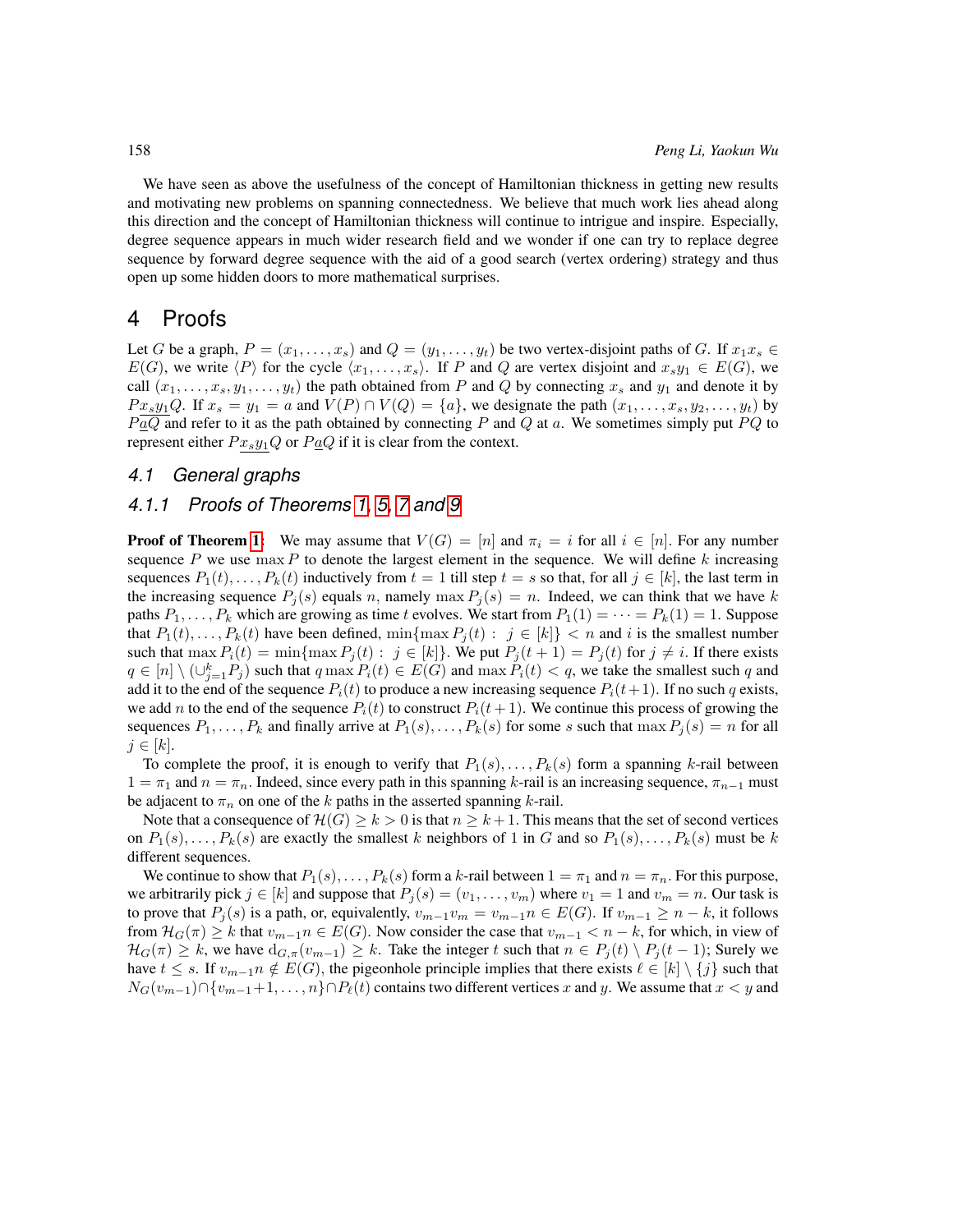We have seen as above the usefulness of the concept of Hamiltonian thickness in getting new results and motivating new problems on spanning connectedness. We believe that much work lies ahead along this direction and the concept of Hamiltonian thickness will continue to intrigue and inspire. Especially, degree sequence appears in much wider research field and we wonder if one can try to replace degree sequence by forward degree sequence with the aid of a good search (vertex ordering) strategy and thus open up some hidden doors to more mathematical surprises.

## <span id="page-33-0"></span>4 Proofs

Let G be a graph,  $P = (x_1, \ldots, x_s)$  and  $Q = (y_1, \ldots, y_t)$  be two vertex-disjoint paths of G. If  $x_1x_s \in$  $E(G)$ , we write  $\langle P \rangle$  for the cycle  $\langle x_1, \ldots, x_s \rangle$ . If P and Q are vertex disjoint and  $x_s y_1 \in E(G)$ , we call  $(x_1, \ldots, x_s, y_1, \ldots, y_t)$  the path obtained from P and Q by connecting  $x_s$  and  $y_1$  and denote it by  $Px_3y_1Q$ . If  $x_s = y_1 = a$  and  $V(P) \cap V(Q) = \{a\}$ , we designate the path  $(x_1, \ldots, x_s, y_2, \ldots, y_t)$  by  $P \alpha Q$  and refer to it as the path obtained by connecting P and Q at a. We sometimes simply put PQ to represent either  $Px_sy_1Q$  or  $P_1Q$  if it is clear from the context.

#### <span id="page-33-1"></span>*4.1 General graphs*

#### <span id="page-33-2"></span>*4.1.1 Proofs of Theorems [1,](#page-12-3) [5,](#page-13-0) [7](#page-13-1) and [9](#page-13-2)*

**Proof of Theorem [1:](#page-12-3)** We may assume that  $V(G) = |n|$  and  $\pi_i = i$  for all  $i \in |n|$ . For any number sequence P we use  $\max P$  to denote the largest element in the sequence. We will define k increasing sequences  $P_1(t), \ldots, P_k(t)$  inductively from  $t = 1$  till step  $t = s$  so that, for all  $j \in [k]$ , the last term in the increasing sequence  $P_j(s)$  equals n, namely max  $P_j(s) = n$ . Indeed, we can think that we have k paths  $P_1, \ldots, P_k$  which are growing as time t evolves. We start from  $P_1(1) = \cdots = P_k(1) = 1$ . Suppose that  $P_1(t), \ldots, P_k(t)$  have been defined, min{max  $P_j(t)$  :  $j \in [k]$ } < n and i is the smallest number such that  $\max P_i(t) = \min\{\max P_j(t) : j \in [k]\}\)$ . We put  $P_j(t+1) = P_j(t)$  for  $j \neq i$ . If there exists  $q \in [n] \setminus (\cup_{j=1}^k P_j)$  such that  $q \max P_i(t) \in E(G)$  and  $\max P_i(t) < q$ , we take the smallest such  $q$  and add it to the end of the sequence  $P_i(t)$  to produce a new increasing sequence  $P_i(t+1)$ . If no such q exists, we add n to the end of the sequence  $P_i(t)$  to construct  $P_i(t+1)$ . We continue this process of growing the sequences  $P_1, \ldots, P_k$  and finally arrive at  $P_1(s), \ldots, P_k(s)$  for some s such that  $\max P_j(s) = n$  for all  $j \in [k]$ .

To complete the proof, it is enough to verify that  $P_1(s), \ldots, P_k(s)$  form a spanning k-rail between  $1 = \pi_1$  and  $n = \pi_n$ . Indeed, since every path in this spanning k-rail is an increasing sequence,  $\pi_{n-1}$  must be adjacent to  $\pi_n$  on one of the k paths in the asserted spanning k-rail.

Note that a consequence of  $\mathcal{H}(G) \geq k > 0$  is that  $n \geq k + 1$ . This means that the set of second vertices on  $P_1(s), \ldots, P_k(s)$  are exactly the smallest k neighbors of 1 in G and so  $P_1(s), \ldots, P_k(s)$  must be k different sequences.

We continue to show that  $P_1(s), \ldots, P_k(s)$  form a k-rail between  $1 = \pi_1$  and  $n = \pi_n$ . For this purpose, we arbitrarily pick  $j \in [k]$  and suppose that  $P_j(s) = (v_1, \ldots, v_m)$  where  $v_1 = 1$  and  $v_m = n$ . Our task is to prove that  $P_j(s)$  is a path, or, equivalently,  $v_{m-1}v_m = v_{m-1}n \in E(G)$ . If  $v_{m-1} \geq n - k$ , it follows from  $\mathcal{H}_G(\pi) \geq k$  that  $v_{m-1} \in E(G)$ . Now consider the case that  $v_{m-1} < n-k$ , for which, in view of  $\mathcal{H}_G(\pi) \geq k$ , we have  $d_{G,\pi}(v_{m-1}) \geq k$ . Take the integer t such that  $n \in P_j(t) \setminus P_j(t-1)$ ; Surely we have  $t \leq s$ . If  $v_{m-1}$   $n \notin E(G)$ , the pigeonhole principle implies that there exists  $\ell \in [k] \setminus \{j\}$  such that  $N_G(v_{m-1}) \cap \{v_{m-1}+1, \ldots, n\} \cap P_\ell(t)$  contains two different vertices x and y. We assume that  $x < y$  and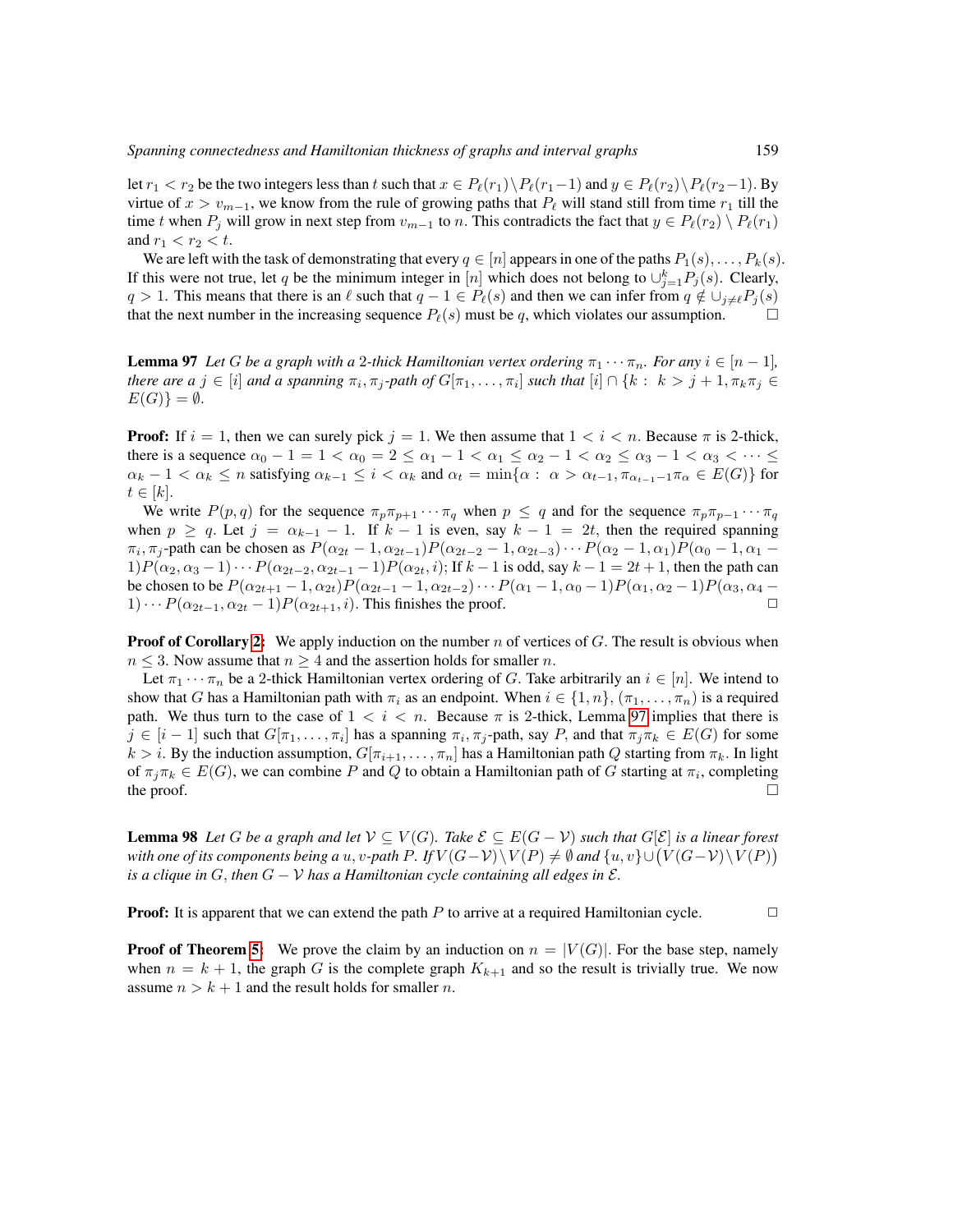let  $r_1 < r_2$  be the two integers less than t such that  $x \in P_\ell(r_1) \setminus P_\ell(r_1-1)$  and  $y \in P_\ell(r_2) \setminus P_\ell(r_2-1)$ . By virtue of  $x > v_{m-1}$ , we know from the rule of growing paths that  $P_\ell$  will stand still from time  $r_1$  till the time t when  $P_i$  will grow in next step from  $v_{m-1}$  to n. This contradicts the fact that  $y \in P_\ell(r_2) \setminus P_\ell(r_1)$ and  $r_1 < r_2 < t$ .

We are left with the task of demonstrating that every  $q \in [n]$  appears in one of the paths  $P_1(s), \ldots, P_k(s)$ . If this were not true, let q be the minimum integer in [n] which does not belong to  $\cup_{j=1}^k P_j(s)$ . Clearly,  $q > 1$ . This means that there is an  $\ell$  such that  $q - 1 \in P_{\ell}(s)$  and then we can infer from  $q \notin \bigcup_{j \neq \ell} P_j(s)$  that the next number in the increasing sequence  $P_{\ell}(s)$  must be q which violates our assumption that the next number in the increasing sequence  $P_{\ell}(s)$  must be q, which violates our assumption.

<span id="page-34-0"></span>**Lemma 97** Let G be a graph with a 2-thick Hamiltonian vertex ordering  $\pi_1 \cdots \pi_n$ . For any  $i \in [n-1]$ , *there are a*  $j \in [i]$  *and a spanning*  $\pi_i$ ,  $\pi_j$ -path of  $G[\pi_1, \ldots, \pi_i]$  *such that*  $[i] \cap \{k : k > j + 1, \pi_k \pi_j \in$  $E(G)\} = \emptyset.$ 

**Proof:** If  $i = 1$ , then we can surely pick  $j = 1$ . We then assume that  $1 < i < n$ . Because  $\pi$  is 2-thick, there is a sequence  $\alpha_0 - 1 = 1 < \alpha_0 = 2 \le \alpha_1 - 1 < \alpha_1 \le \alpha_2 - 1 < \alpha_2 \le \alpha_3 - 1 < \alpha_3 < \cdots \le$  $\alpha_k - 1 < \alpha_k \le n$  satisfying  $\alpha_{k-1} \le i < \alpha_k$  and  $\alpha_t = \min\{\alpha : \alpha > \alpha_{t-1}, \pi_{\alpha_{t-1}-1}\pi_{\alpha} \in E(G)\}\$  for  $t \in [k]$ .

We write  $P(p,q)$  for the sequence  $\pi_p \pi_{p+1} \cdots \pi_q$  when  $p \leq q$  and for the sequence  $\pi_p \pi_{p-1} \cdots \pi_q$ when  $p \ge q$ . Let  $j = \alpha_{k-1} - 1$ . If  $k - 1$  is even, say  $k - 1 = 2t$ , then the required spanning  $\pi_i$ ,  $\pi_j$ -path can be chosen as  $P(\alpha_{2t}-1, \alpha_{2t-1})P(\alpha_{2t-2}-1, \alpha_{2t-3})\cdots P(\alpha_2-1, \alpha_1)P(\alpha_0-1, \alpha_1-1)$  $1)P(\alpha_2, \alpha_3 - 1)\cdots P(\alpha_{2t-2}, \alpha_{2t-1} - 1)P(\alpha_{2t}, i)$ ; If  $k - 1$  is odd, say  $k - 1 = 2t + 1$ , then the path can be chosen to be  $P(\alpha_{2t+1} - 1, \alpha_{2t})P(\alpha_{2t-1} - 1, \alpha_{2t-2})\cdots P(\alpha_1 - 1, \alpha_0 - 1)P(\alpha_1, \alpha_2 - 1)P(\alpha_3, \alpha_4 - 1)\cdots P(\alpha_{2t-1}, \alpha_{2t-2})$ .  $1)\cdots P(\alpha_{2t-1}, \alpha_{2t}-1)P(\alpha_{2t+1}, i)$ . This finishes the proof.

**Proof of Corollary [2:](#page-12-6)** We apply induction on the number n of vertices of  $G$ . The result is obvious when  $n \leq 3$ . Now assume that  $n \geq 4$  and the assertion holds for smaller n.

Let  $\pi_1 \cdots \pi_n$  be a 2-thick Hamiltonian vertex ordering of G. Take arbitrarily an  $i \in [n]$ . We intend to show that G has a Hamiltonian path with  $\pi_i$  as an endpoint. When  $i \in \{1, n\}, (\pi_1, \ldots, \pi_n)$  is a required path. We thus turn to the case of  $1 < i < n$ . Because  $\pi$  is 2-thick, Lemma [97](#page-34-0) implies that there is  $j \in [i-1]$  such that  $G[\pi_1,\ldots,\pi_i]$  has a spanning  $\pi_i,\pi_j$ -path, say P, and that  $\pi_j\pi_k \in E(G)$  for some  $k > i$ . By the induction assumption,  $G[\pi_{i+1}, \ldots, \pi_n]$  has a Hamiltonian path Q starting from  $\pi_k$ . In light of  $\pi_j \pi_k \in E(G)$ , we can combine P and Q to obtain a Hamiltonian path of G starting at  $\pi_i$ , completing the proof.  $\Box$ 

<span id="page-34-1"></span>**Lemma 98** Let *G* be a graph and let  $V ⊆ V(G)$ *. Take*  $\mathcal{E} ⊆ E(G - V)$  such that  $G[\mathcal{E}]$  is a linear forest *with one of its components being a* u, v-path P. If  $V(G-V)\backslash V(P)\neq \emptyset$  and  $\{u,v\}\cup (V(G-V)\backslash V(P))$ *is a clique in*  $G$ , *then*  $G - V$  *has a Hamiltonian cycle containing all edges in*  $\mathcal{E}$ *.* 

**Proof:** It is apparent that we can extend the path P to arrive at a required Hamiltonian cycle.  $\Box$ 

**Proof of Theorem [5:](#page-13-0)** We prove the claim by an induction on  $n = |V(G)|$ . For the base step, namely when  $n = k + 1$ , the graph G is the complete graph  $K_{k+1}$  and so the result is trivially true. We now assume  $n > k + 1$  and the result holds for smaller *n*.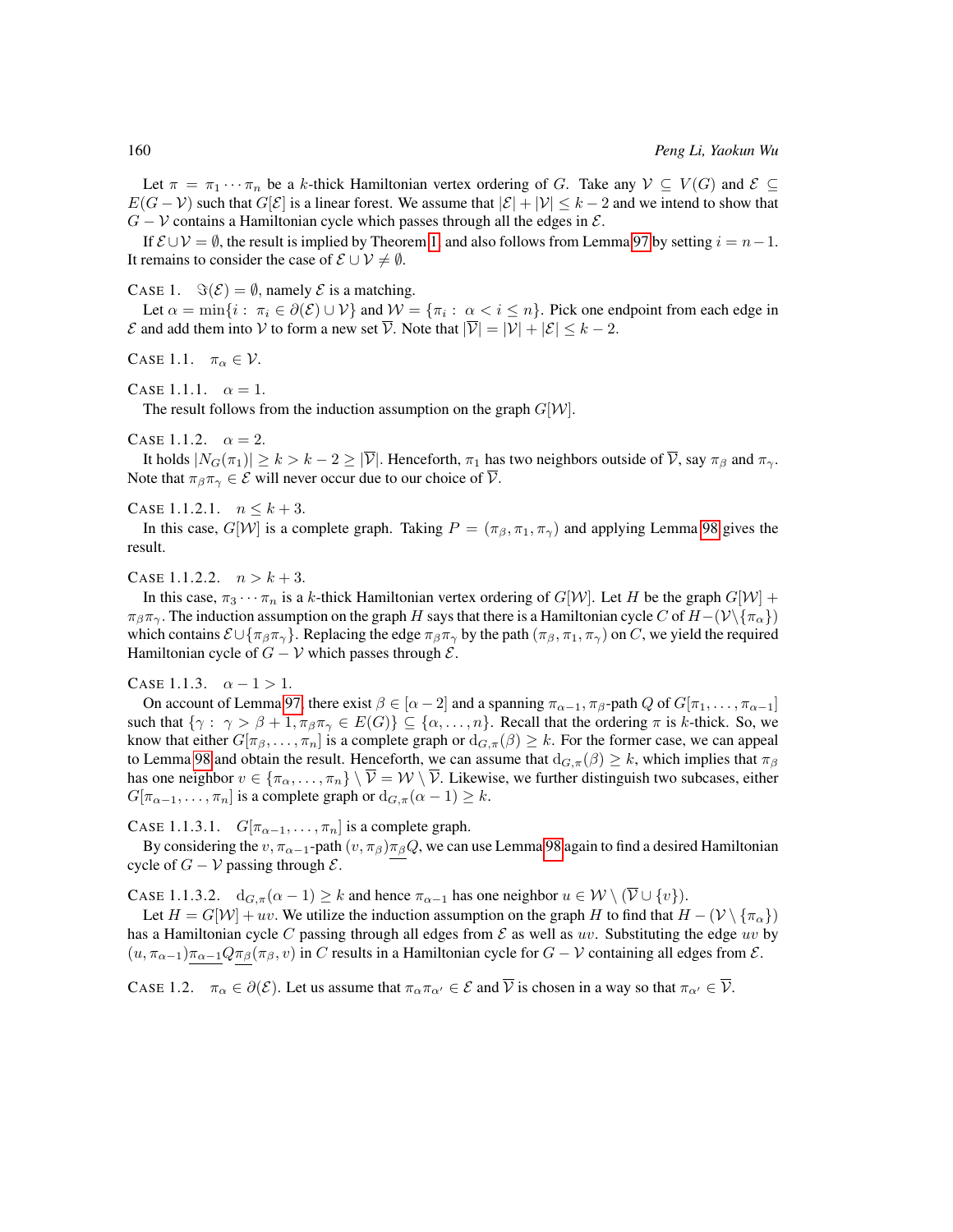Let  $\pi = \pi_1 \cdots \pi_n$  be a k-thick Hamiltonian vertex ordering of G. Take any  $\mathcal{V} \subseteq V(G)$  and  $\mathcal{E} \subseteq$  $E(G - V)$  such that  $G[\mathcal{E}]$  is a linear forest. We assume that  $|\mathcal{E}| + |\mathcal{V}| \leq k - 2$  and we intend to show that  $G - V$  contains a Hamiltonian cycle which passes through all the edges in  $\mathcal{E}$ .

If  $\mathcal{E} \cup \mathcal{V} = \emptyset$ , the result is implied by Theorem [1,](#page-12-3) and also follows from Lemma [97](#page-34-0) by setting  $i = n-1$ . It remains to consider the case of  $\mathcal{E} \cup \mathcal{V} \neq \emptyset$ .

CASE 1.  $\Im(\mathcal{E}) = \emptyset$ , namely  $\mathcal E$  is a matching.

Let  $\alpha = \min\{i : \pi_i \in \partial(\mathcal{E}) \cup \mathcal{V}\}\$  and  $\mathcal{W} = \{\pi_i : \alpha < i \leq n\}$ . Pick one endpoint from each edge in  $\mathcal E$  and add them into  $\mathcal V$  to form a new set  $\overline{\mathcal V}$ . Note that  $|\overline{\mathcal V}| = |\mathcal V| + |\mathcal E| \leq k - 2$ .

CASE 1.1.  $\pi_{\alpha} \in \mathcal{V}$ .

CASE 1.1.1.  $\alpha = 1$ .

The result follows from the induction assumption on the graph  $G[W]$ .

CASE 1.1.2.  $\alpha = 2$ .

It holds  $|N_G(\pi_1)| \ge k > k - 2 \ge |\overline{\mathcal{V}}|$ . Henceforth,  $\pi_1$  has two neighbors outside of  $\overline{\mathcal{V}}$ , say  $\pi_\beta$  and  $\pi_\gamma$ . Note that  $\pi_{\beta}\pi_{\gamma} \in \mathcal{E}$  will never occur due to our choice of  $\overline{\mathcal{V}}$ .

CASE 1.1.2.1.  $n \leq k+3$ .

In this case,  $G[W]$  is a complete graph. Taking  $P = (\pi_\beta, \pi_1, \pi_\gamma)$  and applying Lemma [98](#page-34-1) gives the result.

CASE 1.1.2.2.  $n > k + 3$ .

In this case,  $\pi_3 \cdots \pi_n$  is a k-thick Hamiltonian vertex ordering of  $G[W]$ . Let H be the graph  $G[W]$  +  $\pi_\beta \pi_\gamma$ . The induction assumption on the graph H says that there is a Hamiltonian cycle C of  $H-(\mathcal{V}\backslash {\pi_\alpha})$ which contains  $\mathcal{E} \cup \{\pi_{\beta} \pi_{\gamma}\}\.$  Replacing the edge  $\pi_{\beta} \pi_{\gamma}$  by the path  $(\pi_{\beta}, \pi_{1}, \pi_{\gamma})$  on C, we yield the required Hamiltonian cycle of  $G - V$  which passes through  $\mathcal{E}$ .

CASE 1.1.3.  $\alpha - 1 > 1$ .

On account of Lemma [97,](#page-34-0) there exist  $\beta \in [\alpha - 2]$  and a spanning  $\pi_{\alpha-1}, \pi_{\beta}$ -path  $Q$  of  $G[\pi_1, \ldots, \pi_{\alpha-1}]$ such that  $\{\gamma: \gamma > \beta + 1, \pi_{\beta} \pi_{\gamma} \in E(G)\}\subseteq \{\alpha, \ldots, n\}$ . Recall that the ordering  $\pi$  is k-thick. So, we know that either  $G[\pi_\beta,\ldots,\pi_n]$  is a complete graph or  $d_{G,\pi}(\beta) \geq k$ . For the former case, we can appeal to Lemma [98](#page-34-1) and obtain the result. Henceforth, we can assume that  $d_{G,\pi}(\beta) \geq k$ , which implies that  $\pi_{\beta}$ has one neighbor  $v \in \{\pi_\alpha, \dots, \pi_n\} \setminus \overline{\mathcal{V}} = \mathcal{W} \setminus \overline{\mathcal{V}}$ . Likewise, we further distinguish two subcases, either  $G[\pi_{\alpha-1}, \ldots, \pi_n]$  is a complete graph or  $d_{G,\pi}(\alpha-1) \geq k$ .

CASE 1.1.3.1.  $G[\pi_{\alpha-1}, \ldots, \pi_n]$  is a complete graph.

By considering the  $v, \pi_{\alpha-1}$ -path  $(v, \pi_{\beta})\pi_{\beta}Q$ , we can use Lemma [98](#page-34-1) again to find a desired Hamiltonian cycle of  $G - V$  passing through  $\mathcal{E}$ .

CASE 1.1.3.2.  $d_{G,\pi}(\alpha-1) \geq k$  and hence  $\pi_{\alpha-1}$  has one neighbor  $u \in \mathcal{W} \setminus (\overline{\mathcal{V}} \cup \{v\})$ .

Let  $H = G[W] + uv$ . We utilize the induction assumption on the graph H to find that  $H - (V \setminus {\{\pi_{\alpha}\}})$ has a Hamiltonian cycle C passing through all edges from  $\mathcal E$  as well as uv. Substituting the edge uv by  $(u, \pi_{\alpha-1})\pi_{\alpha-1}Q\pi_{\beta}(\pi_{\beta}, v)$  in C results in a Hamiltonian cycle for  $G - V$  containing all edges from  $\mathcal{E}$ .

CASE 1.2.  $\pi_{\alpha} \in \partial(\mathcal{E})$ . Let us assume that  $\pi_{\alpha} \pi_{\alpha'} \in \mathcal{E}$  and  $\overline{\mathcal{V}}$  is chosen in a way so that  $\pi_{\alpha'} \in \overline{\mathcal{V}}$ .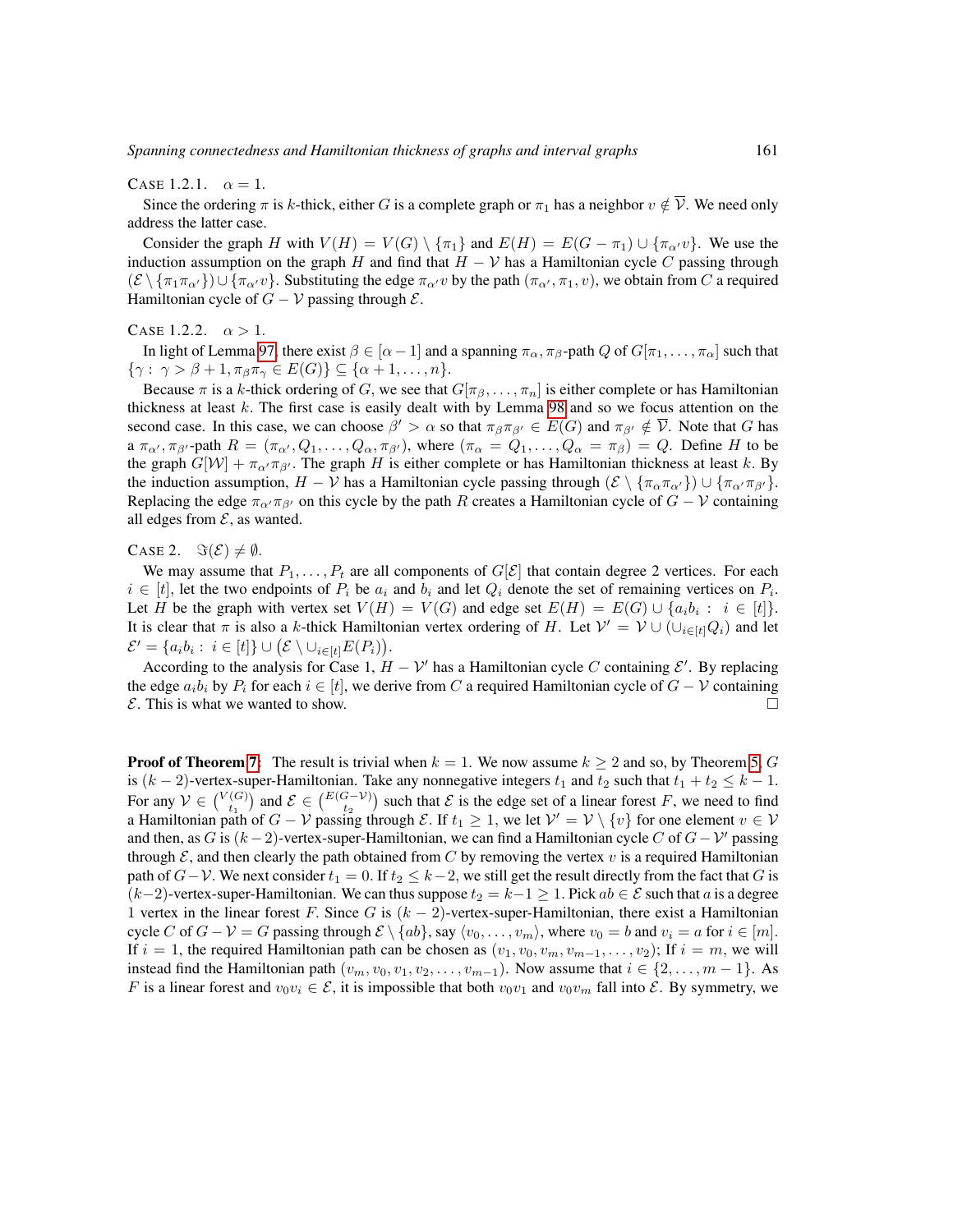CASE 1.2.1.  $\alpha = 1$ .

Since the ordering  $\pi$  is k-thick, either G is a complete graph or  $\pi_1$  has a neighbor  $v \notin \overline{\mathcal{V}}$ . We need only address the latter case.

Consider the graph H with  $V(H) = V(G) \setminus {\pi_1}$  and  $E(H) = E(G - \pi_1) \cup {\pi_{\alpha'}} v$ . We use the induction assumption on the graph H and find that  $H - V$  has a Hamiltonian cycle C passing through  $(\mathcal{E} \setminus {\{\pi_1 \pi_{\alpha'}\}} \cup {\{\pi_{\alpha'} v\}}$ . Substituting the edge  $\pi_{\alpha'} v$  by the path  $(\pi_{\alpha'}, \pi_1, v)$ , we obtain from C a required Hamiltonian cycle of  $G - V$  passing through  $\mathcal{E}$ .

CASE 1.2.2.  $\alpha > 1$ .

In light of Lemma [97,](#page-34-0) there exist  $\beta \in [\alpha - 1]$  and a spanning  $\pi_\alpha$ ,  $\pi_\beta$ -path Q of  $G[\pi_1, \dots, \pi_\alpha]$  such that  $\{\gamma: \gamma > \beta + 1, \pi_{\beta}\pi_{\gamma} \in E(G)\}\subseteq \{\alpha+1,\ldots,n\}.$ 

Because  $\pi$  is a k-thick ordering of G, we see that  $G[\pi_\beta, \ldots, \pi_n]$  is either complete or has Hamiltonian thickness at least  $k$ . The first case is easily dealt with by Lemma [98](#page-34-1) and so we focus attention on the second case. In this case, we can choose  $\beta' > \alpha$  so that  $\pi_{\beta}\pi_{\beta'} \in E(G)$  and  $\pi_{\beta'} \notin \overline{\mathcal{V}}$ . Note that G has a  $\pi_{\alpha}$ ,  $\pi_{\beta}$ , path  $R = (\pi_{\alpha}$ ,  $Q_1, \ldots, Q_{\alpha}, \pi_{\beta}$ , where  $(\pi_{\alpha} = Q_1, \ldots, Q_{\alpha} = \pi_{\beta}) = Q$ . Define H to be the graph  $G[W] + \pi_{\alpha'} \pi_{\beta'}$ . The graph H is either complete or has Hamiltonian thickness at least k. By the induction assumption,  $H - V$  has a Hamiltonian cycle passing through  $(\mathcal{E} \setminus {\pi_{\alpha} \pi_{\alpha'}}) \cup {\pi_{\alpha'} \pi_{\beta'}}$ . Replacing the edge  $\pi_{\alpha'}\pi_{\beta'}$  on this cycle by the path R creates a Hamiltonian cycle of  $G - V$  containing all edges from  $\mathcal{E}$ , as wanted.

CASE 2.  $\Im(\mathcal{E}) \neq \emptyset$ .

We may assume that  $P_1, \ldots, P_t$  are all components of  $G[\mathcal{E}]$  that contain degree 2 vertices. For each  $i \in [t]$ , let the two endpoints of  $P_i$  be  $a_i$  and  $b_i$  and let  $Q_i$  denote the set of remaining vertices on  $P_i$ . Let H be the graph with vertex set  $V(H) = V(G)$  and edge set  $E(H) = E(G) \cup \{a_i b_i : i \in [t]\}.$ It is clear that  $\pi$  is also a k-thick Hamiltonian vertex ordering of H. Let  $\mathcal{V}' = \mathcal{V} \cup (\cup_{i \in [t]} Q_i)$  and let  $\mathcal{E}' = \{a_i b_i : i \in [t] \} \cup (\mathcal{E} \setminus \cup_{i \in [t]} E(P_i)).$ 

According to the analysis for Case 1,  $H - V'$  has a Hamiltonian cycle C containing  $\mathcal{E}'$ . By replacing the edge  $a_i b_i$  by  $P_i$  for each  $i \in [t]$ , we derive from C a required Hamiltonian cycle of  $G - V$  containing  $\mathcal{E}$ . This is what we wanted to show.

**Proof of Theorem [7:](#page-13-0)** The result is trivial when  $k = 1$ . We now assume  $k \ge 2$  and so, by Theorem [5,](#page-13-1) G is  $(k-2)$ -vertex-super-Hamiltonian. Take any nonnegative integers  $t_1$  and  $t_2$  such that  $t_1 + t_2 \leq k - 1$ . For any  $V \in \binom{V(G)}{t_1}$  and  $\mathcal{E} \in \binom{E(G-V)}{t_2}$  such that  $\mathcal{E}$  is the edge set of a linear forest F, we need to find a Hamiltonian path of  $G - V$  passing through  $\mathcal{E}$ . If  $t_1 \geq 1$ , we let  $\mathcal{V}' = V \setminus \{v\}$  for one element  $v \in V$ and then, as G is  $(k-2)$ -vertex-super-Hamiltonian, we can find a Hamiltonian cycle C of  $G-V'$  passing through  $\mathcal{E}$ , and then clearly the path obtained from C by removing the vertex v is a required Hamiltonian path of  $G-V$ . We next consider  $t_1 = 0$ . If  $t_2 \le k-2$ , we still get the result directly from the fact that G is  $(k-2)$ -vertex-super-Hamiltonian. We can thus suppose  $t_2 = k-1 \geq 1$ . Pick  $ab \in \mathcal{E}$  such that a is a degree 1 vertex in the linear forest F. Since G is  $(k - 2)$ -vertex-super-Hamiltonian, there exist a Hamiltonian cycle C of  $G - V = G$  passing through  $E \setminus \{ab\}$ , say  $\langle v_0, \ldots, v_m \rangle$ , where  $v_0 = b$  and  $v_i = a$  for  $i \in [m]$ . If  $i = 1$ , the required Hamiltonian path can be chosen as  $(v_1, v_0, v_m, v_{m-1}, \ldots, v_2)$ ; If  $i = m$ , we will instead find the Hamiltonian path  $(v_m, v_0, v_1, v_2, \ldots, v_{m-1})$ . Now assume that  $i \in \{2, \ldots, m-1\}$ . As F is a linear forest and  $v_0v_i \in \mathcal{E}$ , it is impossible that both  $v_0v_1$  and  $v_0v_m$  fall into  $\mathcal{E}$ . By symmetry, we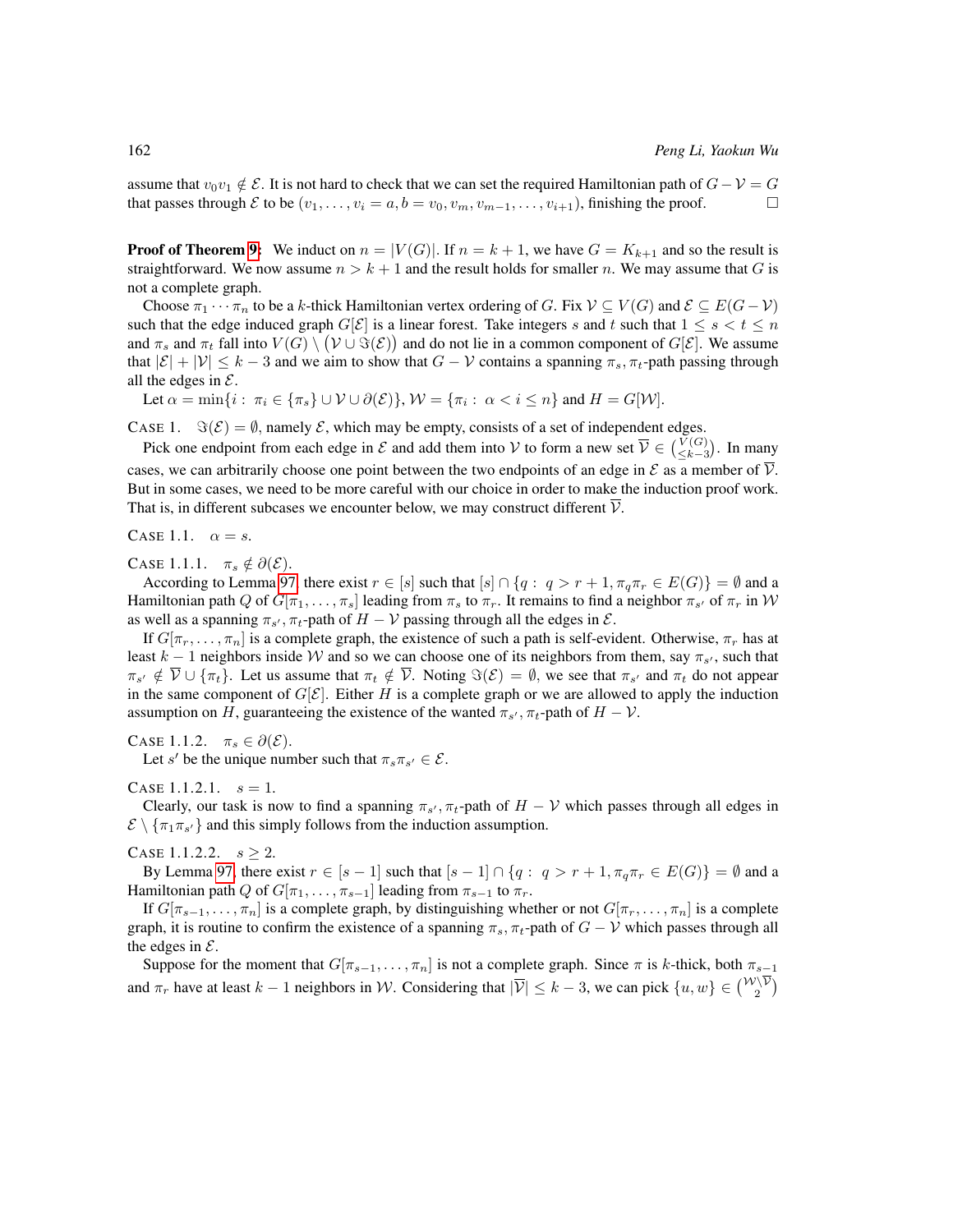assume that  $v_0v_1 \notin \mathcal{E}$ . It is not hard to check that we can set the required Hamiltonian path of  $G - \mathcal{V} = G$ that passes through  $\mathcal E$  to be  $(v_1,\ldots,v_i=a,b=v_0,v_m,v_{m-1},\ldots,v_{i+1})$ , finishing the proof.

**Proof of Theorem [9:](#page-13-2)** We induct on  $n = |V(G)|$ . If  $n = k + 1$ , we have  $G = K_{k+1}$  and so the result is straightforward. We now assume  $n > k + 1$  and the result holds for smaller n. We may assume that G is not a complete graph.

Choose  $\pi_1 \cdots \pi_n$  to be a k-thick Hamiltonian vertex ordering of G. Fix  $\mathcal{V} \subseteq V(G)$  and  $\mathcal{E} \subseteq E(G-\mathcal{V})$ such that the edge induced graph  $G[\mathcal{E}]$  is a linear forest. Take integers s and t such that  $1 \leq s < t \leq n$ and  $\pi_s$  and  $\pi_t$  fall into  $V(G) \setminus (\mathcal{V} \cup \Im(\mathcal{E}))$  and do not lie in a common component of  $G[\mathcal{E}]$ . We assume that  $|\mathcal{E}| + |\mathcal{V}| \leq k - 3$  and we aim to show that  $G - \mathcal{V}$  contains a spanning  $\pi_s$ ,  $\pi_t$ -path passing through all the edges in  $\mathcal{E}$ .

Let  $\alpha = \min\{i : \pi_i \in \{\pi_s\} \cup \mathcal{V} \cup \partial(\mathcal{E})\}, \mathcal{W} = \{\pi_i : \alpha < i \leq n\}$  and  $H = G[\mathcal{W}].$ 

CASE 1.  $\Im(\mathcal{E}) = \emptyset$ , namely  $\mathcal{E}$ , which may be empty, consists of a set of independent edges.

Pick one endpoint from each edge in  $\mathcal E$  and add them into  $\mathcal V$  to form a new set  $\overline{\mathcal V} \in \binom{V(G)}{\leq k-3}$ . In many cases, we can arbitrarily choose one point between the two endpoints of an edge in  $\mathcal E$  as a member of  $\mathcal V$ . But in some cases, we need to be more careful with our choice in order to make the induction proof work. That is, in different subcases we encounter below, we may construct different  $\mathcal V$ .

CASE 1.1.  $\alpha = s$ .

CASE 1.1.1.  $\pi_s \notin \partial(\mathcal{E})$ .

According to Lemma [97,](#page-34-0) there exist  $r \in [s]$  such that  $[s] \cap \{q : q > r + 1, \pi_q \pi_r \in E(G)\} = \emptyset$  and a Hamiltonian path Q of  $G[\pi_1,\ldots,\pi_s]$  leading from  $\pi_s$  to  $\pi_r$ . It remains to find a neighbor  $\pi_{s'}$  of  $\pi_r$  in  $\mathcal W$ as well as a spanning  $\pi_{s'}$ ,  $\pi_t$ -path of  $H - V$  passing through all the edges in  $\mathcal{E}$ .

If  $G[\pi_r, \ldots, \pi_n]$  is a complete graph, the existence of such a path is self-evident. Otherwise,  $\pi_r$  has at least  $k-1$  neighbors inside W and so we can choose one of its neighbors from them, say  $\pi_{s'}$ , such that  $\pi_{s'} \notin \overline{\mathcal{V}} \cup \{\pi_t\}.$  Let us assume that  $\pi_t \notin \overline{\mathcal{V}}$ . Noting  $\Im(\mathcal{E}) = \emptyset$ , we see that  $\pi_{s'}$  and  $\pi_t$  do not appear in the same component of  $G[\mathcal{E}]$ . Either H is a complete graph or we are allowed to apply the induction assumption on H, guaranteeing the existence of the wanted  $\pi_{s'}$ ,  $\pi_t$ -path of  $H - V$ .

CASE 1.1.2.  $\pi_s \in \partial(\mathcal{E})$ .

Let s' be the unique number such that  $\pi_s \pi_{s'} \in \mathcal{E}$ .

CASE 1.1.2.1.  $s = 1$ .

Clearly, our task is now to find a spanning  $\pi_{s'}$ ,  $\pi_t$ -path of  $H - V$  which passes through all edges in  $\mathcal{E} \setminus {\{\pi_1}{\pi_{s'}}\}$  and this simply follows from the induction assumption.

CASE 1.1.2.2.  $s \geq 2$ .

By Lemma [97,](#page-34-0) there exist  $r \in [s-1]$  such that  $[s-1] \cap \{q : q > r+1, \pi_q \pi_r \in E(G)\} = \emptyset$  and a Hamiltonian path Q of  $G[\pi_1, \ldots, \pi_{s-1}]$  leading from  $\pi_{s-1}$  to  $\pi_r$ .

If  $G[\pi_{s-1}, \ldots, \pi_n]$  is a complete graph, by distinguishing whether or not  $G[\pi_r, \ldots, \pi_n]$  is a complete graph, it is routine to confirm the existence of a spanning  $\pi_s$ ,  $\pi_t$ -path of  $G - V$  which passes through all the edges in  $\mathcal{E}$ .

Suppose for the moment that  $G[\pi_{s-1}, \ldots, \pi_n]$  is not a complete graph. Since  $\pi$  is k-thick, both  $\pi_{s-1}$ and  $\pi_r$  have at least  $k-1$  neighbors in W. Considering that  $|\overline{\mathcal{V}}| \leq k-3$ , we can pick  $\{u, w\} \in \binom{\mathcal{W} \mathcal{V}}{2}$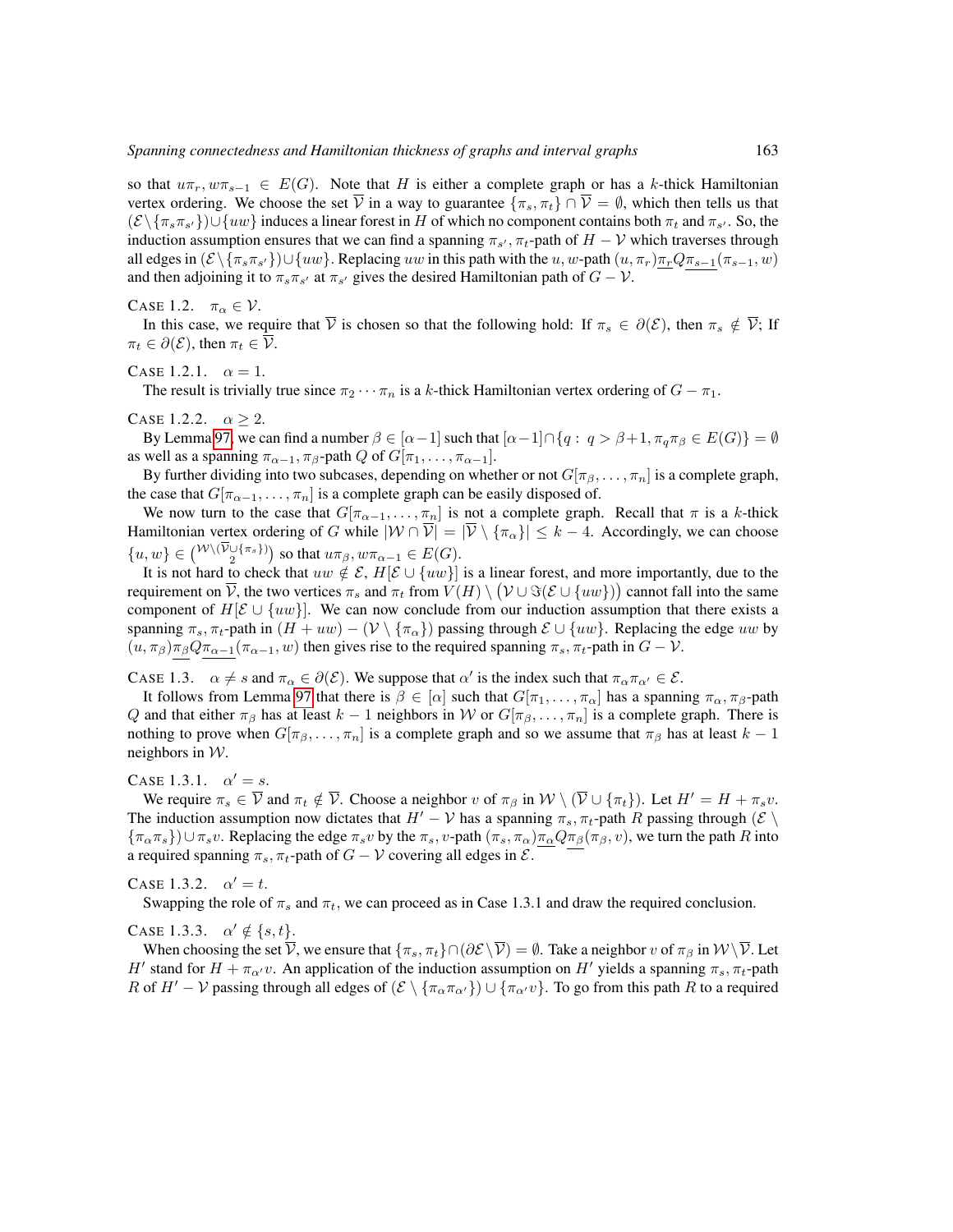so that  $u\pi_r$ ,  $w\pi_{s-1} \in E(G)$ . Note that H is either a complete graph or has a k-thick Hamiltonian vertex ordering. We choose the set  $\overline{V}$  in a way to guarantee  $\{\pi_s, \pi_t\} \cap \overline{V} = \emptyset$ , which then tells us that  $(\mathcal{E} \setminus {\{\pi_s\pi_{s'}\}}) \cup \{uw\}$  induces a linear forest in H of which no component contains both  $\pi_t$  and  $\pi_{s'}$ . So, the induction assumption ensures that we can find a spanning  $\pi_{s'}$ ,  $\pi_t$ -path of  $H - V$  which traverses through all edges in  $(\mathcal{E} \setminus {\{\pi_s\pi_{s'}\}}) \cup \{uw\}$ . Replacing uw in this path with the u, w-path  $(u, \pi_r) \frac{\pi_r Q \pi_{s-1}(\pi_{s-1}, w)}{\pi_{s-1}(\pi_{s-1}, w)}$ and then adjoining it to  $\pi_s \pi_{s'}$  at  $\pi_{s'}$  gives the desired Hamiltonian path of  $G - V$ .

CASE 1.2.  $\pi_{\alpha} \in \mathcal{V}$ .

In this case, we require that  $\overline{V}$  is chosen so that the following hold: If  $\pi_s \in \partial(\mathcal{E})$ , then  $\pi_s \notin \overline{V}$ ; If  $\pi_t \in \partial(\mathcal{E})$ , then  $\pi_t \in \overline{\mathcal{V}}$ .

CASE 1.2.1.  $\alpha = 1$ .

The result is trivially true since  $\pi_2 \cdots \pi_n$  is a k-thick Hamiltonian vertex ordering of  $G - \pi_1$ .

CASE 1.2.2.  $\alpha \geq 2$ .

By Lemma [97,](#page-34-0) we can find a number  $\beta \in [\alpha - 1]$  such that  $[\alpha - 1] \cap \{q : q > \beta + 1, \pi_q \pi_\beta \in E(G)\} = \emptyset$ as well as a spanning  $\pi_{\alpha-1}, \pi_{\beta}$ -path  $Q$  of  $G[\pi_1, \ldots, \pi_{\alpha-1}].$ 

By further dividing into two subcases, depending on whether or not  $G[\pi_\beta, \ldots, \pi_n]$  is a complete graph, the case that  $G[\pi_{\alpha-1}, \ldots, \pi_n]$  is a complete graph can be easily disposed of.

We now turn to the case that  $G[\pi_{\alpha-1}, \ldots, \pi_n]$  is not a complete graph. Recall that  $\pi$  is a k-thick Hamiltonian vertex ordering of G while  $|W \cap \overline{V}| = |\overline{V} \setminus {\{\pi_{\alpha}\}}| \leq k - 4$ . Accordingly, we can choose  $\{u, w\} \in \binom{\mathcal{W} \setminus (\mathcal{V} \cup \{\pi_s\})}{2}$  so that  $u\pi_\beta, w\pi_{\alpha-1} \in E(G)$ .

It is not hard to check that  $uw \notin \mathcal{E}$ ,  $H[\mathcal{E} \cup \{uw\}]$  is a linear forest, and more importantly, due to the requirement on  $\overline{\mathcal{V}}$ , the two vertices  $\pi_s$  and  $\pi_t$  from  $V(H)\setminus \big(\mathcal{V}\cup\Im(\mathcal{E}\cup\{uw\})\big)$  cannot fall into the same component of  $H[\mathcal{E} \cup \{uw\}]$ . We can now conclude from our induction assumption that there exists a spanning  $\pi_s$ ,  $\pi_t$ -path in  $(H + uw) - (\mathcal{V} \setminus {\pi_\alpha})$  passing through  $\mathcal{E} \cup \{uw\}$ . Replacing the edge uw by  $(u, \pi_\beta)\pi_\beta Q\pi_{\alpha-1}(\pi_{\alpha-1}, w)$  then gives rise to the required spanning  $\pi_s$ ,  $\pi_t$ -path in  $G - V$ .

CASE 1.3.  $\alpha \neq s$  and  $\pi_{\alpha} \in \partial(\mathcal{E})$ . We suppose that  $\alpha'$  is the index such that  $\pi_{\alpha}\pi_{\alpha'} \in \mathcal{E}$ .

It follows from Lemma [97](#page-34-0) that there is  $\beta \in [\alpha]$  such that  $G[\pi_1, \ldots, \pi_\alpha]$  has a spanning  $\pi_\alpha, \pi_\beta$ -path Q and that either  $\pi_\beta$  has at least  $k - 1$  neighbors in W or  $G[\pi_\beta, \ldots, \pi_n]$  is a complete graph. There is nothing to prove when  $G[\pi_\beta, \ldots, \pi_n]$  is a complete graph and so we assume that  $\pi_\beta$  has at least  $k - 1$ neighbors in  $W$ .

### CASE 1.3.1.  $\alpha' = s$ .

We require  $\pi_s \in \overline{\mathcal{V}}$  and  $\pi_t \notin \overline{\mathcal{V}}$ . Choose a neighbor v of  $\pi_\beta$  in  $\mathcal{W} \setminus (\overline{\mathcal{V}} \cup \{\pi_t\})$ . Let  $H' = H + \pi_s v$ . The induction assumption now dictates that  $H' - V$  has a spanning  $\pi_s$ ,  $\pi_t$ -path R passing through ( $\mathcal{E} \setminus$  ${\pi_{\alpha}\pi_s}$ ) $\cup \pi_s v$ . Replacing the edge  $\pi_s v$  by the  $\pi_s v$ -path  $(\pi_s, \pi_\alpha)$  $\pi_\alpha Q \pi_\beta(\pi_\beta, v)$ , we turn the path R into a required spanning  $\pi_s$ ,  $\pi_t$ -path of  $G - V$  covering all edges in  $\mathcal{E}$ .

CASE 1.3.2.  $\alpha' = t$ .

Swapping the role of  $\pi_s$  and  $\pi_t$ , we can proceed as in Case 1.3.1 and draw the required conclusion.

CASE 1.3.3.  $\alpha' \notin \{s, t\}.$ 

When choosing the set  $\overline{V}$ , we ensure that  $\{\pi_s, \pi_t\} \cap (\partial \mathcal{E} \setminus \overline{V}) = \emptyset$ . Take a neighbor v of  $\pi_\beta$  in  $W \setminus \overline{V}$ . Let H' stand for  $H + \pi_{\alpha'}v$ . An application of the induction assumption on H' yields a spanning  $\pi_s, \pi_t$ -path R of  $H'-\mathcal{V}$  passing through all edges of  $(\mathcal{E} \setminus {\{\pi_{\alpha}\pi_{\alpha'}\}}) \cup {\{\pi_{\alpha'}\nu\}}$ . To go from this path R to a required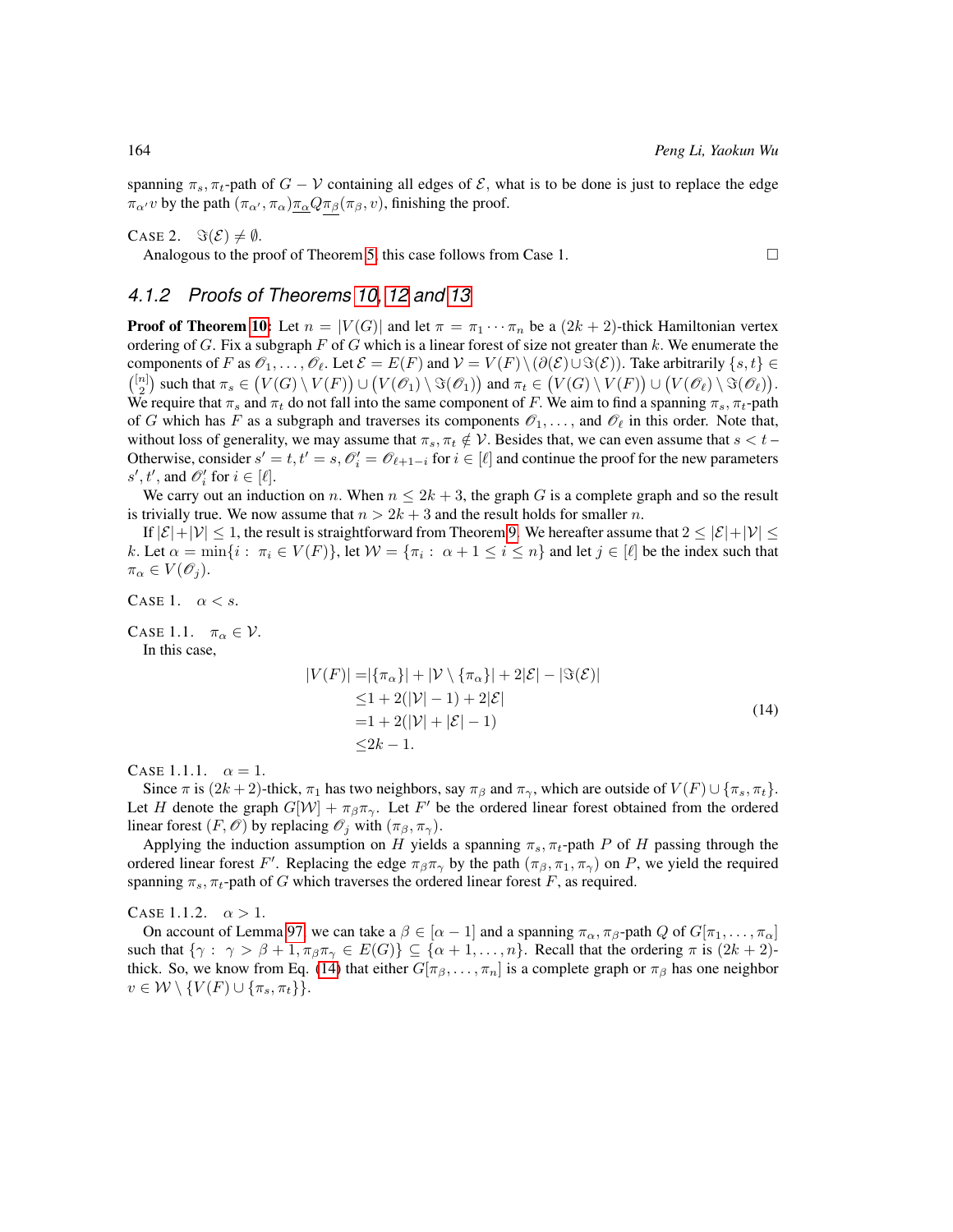spanning  $\pi_s$ ,  $\pi_t$ -path of  $G - V$  containing all edges of  $\mathcal{E}$ , what is to be done is just to replace the edge  $\pi_{\alpha'} v$  by the path  $(\pi_{\alpha'}, \pi_{\alpha}) \frac{\pi_{\alpha}}{Q} \pi_{\beta}(\pi_{\beta}, v)$ , finishing the proof.

CASE 2.  $\Im(\mathcal{E}) \neq \emptyset$ .

Analogous to the proof of Theorem [5,](#page-13-1) this case follows from Case 1.  $\Box$ 

### *4.1.2 Proofs of Theorems [10,](#page-13-3) [12](#page-13-4) and [13](#page-13-5)*

**Proof of Theorem [10:](#page-13-3)** Let  $n = |V(G)|$  and let  $\pi = \pi_1 \cdots \pi_n$  be a  $(2k + 2)$ -thick Hamiltonian vertex ordering of  $G$ . Fix a subgraph  $F$  of  $G$  which is a linear forest of size not greater than  $k$ . We enumerate the components of F as  $\mathcal{O}_1, \ldots, \mathcal{O}_\ell$ . Let  $\mathcal{E} = E(F)$  and  $\mathcal{V} = V(F) \setminus (\partial(\mathcal{E}) \cup \Im(\mathcal{E}))$ . Take arbitrarily  $\{s, t\} \in$  $\binom{[n]}{2}$  such that  $\pi_s \in (V(G) \setminus V(F)) \cup (V(\mathscr{O}_1) \setminus \Im(\mathscr{O}_1))$  and  $\pi_t \in (V(G) \setminus V(F)) \cup (V(\mathscr{O}_\ell) \setminus \Im(\mathscr{O}_\ell))$ . We require that  $\pi_s$  and  $\pi_t$  do not fall into the same component of F. We aim to find a spanning  $\pi_s$ ,  $\pi_t$ -path of G which has F as a subgraph and traverses its components  $\mathcal{O}_1, \ldots$ , and  $\mathcal{O}_\ell$  in this order. Note that, without loss of generality, we may assume that  $\pi_s$ ,  $\pi_t \notin \mathcal{V}$ . Besides that, we can even assume that  $s < t$ Otherwise, consider  $s' = t, t' = s, O'_i = O_{\ell+1-i}$  for  $i \in [\ell]$  and continue the proof for the new parameters  $s', t'$ , and  $\mathcal{O}'_i$  for  $i \in [\ell]$ .

We carry out an induction on n. When  $n \leq 2k + 3$ , the graph G is a complete graph and so the result is trivially true. We now assume that  $n > 2k + 3$  and the result holds for smaller n.

If  $|\mathcal{E}|+|\mathcal{V}| \leq 1$ , the result is straightforward from Theorem [9.](#page-13-2) We hereafter assume that  $2 \leq |\mathcal{E}|+|\mathcal{V}| \leq 1$ k. Let  $\alpha = \min\{i : \pi_i \in V(F)\}$ , let  $\mathcal{W} = \{\pi_i : \alpha + 1 \le i \le n\}$  and let  $j \in [\ell]$  be the index such that  $\pi_{\alpha} \in V(\mathscr{O}_j).$ 

CASE 1.  $\alpha < s$ .

CASE 1.1.  $\pi_{\alpha} \in \mathcal{V}$ .

<span id="page-39-0"></span>In this case,

$$
|V(F)| = |\{\pi_{\alpha}\}| + |\mathcal{V} \setminus {\{\pi_{\alpha}\}}| + 2|\mathcal{E}| - |\Im(\mathcal{E})|
$$
  
\n
$$
\leq 1 + 2(|\mathcal{V}| - 1) + 2|\mathcal{E}|
$$
  
\n
$$
= 1 + 2(|\mathcal{V}| + |\mathcal{E}| - 1)
$$
  
\n
$$
\leq 2k - 1.
$$
 (14)

CASE 1.1.1.  $\alpha = 1$ .

Since  $\pi$  is  $(2k + 2)$ -thick,  $\pi_1$  has two neighbors, say  $\pi_\beta$  and  $\pi_\gamma$ , which are outside of  $V(F) \cup {\pi_s, \pi_t}$ . Let H denote the graph  $G[W] + \pi_{\beta} \pi_{\gamma}$ . Let F' be the ordered linear forest obtained from the ordered linear forest  $(F, \mathcal{O})$  by replacing  $\mathcal{O}_i$  with  $(\pi_\beta, \pi_\gamma)$ .

Applying the induction assumption on H yields a spanning  $\pi_s$ ,  $\pi_t$ -path P of H passing through the ordered linear forest F'. Replacing the edge  $\pi_\beta \pi_\gamma$  by the path  $(\pi_\beta, \pi_1, \pi_\gamma)$  on P, we yield the required spanning  $\pi_s$ ,  $\pi_t$ -path of G which traverses the ordered linear forest F, as required.

CASE 1.1.2.  $\alpha > 1$ .

On account of Lemma [97,](#page-34-0) we can take a  $\beta \in [\alpha - 1]$  and a spanning  $\pi_{\alpha}, \pi_{\beta}$ -path Q of  $G[\pi_1, \ldots, \pi_{\alpha}]$ such that  $\{\gamma: \gamma > \beta + 1, \pi_{\beta}\pi_{\gamma} \in E(G)\}\subseteq \{\alpha+1,\ldots,n\}.$  Recall that the ordering  $\pi$  is  $(2k+2)$ -thick. So, we know from Eq. [\(14\)](#page-39-0) that either  $G[\pi_{\beta}, \ldots, \pi_n]$  is a complete graph or  $\pi_{\beta}$  has one neighbor  $v \in \mathcal{W} \setminus \{V(F) \cup \{\pi_s, \pi_t\}\}.$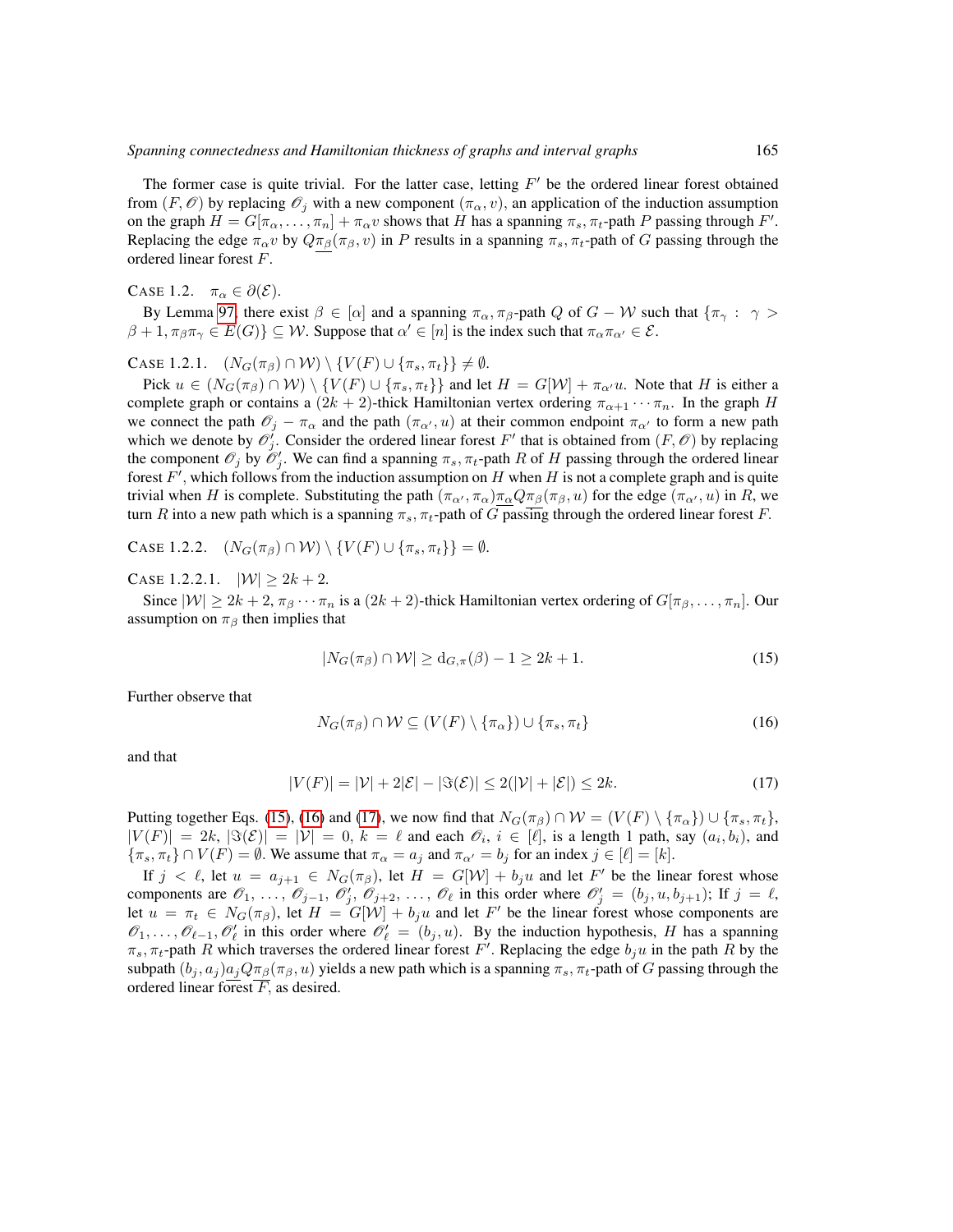The former case is quite trivial. For the latter case, letting  $F'$  be the ordered linear forest obtained from  $(F, \mathcal{O})$  by replacing  $\mathcal{O}_i$  with a new component  $(\pi_\alpha, v)$ , an application of the induction assumption on the graph  $H = G[\pi_{\alpha}, \dots, \pi_n] + \pi_{\alpha} v$  shows that H has a spanning  $\pi_s, \pi_t$ -path P passing through F'. Replacing the edge  $\pi_{\alpha}v$  by  $Q\pi_{\beta}(\pi_{\beta}, v)$  in P results in a spanning  $\pi_{s}, \pi_{t}$ -path of G passing through the ordered linear forest F.

CASE 1.2.  $\pi_{\alpha} \in \partial(\mathcal{E}).$ 

By Lemma [97,](#page-34-0) there exist  $\beta \in [\alpha]$  and a spanning  $\pi_{\alpha}, \pi_{\beta}$ -path Q of  $G - W$  such that  $\{\pi_{\gamma}: \gamma >$  $\beta + 1, \pi_{\beta}\pi_{\gamma} \in E(G)$   $\subseteq \mathcal{W}$ . Suppose that  $\alpha' \in [n]$  is the index such that  $\pi_{\alpha}\pi_{\alpha'} \in \mathcal{E}$ .

CASE 1.2.1.  $(N_G(\pi_\beta) \cap W) \setminus \{V(F) \cup \{\pi_s, \pi_t\}\}\neq \emptyset$ .

Pick  $u \in (N_G(\pi_\beta) \cap W) \setminus \{V(F) \cup \{\pi_s, \pi_t\}\}\$  and let  $H = G[W] + \pi_{\alpha'}u$ . Note that H is either a complete graph or contains a  $(2k + 2)$ -thick Hamiltonian vertex ordering  $\pi_{\alpha+1} \cdots \pi_n$ . In the graph H we connect the path  $\mathcal{O}_j - \pi_\alpha$  and the path  $(\pi_{\alpha'}, u)$  at their common endpoint  $\pi_{\alpha'}$  to form a new path which we denote by  $\mathcal{O}'_j$ . Consider the ordered linear forest F' that is obtained from  $(F, \mathcal{O})$  by replacing the component  $\mathcal{O}_j$  by  $\mathcal{O}'_j$ . We can find a spanning  $\pi_s$ ,  $\pi_t$ -path R of H passing through the ordered linear forest  $F'$ , which follows from the induction assumption on H when H is not a complete graph and is quite trivial when H is complete. Substituting the path  $(\pi_{\alpha'}, \pi_{\alpha})\pi_{\alpha}Q\pi_{\beta}(\pi_{\beta}, u)$  for the edge  $(\pi_{\alpha'}, u)$  in R, we turn R into a new path which is a spanning  $\pi_s$ ,  $\pi_t$ -path of G passing through the ordered linear forest F.

CASE 1.2.2.  $(N_G(\pi_\beta) \cap W) \setminus \{V(F) \cup \{\pi_s, \pi_t\}\} = \emptyset.$ 

CASE 1.2.2.1.  $|W| \ge 2k + 2$ .

Since  $|\mathcal{W}| \geq 2k + 2$ ,  $\pi_{\beta} \cdots \pi_n$  is a  $(2k + 2)$ -thick Hamiltonian vertex ordering of  $G[\pi_{\beta}, \ldots, \pi_n]$ . Our assumption on  $\pi_\beta$  then implies that

<span id="page-40-0"></span>
$$
|N_G(\pi_\beta) \cap \mathcal{W}| \ge d_{G,\pi}(\beta) - 1 \ge 2k + 1. \tag{15}
$$

Further observe that

<span id="page-40-1"></span>
$$
N_G(\pi_\beta) \cap \mathcal{W} \subseteq (V(F) \setminus \{\pi_\alpha\}) \cup \{\pi_s, \pi_t\} \tag{16}
$$

<span id="page-40-2"></span>and that

$$
|V(F)| = |\mathcal{V}| + 2|\mathcal{E}| - |\mathfrak{F}(\mathcal{E})| \le 2(|\mathcal{V}| + |\mathcal{E}|) \le 2k. \tag{17}
$$

Putting together Eqs. [\(15\)](#page-40-0), [\(16\)](#page-40-1) and [\(17\)](#page-40-2), we now find that  $N_G(\pi_\beta) \cap \mathcal{W} = (V(F) \setminus {\{\pi_\alpha\}}) \cup {\{\pi_s, \pi_t\}}$ ,  $|V(F)| = 2k$ ,  $|\Im(\mathcal{E})| = |\mathcal{V}| = 0$ ,  $k = \ell$  and each  $\mathcal{O}_i$ ,  $i \in [\ell]$ , is a length 1 path, say  $(a_i, b_i)$ , and  $\{\pi_s, \pi_t\} \cap V(F) = \emptyset$ . We assume that  $\pi_\alpha = a_j$  and  $\pi_{\alpha'} = b_j$  for an index  $j \in [\ell] = [k]$ .

If  $j < \ell$ , let  $u = a_{j+1} \in N_G(\pi_{\beta})$ , let  $H = G[W] + b_j u$  and let F' be the linear forest whose components are  $\mathscr{O}_1, \ldots, \mathscr{O}_{j-1}, \mathscr{O}'_j, \mathscr{O}_{j+2}, \ldots, \mathscr{O}_{\ell}$  in this order where  $\mathscr{O}'_j = (b_j, u, b_{j+1})$ ; If  $j = \ell$ , let  $u = \pi_t \in N_G(\pi_\beta)$ , let  $H = G[W] + b_j u$  and let  $F'$  be the linear forest whose components are  $\mathscr{O}_1,\ldots,\mathscr{O}_{\ell-1},\mathscr{O}'_{\ell}$  in this order where  $\mathscr{O}'_{\ell} = (b_j, u)$ . By the induction hypothesis, H has a spanning  $\pi_s$ ,  $\pi_t$ -path R which traverses the ordered linear forest F'. Replacing the edge  $b_j u$  in the path R by the subpath  $(b_j, a_j)a_jQ\pi_\beta(\pi_\beta, u)$  yields a new path which is a spanning  $\pi_s, \pi_t$ -path of G passing through the ordered linear forest  $\overline{F}$ , as desired.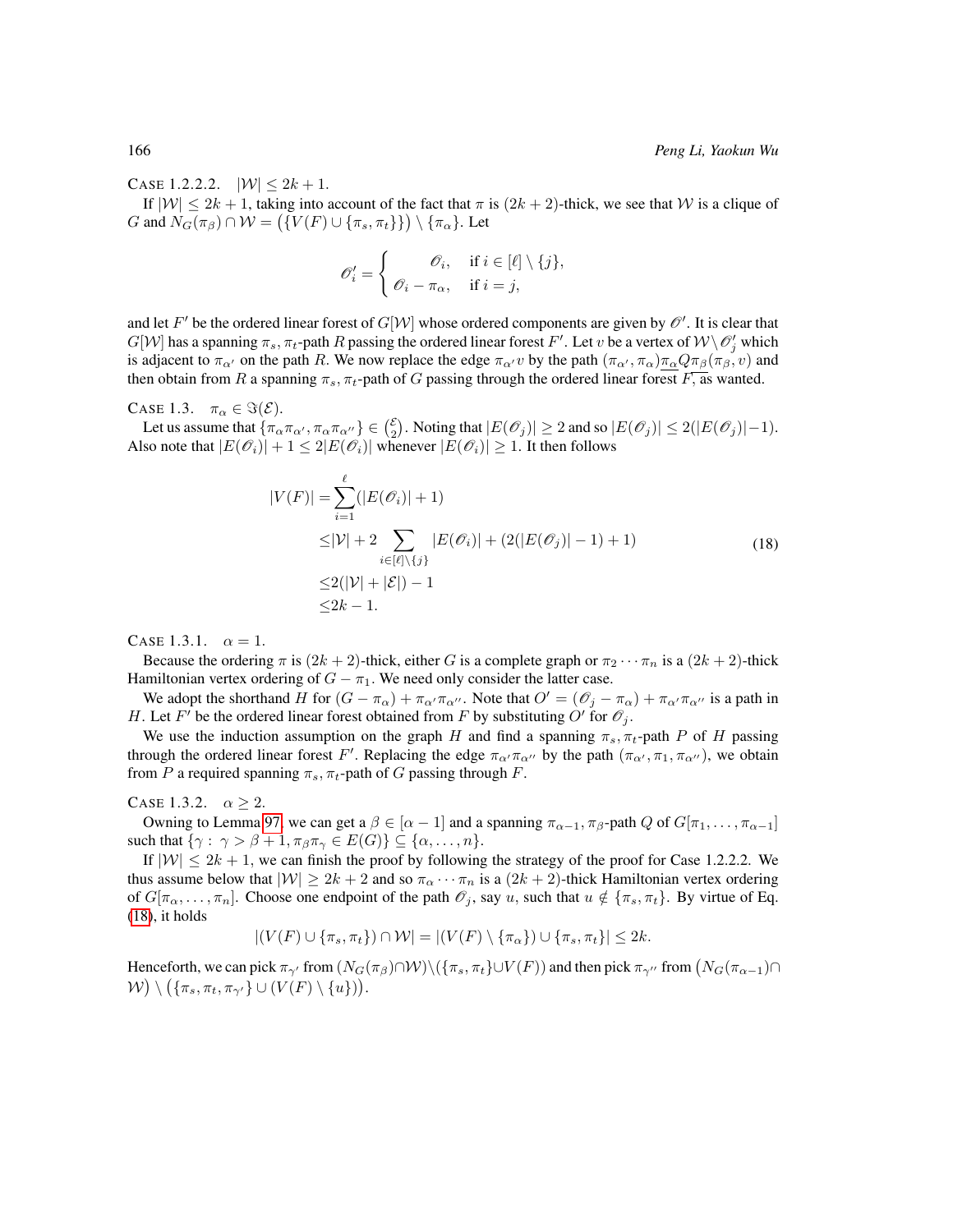CASE 1.2.2.2.  $|W| \leq 2k + 1$ .

If  $|W| \le 2k + 1$ , taking into account of the fact that  $\pi$  is  $(2k + 2)$ -thick, we see that W is a clique of G and  $N_G(\pi_\beta) \cap \mathcal{W} = (\{V(F) \cup \{\pi_s, \pi_t\}\}) \setminus \{\pi_\alpha\}$ . Let

<span id="page-41-0"></span>
$$
\mathscr{O}'_i = \begin{cases} \mathscr{O}_i, & \text{if } i \in [\ell] \setminus \{j\}, \\ \mathscr{O}_i - \pi_\alpha, & \text{if } i = j, \end{cases}
$$

and let  $F'$  be the ordered linear forest of  $G[\mathcal{W}]$  whose ordered components are given by  $\mathscr{O}'$  . It is clear that  $G[W]$  has a spanning  $\pi_s$ ,  $\pi_t$ -path  $R$  passing the ordered linear forest  $F'$ . Let  $v$  be a vertex of  $W \backslash \mathscr{O}'_j$  which is adjacent to  $\pi_{\alpha}$  on the path R. We now replace the edge  $\pi_{\alpha'}v$  by the path  $(\pi_{\alpha'}, \pi_{\alpha})\pi_{\alpha}Q\pi_{\beta}(\pi_{\beta}, v)$  and then obtain from R a spanning  $\pi_s$ ,  $\pi_t$ -path of G passing through the ordered linear forest  $\overline{F}$ , as wanted.

CASE 1.3.  $\pi_{\alpha} \in \Im(\mathcal{E}).$ 

Let us assume that  $\{\pi_{\alpha}\pi_{\alpha'}, \pi_{\alpha}\pi_{\alpha''}\}\in \binom{\varepsilon}{2}$ . Noting that  $|E(\mathscr{O}_j)| \geq 2$  and so  $|E(\mathscr{O}_j)| \leq 2(|E(\mathscr{O}_j)|-1)$ . Also note that  $|E(\mathcal{O}_i)| + 1 \leq 2|E(\mathcal{O}_i)|$  whenever  $|E(\mathcal{O}_i)| \geq 1$ . It then follows

$$
|V(F)| = \sum_{i=1}^{\ell} (|E(\mathscr{O}_i)| + 1)
$$
  
\n
$$
\leq |V| + 2 \sum_{i \in [\ell] \setminus \{j\}} |E(\mathscr{O}_i)| + (2(|E(\mathscr{O}_j)| - 1) + 1)
$$
  
\n
$$
\leq 2(|V| + |\mathcal{E}|) - 1
$$
  
\n
$$
\leq 2k - 1.
$$
 (18)

CASE 1.3.1.  $\alpha = 1$ .

Because the ordering  $\pi$  is  $(2k + 2)$ -thick, either G is a complete graph or  $\pi_2 \cdots \pi_n$  is a  $(2k + 2)$ -thick Hamiltonian vertex ordering of  $G - \pi_1$ . We need only consider the latter case.

We adopt the shorthand H for  $(G - \pi_{\alpha}) + \pi_{\alpha'} \pi_{\alpha''}$ . Note that  $O' = (\mathcal{O}_j - \pi_{\alpha}) + \pi_{\alpha'} \pi_{\alpha''}$  is a path in H. Let F' be the ordered linear forest obtained from F by substituting O' for  $\mathcal{O}_j$ .

We use the induction assumption on the graph H and find a spanning  $\pi_s$ ,  $\pi_t$ -path P of H passing through the ordered linear forest F'. Replacing the edge  $\pi_{\alpha'}\pi_{\alpha''}$  by the path  $(\pi_{\alpha'}, \pi_1, \pi_{\alpha''})$ , we obtain from P a required spanning  $\pi_s$ ,  $\pi_t$ -path of G passing through F.

### CASE 1.3.2.  $\alpha \geq 2$ .

Owning to Lemma [97,](#page-34-0) we can get a  $\beta \in [\alpha - 1]$  and a spanning  $\pi_{\alpha-1}, \pi_{\beta}$ -path Q of  $G[\pi_1, \ldots, \pi_{\alpha-1}]$ such that  $\{\gamma: \gamma > \beta + 1, \pi_{\beta} \pi_{\gamma} \in E(G)\} \subseteq \{\alpha, \ldots, n\}.$ 

If  $|W| \leq 2k + 1$ , we can finish the proof by following the strategy of the proof for Case 1.2.2.2. We thus assume below that  $|W| \geq 2k + 2$  and so  $\pi_{\alpha} \cdots \pi_n$  is a  $(2k + 2)$ -thick Hamiltonian vertex ordering of  $G[\pi_{\alpha}, \ldots, \pi_n]$ . Choose one endpoint of the path  $\mathscr{O}_j$ , say u, such that  $u \notin {\pi_s, \pi_t}$ . By virtue of Eq. [\(18\)](#page-41-0), it holds

$$
|(V(F) \cup \{\pi_s, \pi_t\}) \cap \mathcal{W}| = |(V(F) \setminus \{\pi_\alpha\}) \cup \{\pi_s, \pi_t\}| \leq 2k.
$$

Henceforth, we can pick  $\pi_{\gamma'}$  from  $(N_G(\pi_\beta)\cap W)\setminus (\{\pi_s, \pi_t\}\cup V(F))$  and then pick  $\pi_{\gamma''}$  from  $(N_G(\pi_{\alpha-1})\cap$  $\mathcal{W}) \setminus (\{\pi_s, \pi_t, \pi_{\gamma'}\} \cup (V(F) \setminus \{u\})).$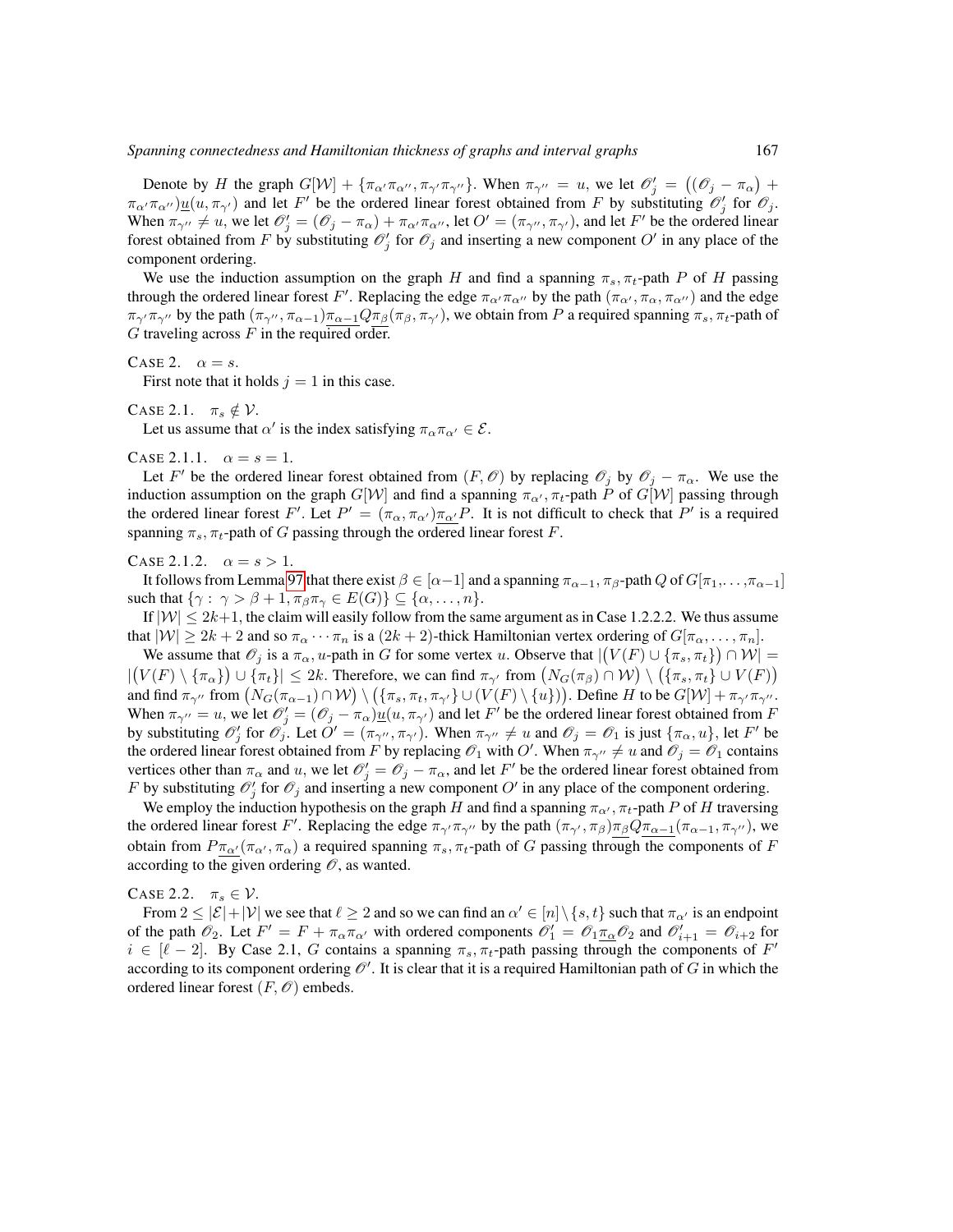Denote by H the graph  $G[\mathcal{W}] + \{\pi_{\alpha'}\pi_{\alpha''}, \pi_{\gamma'}\pi_{\gamma''}\}\$ . When  $\pi_{\gamma''} = u$ , we let  $\mathcal{O}'_j = ((\mathcal{O}_j - \pi_{\alpha}) +$  $\pi_{\alpha'}\pi_{\alpha''})\underline{u}(u, \pi_{\gamma'})$  and let F' be the ordered linear forest obtained from F by substituting  $\mathscr{O}'_j$  for  $\mathscr{O}_j$ . When  $\pi_{\gamma''} \neq u$ , we let  $\mathcal{O}'_j = (\mathcal{O}_j - \pi_\alpha) + \pi_{\alpha''}\pi_{\alpha''}$ , let  $O' = (\pi_{\gamma''}, \pi_{\gamma'})$ , and let  $F'$  be the ordered linear forest obtained from F by substituting  $\mathcal{O}'_j$  for  $\mathcal{O}_j$  and inserting a new component  $O'$  in any place of the component ordering.

We use the induction assumption on the graph H and find a spanning  $\pi_s$ ,  $\pi_t$ -path P of H passing through the ordered linear forest F'. Replacing the edge  $\pi_{\alpha'}\pi_{\alpha''}$  by the path  $(\pi_{\alpha'}, \pi_{\alpha}, \pi_{\alpha''})$  and the edge  $\pi_{\gamma''}\pi_{\gamma''}$  by the path  $(\pi_{\gamma''}, \pi_{\alpha-1})\pi_{\alpha-1}Q\pi_{\beta}(\pi_{\beta}, \pi_{\gamma'})$ , we obtain from P a required spanning  $\pi_s$ ,  $\pi_t$ -path of  $G$  traveling across  $F$  in the required order.

#### CASE 2.  $\alpha = s$ .

First note that it holds  $j = 1$  in this case.

CASE 2.1. 
$$
\pi_s \notin \mathcal{V}
$$
.

Let us assume that  $\alpha'$  is the index satisfying  $\pi_{\alpha}\pi_{\alpha'} \in \mathcal{E}$ .

CASE 2.1.1.  $\alpha = s = 1$ .

Let F' be the ordered linear forest obtained from  $(F, \mathcal{O})$  by replacing  $\mathcal{O}_j$  by  $\mathcal{O}_j - \pi_\alpha$ . We use the induction assumption on the graph  $G[W]$  and find a spanning  $\pi_{\alpha'}, \pi_t$ -path P of  $G[W]$  passing through the ordered linear forest F'. Let  $P' = (\pi_{\alpha}, \pi_{\alpha'}) \pi_{\alpha'}P$ . It is not difficult to check that P' is a required spanning  $\pi_s$ ,  $\pi_t$ -path of G passing through the ordered linear forest F.

#### CASE 2.1.2.  $\alpha = s > 1$ .

It follows from Lemma [97](#page-34-0) that there exist  $\beta \in [\alpha-1]$  and a spanning  $\pi_{\alpha-1}, \pi_{\beta}$ -path Q of  $G[\pi_1, \ldots, \pi_{\alpha-1}]$ such that  $\{\gamma: \gamma > \beta + 1, \pi_{\beta}\pi_{\gamma} \in E(G)\}\subseteq \{\alpha, \ldots, n\}.$ 

If  $|W| \le 2k+1$ , the claim will easily follow from the same argument as in Case 1.2.2.2. We thus assume that  $|W| \ge 2k + 2$  and so  $\pi_{\alpha} \cdots \pi_n$  is a  $(2k + 2)$ -thick Hamiltonian vertex ordering of  $G[\pi_{\alpha}, \ldots, \pi_n]$ .

We assume that  $\mathscr{O}_j$  is a  $\pi_\alpha$ , u-path in G for some vertex u. Observe that  $|(V(F) \cup \{\pi_s, \pi_t\}) \cap \mathcal{W}| =$  $|(V(F) \setminus {\{\pi_\alpha\}}) \cup {\{\pi_t\}}| \leq 2k$ . Therefore, we can find  $\pi_{\gamma'}$  from  $(N_G(\pi_\beta) \cap W) \setminus ({\{\pi_s, \pi_t\}} \cup V(F))$ and find  $\pi_{\gamma''}$  from  $(N_G(\pi_{\alpha-1}) \cap W) \setminus (\{\pi_s, \pi_t, \pi_{\gamma'}\} \cup (V(F) \setminus \{u\}))$ . Define H to be  $G[W] + \pi_{\gamma''} \pi_{\gamma''}$ . When  $\pi_{\gamma''} = u$ , we let  $\mathcal{O}'_j = (\mathcal{O}_j - \pi_\alpha) \underline{u}(u, \pi_{\gamma'})$  and let  $F'$  be the ordered linear forest obtained from F by substituting  $\mathcal{O}'_j$  for  $\mathcal{O}_j$ . Let  $O' = (\pi_{\gamma''}, \pi_{\gamma'})$ . When  $\pi_{\gamma''} \neq u$  and  $\mathcal{O}_j = \mathcal{O}_1$  is just  $\{\pi_\alpha, u\}$ , let  $F'$  be the ordered linear forest obtained from F by replacing  $\mathcal{O}_1$  with  $O'$ . When  $\pi_{\gamma''}\neq u$  and  $\mathcal{O}_j=\mathcal{O}_1$  contains vertices other than  $\pi_\alpha$  and u, we let  $\mathcal{O}'_j = \mathcal{O}_j - \pi_\alpha$ , and let F' be the ordered linear forest obtained from F by substituting  $\mathcal{O}'_j$  for  $\mathcal{O}_j$  and inserting a new component  $O'$  in any place of the component ordering.

We employ the induction hypothesis on the graph H and find a spanning  $\pi_{\alpha'}$ ,  $\pi_t$ -path P of H traversing the ordered linear forest F'. Replacing the edge  $\pi_{\gamma'}\pi_{\gamma''}$  by the path  $(\pi_{\gamma'}, \pi_{\beta})\pi_{\beta}Q\pi_{\alpha-1}(\pi_{\alpha-1}, \pi_{\gamma''})$ , we obtain from  $P \pi_{\alpha'}(\pi_{\alpha}, \pi_{\alpha})$  a required spanning  $\pi_s, \pi_t$ -path of G passing through the components of F according to the given ordering  $\mathcal{O}$ , as wanted.

CASE 2.2.  $\pi_s \in \mathcal{V}$ .

From  $2 \le |\mathcal{E}| + |\mathcal{V}|$  we see that  $\ell \ge 2$  and so we can find an  $\alpha' \in [n] \setminus \{s, t\}$  such that  $\pi_{\alpha'}$  is an endpoint of the path  $\mathcal{O}_2$ . Let  $F' = F + \pi_\alpha \pi_{\alpha'}$  with ordered components  $\mathcal{O}'_1 = \mathcal{O}_1 \pi_\alpha \mathcal{O}_2$  and  $\mathcal{O}'_{i+1} = \mathcal{O}_{i+2}$  for  $i \in [\ell - 2]$ . By Case 2.1, G contains a spanning  $\pi_s, \pi_t$ -path passing through the components of F' according to its component ordering  $\mathscr O'$  . It is clear that it is a required Hamiltonian path of  $G$  in which the ordered linear forest  $(F, \mathcal{O})$  embeds.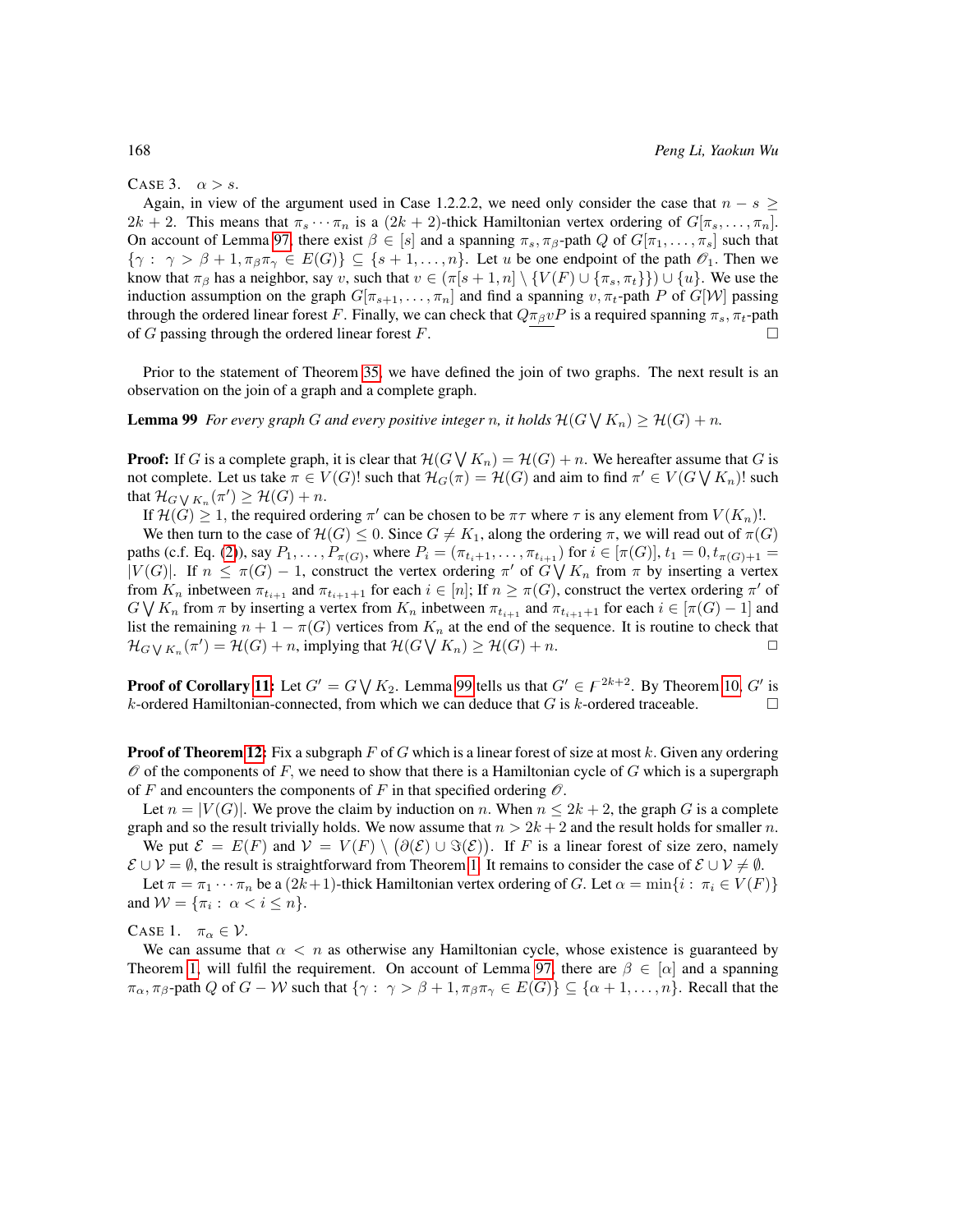#### CASE 3.  $\alpha > s$ .

Again, in view of the argument used in Case 1.2.2.2, we need only consider the case that  $n - s \geq$  $2k + 2$ . This means that  $\pi_s \cdots \pi_n$  is a  $(2k + 2)$ -thick Hamiltonian vertex ordering of  $G[\pi_s, \ldots, \pi_n]$ . On account of Lemma [97,](#page-34-0) there exist  $\beta \in [s]$  and a spanning  $\pi_s, \pi_\beta$ -path Q of  $G[\pi_1, \ldots, \pi_s]$  such that  $\{\gamma : \gamma > \beta + 1, \pi_{\beta}\pi_{\gamma} \in E(G)\}\subseteq \{s+1,\ldots,n\}$ . Let u be one endpoint of the path  $\mathscr{O}_1$ . Then we know that  $\pi_\beta$  has a neighbor, say v, such that  $v \in (\pi[s+1,n] \setminus \{V(F) \cup \{\pi_s, \pi_t\}\}) \cup \{u\}$ . We use the induction assumption on the graph  $G[\pi_{s+1}, \ldots, \pi_n]$  and find a spanning  $v, \pi_t$ -path P of  $G[\mathcal{W}]$  passing through the ordered linear forest F. Finally, we can check that  $Q\pi_{\beta}vP$  is a required spanning  $\pi_s$ ,  $\pi_t$ -path of G passing through the ordered linear forest  $F$ .

Prior to the statement of Theorem [35,](#page-21-0) we have defined the join of two graphs. The next result is an observation on the join of a graph and a complete graph.

<span id="page-43-0"></span>**Lemma 99** For every graph G and every positive integer n, it holds  $\mathcal{H}(G \bigvee K_n) \geq \mathcal{H}(G) + n$ .

**Proof:** If G is a complete graph, it is clear that  $\mathcal{H}(G \mid K_n) = \mathcal{H}(G) + n$ . We hereafter assume that G is not complete. Let us take  $\pi \in V(G)!$  such that  $\mathcal{H}_G(\pi) = \mathcal{H}(G)$  and aim to find  $\pi' \in V(G \setminus K_n)!$  such that  $\mathcal{H}_{G\bigvee K_n}(\pi')\geq \mathcal{H}(G)+n.$ 

If  $\mathcal{H}(G) \geq 1$ , the required ordering  $\pi'$  can be chosen to be  $\pi\tau$  where  $\tau$  is any element from  $V(K_n)!$ . We then turn to the case of  $\mathcal{H}(G) \leq 0$ . Since  $G \neq K_1$ , along the ordering  $\pi$ , we will read out of  $\pi(G)$ paths (c.f. Eq. [\(2\)](#page-6-0)), say  $P_1, \ldots, P_{\pi(G)}$ , where  $P_i = (\pi_{t_i+1}, \ldots, \pi_{t_{i+1}})$  for  $i \in [\pi(G)], t_1 = 0, t_{\pi(G)+1} = 1$  $|V(G)|$ . If  $n \leq \pi(G) - 1$ , construct the vertex ordering  $\pi'$  of  $G \bigvee K_n$  from  $\pi$  by inserting a vertex from  $K_n$  inbetween  $\pi_{t_{i+1}}$  and  $\pi_{t_{i+1}+1}$  for each  $i \in [n]$ ; If  $n \ge \pi(G)$ , construct the vertex ordering  $\pi'$  of  $G \bigvee K_n$  from  $\pi$  by inserting a vertex from  $K_n$  inbetween  $\pi_{t_{i+1}}$  and  $\pi_{t_{i+1}+1}$  for each  $i \in [\pi(G)-1]$  and list the remaining  $n + 1 - \pi(G)$  vertices from  $K_n$  at the end of the sequence. It is routine to check that  $\mathcal{H}_{G \setminus K_n}(\pi') = \mathcal{H}(G) + n$ , implying that  $\mathcal{H}(G \setminus K_n) \geq \mathcal{H}(G) + n$ .

**Proof of Corollary [11:](#page-13-6)** Let  $G' = G \bigvee K_2$ . Lemma [99](#page-43-0) tells us that  $G' \in F^{2k+2}$ . By Theorem [10,](#page-13-3)  $G'$  is k-ordered Hamiltonian-connected, from which we can deduce that G is k-ordered traceable.

**Proof of Theorem [12:](#page-13-4)** Fix a subgraph  $F$  of  $G$  which is a linear forest of size at most  $k$ . Given any ordering  $\mathscr O$  of the components of F, we need to show that there is a Hamiltonian cycle of G which is a supergraph of F and encounters the components of F in that specified ordering  $\mathcal O$ .

Let  $n = |V(G)|$ . We prove the claim by induction on n. When  $n \leq 2k + 2$ , the graph G is a complete graph and so the result trivially holds. We now assume that  $n > 2k + 2$  and the result holds for smaller n. We put  $\mathcal{E} = E(F)$  and  $\mathcal{V} = V(F) \setminus (\partial(\mathcal{E}) \cup \Im(\mathcal{E}))$ . If F is a linear forest of size zero, namely  $\mathcal{E} \cup \mathcal{V} = \emptyset$ , the result is straightforward from Theorem [1.](#page-12-0) It remains to consider the case of  $\mathcal{E} \cup \mathcal{V} \neq \emptyset$ .

Let  $\pi = \pi_1 \cdots \pi_n$  be a  $(2k+1)$ -thick Hamiltonian vertex ordering of G. Let  $\alpha = \min\{i : \pi_i \in V(F)\}\$ and  $\mathcal{W} = {\pi_i : \alpha < i \leq n}.$ 

CASE 1.  $\pi_{\alpha} \in \mathcal{V}$ .

We can assume that  $\alpha < n$  as otherwise any Hamiltonian cycle, whose existence is guaranteed by Theorem [1,](#page-12-0) will fulfil the requirement. On account of Lemma [97,](#page-34-0) there are  $\beta \in [\alpha]$  and a spanning  $\pi_{\alpha}, \pi_{\beta}$ -path Q of  $G - W$  such that  $\{\gamma : \gamma > \beta + 1, \pi_{\beta} \pi_{\gamma} \in E(G)\} \subseteq \{\alpha + 1, \dots, n\}$ . Recall that the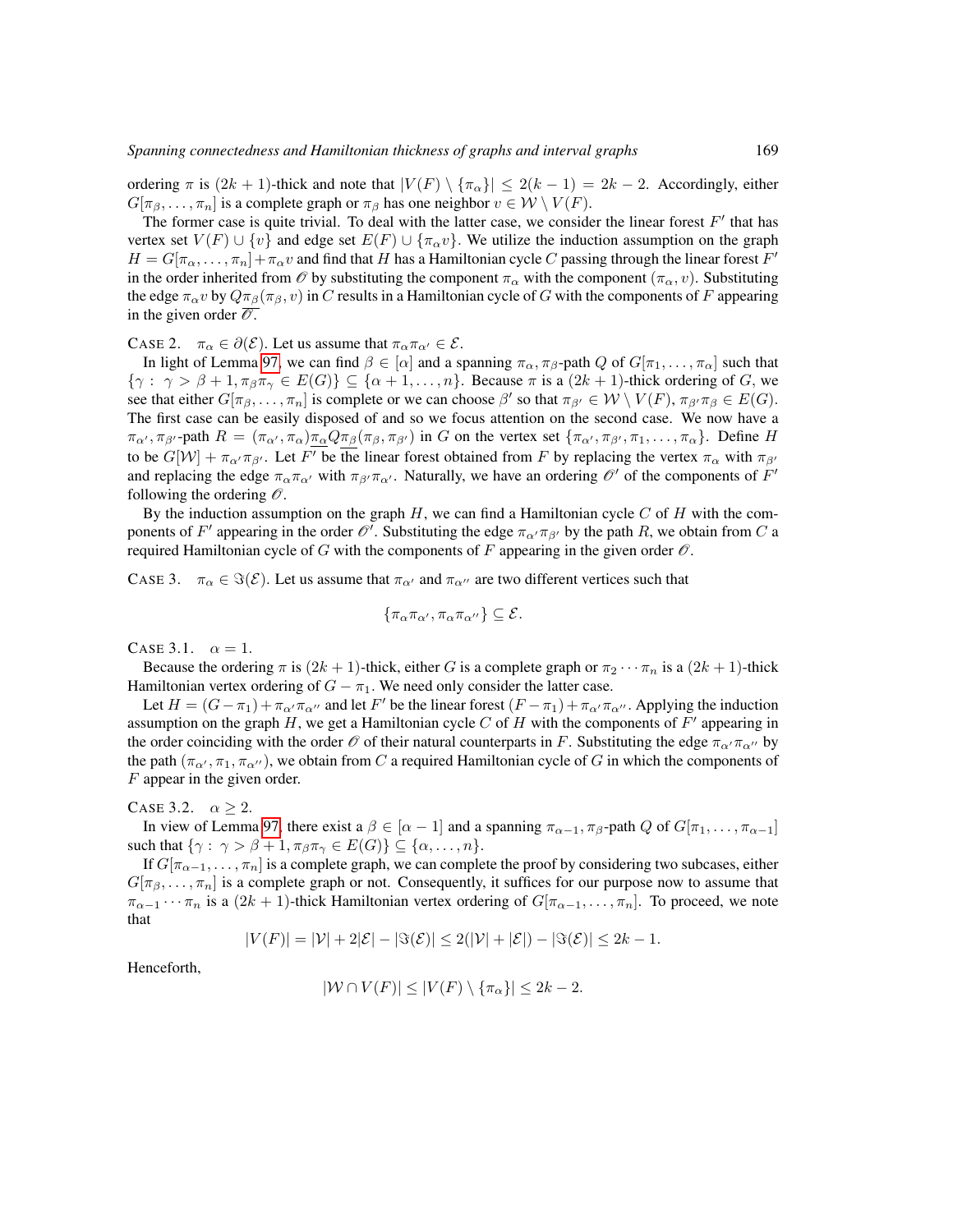ordering  $\pi$  is  $(2k + 1)$ -thick and note that  $|V(F) \setminus {\pi_{\alpha}}| \le 2(k - 1) = 2k - 2$ . Accordingly, either  $G[\pi_\beta, \ldots, \pi_n]$  is a complete graph or  $\pi_\beta$  has one neighbor  $v \in \mathcal{W} \setminus V(F)$ .

The former case is quite trivial. To deal with the latter case, we consider the linear forest  $F'$  that has vertex set  $V(F) \cup \{v\}$  and edge set  $E(F) \cup \{\pi_{\alpha}v\}$ . We utilize the induction assumption on the graph  $H = G[\pi_{\alpha}, \dots, \pi_n] + \pi_{\alpha} v$  and find that H has a Hamiltonian cycle C passing through the linear forest  $F'$ in the order inherited from  $\mathcal O$  by substituting the component  $\pi_\alpha$  with the component  $(\pi_\alpha, v)$ . Substituting the edge  $\pi_{\alpha}v$  by  $Q\pi_{\beta}(\pi_{\beta}, v)$  in C results in a Hamiltonian cycle of G with the components of F appearing in the given order  $\overline{\mathcal{O}}$ .

CASE 2.  $\pi_{\alpha} \in \partial(\mathcal{E})$ . Let us assume that  $\pi_{\alpha} \pi_{\alpha'} \in \mathcal{E}$ .

In light of Lemma [97,](#page-34-0) we can find  $\beta \in [\alpha]$  and a spanning  $\pi_{\alpha}, \pi_{\beta}$ -path Q of  $G[\pi_1, \ldots, \pi_{\alpha}]$  such that  $\{\gamma : \gamma > \beta + 1, \pi_{\beta}\pi_{\gamma} \in E(G)\}\subseteq \{\alpha+1,\ldots,n\}.$  Because  $\pi$  is a  $(2k+1)$ -thick ordering of G, we see that either  $G[\pi_\beta,\ldots,\pi_n]$  is complete or we can choose  $\beta'$  so that  $\pi_{\beta'} \in W \setminus V(F)$ ,  $\pi_{\beta'}\pi_\beta \in E(G)$ . The first case can be easily disposed of and so we focus attention on the second case. We now have a  $\pi_{\alpha'}$ ,  $\pi_{\beta'}$ -path  $R = (\pi_{\alpha'}, \pi_{\alpha})\pi_{\alpha}Q\pi_{\beta}(\pi_{\beta}, \pi_{\beta'})$  in G on the vertex set  $\{\pi_{\alpha'}, \pi_{\beta'}, \pi_1, \ldots, \pi_{\alpha}\}$ . Define H to be  $G[\mathcal{W}] + \pi_{\alpha'} \pi_{\beta'}$ . Let F' be the linear forest obtained from F by replacing the vertex  $\pi_{\alpha}$  with  $\pi_{\beta'}$ and replacing the edge  $\pi_{\alpha}\pi_{\alpha'}$  with  $\pi_{\beta'}\pi_{\alpha'}$ . Naturally, we have an ordering  $\mathscr{O}'$  of the components of  $F'$ following the ordering  $\mathcal O$ .

By the induction assumption on the graph  $H$ , we can find a Hamiltonian cycle C of  $H$  with the components of F' appearing in the order  $\mathscr O'$ . Substituting the edge  $\pi_{\alpha'}\pi_{\beta'}$  by the path R, we obtain from C a required Hamiltonian cycle of G with the components of F appearing in the given order  $\mathscr O$ .

CASE 3.  $\pi_{\alpha} \in \Im(\mathcal{E})$ . Let us assume that  $\pi_{\alpha'}$  and  $\pi_{\alpha''}$  are two different vertices such that

$$
\{\pi_{\alpha}\pi_{\alpha'},\pi_{\alpha}\pi_{\alpha''}\}\subseteq \mathcal{E}.
$$

CASE 3.1.  $\alpha = 1$ .

Because the ordering  $\pi$  is  $(2k + 1)$ -thick, either G is a complete graph or  $\pi_2 \cdots \pi_n$  is a  $(2k + 1)$ -thick Hamiltonian vertex ordering of  $G - \pi_1$ . We need only consider the latter case.

Let  $H = (G - \pi_1) + \pi_{\alpha'} \pi_{\alpha''}$  and let F' be the linear forest  $(F - \pi_1) + \pi_{\alpha'} \pi_{\alpha''}$ . Applying the induction assumption on the graph H, we get a Hamiltonian cycle C of H with the components of  $F'$  appearing in the order coinciding with the order  $\mathcal O$  of their natural counterparts in F. Substituting the edge  $\pi_{\alpha'}\pi_{\alpha''}$  by the path  $(\pi_{\alpha'}, \pi_1, \pi_{\alpha''})$ , we obtain from C a required Hamiltonian cycle of G in which the components of F appear in the given order.

#### CASE 3.2.  $\alpha \geq 2$ .

In view of Lemma [97,](#page-34-0) there exist a  $\beta \in [\alpha - 1]$  and a spanning  $\pi_{\alpha-1}, \pi_{\beta}$ -path Q of  $G[\pi_1, \ldots, \pi_{\alpha-1}]$ such that  $\{\gamma: \gamma > \beta + 1, \pi_{\beta} \pi_{\gamma} \in E(G)\} \subseteq \{\alpha, \ldots, n\}.$ 

If  $G[\pi_{\alpha-1}, \ldots, \pi_n]$  is a complete graph, we can complete the proof by considering two subcases, either  $G[\pi_\beta, \ldots, \pi_n]$  is a complete graph or not. Consequently, it suffices for our purpose now to assume that  $\pi_{\alpha-1}\cdots\pi_n$  is a  $(2k+1)$ -thick Hamiltonian vertex ordering of  $G[\pi_{\alpha-1},\ldots,\pi_n]$ . To proceed, we note that

$$
|V(F)| = |\mathcal{V}| + 2|\mathcal{E}| - |\Im(\mathcal{E})| \le 2(|\mathcal{V}| + |\mathcal{E}|) - |\Im(\mathcal{E})| \le 2k - 1.
$$

Henceforth,

$$
|\mathcal{W} \cap V(F)| \leq |V(F) \setminus \{\pi_{\alpha}\}| \leq 2k - 2.
$$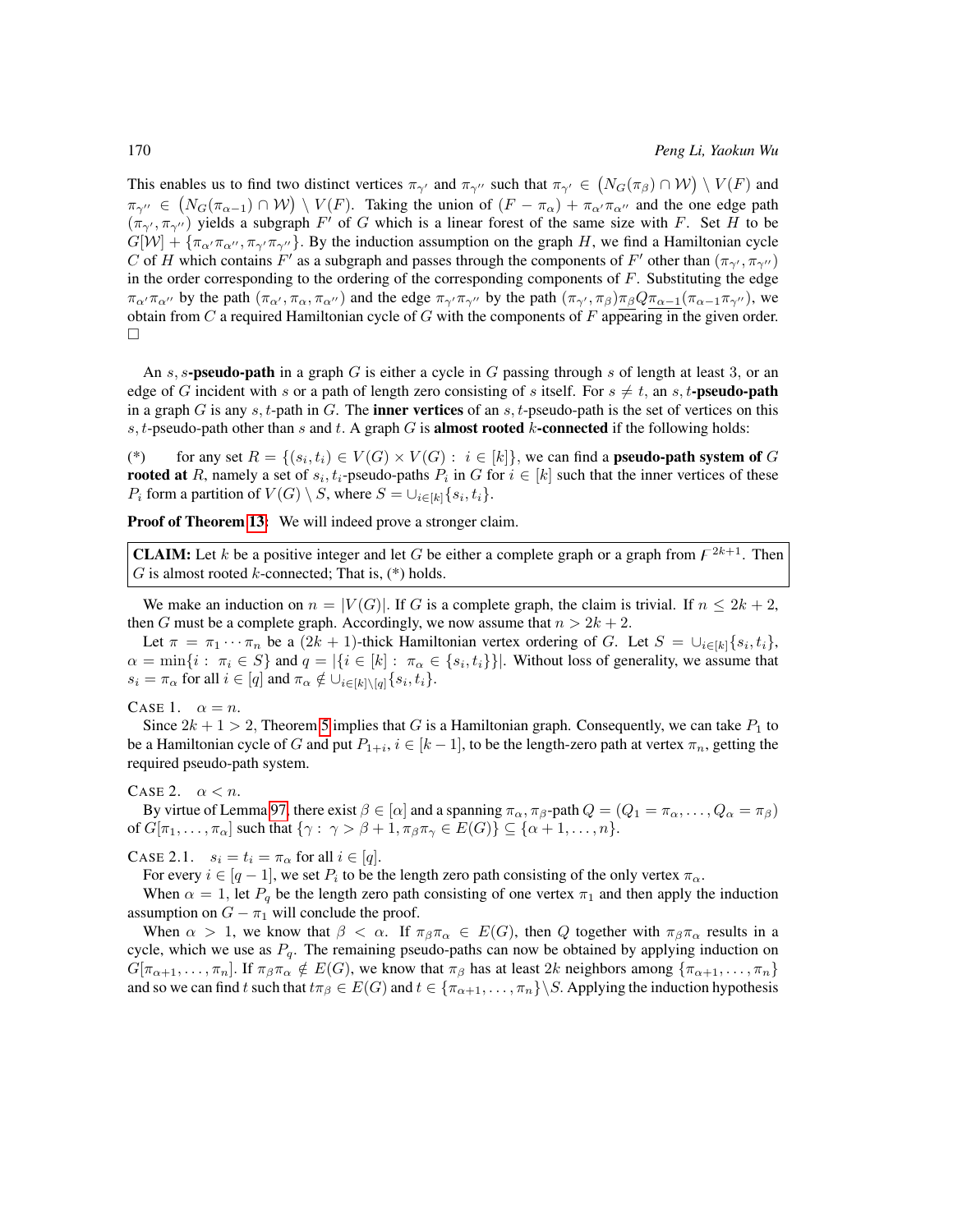This enables us to find two distinct vertices  $\pi_{\gamma'}$  and  $\pi_{\gamma''}$  such that  $\pi_{\gamma'} \in (N_G(\pi_\beta) \cap W) \setminus V(F)$  and  $\pi_{\gamma''} \in (N_G(\pi_{\alpha-1}) \cap W) \setminus V(F)$ . Taking the union of  $(F - \pi_\alpha) + \pi_{\alpha''} \pi_{\alpha''}$  and the one edge path  $(\pi_{\gamma}, \pi_{\gamma'})$  yields a subgraph F' of G which is a linear forest of the same size with F. Set H to be  $G[W] + {\pi_{\alpha''}}{\pi_{\alpha''}}$ ,  ${\pi_{\gamma''}}$ ,  ${\pi_{\gamma''}}$ . By the induction assumption on the graph H, we find a Hamiltonian cycle C of H which contains F' as a subgraph and passes through the components of F' other than  $(\pi_{\gamma'}, \pi_{\gamma''})$ in the order corresponding to the ordering of the corresponding components of  $F$ . Substituting the edge  $\pi_{\alpha'}\pi_{\alpha''}$  by the path  $(\pi_{\alpha'}, \pi_{\alpha}, \pi_{\alpha''})$  and the edge  $\pi_{\gamma'}\pi_{\gamma''}$  by the path  $(\pi_{\gamma'}, \pi_{\beta})\pi_{\beta}Q\pi_{\alpha-1}(\pi_{\alpha-1}\pi_{\gamma''})$ , we obtain from  $C$  a required Hamiltonian cycle of  $G$  with the components of  $F$  appearing in the given order.  $\Box$ 

An s, s-pseudo-path in a graph G is either a cycle in G passing through s of length at least 3, or an edge of G incident with s or a path of length zero consisting of s itself. For  $s \neq t$ , an s, t-pseudo-path in a graph G is any s, t-path in G. The **inner vertices** of an s, t-pseudo-path is the set of vertices on this s, t-pseudo-path other than s and t. A graph  $G$  is **almost rooted**  $k$ -**connected** if the following holds:

(\*) for any set  $R = \{(s_i, t_i) \in V(G) \times V(G) : i \in [k]\}$ , we can find a **pseudo-path system of** G **rooted at** R, namely a set of  $s_i, t_i$ -pseudo-paths  $P_i$  in G for  $i \in [k]$  such that the inner vertices of these  $P_i$  form a partition of  $V(G) \setminus S$ , where  $S = \cup_{i \in [k]} \{s_i, t_i\}.$ 

Proof of Theorem [13:](#page-13-5) We will indeed prove a stronger claim.

**CLAIM:** Let k be a positive integer and let G be either a complete graph or a graph from  $F^{2k+1}$ . Then G is almost rooted  $k$ -connected; That is,  $(*)$  holds.

We make an induction on  $n = |V(G)|$ . If G is a complete graph, the claim is trivial. If  $n \leq 2k + 2$ , then G must be a complete graph. Accordingly, we now assume that  $n > 2k + 2$ .

Let  $\pi = \pi_1 \cdots \pi_n$  be a  $(2k + 1)$ -thick Hamiltonian vertex ordering of G. Let  $S = \bigcup_{i \in [k]} \{s_i, t_i\}$ ,  $\alpha = \min\{i : \pi_i \in S\}$  and  $q = |\{i \in [k] : \pi_{\alpha} \in \{s_i, t_i\}\}|$ . Without loss of generality, we assume that  $s_i = \pi_\alpha$  for all  $i \in [q]$  and  $\pi_\alpha \notin \cup_{i \in [k] \setminus [q]} \{s_i, t_i\}.$ 

CASE 1.  $\alpha = n$ .

Since  $2k + 1 > 2$ , Theorem [5](#page-13-1) implies that G is a Hamiltonian graph. Consequently, we can take  $P_1$  to be a Hamiltonian cycle of G and put  $P_{1+i}$ ,  $i \in [k-1]$ , to be the length-zero path at vertex  $\pi_n$ , getting the required pseudo-path system.

CASE 2.  $\alpha < n$ .

By virtue of Lemma [97,](#page-34-0) there exist  $\beta \in [\alpha]$  and a spanning  $\pi_\alpha$ ,  $\pi_\beta$ -path  $Q = (Q_1 = \pi_\alpha, \dots, Q_\alpha = \pi_\beta)$ of  $G[\pi_1, \ldots, \pi_\alpha]$  such that  $\{\gamma : \gamma > \beta + 1, \pi_\beta \pi_\gamma \in E(G)\} \subseteq \{\alpha + 1, \ldots, n\}.$ 

CASE 2.1.  $s_i = t_i = \pi_\alpha$  for all  $i \in [q]$ .

For every  $i \in [q-1]$ , we set  $P_i$  to be the length zero path consisting of the only vertex  $\pi_\alpha$ .

When  $\alpha = 1$ , let  $P_q$  be the length zero path consisting of one vertex  $\pi_1$  and then apply the induction assumption on  $G - \pi_1$  will conclude the proof.

When  $\alpha > 1$ , we know that  $\beta < \alpha$ . If  $\pi_{\beta} \pi_{\alpha} \in E(G)$ , then Q together with  $\pi_{\beta} \pi_{\alpha}$  results in a cycle, which we use as  $P_q$ . The remaining pseudo-paths can now be obtained by applying induction on  $G[\pi_{\alpha+1},\ldots,\pi_n]$ . If  $\pi_{\beta}\pi_{\alpha} \notin E(G)$ , we know that  $\pi_{\beta}$  has at least 2k neighbors among  $\{\pi_{\alpha+1},\ldots,\pi_n\}$ and so we can find t such that  $t\pi_{\beta} \in E(G)$  and  $t \in {\pi_{\alpha+1}, \dots, \pi_n} \setminus S$ . Applying the induction hypothesis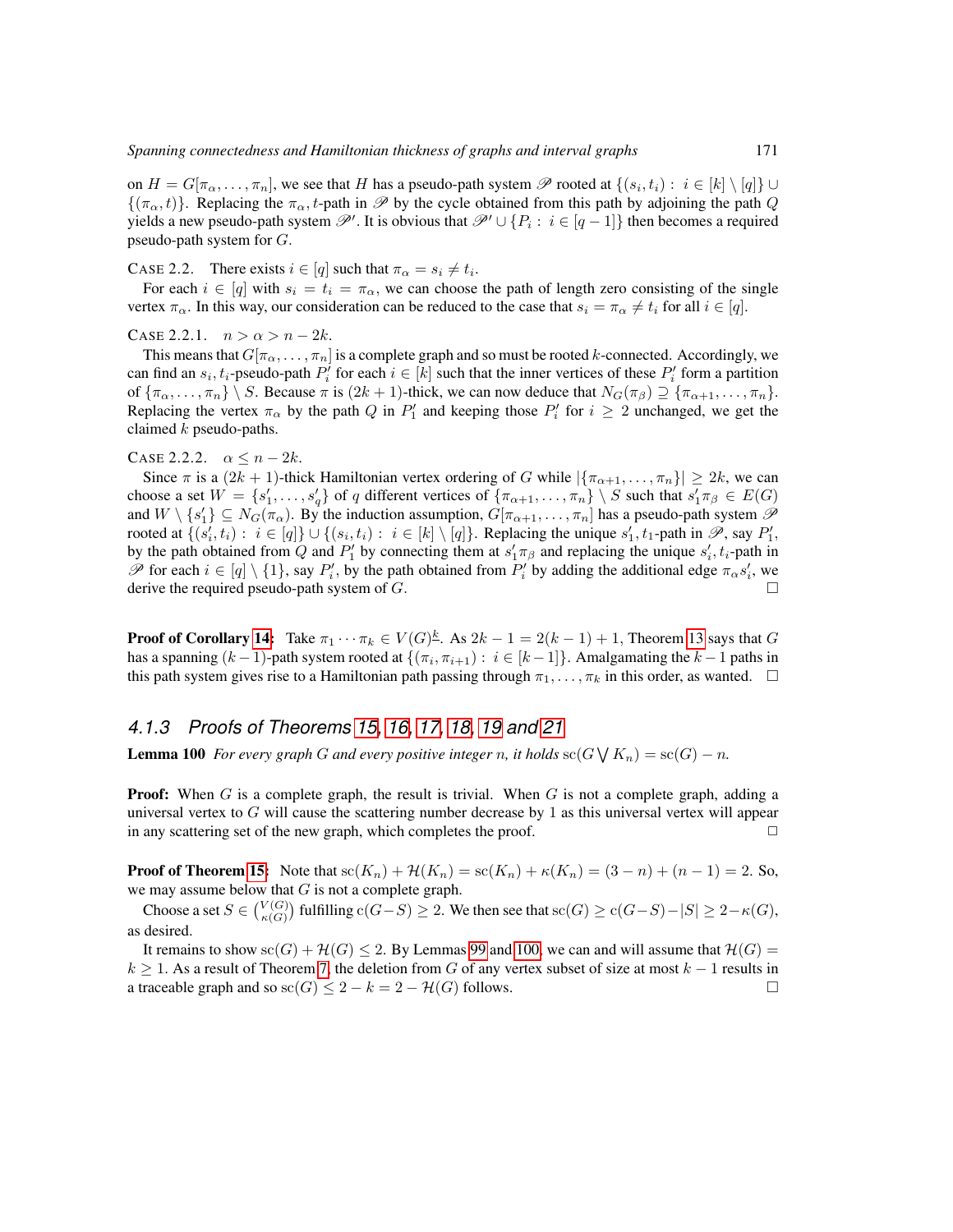on  $H = G[\pi_{\alpha}, \ldots, \pi_n]$ , we see that H has a pseudo-path system  $\mathscr P$  rooted at  $\{(s_i, t_i) : i \in [k] \setminus [q]\} \cup$  $\{(\pi_\alpha, t)\}\$ . Replacing the  $\pi_\alpha, t$ -path in  $\mathscr P$  by the cycle obtained from this path by adjoining the path Q yields a new pseudo-path system  $\mathscr{P}'$ . It is obvious that  $\mathscr{P}' \cup \{P_i : i \in [q-1]\}$  then becomes a required pseudo-path system for  $G$ .

CASE 2.2. There exists  $i \in [q]$  such that  $\pi_{\alpha} = s_i \neq t_i$ .

For each  $i \in [q]$  with  $s_i = t_i = \pi_\alpha$ , we can choose the path of length zero consisting of the single vertex  $\pi_{\alpha}$ . In this way, our consideration can be reduced to the case that  $s_i = \pi_{\alpha} \neq t_i$  for all  $i \in [q]$ .

CASE 2.2.1.  $n > \alpha > n - 2k$ .

This means that  $G[\pi_{\alpha}, \ldots, \pi_n]$  is a complete graph and so must be rooted k-connected. Accordingly, we can find an  $s_i, t_i$ -pseudo-path  $P'_i$  for each  $i \in [k]$  such that the inner vertices of these  $P'_i$  form a partition of  ${\lbrace \pi_{\alpha}, \ldots, \pi_n \rbrace \setminus S}$ . Because  $\pi$  is  $(2k + 1)$ -thick, we can now deduce that  $N_G(\pi_{\beta}) \supseteq {\lbrace \pi_{\alpha+1}, \ldots, \pi_n \rbrace}$ . Replacing the vertex  $\pi_{\alpha}$  by the path Q in  $P'_{1}$  and keeping those  $P'_{i}$  for  $i \geq 2$  unchanged, we get the claimed  $k$  pseudo-paths.

#### CASE 2.2.2.  $\alpha \leq n-2k$ .

Since  $\pi$  is a  $(2k + 1)$ -thick Hamiltonian vertex ordering of G while  $|\{\pi_{\alpha+1}, \ldots, \pi_n\}| \geq 2k$ , we can choose a set  $W = \{s'_1, \ldots, s'_q\}$  of q different vertices of  $\{\pi_{\alpha+1}, \ldots, \pi_n\} \setminus S$  such that  $s'_1 \pi_\beta \in E(G)$ and  $W \setminus \{s_1'\} \subseteq N_G(\pi_\alpha)$ . By the induction assumption,  $G[\pi_{\alpha+1}, \ldots, \pi_n]$  has a pseudo-path system  $\mathscr P$ rooted at  $\{(s'_i, t_i) : i \in [q]\} \cup \{(s_i, t_i) : i \in [k] \setminus [q]\}$ . Replacing the unique  $s'_1, t_1$ -path in  $\mathscr{P}$ , say  $P'_1$ , by the path obtained from Q and  $P'_1$  by connecting them at  $s'_1 \pi_\beta$  and replacing the unique  $s'_i$ ,  $t_i$ -path in  $\mathscr P$  for each  $i \in [q] \setminus \{1\}$ , say  $P'_i$ , by the path obtained from  $P'_i$  by adding the additional edge  $\pi_\alpha s'_i$ , we derive the required pseudo-path system of  $G$ .

**Proof of Corollary [14:](#page-14-0)** Take  $\pi_1 \cdots \pi_k \in V(G)^{\underline{k}}$ . As  $2k - 1 = 2(k - 1) + 1$ , Theorem [13](#page-13-5) says that G has a spanning  $(k-1)$ -path system rooted at  $\{(\pi_i, \pi_{i+1}) : i \in [k-1]\}$ . Amalgamating the  $k-1$  paths in this path system gives rise to a Hamiltonian path passing through  $\pi_1, \ldots, \pi_k$  in this order, as wanted.  $\Box$ 

## *4.1.3 Proofs of Theorems [15,](#page-15-0) [16,](#page-15-1) [17,](#page-15-2) [18,](#page-15-3) [19](#page-16-0) and [21](#page-16-1)*

<span id="page-46-0"></span>**Lemma 100** For every graph G and every positive integer n, it holds  $\operatorname{sc}(G \setminus K_n) = \operatorname{sc}(G) - n$ .

**Proof:** When  $G$  is a complete graph, the result is trivial. When  $G$  is not a complete graph, adding a universal vertex to  $G$  will cause the scattering number decrease by 1 as this universal vertex will appear in any scattering set of the new graph, which completes the proof.  $\Box$ 

**Proof of Theorem [15:](#page-15-0)** Note that  $\text{sc}(K_n) + \mathcal{H}(K_n) = \text{sc}(K_n) + \kappa(K_n) = (3 - n) + (n - 1) = 2$ . So, we may assume below that  $G$  is not a complete graph.

Choose a set  $S \in \binom{V(G)}{\kappa(G)}$  fulfilling  $c(G-S) \geq 2$ . We then see that  $sc(G) \geq c(G-S) - |S| \geq 2 - \kappa(G)$ , as desired.

It remains to show  $\operatorname{sc}(G) + \mathcal{H}(G) \leq 2$ . By Lemmas [99](#page-43-0) and [100,](#page-46-0) we can and will assume that  $\mathcal{H}(G)$  $k \ge 1$ . As a result of Theorem [7,](#page-13-0) the deletion from G of any vertex subset of size at most  $k - 1$  results in a traceable graph and so  $\operatorname{sc}(G) \leq 2 - k = 2 - \mathcal{H}(G)$  follows.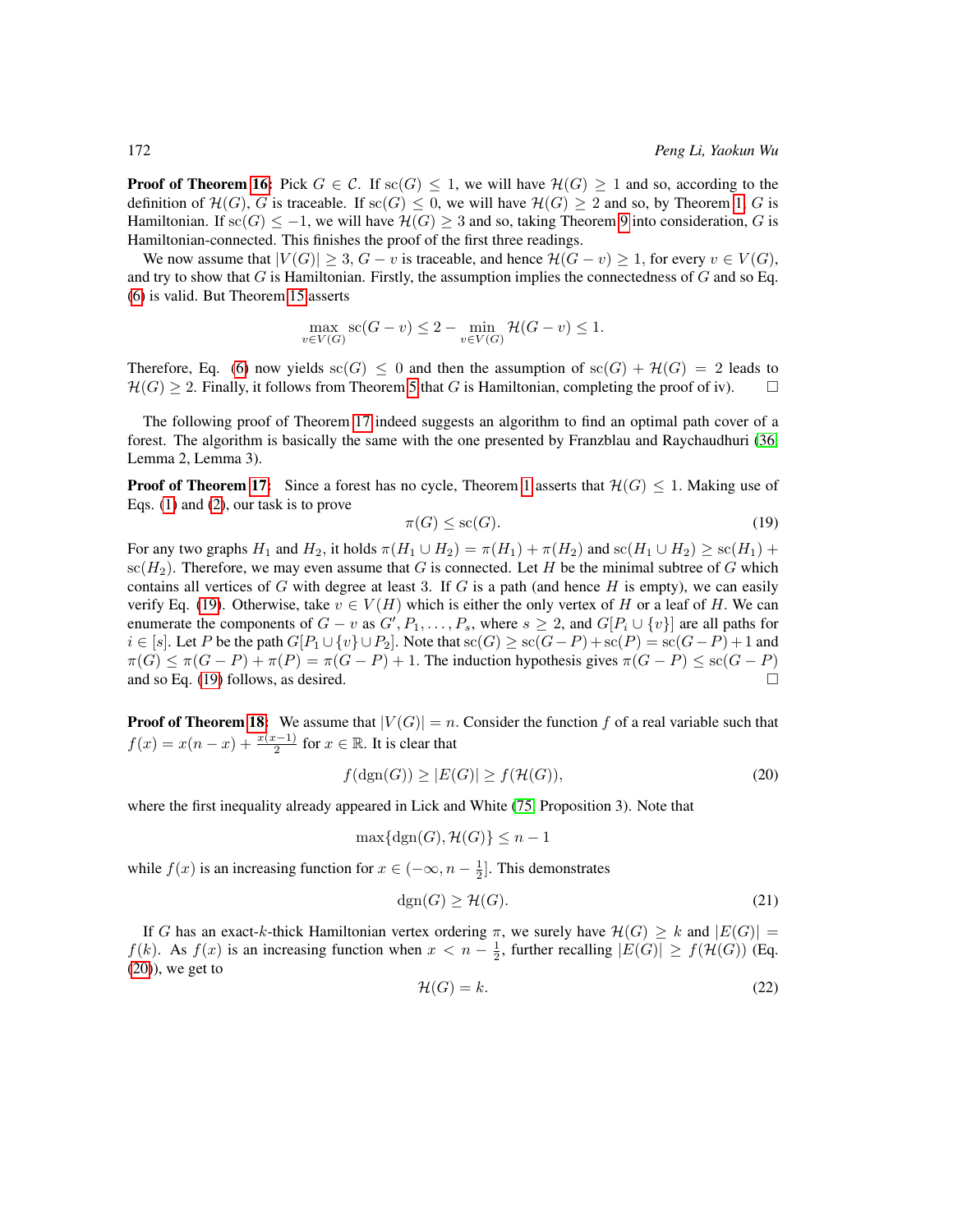**Proof of Theorem [16:](#page-15-1)** Pick  $G \in \mathcal{C}$ . If  $\text{sc}(G) \leq 1$ , we will have  $\mathcal{H}(G) \geq 1$  and so, according to the definition of  $\mathcal{H}(G)$ , G is traceable. If  $\operatorname{sc}(G) \leq 0$ , we will have  $\mathcal{H}(G) \geq 2$  and so, by Theorem [1,](#page-12-0) G is Hamiltonian. If  $\operatorname{sc}(G) \leq -1$ , we will have  $\mathcal{H}(G) \geq 3$  and so, taking Theorem [9](#page-13-2) into consideration, G is Hamiltonian-connected. This finishes the proof of the first three readings.

We now assume that  $|V(G)| \geq 3$ ,  $G - v$  is traceable, and hence  $\mathcal{H}(G - v) \geq 1$ , for every  $v \in V(G)$ , and try to show that  $G$  is Hamiltonian. Firstly, the assumption implies the connectedness of  $G$  and so Eq. [\(6\)](#page-15-4) is valid. But Theorem [15](#page-15-0) asserts

$$
\max_{v \in V(G)} \operatorname{sc}(G - v) \le 2 - \min_{v \in V(G)} \mathcal{H}(G - v) \le 1.
$$

Therefore, Eq. [\(6\)](#page-15-4) now yields  $\operatorname{sc}(G) \leq 0$  and then the assumption of  $\operatorname{sc}(G) + \mathcal{H}(G) = 2$  leads to  $\mathcal{H}(G) > 2$ . Finally, it follows from Theorem [5](#page-13-1) that G is Hamiltonian, completing the proof of iv).

The following proof of Theorem [17](#page-15-2) indeed suggests an algorithm to find an optimal path cover of a forest. The algorithm is basically the same with the one presented by Franzblau and Raychaudhuri [\(36,](#page-80-0) Lemma 2, Lemma 3).

**Proof of Theorem [17:](#page-15-2)** Since a forest has no cycle, Theorem [1](#page-12-0) asserts that  $\mathcal{H}(G) \leq 1$ . Making use of Eqs. [\(1\)](#page-4-0) and [\(2\)](#page-6-0), our task is to prove

<span id="page-47-0"></span>
$$
\pi(G) \le \operatorname{sc}(G). \tag{19}
$$

For any two graphs  $H_1$  and  $H_2$ , it holds  $\pi(H_1 \cup H_2) = \pi(H_1) + \pi(H_2)$  and  $\operatorname{sc}(H_1 \cup H_2) \ge \operatorname{sc}(H_1) +$  $\operatorname{sc}(H_2)$ . Therefore, we may even assume that G is connected. Let H be the minimal subtree of G which contains all vertices of G with degree at least 3. If G is a path (and hence H is empty), we can easily verify Eq. [\(19\)](#page-47-0). Otherwise, take  $v \in V(H)$  which is either the only vertex of H or a leaf of H. We can enumerate the components of  $G - v$  as  $G', P_1, \ldots, P_s$ , where  $s \geq 2$ , and  $G[P_i \cup \{v\}]$  are all paths for  $i \in [s]$ . Let P be the path  $G[P_1 \cup \{v\} \cup P_2]$ . Note that  $sc(G) \geq sc(G-P) + sc(P) = sc(G-P) + 1$  and  $\pi(G) \leq \pi(G - P) + \pi(P) = \pi(G - P) + 1$ . The induction hypothesis gives  $\pi(G - P) \leq sc(G - P)$ and so Eq. [\(19\)](#page-47-0) follows, as desired.  $\square$ 

**Proof of Theorem [18:](#page-15-3)** We assume that  $|V(G)| = n$ . Consider the function f of a real variable such that  $f(x) = x(n-x) + \frac{x(x-1)}{2}$  for  $x \in \mathbb{R}$ . It is clear that

<span id="page-47-1"></span>
$$
f(\text{dgn}(G)) \ge |E(G)| \ge f(\mathcal{H}(G)),\tag{20}
$$

where the first inequality already appeared in Lick and White [\(75,](#page-83-0) Proposition 3). Note that

$$
\max\{\operatorname{dgn}(G), \mathcal{H}(G)\} \le n - 1
$$

while  $f(x)$  is an increasing function for  $x \in (-\infty, n - \frac{1}{2}]$ . This demonstrates

<span id="page-47-2"></span>
$$
dgn(G) \ge \mathcal{H}(G). \tag{21}
$$

<span id="page-47-3"></span>If G has an exact-k-thick Hamiltonian vertex ordering  $\pi$ , we surely have  $\mathcal{H}(G) \geq k$  and  $|E(G)| =$  $f(k)$ . As  $f(x)$  is an increasing function when  $x < n - \frac{1}{2}$ , further recalling  $|E(G)| \ge f(\mathcal{H}(G))$  (Eq.  $(20)$ , we get to

$$
\mathcal{H}(G) = k.\tag{22}
$$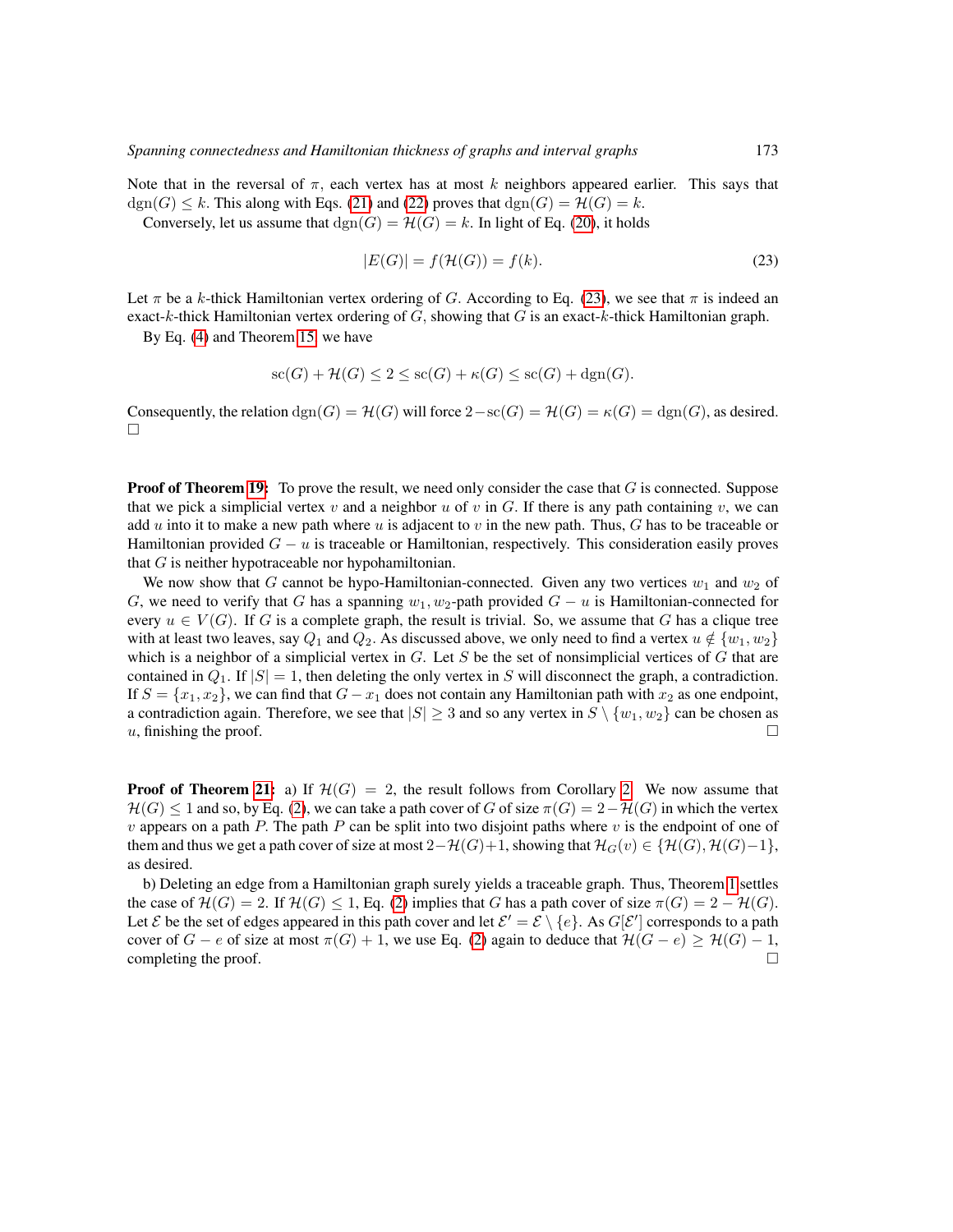Note that in the reversal of  $\pi$ , each vertex has at most k neighbors appeared earlier. This says that  $dgn(G) \leq k$ . This along with Eqs. [\(21\)](#page-47-2) and [\(22\)](#page-47-3) proves that  $dgn(G) = \mathcal{H}(G) = k$ . Conversely, let us assume that  $\text{dgn}(G) = \mathcal{H}(G) = k$ . In light of Eq. [\(20\)](#page-47-1), it holds

<span id="page-48-0"></span>
$$
|E(G)| = f(\mathcal{H}(G)) = f(k). \tag{23}
$$

Let  $\pi$  be a k-thick Hamiltonian vertex ordering of G. According to Eq. [\(23\)](#page-48-0), we see that  $\pi$  is indeed an exact-k-thick Hamiltonian vertex ordering of  $G$ , showing that  $G$  is an exact-k-thick Hamiltonian graph.

By Eq. [\(4\)](#page-6-1) and Theorem [15,](#page-15-0) we have

$$
sc(G) + \mathcal{H}(G) \le 2 \le sc(G) + \kappa(G) \le sc(G) + \text{dgn}(G).
$$

Consequently, the relation  $\text{dgn}(G) = \mathcal{H}(G)$  will force  $2-\text{sc}(G) = \mathcal{H}(G) = \kappa(G) = \text{dgn}(G)$ , as desired. П

**Proof of Theorem [19:](#page-16-0)** To prove the result, we need only consider the case that  $G$  is connected. Suppose that we pick a simplicial vertex v and a neighbor u of v in G. If there is any path containing v, we can add u into it to make a new path where u is adjacent to v in the new path. Thus, G has to be traceable or Hamiltonian provided  $G - u$  is traceable or Hamiltonian, respectively. This consideration easily proves that  $G$  is neither hypotraceable nor hypohamiltonian.

We now show that G cannot be hypo-Hamiltonian-connected. Given any two vertices  $w_1$  and  $w_2$  of G, we need to verify that G has a spanning  $w_1, w_2$ -path provided  $G - u$  is Hamiltonian-connected for every  $u \in V(G)$ . If G is a complete graph, the result is trivial. So, we assume that G has a clique tree with at least two leaves, say  $Q_1$  and  $Q_2$ . As discussed above, we only need to find a vertex  $u \notin \{w_1, w_2\}$ which is a neighbor of a simplicial vertex in  $G$ . Let  $S$  be the set of nonsimplicial vertices of  $G$  that are contained in  $Q_1$ . If  $|S| = 1$ , then deleting the only vertex in S will disconnect the graph, a contradiction. If  $S = \{x_1, x_2\}$ , we can find that  $G - x_1$  does not contain any Hamiltonian path with  $x_2$  as one endpoint, a contradiction again. Therefore, we see that  $|S| \geq 3$  and so any vertex in  $S \setminus \{w_1, w_2\}$  can be chosen as u, finishing the proof.  $\Box$ 

**Proof of Theorem [21:](#page-16-1)** a) If  $\mathcal{H}(G) = 2$ , the result follows from Corollary [2.](#page-12-1) We now assume that  $H(G) \leq 1$  and so, by Eq. [\(2\)](#page-6-0), we can take a path cover of G of size  $\pi(G) = 2-\mathcal{H}(G)$  in which the vertex  $v$  appears on a path P. The path P can be split into two disjoint paths where  $v$  is the endpoint of one of them and thus we get a path cover of size at most  $2-\mathcal{H}(G)+1$ , showing that  $\mathcal{H}_G(v) \in \{\mathcal{H}(G), \mathcal{H}(G)-1\}$ , as desired.

b) Deleting an edge from a Hamiltonian graph surely yields a traceable graph. Thus, Theorem [1](#page-12-0) settles the case of  $\mathcal{H}(G) = 2$ . If  $\mathcal{H}(G) \leq 1$ , Eq. [\(2\)](#page-6-0) implies that G has a path cover of size  $\pi(G) = 2 - \mathcal{H}(G)$ . Let E be the set of edges appeared in this path cover and let  $\mathcal{E}' = \mathcal{E} \setminus \{e\}$ . As  $G[\mathcal{E}']$  corresponds to a path cover of  $G - e$  of size at most  $\pi(G) + 1$ , we use Eq. [\(2\)](#page-6-0) again to deduce that  $\mathcal{H}(G - e) \geq \mathcal{H}(G) - 1$ , completing the proof.  $\Box$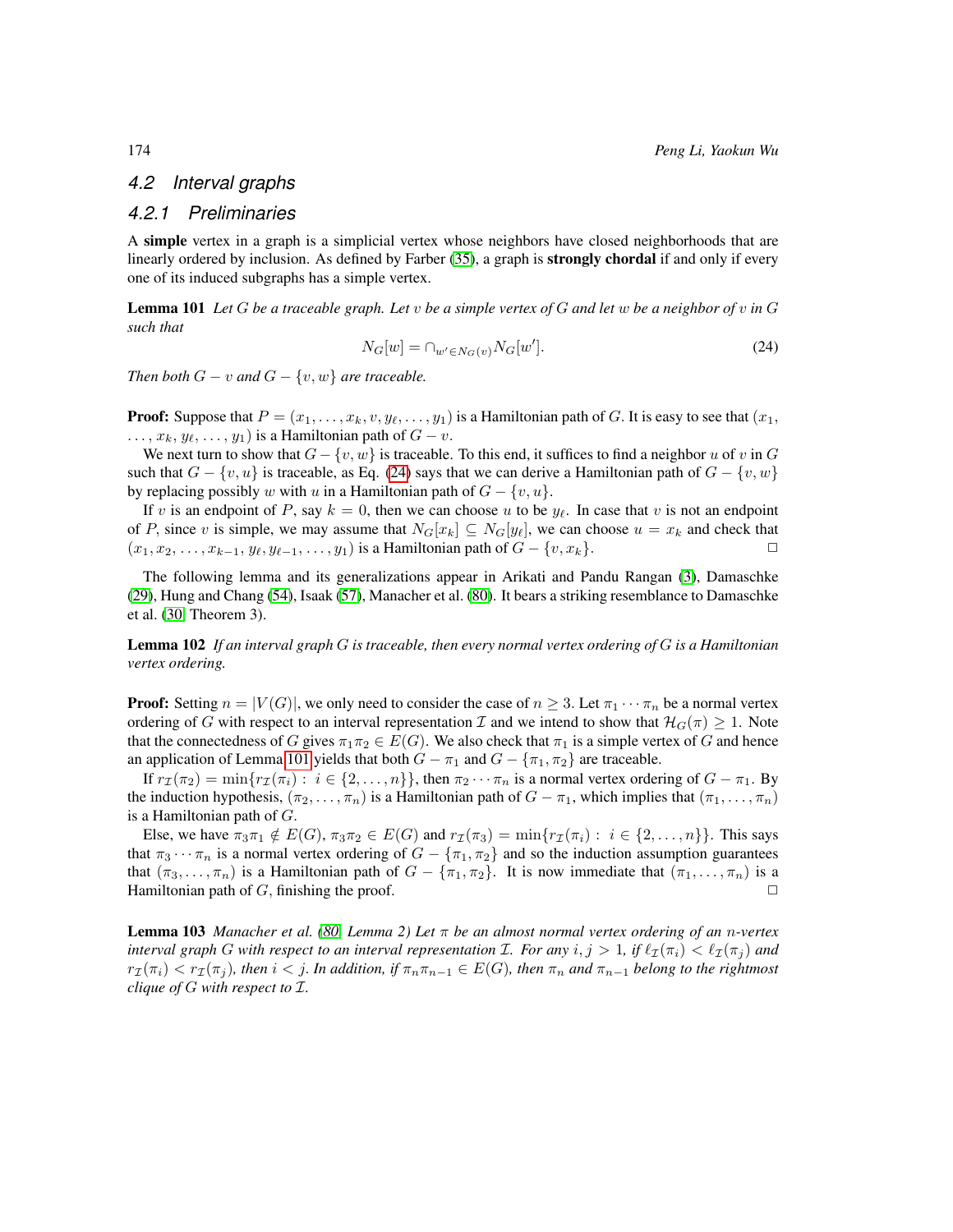# *4.2 Interval graphs*

## *4.2.1 Preliminaries*

A simple vertex in a graph is a simplicial vertex whose neighbors have closed neighborhoods that are linearly ordered by inclusion. As defined by Farber [\(35\)](#page-80-1), a graph is **strongly chordal** if and only if every one of its induced subgraphs has a simple vertex.

<span id="page-49-1"></span><span id="page-49-0"></span>Lemma 101 *Let* G *be a traceable graph. Let* v *be a simple vertex of* G *and let* w *be a neighbor of* v *in* G *such that*

$$
N_G[w] = \cap_{w' \in N_G(v)} N_G[w'].
$$
\n
$$
(24)
$$

*Then both*  $G - v$  *and*  $G - \{v, w\}$  *are traceable.* 

**Proof:** Suppose that  $P = (x_1, \ldots, x_k, v, y_\ell, \ldots, y_1)$  is a Hamiltonian path of G. It is easy to see that  $(x_1, \ldots, x_k, v, y_\ell, \ldots, y_1)$  $\dots, x_k, y_\ell, \dots, y_1$  is a Hamiltonian path of  $G - v$ .

We next turn to show that  $G - \{v, w\}$  is traceable. To this end, it suffices to find a neighbor u of v in G such that  $G - \{v, u\}$  is traceable, as Eq. [\(24\)](#page-49-0) says that we can derive a Hamiltonian path of  $G - \{v, w\}$ by replacing possibly w with u in a Hamiltonian path of  $G - \{v, u\}$ .

If v is an endpoint of P, say  $k = 0$ , then we can choose u to be  $y_\ell$ . In case that v is not an endpoint of P, since v is simple, we may assume that  $N_G[x_k] \subseteq N_G[y_\ell]$ , we can choose  $u = x_k$  and check that  $(x_1, x_2, \ldots, x_{k-1}, y_\ell, y_{\ell-1}, \ldots, y_1)$  is a Hamiltonian path of  $G - \{v, x_k\}.$ 

The following lemma and its generalizations appear in Arikati and Pandu Rangan [\(3\)](#page-78-0), Damaschke [\(29\)](#page-80-2), Hung and Chang [\(54\)](#page-82-0), Isaak [\(57\)](#page-82-1), Manacher et al. [\(80\)](#page-83-1). It bears a striking resemblance to Damaschke et al. [\(30,](#page-80-3) Theorem 3).

<span id="page-49-2"></span>Lemma 102 *If an interval graph* G *is traceable, then every normal vertex ordering of* G *is a Hamiltonian vertex ordering.*

**Proof:** Setting  $n = |V(G)|$ , we only need to consider the case of  $n \geq 3$ . Let  $\pi_1 \cdots \pi_n$  be a normal vertex ordering of G with respect to an interval representation I and we intend to show that  $\mathcal{H}_G(\pi) \geq 1$ . Note that the connectedness of G gives  $\pi_1 \pi_2 \in E(G)$ . We also check that  $\pi_1$  is a simple vertex of G and hence an application of Lemma [101](#page-49-1) yields that both  $G - \pi_1$  and  $G - {\pi_1, \pi_2}$  are traceable.

If  $r_{\mathcal{I}}(\pi_2) = \min\{r_{\mathcal{I}}(\pi_i): i \in \{2,\ldots,n\}\}\$ , then  $\pi_2 \cdots \pi_n$  is a normal vertex ordering of  $G - \pi_1$ . By the induction hypothesis,  $(\pi_2, \ldots, \pi_n)$  is a Hamiltonian path of  $G - \pi_1$ , which implies that  $(\pi_1, \ldots, \pi_n)$ is a Hamiltonian path of  $G$ .

Else, we have  $\pi_3\pi_1 \notin E(G)$ ,  $\pi_3\pi_2 \in E(G)$  and  $r_{\mathcal{I}}(\pi_3) = \min\{r_{\mathcal{I}}(\pi_i) : i \in \{2, ..., n\}\}\.$  This says that  $\pi_3 \cdots \pi_n$  is a normal vertex ordering of  $G - {\pi_1, \pi_2}$  and so the induction assumption guarantees that  $(\pi_3, \ldots, \pi_n)$  is a Hamiltonian path of  $G - \{\pi_1, \pi_2\}$ . It is now immediate that  $(\pi_1, \ldots, \pi_n)$  is a Hamiltonian path of G, finishing the proof.  $\Box$ 

<span id="page-49-3"></span>Lemma 103 *Manacher et al. [\(80,](#page-83-1) Lemma 2) Let* π *be an almost normal vertex ordering of an* n*-vertex interval graph* G with respect to an interval representation *I*. For any  $i, j > 1$ , if  $\ell_{\mathcal{I}}(\pi_i) < \ell_{\mathcal{I}}(\pi_j)$  and  $r_{\mathcal{I}}(\pi_i) < r_{\mathcal{I}}(\pi_j)$ , then  $i < j$ . In addition, if  $\pi_n \pi_{n-1} \in E(G)$ , then  $\pi_n$  and  $\pi_{n-1}$  belong to the rightmost *clique of* G *with respect to* I*.*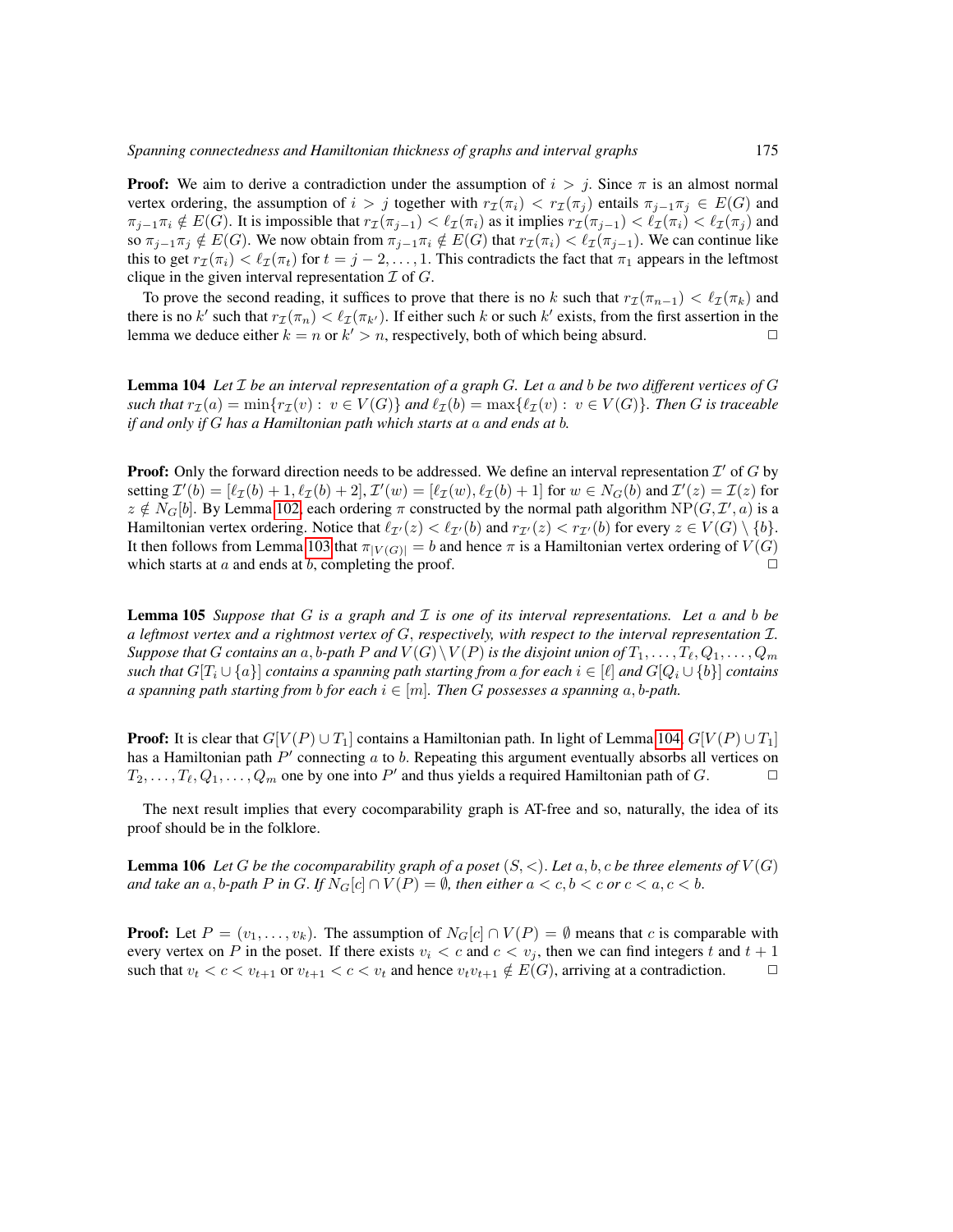**Proof:** We aim to derive a contradiction under the assumption of  $i > j$ . Since  $\pi$  is an almost normal vertex ordering, the assumption of  $i > j$  together with  $r_{\mathcal{I}}(\pi_i) < r_{\mathcal{I}}(\pi_j)$  entails  $\pi_{i-1}\pi_j \in E(G)$  and  $\pi_{j-1}\pi_i \notin E(G)$ . It is impossible that  $r_\mathcal{I}(\pi_{j-1}) < \ell_\mathcal{I}(\pi_i)$  as it implies  $r_\mathcal{I}(\pi_{j-1}) < \ell_\mathcal{I}(\pi_i) < \ell_\mathcal{I}(\pi_j)$  and so  $\pi_{i-1}\pi_i \notin E(G)$ . We now obtain from  $\pi_{i-1}\pi_i \notin E(G)$  that  $r_{\mathcal{I}}(\pi_i) < \ell_{\mathcal{I}}(\pi_{i-1})$ . We can continue like this to get  $r_I(\pi_i) < l_I(\pi_t)$  for  $t = j - 2, \ldots, 1$ . This contradicts the fact that  $\pi_1$  appears in the leftmost clique in the given interval representation  $\mathcal I$  of  $G$ .

To prove the second reading, it suffices to prove that there is no k such that  $r_I(\pi_{n-1}) < \ell_I(\pi_k)$  and there is no k' such that  $r_{\mathcal{I}}(\pi_n) < l_{\mathcal{I}}(\pi_{k'})$ . If either such k or such k' exists, from the first assertion in the lemma we deduce either  $k = n$  or  $k' > n$ , respectively, both of which being absurd.

<span id="page-50-0"></span>Lemma 104 *Let* I *be an interval representation of a graph* G*. Let* a *and* b *be two different vertices of* G *such that*  $r_{\mathcal{I}}(a) = \min\{r_{\mathcal{I}}(v) : v \in V(G)\}$  *and*  $\ell_{\mathcal{I}}(b) = \max\{\ell_{\mathcal{I}}(v) : v \in V(G)\}$ *. Then G is traceable if and only if* G *has a Hamiltonian path which starts at* a *and ends at* b*.*

**Proof:** Only the forward direction needs to be addressed. We define an interval representation  $\mathcal{I}'$  of  $G$  by setting  $\mathcal{I}'(b) = [\ell_{\mathcal{I}}(b) + 1, \ell_{\mathcal{I}}(b) + 2], \mathcal{I}'(w) = [\ell_{\mathcal{I}}(w), \ell_{\mathcal{I}}(b) + 1]$  for  $w \in N_G(b)$  and  $\mathcal{I}'(z) = \mathcal{I}(z)$  for  $z \notin N_G[b]$ . By Lemma [102,](#page-49-2) each ordering  $\pi$  constructed by the normal path algorithm  $NP(G, \mathcal{I}', a)$  is a Hamiltonian vertex ordering. Notice that  $\ell_{\mathcal{I}'}(z) < \ell_{\mathcal{I}'}(b)$  and  $r_{\mathcal{I}'}(z) < r_{\mathcal{I}'}(b)$  for every  $z \in V(G) \setminus \{b\}$ . It then follows from Lemma [103](#page-49-3) that  $\pi_{|V(G)|} = b$  and hence  $\pi$  is a Hamiltonian vertex ordering of  $V(G)$  which starts at a and ends at b completing the proof which starts at  $a$  and ends at  $b$ , completing the proof.

<span id="page-50-1"></span>Lemma 105 *Suppose that* G *is a graph and* I *is one of its interval representations. Let* a *and* b *be a leftmost vertex and a rightmost vertex of* G, *respectively, with respect to the interval representation* I*. Suppose that* G *contains an* a, *b-path* P and  $V(G) \setminus V(P)$  *is the disjoint union of*  $T_1, \ldots, T_\ell, Q_1, \ldots, Q_m$ *such that*  $G[T_i \cup \{a\}]$  *contains a spanning path starting from a for each*  $i \in [\ell]$  *and*  $G[Q_i \cup \{b\}]$  *contains a spanning path starting from b for each*  $i \in [m]$ *. Then G possesses a spanning*  $a, b$ -path.

**Proof:** It is clear that  $G[V(P) \cup T_1]$  contains a Hamiltonian path. In light of Lemma [104,](#page-50-0)  $G[V(P) \cup T_1]$ has a Hamiltonian path  $P'$  connecting a to b. Repeating this argument eventually absorbs all vertices on  $T_2, \ldots, T_\ell, Q_1, \ldots, Q_m$  one by one into  $P'$  and thus yields a required Hamiltonian path of  $G$ .

The next result implies that every cocomparability graph is AT-free and so, naturally, the idea of its proof should be in the folklore.

<span id="page-50-2"></span>**Lemma 106** Let G be the cocomparability graph of a poset  $(S, \lt)$ . Let  $a, b, c$  be three elements of  $V(G)$ *and take an* a, b-path P in G. If  $N_G[c] \cap V(P) = \emptyset$ , then either  $a < c, b < c$  or  $c < a, c < b$ .

**Proof:** Let  $P = (v_1, \ldots, v_k)$ . The assumption of  $N_G[c] \cap V(P) = \emptyset$  means that c is comparable with every vertex on P in the poset. If there exists  $v_i < c$  and  $c < v_j$ , then we can find integers t and  $t + 1$ such that  $v_t < c < v_{t+1}$  or  $v_{t+1} < c < v_t$  and hence  $v_t v_{t+1} \notin E(G)$ , arriving at a contradiction.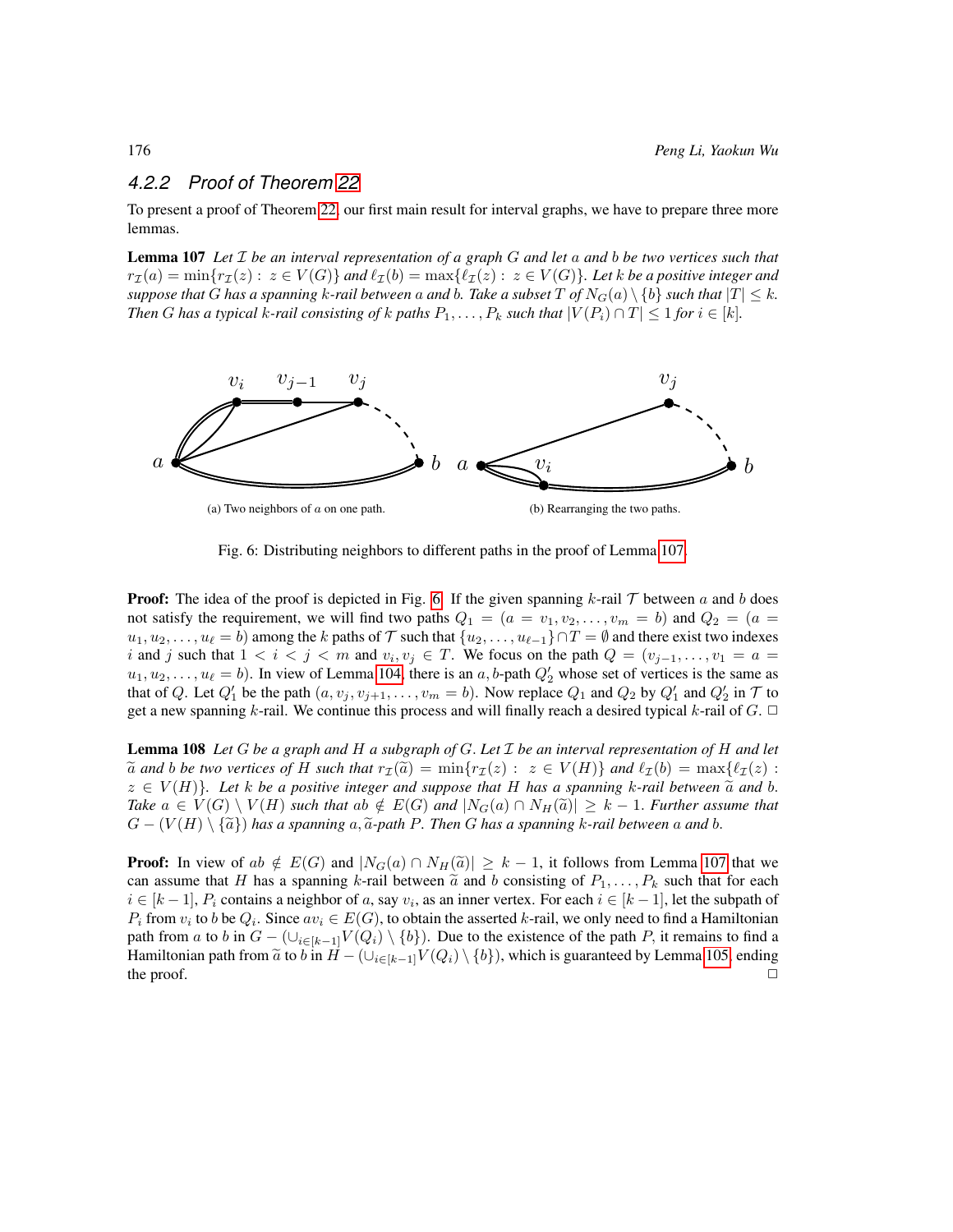# *4.2.2 Proof of Theorem [22](#page-19-0)*

To present a proof of Theorem [22,](#page-19-0) our first main result for interval graphs, we have to prepare three more lemmas.

<span id="page-51-0"></span>Lemma 107 *Let* I *be an interval representation of a graph* G *and let* a *and* b *be two vertices such that*  $r_{\mathcal{I}}(a) = \min\{r_{\mathcal{I}}(z): z \in V(G)\}\$ and  $\ell_{\mathcal{I}}(b) = \max\{\ell_{\mathcal{I}}(z): z \in V(G)\}\$ . Let k be a positive integer and *suppose that* G *has a spanning* k-rail between a and b. Take a subset T of  $N_G(a) \setminus \{b\}$  such that  $|T| \leq k$ . *Then G has a typical k-rail consisting of k paths*  $P_1, \ldots, P_k$  *such that*  $|V(P_i) \cap T| \leq 1$  *for*  $i \in [k]$ *.* 

<span id="page-51-1"></span>

Fig. 6: Distributing neighbors to different paths in the proof of Lemma [107.](#page-51-0)

**Proof:** The idea of the proof is depicted in Fig. [6.](#page-51-1) If the given spanning  $k$ -rail  $\mathcal T$  between a and b does not satisfy the requirement, we will find two paths  $Q_1 = (a = v_1, v_2, \dots, v_m = b)$  and  $Q_2 = (a = b)$  $u_1, u_2, \ldots, u_\ell = b$  among the k paths of T such that  $\{u_2, \ldots, u_{\ell-1}\}\cap T = \emptyset$  and there exist two indexes i and j such that  $1 < i < j < m$  and  $v_i, v_j \in T$ . We focus on the path  $Q = (v_{j-1}, \ldots, v_1 = a$  $u_1, u_2, \ldots, u_\ell = b$ . In view of Lemma [104,](#page-50-0) there is an a, b-path  $Q'_2$  whose set of vertices is the same as that of Q. Let  $Q'_1$  be the path  $(a, v_j, v_{j+1}, \ldots, v_m = b)$ . Now replace  $Q_1$  and  $Q_2$  by  $Q'_1$  and  $Q'_2$  in  $\mathcal T$  to get a new spanning k-rail. We continue this process and will finally reach a desired typical k-rail of  $G$ .  $\Box$ 

<span id="page-51-3"></span>Lemma 108 *Let* G *be a graph and* H *a subgraph of* G. *Let* I *be an interval representation of* H *and let*  $\tilde{a}$  *and* b *be two vertices of* H *such that*  $r_{\mathcal{I}}(\tilde{a}) = \min\{r_{\mathcal{I}}(z) : z \in V(H)\}\$  *and*  $\ell_{\mathcal{I}}(b) = \max\{\ell_{\mathcal{I}}(z) :$  $z \in V(H)$ *. Let* k be a positive integer and suppose that H has a spanning k-rail between  $\tilde{a}$  and b. *Take*  $a \in V(G) \setminus V(H)$  *such that*  $ab \notin E(G)$  *and*  $|N_G(a) \cap N_H(\tilde{a})| \geq k - 1$ . *Further assume that*  $G - (V(H) \setminus {\tilde{a}})$  has a spanning  $a, {\tilde{a}}$ -path P. Then G has a spanning k-rail between a and b.

<span id="page-51-2"></span>**Proof:** In view of ab  $\notin E(G)$  and  $|N_G(a) \cap N_H(\tilde{a})| \geq k - 1$ , it follows from Lemma [107](#page-51-0) that we can assume that H has a spanning k-rail between  $\tilde{a}$  and b consisting of  $P_1, \ldots, P_k$  such that for each  $i \in [k-1], P_i$  contains a neighbor of a, say  $v_i$ , as an inner vertex. For each  $i \in [k-1]$ , let the subpath of  $P_i$  from  $v_i$  to b be  $Q_i$ . Since  $av_i \in E(G)$ , to obtain the asserted k-rail, we only need to find a Hamiltonian path from a to b in  $G - (\cup_{i \in [k-1]} V(Q_i) \setminus \{b\})$ . Due to the existence of the path P, it remains to find a Hamiltonian path from  $\tilde{a}$  to  $\tilde{b}$  in  $H - (\bigcup_{i \in [k-1]} V(Q_i) \setminus \{b\})$ , which is guaranteed by Lemma [105,](#page-50-1) ending the proof. the proof.  $\Box$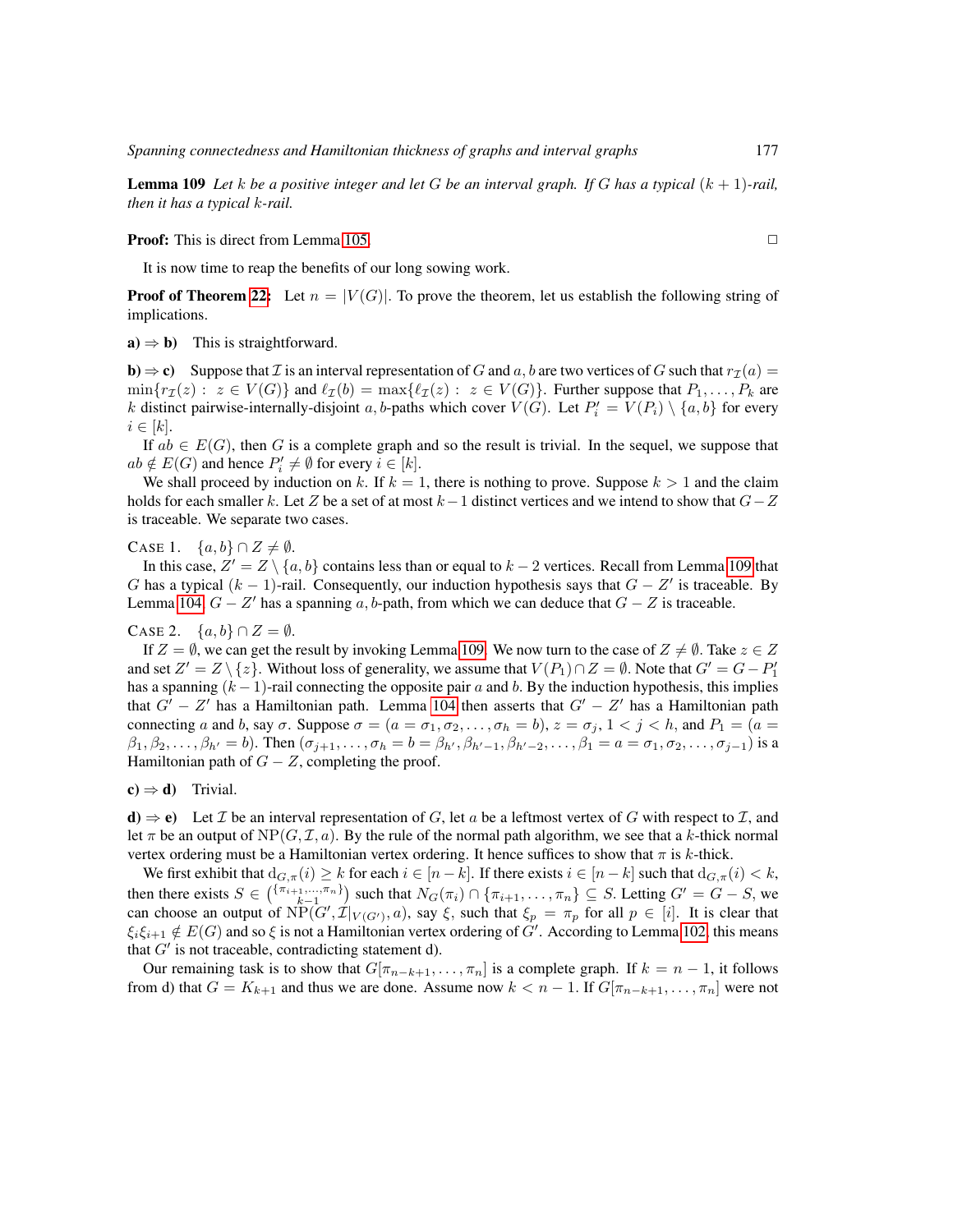**Lemma 109** Let k be a positive integer and let G be an interval graph. If G has a typical  $(k + 1)$ -rail, *then it has a typical* k*-rail.*

**Proof:** This is direct from Lemma [105.](#page-50-1) ◯

It is now time to reap the benefits of our long sowing work.

**Proof of Theorem [22:](#page-19-0)** Let  $n = |V(G)|$ . To prove the theorem, let us establish the following string of implications.

 $a) \Rightarrow b$ ) This is straightforward.

**b**)  $\Rightarrow$  **c**) Suppose that *I* is an interval representation of *G* and *a*, *b* are two vertices of *G* such that  $r_7(a)$  =  $\min\{r_I(z): z \in V(G)\}\$  and  $\ell_I(b) = \max\{\ell_I(z): z \in V(G)\}\$ . Further suppose that  $P_1, \ldots, P_k$  are k distinct pairwise-internally-disjoint a, b-paths which cover  $V(G)$ . Let  $P'_i = V(P_i) \setminus \{a, b\}$  for every  $i \in [k]$ .

If  $ab \in E(G)$ , then G is a complete graph and so the result is trivial. In the sequel, we suppose that  $ab \notin E(G)$  and hence  $P'_i \neq \emptyset$  for every  $i \in [k]$ .

We shall proceed by induction on k. If  $k = 1$ , there is nothing to prove. Suppose  $k > 1$  and the claim holds for each smaller k. Let Z be a set of at most  $k-1$  distinct vertices and we intend to show that  $G-Z$ is traceable. We separate two cases.

CASE 1.  $\{a, b\} \cap Z \neq \emptyset$ .

In this case,  $Z' = Z \setminus \{a, b\}$  contains less than or equal to  $k - 2$  vertices. Recall from Lemma [109](#page-51-2) that G has a typical  $(k-1)$ -rail. Consequently, our induction hypothesis says that  $G - Z'$  is traceable. By Lemma [104,](#page-50-0)  $G - Z'$  has a spanning a, b-path, from which we can deduce that  $G - Z$  is traceable.

### CASE 2.  $\{a, b\} \cap Z = \emptyset$ .

If  $Z = \emptyset$ , we can get the result by invoking Lemma [109.](#page-51-2) We now turn to the case of  $Z \neq \emptyset$ . Take  $z \in Z$ and set  $Z'=Z\setminus\{z\}.$  Without loss of generality, we assume that  $V(P_1)\cap Z=\emptyset.$  Note that  $G'=G-P_1'$ has a spanning  $(k-1)$ -rail connecting the opposite pair a and b. By the induction hypothesis, this implies that  $G' - Z'$  has a Hamiltonian path. Lemma [104](#page-50-0) then asserts that  $G' - Z'$  has a Hamiltonian path connecting a and b, say  $\sigma$ . Suppose  $\sigma = (a = \sigma_1, \sigma_2, \dots, \sigma_h = b)$ ,  $z = \sigma_j$ ,  $1 < j < h$ , and  $P_1 = (a = b)$  $\beta_1, \beta_2, \ldots, \beta_{h'} = b$ ). Then  $(\sigma_{j+1}, \ldots, \sigma_h = b = \beta_{h'}, \beta_{h'-1}, \beta_{h'-2}, \ldots, \beta_1 = a = \sigma_1, \sigma_2, \ldots, \sigma_{j-1})$  is a Hamiltonian path of  $G - Z$ , completing the proof.

 $c) \Rightarrow d$ ) Trivial.

**d**)  $\Rightarrow$  **e**) Let *I* be an interval representation of *G*, let *a* be a leftmost vertex of *G* with respect to *I*, and let  $\pi$  be an output of NP( $(G, \mathcal{I}, a)$ ). By the rule of the normal path algorithm, we see that a k-thick normal vertex ordering must be a Hamiltonian vertex ordering. It hence suffices to show that  $\pi$  is k-thick.

We first exhibit that  $d_{G,\pi}(i) \geq k$  for each  $i \in [n-k]$ . If there exists  $i \in [n-k]$  such that  $d_{G,\pi}(i) < k$ , then there exists  $S \in \binom{\{\pi_{i+1},\dots,\pi_n\}}{\kappa-1}$  such that  $N_G(\pi_i) \cap \{\pi_{i+1},\dots,\pi_n\} \subseteq S$ . Letting  $G' = G - S$ , we can choose an output of  $NP(G', \mathcal{I}|_{V(G')}, a)$ , say  $\xi$ , such that  $\xi_p = \pi_p$  for all  $p \in [i]$ . It is clear that  $\xi_i \xi_{i+1} \notin E(G)$  and so  $\xi$  is not a Hamiltonian vertex ordering of  $G'$ . According to Lemma [102,](#page-49-2) this means that  $G'$  is not traceable, contradicting statement d).

Our remaining task is to show that  $G[\pi_{n-k+1}, \ldots, \pi_n]$  is a complete graph. If  $k = n - 1$ , it follows from d) that  $G = K_{k+1}$  and thus we are done. Assume now  $k < n-1$ . If  $G[\pi_{n-k+1}, \ldots, \pi_n]$  were not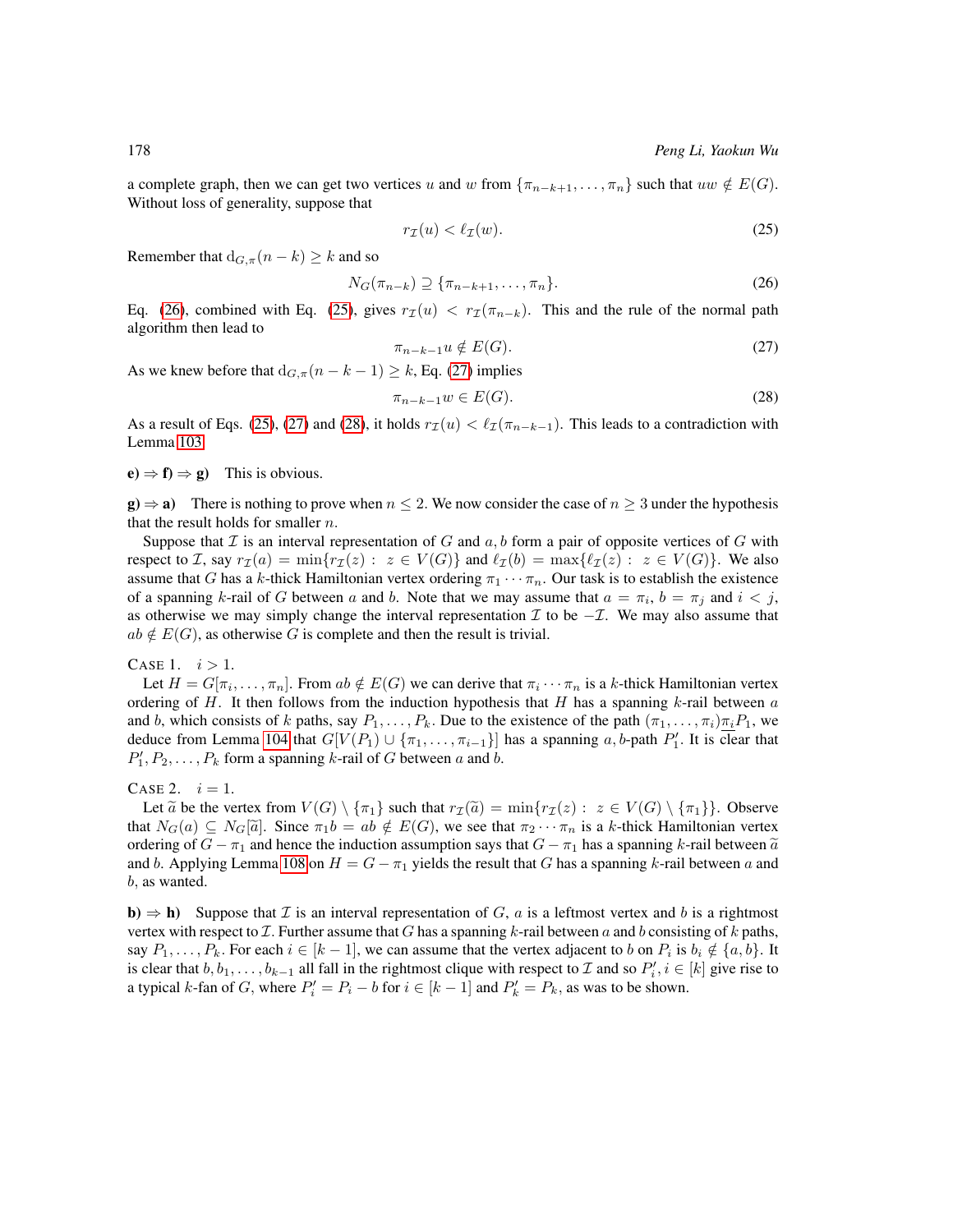a complete graph, then we can get two vertices u and w from  $\{\pi_{n-k+1}, \ldots, \pi_n\}$  such that  $uw \notin E(G)$ . Without loss of generality, suppose that

<span id="page-53-1"></span><span id="page-53-0"></span>
$$
r_{\mathcal{I}}(u) < \ell_{\mathcal{I}}(w). \tag{25}
$$

Remember that  $d_{G,\pi}(n-k) \geq k$  and so

<span id="page-53-2"></span>
$$
N_G(\pi_{n-k}) \supseteq {\pi_{n-k+1}, \dots, \pi_n}.
$$
\n
$$
(26)
$$

Eq. [\(26\)](#page-53-0), combined with Eq. [\(25\)](#page-53-1), gives  $r_{\mathcal{I}}(u) < r_{\mathcal{I}}(\pi_{n-k})$ . This and the rule of the normal path algorithm then lead to

<span id="page-53-3"></span>
$$
\pi_{n-k-1}u \notin E(G). \tag{27}
$$

As we knew before that  $d_{G,\pi}(n-k-1) \geq k$ , Eq. [\(27\)](#page-53-2) implies

$$
\pi_{n-k-1}w \in E(G). \tag{28}
$$

As a result of Eqs. [\(25\)](#page-53-1), [\(27\)](#page-53-2) and [\(28\)](#page-53-3), it holds  $r_I(u) < l_I(\pi_{n-k-1})$ . This leads to a contradiction with Lemma [103.](#page-49-3)

 $(e) \Rightarrow f$  =  $g$ ) This is obvious.

 $g \rightarrow a$ ) There is nothing to prove when  $n \le 2$ . We now consider the case of  $n \ge 3$  under the hypothesis that the result holds for smaller  $n$ .

Suppose that  $\mathcal I$  is an interval representation of G and  $a, b$  form a pair of opposite vertices of G with respect to I, say  $r_{\mathcal{I}}(a) = \min\{r_{\mathcal{I}}(z) : z \in V(G)\}\$  and  $\ell_{\mathcal{I}}(b) = \max\{\ell_{\mathcal{I}}(z) : z \in V(G)\}\.$  We also assume that G has a k-thick Hamiltonian vertex ordering  $\pi_1 \cdots \pi_n$ . Our task is to establish the existence of a spanning k-rail of G between a and b. Note that we may assume that  $a = \pi_i$ ,  $b = \pi_j$  and  $i < j$ , as otherwise we may simply change the interval representation  $\mathcal I$  to be  $-\mathcal I$ . We may also assume that  $ab \notin E(G)$ , as otherwise G is complete and then the result is trivial.

### CASE 1.  $i > 1$ .

Let  $H = G[\pi_i, \dots, \pi_n]$ . From  $ab \notin E(G)$  we can derive that  $\pi_i \cdots \pi_n$  is a k-thick Hamiltonian vertex ordering of H. It then follows from the induction hypothesis that H has a spanning  $k$ -rail between  $a$ and b, which consists of k paths, say  $P_1, \ldots, P_k$ . Due to the existence of the path  $(\pi_1, \ldots, \pi_i) \pi_i P_1$ , we deduce from Lemma [104](#page-50-0) that  $G[V(P_1) \cup \{\pi_1, \ldots, \pi_{i-1}\}]$  has a spanning a, b-path  $P'_1$ . It is clear that  $P'_1, P_2, \ldots, P_k$  form a spanning k-rail of G between a and b.

### CASE 2.  $i = 1$ .

Let  $\tilde{a}$  be the vertex from  $V(G) \setminus {\{\pi_1\}}$  such that  $r_{\mathcal{I}}(\tilde{a}) = \min\{r_{\mathcal{I}}(z) : z \in V(G) \setminus {\{\pi_1\}}\}\$ . Observe that  $N_G(a) \subseteq N_G[\tilde{a}]$ . Since  $\pi_1b = ab \notin E(G)$ , we see that  $\pi_2 \cdots \pi_n$  is a k-thick Hamiltonian vertex ordering of  $G - \pi_1$  and hence the induction assumption says that  $G - \pi_1$  has a spanning k-rail between  $\tilde{a}$ and b. Applying Lemma [108](#page-51-3) on  $H = G - \pi_1$  yields the result that G has a spanning k-rail between a and b, as wanted.

**b**)  $\Rightarrow$  **h**) Suppose that *I* is an interval representation of *G*, *a* is a leftmost vertex and *b* is a rightmost vertex with respect to  $\mathcal I$ . Further assume that G has a spanning k-rail between a and b consisting of k paths, say  $P_1, \ldots, P_k$ . For each  $i \in [k-1]$ , we can assume that the vertex adjacent to b on  $P_i$  is  $b_i \notin \{a, b\}$ . It is clear that  $b, b_1, \ldots, b_{k-1}$  all fall in the rightmost clique with respect to  $\mathcal I$  and so  $P'_i, i \in [k]$  give rise to a typical k-fan of G, where  $P'_i = P_i - b$  for  $i \in [k-1]$  and  $P'_k = P_k$ , as was to be shown.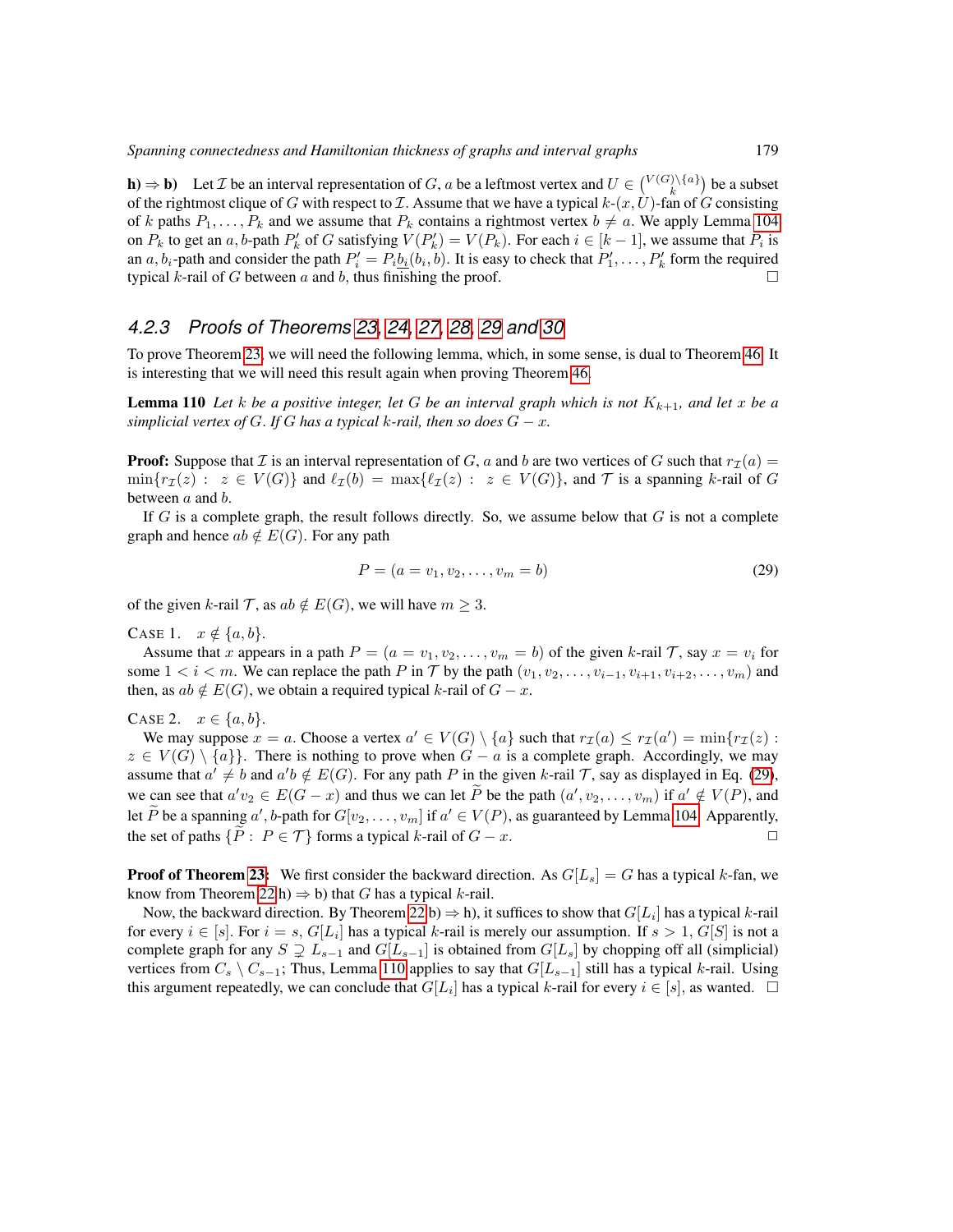**h**)  $\Rightarrow$  **b**) Let *I* be an interval representation of *G*, *a* be a leftmost vertex and  $U \in \binom{V(G)\setminus\{a\}}{k}$  be a subset of the rightmost clique of G with respect to  $\mathcal I$ . Assume that we have a typical  $k-(x, U)$ -fan of G consisting of k paths  $P_1, \ldots, P_k$  and we assume that  $P_k$  contains a rightmost vertex  $b \neq a$ . We apply Lemma [104](#page-50-0) on  $P_k$  to get an a, b-path  $P'_k$  of G satisfying  $V(P'_k) = V(P_k)$ . For each  $i \in [k-1]$ , we assume that  $P_i$  is an  $a, b_i$ -path and consider the path  $P'_i = P_i \underline{b_i}(b_i, b)$ . It is easy to check that  $P'_1, \ldots, P'_k$  form the required typical  $k$ -rail of  $G$  between  $a$  and  $b$ , thus finishing the proof.

# *4.2.3 Proofs of Theorems [23,](#page-19-1) [24,](#page-19-2) [27,](#page-19-3) [28,](#page-20-0) [29](#page-20-1) and [30](#page-20-2)*

To prove Theorem [23,](#page-19-1) we will need the following lemma, which, in some sense, is dual to Theorem [46.](#page-24-0) It is interesting that we will need this result again when proving Theorem [46.](#page-24-0)

<span id="page-54-1"></span>**Lemma 110** Let *k* be a positive integer, let G be an interval graph which is not  $K_{k+1}$ , and let x be a *simplicial vertex of*  $G$ . If  $G$  has a typical  $k$ -rail, then so does  $G - x$ .

**Proof:** Suppose that  $\mathcal I$  is an interval representation of  $G$ ,  $a$  and  $b$  are two vertices of  $G$  such that  $r_{\mathcal{I}}(a)$  =  $\min\{r_I(z) : z \in V(G)\}\$  and  $\ell_I(b) = \max\{\ell_I(z) : z \in V(G)\}\$ , and T is a spanning k-rail of G between  $a$  and  $b$ .

If G is a complete graph, the result follows directly. So, we assume below that  $G$  is not a complete graph and hence  $ab \notin E(G)$ . For any path

<span id="page-54-0"></span>
$$
P = (a = v_1, v_2, \dots, v_m = b)
$$
\n(29)

of the given k-rail  $\mathcal{T}$ , as  $ab \notin E(G)$ , we will have  $m \geq 3$ .

CASE 1.  $x \notin \{a, b\}.$ 

Assume that x appears in a path  $P = (a = v_1, v_2, \dots, v_m = b)$  of the given k-rail T, say  $x = v_i$  for some  $1 < i < m$ . We can replace the path P in T by the path  $(v_1, v_2, \ldots, v_{i-1}, v_{i+1}, v_{i+2}, \ldots, v_m)$  and then, as  $ab \notin E(G)$ , we obtain a required typical k-rail of  $G - x$ .

CASE 2.  $x \in \{a, b\}$ .

We may suppose  $x = a$ . Choose a vertex  $a' \in V(G) \setminus \{a\}$  such that  $r_{\mathcal{I}}(a) \leq r_{\mathcal{I}}(a') = \min\{r_{\mathcal{I}}(z) :$  $z \in V(G) \setminus \{a\}$ . There is nothing to prove when  $G - a$  is a complete graph. Accordingly, we may assume that  $a' \neq b$  and  $a'b \notin E(G)$ . For any path P in the given k-rail T, say as displayed in Eq. [\(29\)](#page-54-0), we can see that  $a'v_2 \in E(G - x)$  and thus we can let P be the path  $(a', v_2, \dots, v_m)$  if  $a' \notin V(P)$ , and  $\widetilde{a} \in V(P)$ let P be a spanning  $a'$ , b-path for  $G[v_2, \ldots, v_m]$  if  $a' \in V(P)$ , as guaranteed by Lemma [104.](#page-50-0) Apparently, the set of paths  $\{ \tilde{P} : P \in \mathcal{T} \}$  forms a typical k-rail of  $G - x$ .

**Proof of Theorem [23:](#page-19-1)** We first consider the backward direction. As  $G[L_s] = G$  has a typical k-fan, we know from Theorem [22](#page-19-0) h)  $\Rightarrow$  b) that G has a typical k-rail.

Now, the backward direction. By Theorem [22](#page-19-0) b)  $\Rightarrow$  h), it suffices to show that  $G[L_i]$  has a typical k-rail for every  $i \in [s]$ . For  $i = s$ ,  $G[L_i]$  has a typical k-rail is merely our assumption. If  $s > 1$ ,  $G[S]$  is not a complete graph for any  $S \supsetneq L_{s-1}$  and  $G[L_{s-1}]$  is obtained from  $G[L_s]$  by chopping off all (simplicial) vertices from  $C_s \setminus C_{s-1}$ ; Thus, Lemma [110](#page-54-1) applies to say that  $G[L_{s-1}]$  still has a typical k-rail. Using this argument repeatedly, we can conclude that  $G[L_i]$  has a typical k-rail for every  $i \in [s]$ , as wanted.  $\Box$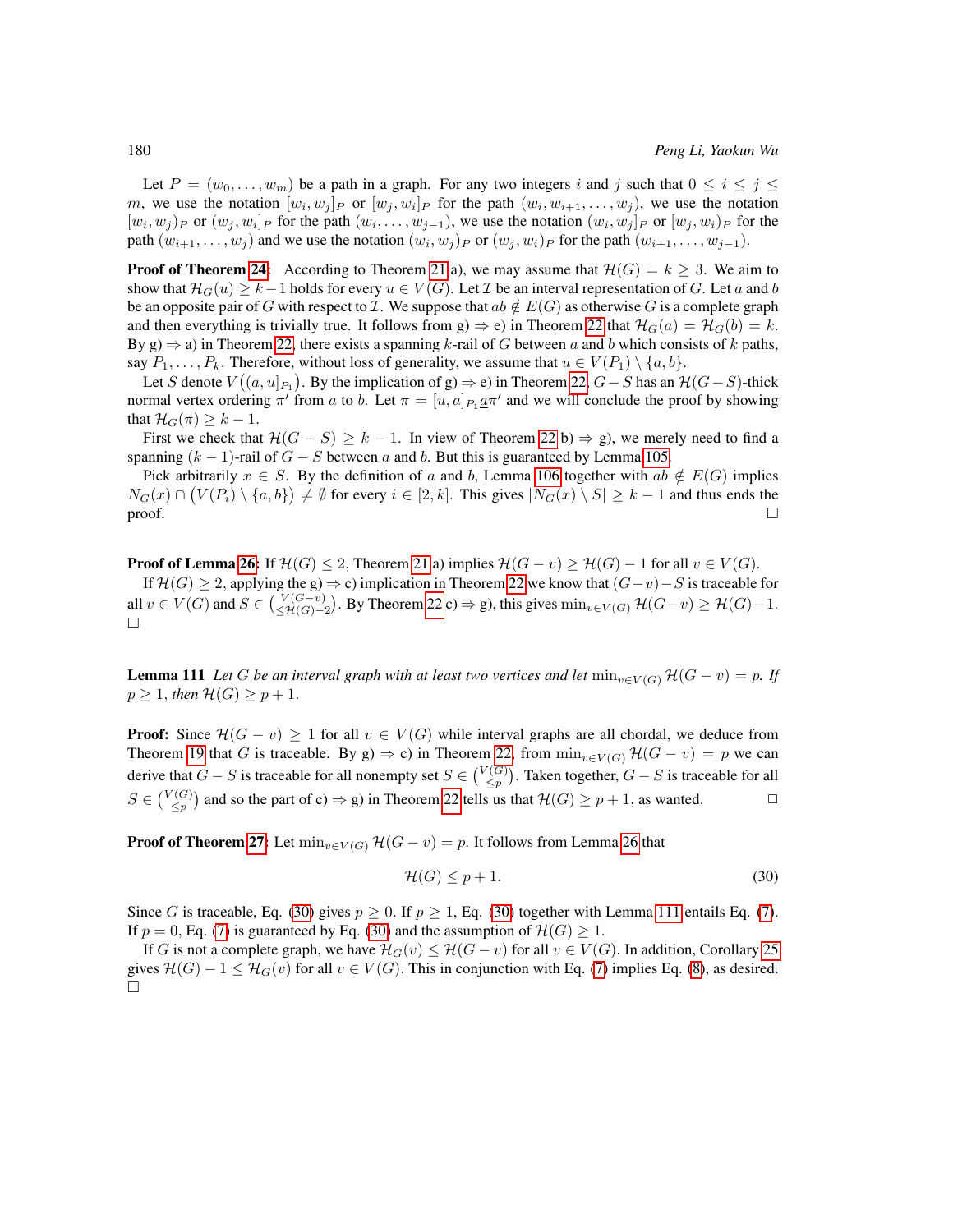Let  $P = (w_0, \ldots, w_m)$  be a path in a graph. For any two integers i and j such that  $0 \le i \le j \le k$ m, we use the notation  $[w_i, w_j]_P$  or  $[w_j, w_i]_P$  for the path  $(w_i, w_{i+1}, \ldots, w_j)$ , we use the notation  $[w_i, w_j]_P$  or  $(w_j, w_i]_P$  for the path  $(w_i, \ldots, w_{j-1})$ , we use the notation  $(w_i, w_j]_P$  or  $[w_j, w_i]_P$  for the path  $(w_{i+1},...,w_j)$  and we use the notation  $(w_i, w_j)_P$  or  $(w_j, w_i)_P$  for the path  $(w_{i+1},...,w_{j-1})$ .

**Proof of Theorem [24:](#page-19-2)** According to Theorem [21](#page-16-1) a), we may assume that  $\mathcal{H}(G) = k \geq 3$ . We aim to show that  $\mathcal{H}_G(u) \geq k-1$  holds for every  $u \in V(G)$ . Let  $\mathcal I$  be an interval representation of G. Let a and b be an opposite pair of G with respect to I. We suppose that  $ab \notin E(G)$  as otherwise G is a complete graph and then everything is trivially true. It follows from  $g \Rightarrow e$ ) in Theorem [22](#page-19-0) that  $\mathcal{H}_G(a) = \mathcal{H}_G(b) = k$ . By g)  $\Rightarrow$  a) in Theorem [22,](#page-19-0) there exists a spanning k-rail of G between a and b which consists of k paths, say  $P_1, \ldots, P_k$ . Therefore, without loss of generality, we assume that  $u \in V(P_1) \setminus \{a, b\}$ .

Let S denote  $V((a, u]_{P_1})$ . By the implication of g)  $\Rightarrow$  e) in Theorem [22,](#page-19-0)  $G-S$  has an  $\mathcal H (G-S)$ -thick normal vertex ordering  $\pi'$  from a to b. Let  $\pi = [u, a]_{P_1} \underline{a} \pi'$  and we will conclude the proof by showing that  $\mathcal{H}_G(\pi) \geq k - 1$ .

First we check that  $\mathcal{H}(G - S) > k - 1$ . In view of Theorem [22](#page-19-0) b)  $\Rightarrow$  g), we merely need to find a spanning  $(k - 1)$ -rail of  $G - S$  between a and b. But this is guaranteed by Lemma [105.](#page-50-1)

Pick arbitrarily  $x \in S$ . By the definition of a and b, Lemma [106](#page-50-2) together with ab  $\notin E(G)$  implies  $N_G(x) \cap (V(P_i) \setminus \{a, b\}) \neq \emptyset$  for every  $i \in [2, k]$ . This gives  $|N_G(x) \setminus S| \geq k - 1$  and thus ends the  $\Box$ 

**Proof of Lemma [26:](#page-19-4)** If  $\mathcal{H}(G) \leq 2$ , Theorem [21](#page-16-1) a) implies  $\mathcal{H}(G - v) \geq \mathcal{H}(G) - 1$  for all  $v \in V(G)$ . If  $\mathcal{H}(G) \geq 2$ , applying the g)  $\Rightarrow$  c) implication in Theorem [22](#page-19-0) we know that  $(G-v)-S$  is traceable for all  $v \in V(G)$  and  $S \in \left(\frac{V(G-v)}{\leq \mathcal{H}(G)-2}\right)$ . By Theorem [22](#page-19-0) c)  $\Rightarrow$  g), this gives  $\min_{v \in V(G)} \mathcal{H}(G-v) \geq \mathcal{H}(G)-1$ .  $\Box$ 

<span id="page-55-1"></span>**Lemma 111** *Let* G *be an interval graph with at least two vertices and let*  $\min_{v \in V(G)} \mathcal{H}(G - v) = p$ *. If*  $p \geq 1$ , then  $H(G) \geq p + 1$ .

**Proof:** Since  $\mathcal{H}(G - v) \geq 1$  for all  $v \in V(G)$  while interval graphs are all chordal, we deduce from Theorem [19](#page-16-0) that G is traceable. By g)  $\Rightarrow$  c) in Theorem [22,](#page-19-0) from  $\min_{v \in V(G)} \mathcal{H}(G - v) = p$  we can derive that  $G - S$  is traceable for all nonempty set  $S \in \binom{V(G)}{\leq p}$ . Taken together,  $G - S$  is traceable for all  $S \in \binom{V(G)}{\leq p}$  and so the part of c)  $\Rightarrow$  g) in Theorem [22](#page-19-0) tells us that  $\mathcal{H}(G) \geq p + 1$ , as wanted.

**Proof of Theorem [27:](#page-19-3)** Let  $\min_{v \in V(G)} \mathcal{H}(G - v) = p$ . It follows from Lemma [26](#page-19-4) that

<span id="page-55-0"></span>
$$
\mathcal{H}(G) \le p + 1. \tag{30}
$$

Since G is traceable, Eq. [\(30\)](#page-55-0) gives  $p \ge 0$ . If  $p \ge 1$ , Eq. (30) together with Lemma [111](#page-55-1) entails Eq. [\(7\)](#page-20-3). If  $p = 0$ , Eq. [\(7\)](#page-20-3) is guaranteed by Eq. [\(30\)](#page-55-0) and the assumption of  $\mathcal{H}(G) \geq 1$ .

If G is not a complete graph, we have  $\mathcal{H}_G(v) \leq \mathcal{H}(G - v)$  for all  $v \in V(G)$ . In addition, Corollary [25](#page-19-5) gives  $\mathcal{H}(G) - 1 \leq \mathcal{H}_G(v)$  for all  $v \in V(G)$ . This in conjunction with Eq. [\(7\)](#page-20-3) implies Eq. [\(8\)](#page-20-4), as desired. Ш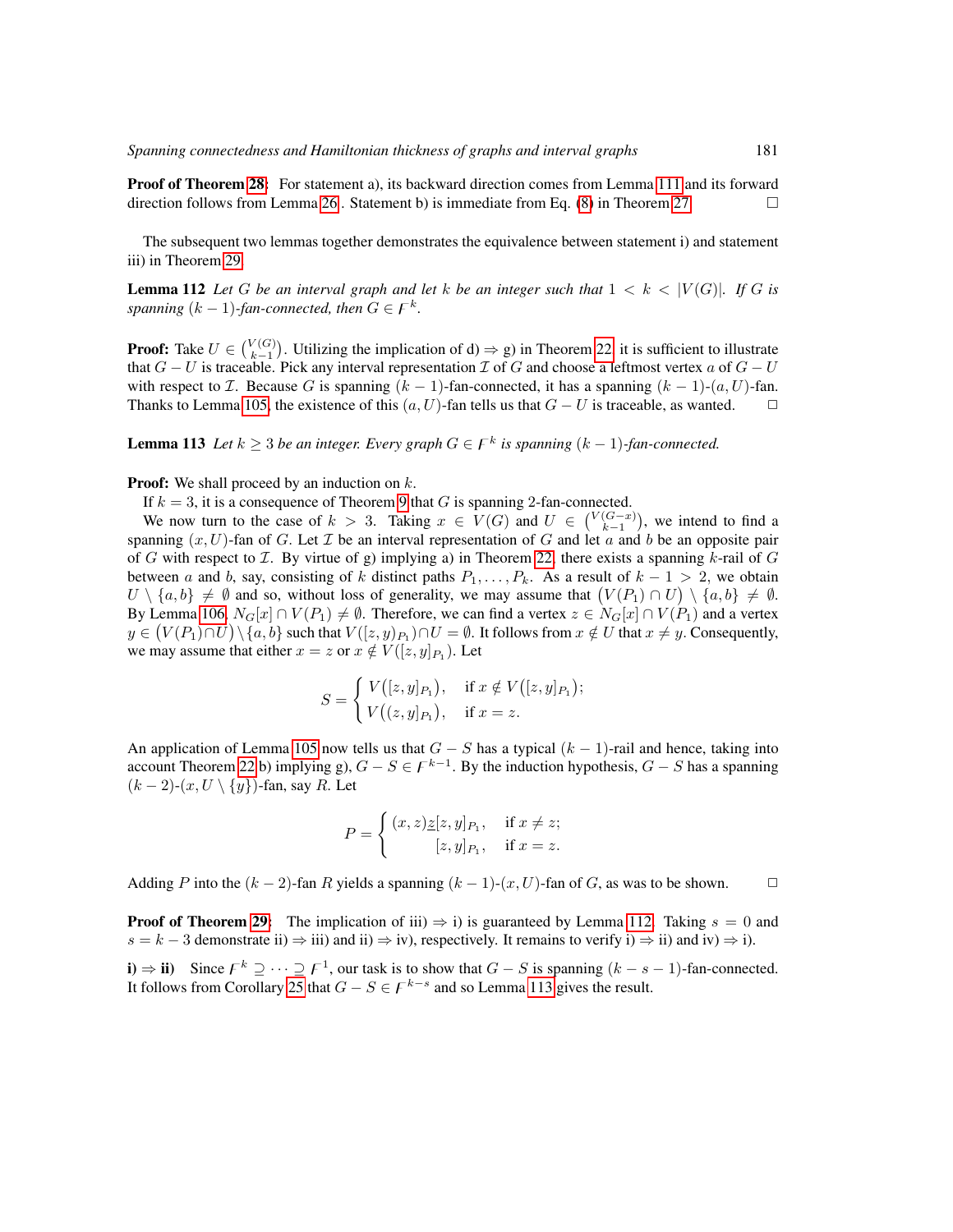**Proof of Theorem [28:](#page-20-0)** For statement a), its backward direction comes from Lemma [111](#page-55-1) and its forward direction follows from Lemma [26](#page-19-4). Statement b) is immediate from Eq.  $(8)$  in Theorem [27.](#page-19-3)

The subsequent two lemmas together demonstrates the equivalence between statement i) and statement iii) in Theorem [29.](#page-20-1)

<span id="page-56-0"></span>**Lemma 112** Let G be an interval graph and let k be an integer such that  $1 < k < |V(G)|$ . If G is *spanning*  $(k-1)$ -fan-connected, then  $G \in F^k$ .

**Proof:** Take  $U \in \binom{V(G)}{k-1}$ . Utilizing the implication of d)  $\Rightarrow$  g) in Theorem [22,](#page-19-0) it is sufficient to illustrate that  $G - U$  is traceable. Pick any interval representation  $\mathcal{I}$  of G and choose a leftmost vertex a of  $G - U$ with respect to *I*. Because G is spanning  $(k - 1)$ -fan-connected, it has a spanning  $(k - 1)$ - $(a, U)$ -fan. Thanks to Lemma [105,](#page-50-1) the existence of this  $(a, U)$ -fan tells us that  $G - U$  is traceable, as wanted.  $\square$ 

<span id="page-56-1"></span>**Lemma 113** Let  $k \geq 3$  be an integer. Every graph  $G \in F^k$  is spanning  $(k-1)$ -fan-connected.

**Proof:** We shall proceed by an induction on  $k$ .

If  $k = 3$ , it is a consequence of Theorem [9](#page-13-2) that G is spanning 2-fan-connected.

We now turn to the case of  $k > 3$ . Taking  $x \in V(G)$  and  $U \in {V(G-x) \choose k-1}$ , we intend to find a spanning  $(x, U)$ -fan of G. Let  $\mathcal I$  be an interval representation of G and let  $\alpha$  and b be an opposite pair of G with respect to  $\mathcal I$ . By virtue of g) implying a) in Theorem [22,](#page-19-0) there exists a spanning k-rail of G between a and b, say, consisting of k distinct paths  $P_1, \ldots, P_k$ . As a result of  $k - 1 > 2$ , we obtain  $U \setminus \{a, b\} \neq \emptyset$  and so, without loss of generality, we may assume that  $(V(P_1) \cap U) \setminus \{a, b\} \neq \emptyset$ . By Lemma [106,](#page-50-2)  $N_G[x] \cap V(P_1) \neq \emptyset$ . Therefore, we can find a vertex  $z \in N_G[x] \cap V(P_1)$  and a vertex  $y\in \big(V(P_1)\cap U\big)\setminus\{a,b\}$  such that  $V([z,y)_{P_1})\cap U=\emptyset$ . It follows from  $x\notin U$  that  $x\neq y.$  Consequently, we may assume that either  $x = z$  or  $x \notin V([z, y]_{P_1})$ . Let

$$
S = \begin{cases} V([z, y]_{P_1}), & \text{if } x \notin V([z, y]_{P_1}); \\ V((z, y]_{P_1}), & \text{if } x = z. \end{cases}
$$

An application of Lemma [105](#page-50-1) now tells us that  $G - S$  has a typical  $(k - 1)$ -rail and hence, taking into account Theorem [22](#page-19-0) b) implying g),  $G - S \in F^{k-1}$ . By the induction hypothesis,  $G - S$  has a spanning  $(k-2)-(x, U \setminus \{y\})$ -fan, say R. Let

$$
P = \begin{cases} (x, z) \underline{z}[z, y]_{P_1}, & \text{if } x \neq z; \\ [z, y]_{P_1}, & \text{if } x = z. \end{cases}
$$

Adding P into the  $(k-2)$ -fan R yields a spanning  $(k-1)-(x, U)$ -fan of G, as was to be shown.  $\Box$ 

**Proof of Theorem [29:](#page-20-1)** The implication of iii)  $\Rightarrow$  i) is guaranteed by Lemma [112.](#page-56-0) Taking  $s = 0$  and  $s = k - 3$  demonstrate ii)  $\Rightarrow$  iii) and ii)  $\Rightarrow$  iv), respectively. It remains to verify i)  $\Rightarrow$  ii) and iv)  $\Rightarrow$  i).

**i**)  $\Rightarrow$  **ii**) Since  $F^k \supseteq \cdots \supseteq F^1$ , our task is to show that  $G - S$  is spanning  $(k - s - 1)$ -fan-connected. It follows from Corollary [25](#page-19-5) that  $G - S \in F^{k-s}$  and so Lemma [113](#page-56-1) gives the result.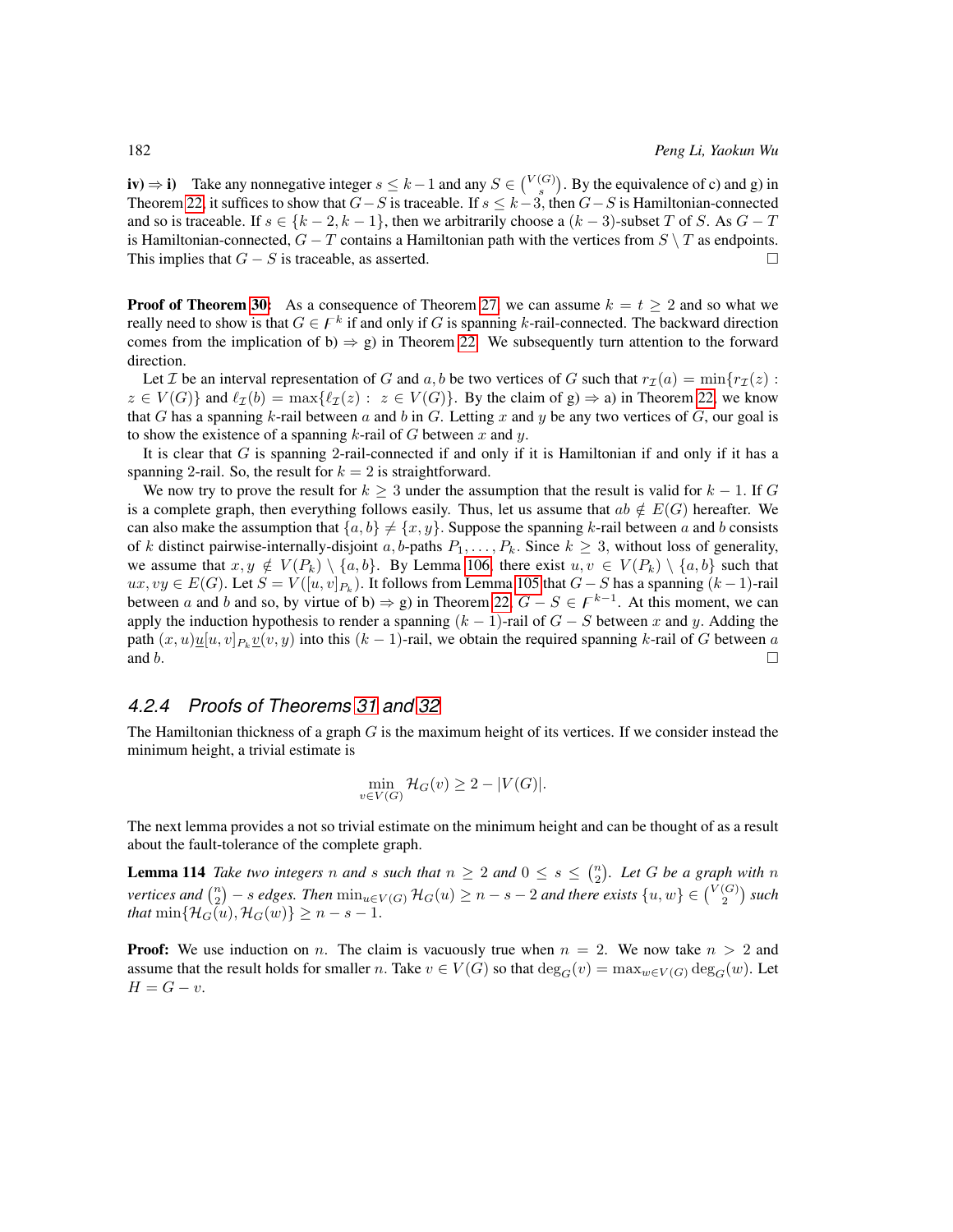**iv**)  $\Rightarrow$  **i**) Take any nonnegative integer  $s \le k-1$  and any  $S \in \binom{V(G)}{s}$ . By the equivalence of c) and g) in Theorem [22,](#page-19-0) it suffices to show that  $G-S$  is traceable. If  $s \le k-3$ , then  $G-S$  is Hamiltonian-connected and so is traceable. If  $s \in \{k-2, k-1\}$ , then we arbitrarily choose a  $(k-3)$ -subset T of S. As  $G - T$ is Hamiltonian-connected,  $G - T$  contains a Hamiltonian path with the vertices from  $S \setminus T$  as endpoints. This implies that  $G - S$  is traceable, as asserted.

**Proof of Theorem [30:](#page-20-2)** As a consequence of Theorem [27,](#page-19-3) we can assume  $k = t \geq 2$  and so what we really need to show is that  $G \in \mathcal{F}^k$  if and only if G is spanning k-rail-connected. The backward direction comes from the implication of b)  $\Rightarrow$  g) in Theorem [22.](#page-19-0) We subsequently turn attention to the forward direction.

Let *I* be an interval representation of G and a, b be two vertices of G such that  $r_{\mathcal{I}}(a) = \min\{r_{\mathcal{I}}(z):$  $z \in V(G)$  and  $\ell_{\mathcal{I}}(b) = \max\{\ell_{\mathcal{I}}(z) : z \in V(G)\}\$ . By the claim of  $g \Rightarrow a$ ) in Theorem [22,](#page-19-0) we know that G has a spanning k-rail between a and b in G. Letting x and y be any two vertices of G, our goal is to show the existence of a spanning k-rail of G between x and y.

It is clear that  $G$  is spanning 2-rail-connected if and only if it is Hamiltonian if and only if it has a spanning 2-rail. So, the result for  $k = 2$  is straightforward.

We now try to prove the result for  $k \geq 3$  under the assumption that the result is valid for  $k - 1$ . If G is a complete graph, then everything follows easily. Thus, let us assume that  $ab \notin E(G)$  hereafter. We can also make the assumption that  $\{a, b\} \neq \{x, y\}$ . Suppose the spanning k-rail between a and b consists of k distinct pairwise-internally-disjoint a, b-paths  $P_1, \ldots, P_k$ . Since  $k \geq 3$ , without loss of generality, we assume that  $x, y \notin V(P_k) \setminus \{a, b\}$ . By Lemma [106,](#page-50-2) there exist  $u, v \in V(P_k) \setminus \{a, b\}$  such that  $ux, vy \in E(G)$ . Let  $S = V([u, v]_{P_k})$ . It follows from Lemma [105](#page-50-1) that  $G - S$  has a spanning  $(k-1)$ -rail between a and b and so, by virtue of b)  $\Rightarrow$  g) in Theorem [22,](#page-19-0)  $G - S \in F^{k-1}$ . At this moment, we can apply the induction hypothesis to render a spanning  $(k - 1)$ -rail of  $G - S$  between x and y. Adding the path  $(x, u) \underline{u}[u, v]_{P_k} \underline{v}(v, y)$  into this  $(k - 1)$ -rail, we obtain the required spanning k-rail of G between a and b.

# *4.2.4 Proofs of Theorems [31](#page-20-5) and [32](#page-20-6)*

The Hamiltonian thickness of a graph  $G$  is the maximum height of its vertices. If we consider instead the minimum height, a trivial estimate is

$$
\min_{v \in V(G)} \mathcal{H}_G(v) \ge 2 - |V(G)|.
$$

The next lemma provides a not so trivial estimate on the minimum height and can be thought of as a result about the fault-tolerance of the complete graph.

<span id="page-57-0"></span>**Lemma 114** Take two integers n and s such that  $n \geq 2$  and  $0 \leq s \leq {n \choose 2}$ . Let G be a graph with n *vertices and*  $\binom{n}{2}$  – *s edges. Then*  $\min_{u \in V(G)} \mathcal{H}_G(u) \geq n - s - 2$  *and there exists*  $\{u, w\} \in \binom{V(G)}{2}$  *such that* min $\{\mathcal{H}_G(u), \mathcal{H}_G(w)\} \geq n - s - 1$ .

**Proof:** We use induction on n. The claim is vacuously true when  $n = 2$ . We now take  $n > 2$  and assume that the result holds for smaller n. Take  $v \in V(G)$  so that  $\deg_G(v) = \max_{w \in V(G)} \deg_G(w)$ . Let  $H = G - v.$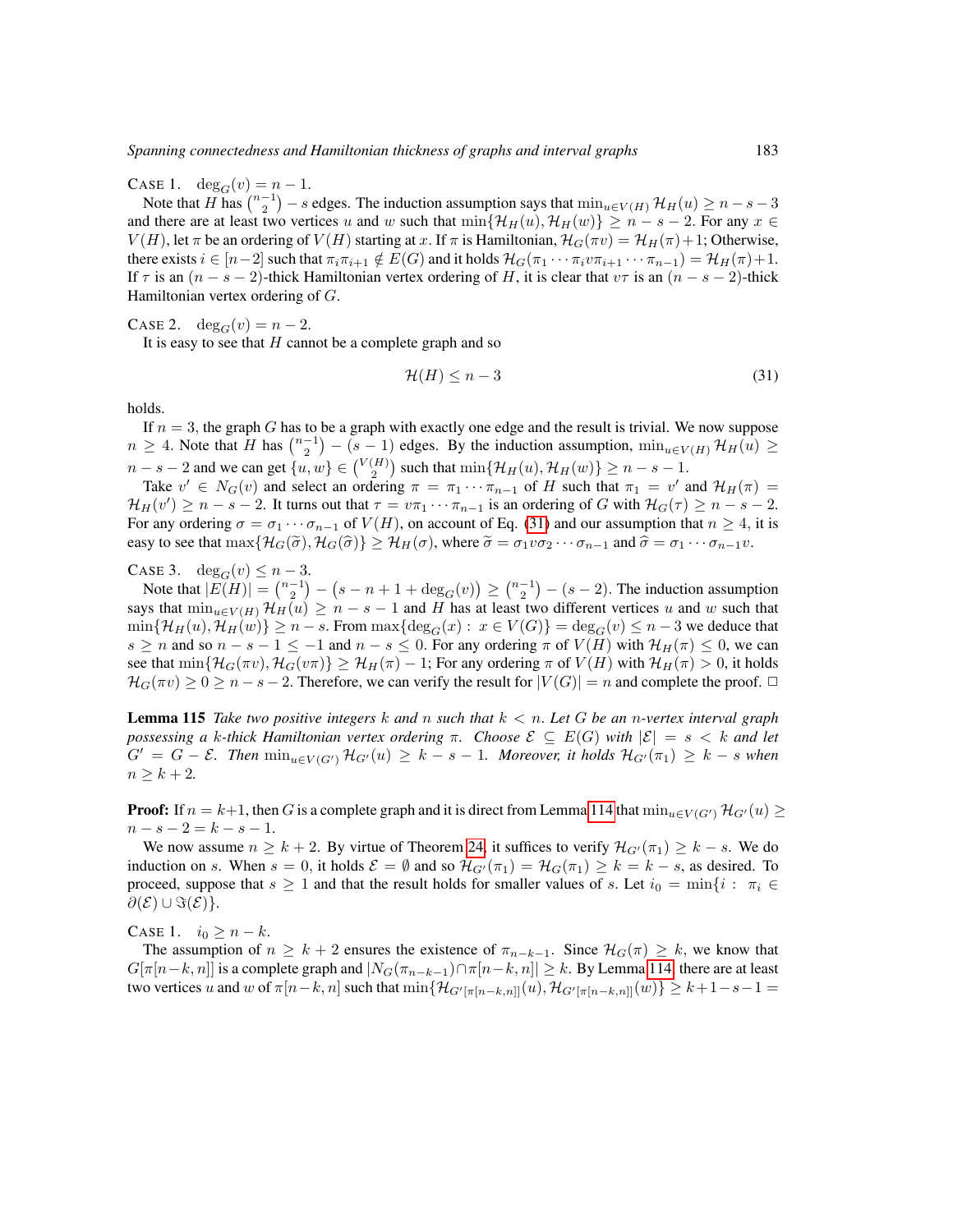CASE 1.  $\deg_G(v) = n-1$ .

Note that H has  $\binom{n-1}{2}$  – s edges. The induction assumption says that  $\min_{u \in V(H)} \mathcal{H}_H(u) \geq n - s - 3$ and there are at least two vertices u and w such that  $\min\{\mathcal{H}_H(u), \mathcal{H}_H(w)\}\geq n-s-2$ . For any  $x \in$  $V(H)$ , let  $\pi$  be an ordering of  $V(H)$  starting at x. If  $\pi$  is Hamiltonian,  $\mathcal{H}_G(\pi v) = \mathcal{H}_H(\pi) + 1$ ; Otherwise, there exists  $i \in [n-2]$  such that  $\pi_i \pi_{i+1} \notin E(G)$  and it holds  $\mathcal{H}_G(\pi_1 \cdots \pi_i \nu \pi_{i+1} \cdots \pi_{n-1}) = \mathcal{H}_H(\pi) + 1$ . If  $\tau$  is an  $(n - s - 2)$ -thick Hamiltonian vertex ordering of H, it is clear that  $v\tau$  is an  $(n - s - 2)$ -thick Hamiltonian vertex ordering of G.

CASE 2.  $\deg_G(v) = n-2$ .

It is easy to see that  $H$  cannot be a complete graph and so

<span id="page-58-0"></span>
$$
\mathcal{H}(H) \le n - 3\tag{31}
$$

holds.

If  $n = 3$ , the graph G has to be a graph with exactly one edge and the result is trivial. We now suppose  $n \geq 4$ . Note that H has  $\binom{n-1}{2} - (s-1)$  edges. By the induction assumption,  $\min_{u \in V(H)} \mathcal{H}_H(u)$  ≥  $n-s-2$  and we can get  $\{u, w\} \in {V(H) \choose 2}$  such that  $\min{\lbrace \mathcal{H}_H(u), \mathcal{H}_H(w) \rbrace} \geq n-s-1$ .

Take  $v' \in N_G(v)$  and select an ordering  $\pi = \pi_1 \cdots \pi_{n-1}$  of H such that  $\pi_1 = v'$  and  $\mathcal{H}_H(\pi) =$  $\mathcal{H}_H(v') \geq n - s - 2$ . It turns out that  $\tau = v\pi_1 \cdots \pi_{n-1}$  is an ordering of G with  $\mathcal{H}_G(\tau) \geq n - s - 2$ . For any ordering  $\sigma = \sigma_1 \cdots \sigma_{n-1}$  of  $V(H)$ , on account of Eq. [\(31\)](#page-58-0) and our assumption that  $n \geq 4$ , it is easy to see that  $\max\{\mathcal{H}_G(\tilde{\sigma}),\mathcal{H}_G(\hat{\sigma})\}\geq \mathcal{H}_H(\sigma)$ , where  $\tilde{\sigma}=\sigma_1v\sigma_2\cdots\sigma_{n-1}$  and  $\hat{\sigma}=\sigma_1\cdots\sigma_{n-1}v$ .

CASE 3. deg<sub>G</sub> $(v) \leq n-3$ .

Note that  $|E(H)| = \binom{n-1}{2} - (s - n + 1 + \deg_G(v)) \ge \binom{n-1}{2} - (s - 2)$ . The induction assumption says that  $\min_{u \in V(H)} \mathcal{H}_H(u) \geq n - s - 1$  and H has at least two different vertices u and w such that  $\min\{\mathcal{H}_H(u),\mathcal{H}_H(w)\}\geq n-s$ . From  $\max\{\deg_G(x): x\in V(G)\}=\deg_G(v)\leq n-3$  we deduce that  $s \ge n$  and so  $n - s - 1 \le -1$  and  $n - s \le 0$ . For any ordering  $\pi$  of  $V(H)$  with  $\mathcal{H}_H(\pi) \le 0$ , we can see that  $\min\{\mathcal{H}_G(\pi v),\mathcal{H}_G(v\pi)\}\geq \mathcal{H}_H(\pi)-1$ ; For any ordering  $\pi$  of  $V(H)$  with  $\mathcal{H}_H(\pi)>0$ , it holds  $\mathcal{H}_G(\pi v) \geq 0 \geq n - s - 2$ . Therefore, we can verify the result for  $|V(G)| = n$  and complete the proof.  $\Box$ 

<span id="page-58-1"></span>Lemma 115 *Take two positive integers* k *and* n *such that* k < n. *Let* G *be an* n*-vertex interval graph possessing a* k-thick Hamiltonian vertex ordering  $\pi$ . Choose  $\mathcal{E} \subseteq E(G)$  with  $|\mathcal{E}| = s < k$  and let  $G' = G - \mathcal{E}$ . Then  $\min_{u \in V(G')} \mathcal{H}_{G'}(u) \geq k - s - 1$ . Moreover, it holds  $\mathcal{H}_{G'}(\pi_1) \geq k - s$  when  $n \geq k + 2.$ 

**Proof:** If  $n = k+1$ , then G is a complete graph and it is direct from Lemma [114](#page-57-0) that  $\min_{u \in V(G')} \mathcal{H}_{G'}(u) \geq$  $n - s - 2 = k - s - 1.$ 

We now assume  $n \geq k + 2$ . By virtue of Theorem [24,](#page-19-2) it suffices to verify  $\mathcal{H}_{G'}(\pi_1) \geq k - s$ . We do induction on s. When  $s = 0$ , it holds  $\mathcal{E} = \emptyset$  and so  $\mathcal{H}_{G'}(\pi_1) = \mathcal{H}_G(\pi_1) \geq k = k - s$ , as desired. To proceed, suppose that  $s \ge 1$  and that the result holds for smaller values of s. Let  $i_0 = \min\{i : \pi_i \in$  $\partial(\mathcal{E}) \cup \Im(\mathcal{E})\}.$ 

CASE 1.  $i_0 \geq n - k$ .

The assumption of  $n \geq k+2$  ensures the existence of  $\pi_{n-k-1}$ . Since  $\mathcal{H}_G(\pi) \geq k$ , we know that  $G[\pi[n-k,n]]$  is a complete graph and  $|N_G(\pi_{n-k-1}) \cap \pi[n-k,n]| \geq k$ . By Lemma [114,](#page-57-0) there are at least two vertices u and w of  $\pi[n-k,n]$  such that  $\min\{\mathcal{H}_{G'[\pi[n-k,n]]}(u),\mathcal{H}_{G'[\pi[n-k,n]]}(w)\}\geq k+1-s-1=$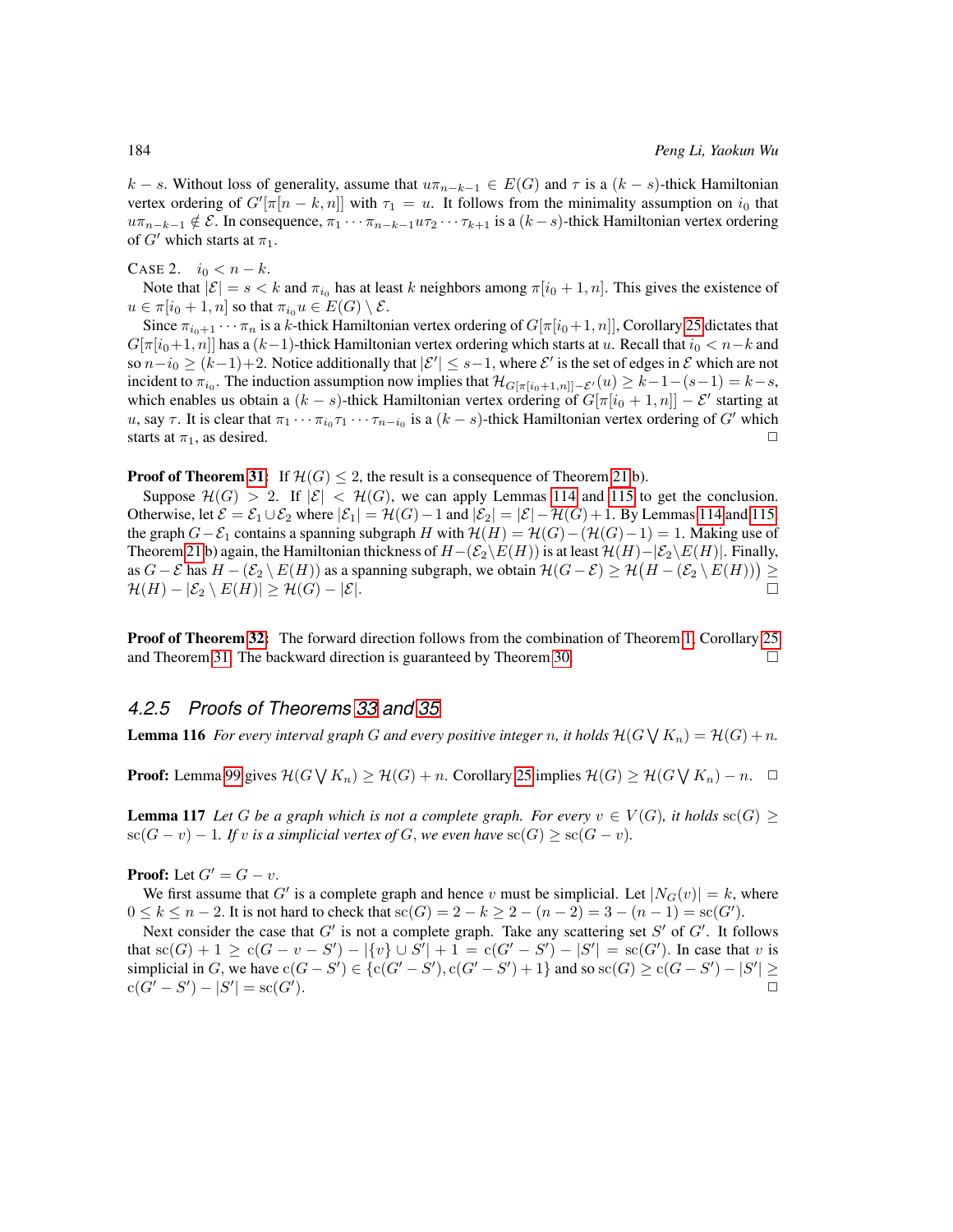k – s. Without loss of generality, assume that  $u\pi_{n-k-1} \in E(G)$  and  $\tau$  is a  $(k - s)$ -thick Hamiltonian vertex ordering of  $G'[\pi[n-k,n]]$  with  $\tau_1 = u$ . It follows from the minimality assumption on  $i_0$  that  $u\pi_{n-k-1}\notin \mathcal{E}$ . In consequence,  $\pi_1\cdots\pi_{n-k-1}u\pi_2\cdots\pi_{k+1}$  is a  $(k-s)$ -thick Hamiltonian vertex ordering of G' which starts at  $\pi_1$ .

CASE 2.  $i_0 < n - k$ .

Note that  $|\mathcal{E}| = s < k$  and  $\pi_{i_0}$  has at least k neighbors among  $\pi[i_0 + 1, n]$ . This gives the existence of  $u \in \pi[i_0 + 1, n]$  so that  $\pi_{i_0} u \in E(G) \setminus \mathcal{E}$ .

Since  $\pi_{i_0+1} \cdots \pi_n$  is a k-thick Hamiltonian vertex ordering of  $G[\pi[i_0+1, n]]$ , Corollary [25](#page-19-5) dictates that  $G[\pi[i_0+1,n]]$  has a  $(k-1)$ -thick Hamiltonian vertex ordering which starts at u. Recall that  $i_0 < n-k$  and so  $n-i_0 \ge (k-1)+2$ . Notice additionally that  $|\mathcal{E}'| \le s-1$ , where  $\mathcal{E}'$  is the set of edges in  $\mathcal E$  which are not incident to  $\pi_{i_0}$ . The induction assumption now implies that  $\mathcal{H}_{G[\pi[i_0+1,n]]-\mathcal{E}'}(u) \geq k-1-(s-1)=k-s$ , which enables us obtain a  $(k - s)$ -thick Hamiltonian vertex ordering of  $G[\pi[i_0 + 1, n]] - \mathcal{E}'$  starting at u, say  $\tau$ . It is clear that  $\pi_1 \cdots \pi_{i_0} \tau_1 \cdots \tau_{n-i_0}$  is a  $(k-s)$ -thick Hamiltonian vertex ordering of  $G'$  which starts at  $\pi_1$ , as desired.  $\Box$ 

## **Proof of Theorem [31:](#page-20-5)** If  $\mathcal{H}(G) \leq 2$ , the result is a consequence of Theorem [21](#page-16-1) b).

Suppose  $\mathcal{H}(G) > 2$ . If  $|\mathcal{E}| < \mathcal{H}(G)$ , we can apply Lemmas [114](#page-57-0) and [115](#page-58-1) to get the conclusion. Otherwise, let  $\mathcal{E} = \mathcal{E}_1 \cup \mathcal{E}_2$  where  $|\mathcal{E}_1| = \mathcal{H}(G) - 1$  and  $|\mathcal{E}_2| = |\mathcal{E}| - \mathcal{H}(G) + 1$ . By Lemmas [114](#page-57-0) and [115,](#page-58-1) the graph  $G-\mathcal{E}_1$  contains a spanning subgraph H with  $\mathcal{H}(H) = \mathcal{H}(G) - (\mathcal{H}(G) - 1) = 1$ . Making use of Theorem [21](#page-16-1) b) again, the Hamiltonian thickness of  $H-(\mathcal{E}_2\backslash E(H))$  is at least  $\mathcal{H}(H)-|\mathcal{E}_2\backslash E(H)|$ . Finally, as  $G-\mathcal{E}$  has  $H-(\mathcal{E}_2\setminus E(H))$  as a spanning subgraph, we obtain  $\mathcal{H}(G-\mathcal{E})\geq \mathcal{H}(H-(\mathcal{E}_2\setminus E(H)))\geq 0$  $\mathcal{H}(H) - |\mathcal{E}_2 \setminus E(H)| \geq \mathcal{H}(G) - |\mathcal{E}|.$ 

**Proof of Theorem [32:](#page-20-6)** The forward direction follows from the combination of Theorem [1,](#page-12-0) Corollary [25](#page-19-5) and Theorem [31.](#page-20-5) The backward direction is guaranteed by Theorem [30.](#page-20-2)

# *4.2.5 Proofs of Theorems [33](#page-21-1) and [35](#page-21-0)*

<span id="page-59-0"></span>**Lemma 116** For every interval graph G and every positive integer n, it holds  $\mathcal{H}(G \mid K_n) = \mathcal{H}(G) + n$ .

**Proof:** Lemma [99](#page-43-0) gives  $\mathcal{H}(G \setminus K_n) \geq \mathcal{H}(G) + n$ . Corollary [25](#page-19-5) implies  $\mathcal{H}(G) \geq \mathcal{H}(G \setminus K_n) - n$ .  $\Box$ 

<span id="page-59-1"></span>**Lemma 117** Let G be a graph which is not a complete graph. For every  $v \in V(G)$ , it holds  $\text{sc}(G)$  $\operatorname{sc}(G - v) - 1$ *. If* v *is a simplicial vertex of* G, we even have  $\operatorname{sc}(G) \ge \operatorname{sc}(G - v)$ *.* 

**Proof:** Let  $G' = G - v$ .

We first assume that G' is a complete graph and hence v must be simplicial. Let  $|N_G(v)| = k$ , where  $0 \le k \le n-2$ . It is not hard to check that  $se(G) = 2 - k \ge 2 - (n-2) = 3 - (n-1) = se(G')$ .

Next consider the case that  $G'$  is not a complete graph. Take any scattering set  $S'$  of  $G'$ . It follows that  $\operatorname{sc}(G) + 1 \ge \operatorname{c}(G - v - S') - |\{v\} \cup S'| + 1 = \operatorname{c}(G' - S') - |S'| = \operatorname{sc}(G')$ . In case that v is simplicial in G, we have  $c(G - S') \in \{c(G' - S'), c(G' - S') + 1\}$  and so  $sc(G) \ge c(G - S') - |S'| \ge$  $c(G' - S') - |S'| = sc(G')$ ).  $\hskip10mm \square$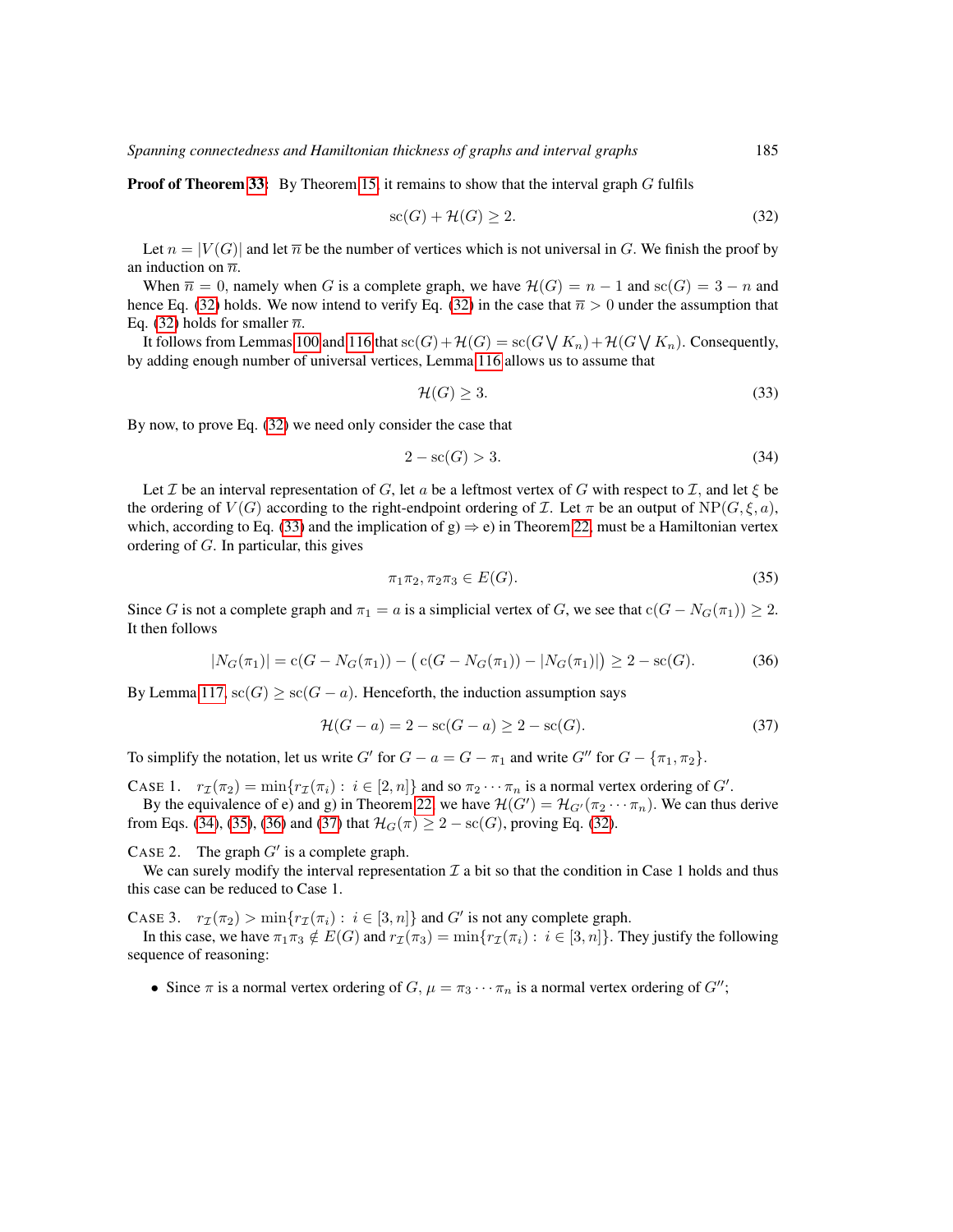**Proof of Theorem [33:](#page-21-1)** By Theorem [15,](#page-15-0) it remains to show that the interval graph  $G$  fulfils

<span id="page-60-0"></span>
$$
sc(G) + \mathcal{H}(G) \ge 2. \tag{32}
$$

Let  $n = |V(G)|$  and let  $\overline{n}$  be the number of vertices which is not universal in G. We finish the proof by an induction on  $\overline{n}$ .

When  $\overline{n} = 0$ , namely when G is a complete graph, we have  $\mathcal{H}(G) = n - 1$  and  $\operatorname{sc}(G) = 3 - n$  and hence Eq. [\(32\)](#page-60-0) holds. We now intend to verify Eq. (32) in the case that  $\bar{n} > 0$  under the assumption that Eq. [\(32\)](#page-60-0) holds for smaller  $\overline{n}$ .

It follows from Lemmas [100](#page-46-0) and [116](#page-59-0) that  $\operatorname{sc}(G) + \mathcal{H}(G) = \operatorname{sc}(G \bigvee K_n) + \mathcal{H}(G \bigvee K_n)$ . Consequently, by adding enough number of universal vertices, Lemma [116](#page-59-0) allows us to assume that

<span id="page-60-2"></span><span id="page-60-1"></span>
$$
\mathcal{H}(G) \ge 3. \tag{33}
$$

By now, to prove Eq. [\(32\)](#page-60-0) we need only consider the case that

$$
2 - \operatorname{sc}(G) > 3. \tag{34}
$$

Let *I* be an interval representation of G, let a be a leftmost vertex of G with respect to *I*, and let  $\xi$  be the ordering of  $V(G)$  according to the right-endpoint ordering of  $\mathcal I$ . Let  $\pi$  be an output of  $NP(G, \xi, a)$ , which, according to Eq. [\(33\)](#page-60-1) and the implication of g)  $\Rightarrow$  e) in Theorem [22,](#page-19-0) must be a Hamiltonian vertex ordering of G. In particular, this gives

<span id="page-60-5"></span><span id="page-60-3"></span>
$$
\pi_1 \pi_2, \pi_2 \pi_3 \in E(G). \tag{35}
$$

Since G is not a complete graph and  $\pi_1 = a$  is a simplicial vertex of G, we see that  $c(G - N_G(\pi_1)) \geq 2$ . It then follows

<span id="page-60-4"></span>
$$
|N_G(\pi_1)| = c(G - N_G(\pi_1)) - (c(G - N_G(\pi_1)) - |N_G(\pi_1)|) \ge 2 - sc(G). \tag{36}
$$

By Lemma [117,](#page-59-1)  $\operatorname{sc}(G) \ge \operatorname{sc}(G - a)$ . Henceforth, the induction assumption says

$$
\mathcal{H}(G - a) = 2 - \text{sc}(G - a) \ge 2 - \text{sc}(G). \tag{37}
$$

To simplify the notation, let us write G' for  $G - a = G - \pi_1$  and write G'' for  $G - \{\pi_1, \pi_2\}$ .

CASE 1.  $r_{\mathcal{I}}(\pi_2) = \min\{r_{\mathcal{I}}(\pi_i) : i \in [2, n]\}\$  and so  $\pi_2 \cdots \pi_n$  is a normal vertex ordering of G'.

By the equivalence of e) and g) in Theorem [22,](#page-19-0) we have  $\mathcal{H}(G') = \mathcal{H}_{G'}(\pi_2 \cdots \pi_n)$ . We can thus derive from Eqs. [\(34\)](#page-60-2), [\(35\)](#page-60-3), [\(36\)](#page-60-4) and [\(37\)](#page-60-5) that  $\mathcal{H}_G(\pi) \geq 2 - \text{sc}(G)$ , proving Eq. [\(32\)](#page-60-0).

CASE 2. The graph  $G'$  is a complete graph.

We can surely modify the interval representation  $\mathcal I$  a bit so that the condition in Case 1 holds and thus this case can be reduced to Case 1.

CASE 3.  $r_{\mathcal{I}}(\pi_2) > \min\{r_{\mathcal{I}}(\pi_i) : i \in [3, n]\}\$  and G' is not any complete graph.

In this case, we have  $\pi_1 \pi_3 \notin E(G)$  and  $r_\mathcal{I}(\pi_3) = \min\{r_\mathcal{I}(\pi_i) : i \in [3, n]\}\$ . They justify the following sequence of reasoning:

• Since  $\pi$  is a normal vertex ordering of  $G$ ,  $\mu = \pi_3 \cdots \pi_n$  is a normal vertex ordering of  $G''$ ;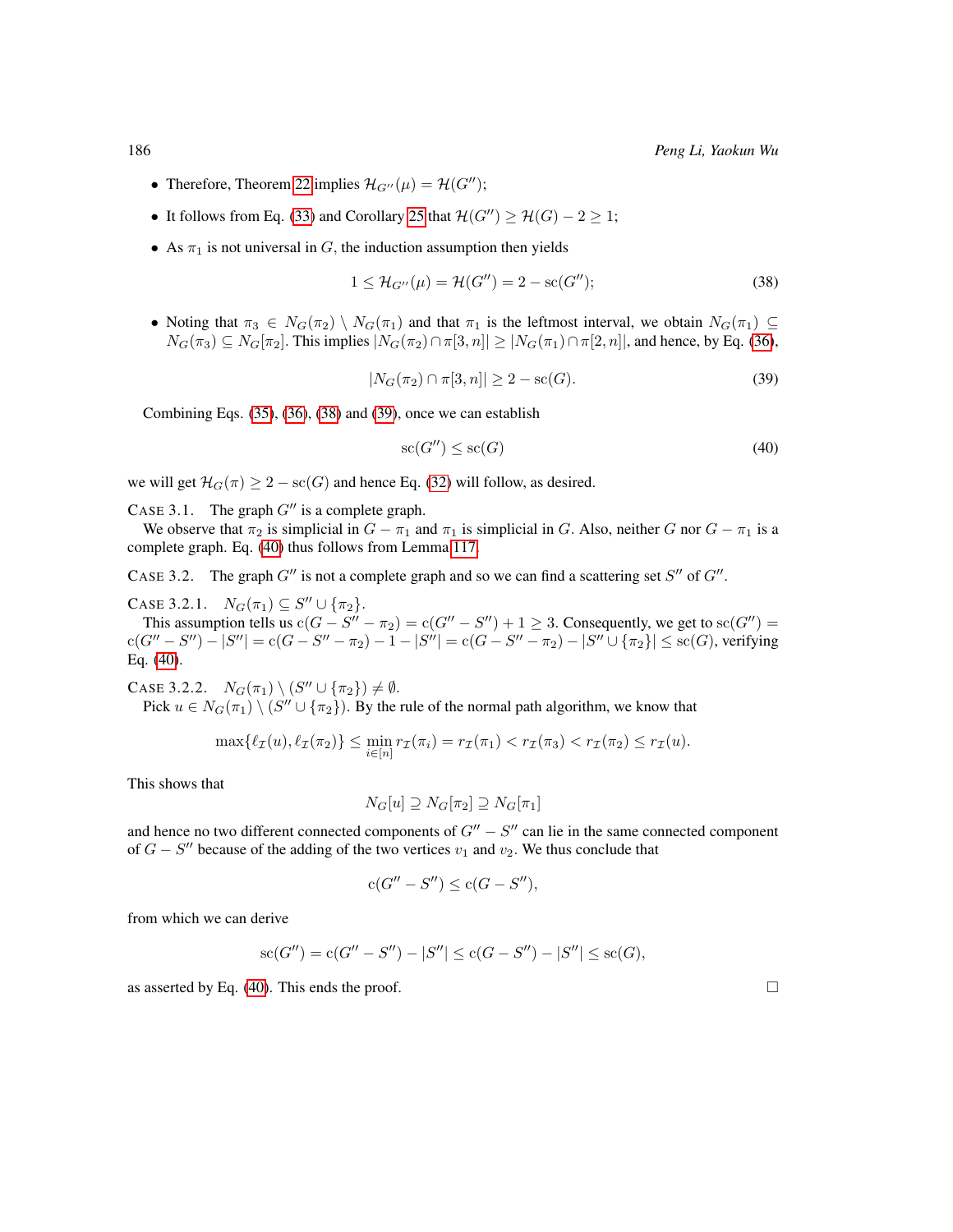- Therefore, Theorem [22](#page-19-0) implies  $\mathcal{H}_{G^{\prime\prime}}(\mu) = \mathcal{H}(G^{\prime\prime});$
- It follows from Eq. [\(33\)](#page-60-1) and Corollary [25](#page-19-5) that  $\mathcal{H}(G'') \geq \mathcal{H}(G) 2 \geq 1$ ;
- As  $\pi_1$  is not universal in G, the induction assumption then yields

<span id="page-61-0"></span>
$$
1 \leq \mathcal{H}_{G''}(\mu) = \mathcal{H}(G'') = 2 - \text{sc}(G'');
$$
 (38)

<span id="page-61-1"></span>• Noting that  $\pi_3 \in N_G(\pi_2) \setminus N_G(\pi_1)$  and that  $\pi_1$  is the leftmost interval, we obtain  $N_G(\pi_1) \subseteq$  $N_G(\pi_3) \subseteq N_G[\pi_2]$ . This implies  $|N_G(\pi_2) \cap \pi[3, n]| \geq |N_G(\pi_1) \cap \pi[2, n]|$ , and hence, by Eq. [\(36\)](#page-60-4),

$$
|N_G(\pi_2) \cap \pi[3, n]| \ge 2 - \mathrm{sc}(G). \tag{39}
$$

Combining Eqs. [\(35\)](#page-60-3), [\(36\)](#page-60-4), [\(38\)](#page-61-0) and [\(39\)](#page-61-1), once we can establish

<span id="page-61-2"></span>
$$
sc(G'') \le sc(G) \tag{40}
$$

we will get  $\mathcal{H}_G(\pi) \geq 2 - \mathrm{sc}(G)$  and hence Eq. [\(32\)](#page-60-0) will follow, as desired.

CASE 3.1. The graph  $G''$  is a complete graph.

We observe that  $\pi_2$  is simplicial in  $G - \pi_1$  and  $\pi_1$  is simplicial in G. Also, neither G nor  $G - \pi_1$  is a complete graph. Eq. [\(40\)](#page-61-2) thus follows from Lemma [117.](#page-59-1)

CASE 3.2. The graph  $G''$  is not a complete graph and so we can find a scattering set  $S''$  of  $G''$ .

CASE 3.2.1.  $N_G(\pi_1) \subseteq S'' \cup {\{\pi_2\}}$ .

This assumption tells us  $c(G - S'' - \pi_2) = c(G'' - S'') + 1 \geq 3$ . Consequently, we get to  $\operatorname{sc}(G'') =$  ${\rm c}(G''-S'')-|S''|={\rm c}(G-S''-\pi_2)-1-|S''|={\rm c}(G-S''-\pi_2)-|S''\cup \{\pi_2\}|\leq {\rm sc}(G),$  verifying Eq. [\(40\)](#page-61-2).

CASE 3.2.2.  $N_G(\pi_1) \setminus (S'' \cup \{\pi_2\}) \neq \emptyset$ .

Pick  $u \in N_G(\pi_1) \setminus (S'' \cup \{\pi_2\})$ . By the rule of the normal path algorithm, we know that

$$
\max\{\ell_{\mathcal{I}}(u), \ell_{\mathcal{I}}(\pi_2)\} \le \min_{i \in [n]} r_{\mathcal{I}}(\pi_i) = r_{\mathcal{I}}(\pi_1) < r_{\mathcal{I}}(\pi_3) < r_{\mathcal{I}}(\pi_2) \le r_{\mathcal{I}}(u).
$$

This shows that

$$
N_G[u] \supseteq N_G[\pi_2] \supseteq N_G[\pi_1]
$$

and hence no two different connected components of  $G'' - S''$  can lie in the same connected component of  $G - S''$  because of the adding of the two vertices  $v_1$  and  $v_2$ . We thus conclude that

$$
c(G'' - S'') \le c(G - S''),
$$

from which we can derive

$$
sc(G'') = c(G'' - S'') - |S''| \le c(G - S'') - |S''| \le sc(G),
$$

as asserted by Eq. [\(40\)](#page-61-2). This ends the proof.  $\Box$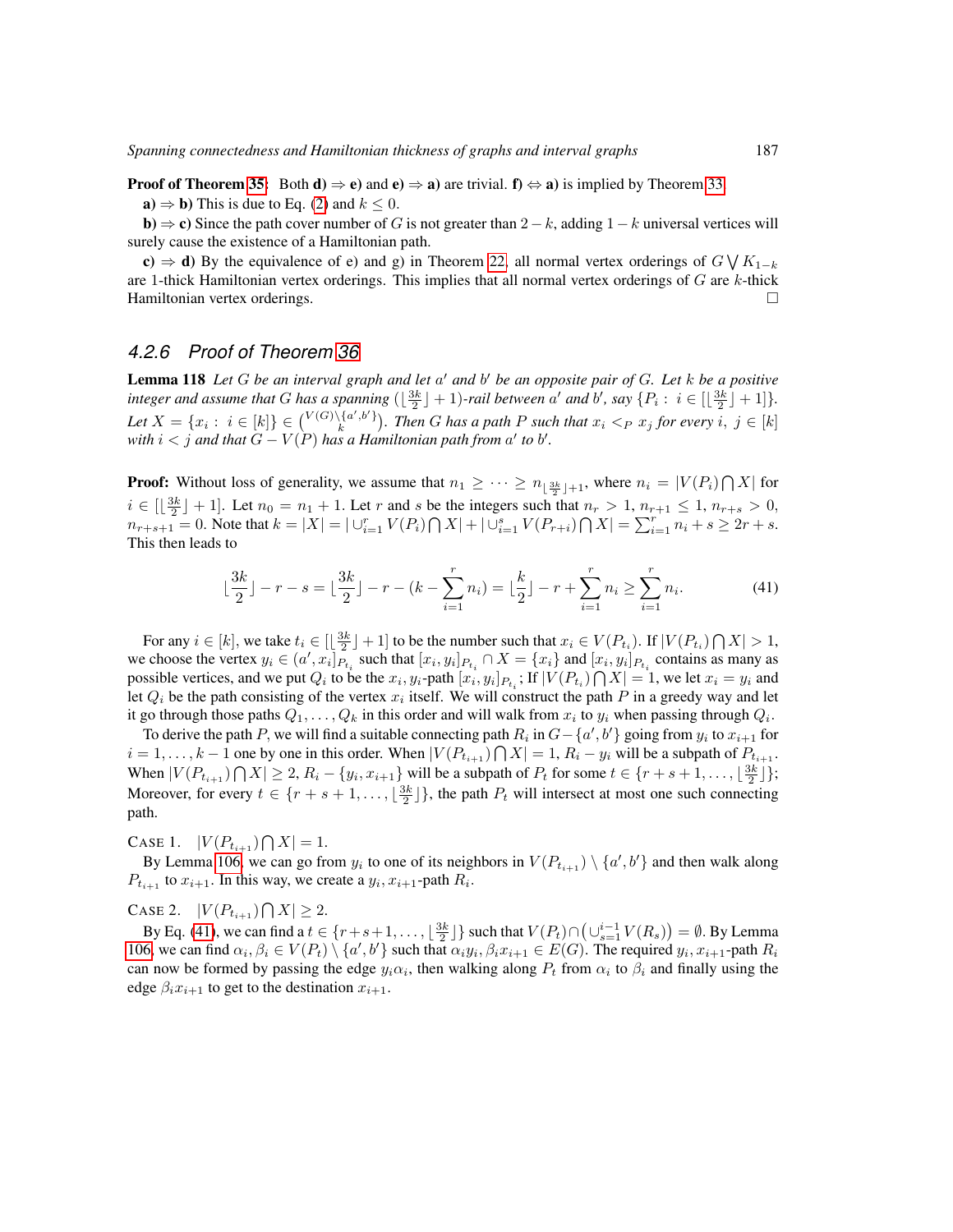**Proof of Theorem [35:](#page-21-0)** Both  $d$   $\Rightarrow$   $e$ ) and  $e$   $\Rightarrow$   $a$ ) are trivial.  $f$   $\Leftrightarrow$   $a$ ) is implied by Theorem [33.](#page-21-1)

 $\mathbf{a} \Rightarrow \mathbf{b}$ ) This is due to Eq. [\(2\)](#page-6-0) and  $k \leq 0$ .

**b**)  $\Rightarrow$  c) Since the path cover number of G is not greater than 2–k, adding 1–k universal vertices will surely cause the existence of a Hamiltonian path.

c)  $\Rightarrow$  d) By the equivalence of e) and g) in Theorem [22,](#page-19-0) all normal vertex orderings of  $G \vee K_{1-k}$ are 1-thick Hamiltonian vertex orderings. This implies that all normal vertex orderings of  $G$  are  $k$ -thick Hamiltonian vertex orderings.

# *4.2.6 Proof of Theorem [36](#page-21-2)*

<span id="page-62-1"></span>**Lemma 118** Let G be an interval graph and let a' and b' be an opposite pair of G. Let k be a positive integer and assume that G has a spanning  $(\lfloor \frac{3k}{2} \rfloor + 1)$ -rail between a' and b', say  $\{P_i : i \in [\lfloor \frac{3k}{2} \rfloor + 1]\}$ . Let  $X = \{x_i : i \in [k]\}\in \binom{V(G)\setminus \{a',b'\}}{k}$ . Then G has a path P such that  $x_i <_P x_j$  for every  $i, j \in [k]$ with  $i < j$  and that  $G - V(P)$  has a Hamiltonian path from  $a'$  to  $b'$ .

**Proof:** Without loss of generality, we assume that  $n_1 \geq \cdots \geq n_{\lfloor \frac{3k}{2} \rfloor + 1}$ , where  $n_i = |V(P_i) \cap X|$  for  $i \in [\lfloor \frac{3k}{2} \rfloor + 1]$ . Let  $n_0 = n_1 + 1$ . Let r and s be the integers such that  $n_r > 1$ ,  $n_{r+1} \le 1$ ,  $n_{r+s} > 0$ ,  $n_{r+s+1} = 0$ . Note that  $k = |X| = |\bigcup_{i=1}^{r} V(P_i) \bigcap X| + |\bigcup_{i=1}^{s} V(P_{r+i}) \bigcap X| = \sum_{i=1}^{r} n_i + s \ge 2r + s$ . This then leads to

<span id="page-62-0"></span>
$$
\lfloor \frac{3k}{2} \rfloor - r - s = \lfloor \frac{3k}{2} \rfloor - r - (k - \sum_{i=1}^{r} n_i) = \lfloor \frac{k}{2} \rfloor - r + \sum_{i=1}^{r} n_i \ge \sum_{i=1}^{r} n_i.
$$
 (41)

For any  $i \in [k]$ , we take  $t_i \in [\lfloor \frac{3k}{2} \rfloor + 1]$  to be the number such that  $x_i \in V(P_{t_i})$ . If  $|V(P_{t_i}) \cap X| > 1$ , we choose the vertex  $y_i \in (a', x_i]_{P_{t_i}}$  such that  $[x_i, y_i]_{P_{t_i}} \cap X = \{x_i\}$  and  $[x_i, y_i]_{P_{t_i}}$  contains as many as possible vertices, and we put  $Q_i$  to be the  $x_i, y_i$ -path  $[x_i, y_i]_{P_{t_i}}$ ; If  $|V(P_{t_i}) \bigcap X| = 1$ , we let  $x_i = y_i$  and let  $Q_i$  be the path consisting of the vertex  $x_i$  itself. We will construct the path P in a greedy way and let it go through those paths  $Q_1, \ldots, Q_k$  in this order and will walk from  $x_i$  to  $y_i$  when passing through  $Q_i$ .

To derive the path P, we will find a suitable connecting path  $R_i$  in  $G - \{a', b'\}$  going from  $y_i$  to  $x_{i+1}$  for  $i = 1, \ldots, k - 1$  one by one in this order. When  $|V(P_{t_{i+1}}) \cap X| = 1$ ,  $R_i - y_i$  will be a subpath of  $P_{t_{i+1}}$ . When  $|V(P_{t_{i+1}}) \cap X| \geq 2$ ,  $R_i - \{y_i, x_{i+1}\}$  will be a subpath of  $P_t$  for some  $t \in \{r + s + 1, \ldots, \lfloor \frac{3k}{2} \rfloor\};$ Moreover, for every  $t \in \{r + s + 1, \ldots, \lfloor \frac{3k}{2} \rfloor\}$ , the path  $P_t$  will intersect at most one such connecting path.

CASE 1.  $|V(P_{t_{i+1}}) \bigcap X| = 1.$ 

By Lemma [106,](#page-50-2) we can go from  $y_i$  to one of its neighbors in  $V(P_{t_{i+1}}) \setminus \{a', b'\}$  and then walk along  $P_{t_{i+1}}$  to  $x_{i+1}$ . In this way, we create a  $y_i, x_{i+1}$ -path  $R_i$ .

CASE 2.  $|V(P_{t_{i+1}}) \bigcap X| \geq 2$ .

By Eq. [\(41\)](#page-62-0), we can find a  $t \in \{r+s+1,\ldots,\lfloor\frac{3k}{2}\rfloor\}$  such that  $V(P_t) \cap (\bigcup_{s=1}^{i-1} V(R_s)) = \emptyset$ . By Lemma [106,](#page-50-2) we can find  $\alpha_i, \beta_i \in V(P_t) \setminus \{a', b'\}$  such that  $\alpha_i y_i, \beta_i x_{i+1} \in E(G)$ . The required  $y_i, x_{i+1}$ -path  $R_i$ can now be formed by passing the edge  $y_i \alpha_i$ , then walking along  $P_t$  from  $\alpha_i$  to  $\beta_i$  and finally using the edge  $\beta_i x_{i+1}$  to get to the destination  $x_{i+1}$ .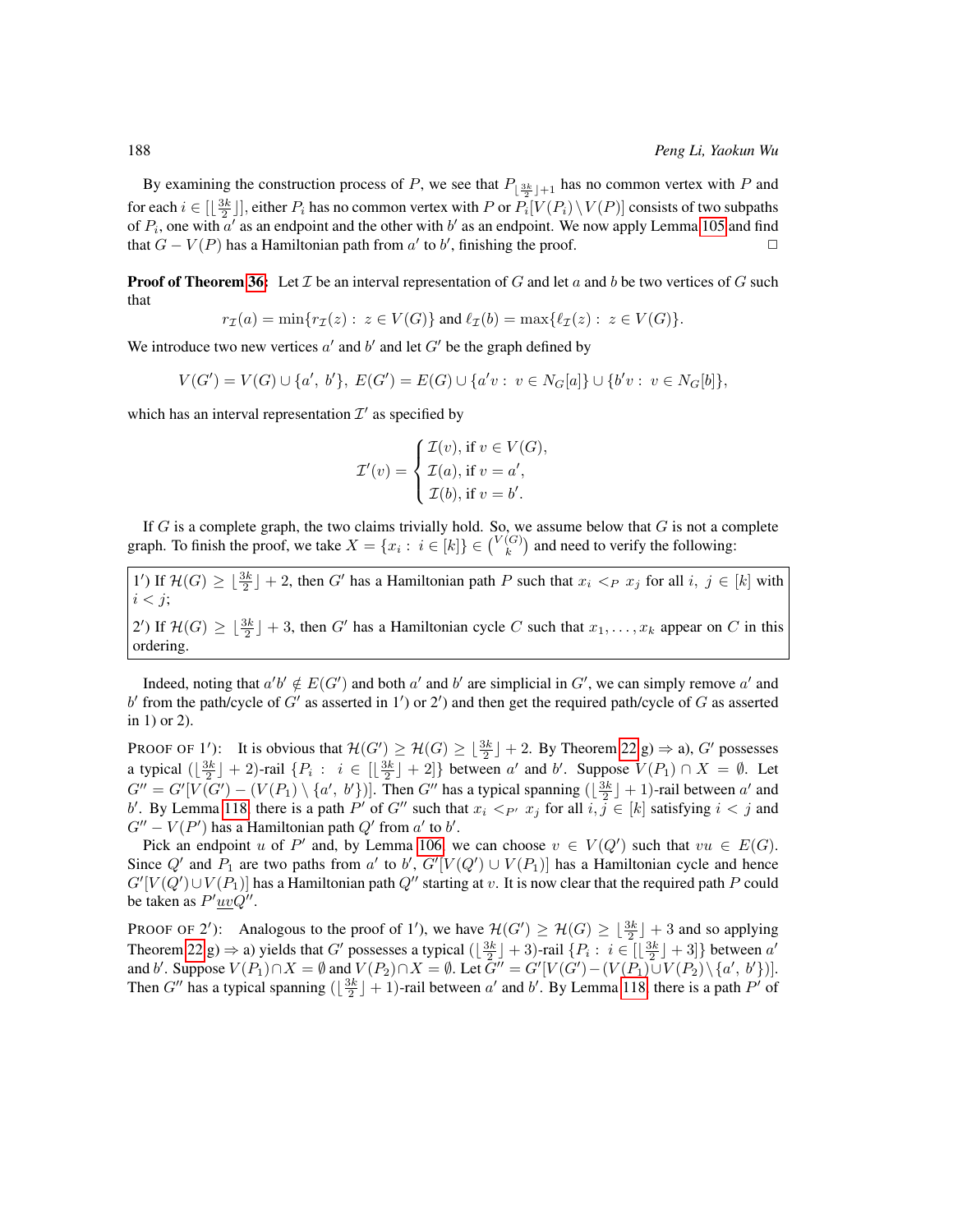By examining the construction process of P, we see that  $P_{\lfloor \frac{3k}{2} \rfloor+1}$  has no common vertex with P and for each  $i \in [\lfloor \frac{3k}{2} \rfloor]$ , either  $P_i$  has no common vertex with P or  $P_i[V(P_i) \setminus V(P)]$  consists of two subpaths of  $P_i$ , one with a' as an endpoint and the other with b' as an endpoint. We now apply Lemma [105](#page-50-1) and find that  $G - V(P)$  has a Hamiltonian path from  $a'$  to  $b'$ , finishing the proof.

**Proof of Theorem [36:](#page-21-2)** Let  $\mathcal I$  be an interval representation of G and let a and b be two vertices of G such that

$$
r_{\mathcal{I}}(a) = \min\{r_{\mathcal{I}}(z): z \in V(G)\} \text{ and } \ell_{\mathcal{I}}(b) = \max\{\ell_{\mathcal{I}}(z): z \in V(G)\}.
$$

We introduce two new vertices  $a'$  and  $b'$  and let  $G'$  be the graph defined by

$$
V(G') = V(G) \cup \{a', b'\}, E(G') = E(G) \cup \{a'v : v \in N_G[a]\} \cup \{b'v : v \in N_G[b]\},\
$$

which has an interval representation  $\mathcal{I}'$  as specified by

$$
\mathcal{I}'(v) = \begin{cases} \mathcal{I}(v), \text{ if } v \in V(G), \\ \mathcal{I}(a), \text{ if } v = a', \\ \mathcal{I}(b), \text{ if } v = b'. \end{cases}
$$

If  $G$  is a complete graph, the two claims trivially hold. So, we assume below that  $G$  is not a complete graph. To finish the proof, we take  $X = \{x_i : i \in [k]\} \in \binom{V(G)}{k}$  and need to verify the following:

1') If  $\mathcal{H}(G) \geq \lfloor \frac{3k}{2} \rfloor + 2$ , then G' has a Hamiltonian path P such that  $x_i <_P x_j$  for all  $i, j \in [k]$  with  $i < j$ ; 2') If  $\mathcal{H}(G) \geq \lfloor \frac{3k}{2} \rfloor + 3$ , then G' has a Hamiltonian cycle C such that  $x_1, \ldots, x_k$  appear on C in this ordering.

Indeed, noting that  $a'b' \notin E(G')$  and both  $a'$  and  $b'$  are simplicial in  $G'$ , we can simply remove  $a'$  and b' from the path/cycle of G' as asserted in 1') or 2') and then get the required path/cycle of G as asserted in 1) or 2).

PROOF OF 1'): It is obvious that  $\mathcal{H}(G') \ge \mathcal{H}(G) \ge \lfloor \frac{3k}{2} \rfloor + 2$ . By Theorem [22](#page-19-0) g)  $\Rightarrow$  a), G' possesses a typical  $(\lfloor \frac{3k}{2} \rfloor + 2)$ -rail  $\{P_i : i \in [\lfloor \frac{3k}{2} \rfloor + 2]\}$  between a' and b'. Suppose  $V(P_1) \cap X = \emptyset$ . Let  $G'' = G'[V(G') - (V(P_1) \setminus \{a', b'\} )]$ . Then  $G''$  has a typical spanning  $(\lfloor \frac{3k}{2} \rfloor + 1)$ -rail between  $a'$  and b'. By Lemma [118,](#page-62-1) there is a path P' of G" such that  $x_i <_{P'} x_j$  for all  $i, j \in [k]$  satisfying  $i < j$  and  $G'' - V(P')$  has a Hamiltonian path  $Q'$  from  $a'$  to  $b'$ .

Pick an endpoint u of P' and, by Lemma [106,](#page-50-2) we can choose  $v \in V(Q')$  such that  $vu \in E(G)$ . Since  $Q'$  and  $P_1$  are two paths from a' to b',  $G'[V(Q') \cup V(P_1)]$  has a Hamiltonian cycle and hence  $G'[V(Q') \cup V(P_1)]$  has a Hamiltonian path  $Q''$  starting at  $v$ . It is now clear that the required path  $P$  could be taken as  $P'\underline{uv}Q''$ .

PROOF OF 2'): Analogous to the proof of 1'), we have  $\mathcal{H}(G') \ge \mathcal{H}(G) \ge \lfloor \frac{3k}{2} \rfloor + 3$  and so applying Theorem [22](#page-19-0) g)  $\Rightarrow$  a) yields that G' possesses a typical  $(\lfloor \frac{3k}{2} \rfloor + 3)$ -rail  $\{P_i : i \in [\lfloor \frac{3k}{2} \rfloor + 3]\}$  between  $a'$ and b'. Suppose  $V(P_1) \cap X = \emptyset$  and  $V(P_2) \cap X = \emptyset$ . Let  $G'' = G'[V(G') - (V(P_1) \cup V(P_2) \setminus \{a', b'\} )]$ . Then G'' has a typical spanning  $(\lfloor \frac{3k}{2} \rfloor + 1)$ -rail between a' and b'. By Lemma [118,](#page-62-1) there is a path P' of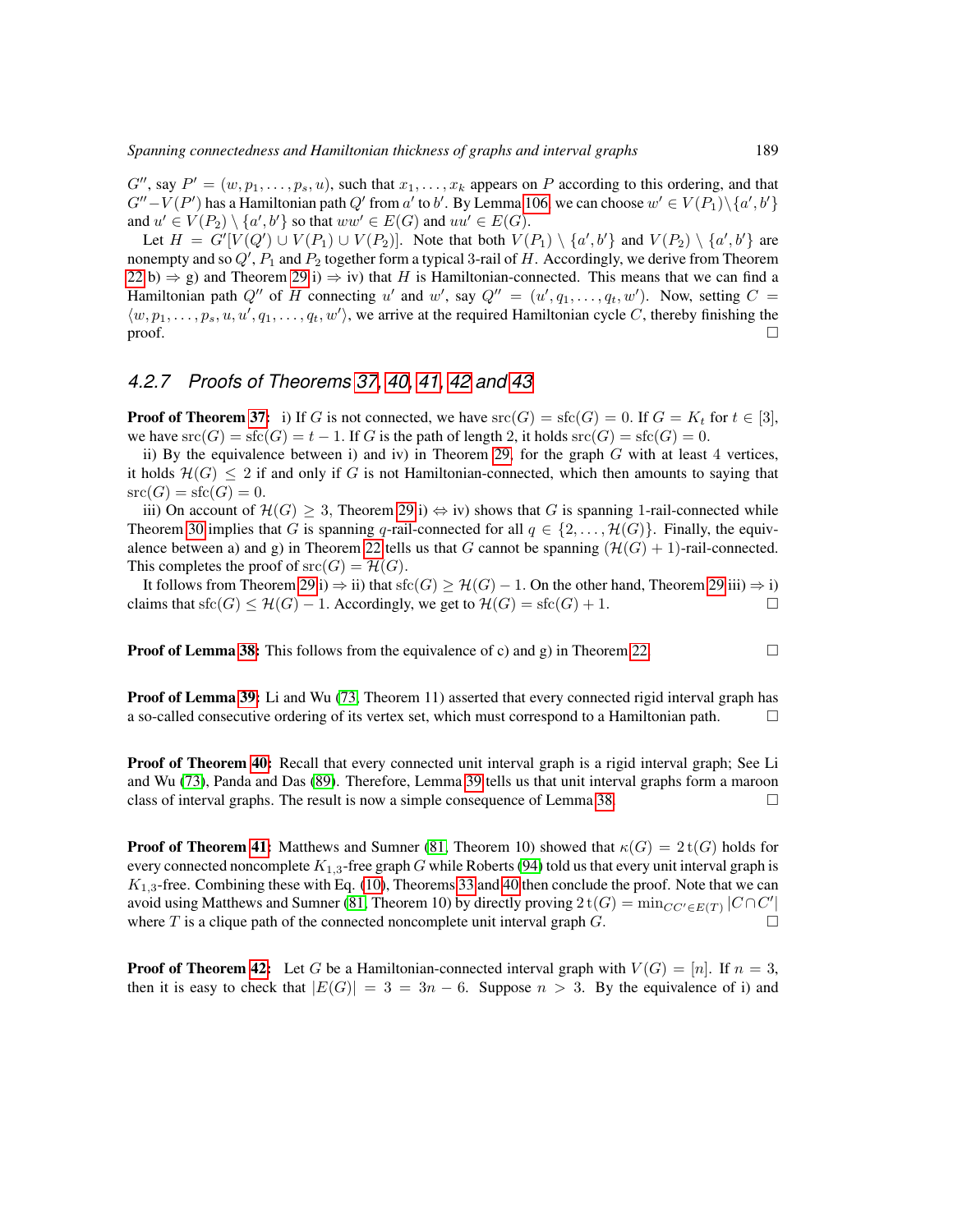$G''$ , say  $P' = (w, p_1, \ldots, p_s, u)$ , such that  $x_1, \ldots, x_k$  appears on P according to this ordering, and that  $G''-V(P')$  has a Hamiltonian path  $Q'$  from  $a'$  to  $b'$ . By Lemma [106,](#page-50-2) we can choose  $w' \in V(P_1) \setminus \{a',b'\}$ and  $u' \in V(P_2) \setminus \{a',b'\}$  so that  $ww' \in E(G)$  and  $uu' \in E(G)$ .

Let  $H = G'[V(Q') \cup V(P_1) \cup V(P_2)]$ . Note that both  $V(P_1) \setminus \{a', b'\}$  and  $V(P_2) \setminus \{a', b'\}$  are nonempty and so  $Q'$ ,  $P_1$  and  $P_2$  together form a typical 3-rail of  $H$ . Accordingly, we derive from Theorem [22](#page-19-0) b)  $\Rightarrow$  g) and Theorem [29](#page-20-1) i)  $\Rightarrow$  iv) that H is Hamiltonian-connected. This means that we can find a Hamiltonian path  $Q''$  of H connecting u' and w', say  $Q'' = (u', q_1, \ldots, q_t, w')$ . Now, setting  $C =$  $\langle w, p_1, \ldots, p_s, u, u', q_1, \ldots, q_t, w' \rangle$ , we arrive at the required Hamiltonian cycle C, thereby finishing the  $\Box$ 

# *4.2.7 Proofs of Theorems [37,](#page-22-0) [40,](#page-22-1) [41,](#page-23-0) [42](#page-23-1) and [43](#page-23-2)*

**Proof of Theorem [37:](#page-22-0)** i) If G is not connected, we have  $src(G) = \text{sfc}(G) = 0$ . If  $G = K_t$  for  $t \in [3]$ , we have  $\text{src}(G) = \text{src}(G) = t - 1$ . If G is the path of length 2, it holds  $\text{src}(G) = \text{src}(G) = 0$ .

ii) By the equivalence between i) and iv) in Theorem [29,](#page-20-1) for the graph  $G$  with at least 4 vertices, it holds  $\mathcal{H}(G) \leq 2$  if and only if G is not Hamiltonian-connected, which then amounts to saying that  $\operatorname{src}(G) = \operatorname{sfc}(G) = 0.$ 

iii) On account of  $\mathcal{H}(G) \geq 3$ , Theorem [29](#page-20-1) i)  $\Leftrightarrow$  iv) shows that G is spanning 1-rail-connected while Theorem [30](#page-20-2) implies that G is spanning q-rail-connected for all  $q \in \{2, \ldots, \mathcal{H}(G)\}\.$  Finally, the equiv-alence between a) and g) in Theorem [22](#page-19-0) tells us that G cannot be spanning  $(\mathcal{H}(G) + 1)$ -rail-connected. This completes the proof of  $src(G) = \mathcal{H}(G)$ .

It follows from Theorem [29](#page-20-1) i)  $\Rightarrow$  ii) that sfc(G)  $\geq$  H(G) – 1. On the other hand, Theorem 29 iii)  $\Rightarrow$  i) claims that  $\text{sfic}(G) \leq \mathcal{H}(G) - 1$ . Accordingly, we get to  $\mathcal{H}(G) = \text{sfic}(G) + 1$ .

**Proof of Lemma [38:](#page-22-2)** This follows from the equivalence of c) and g) in Theorem [22.](#page-19-0)

**Proof of Lemma [39:](#page-22-3)** Li and Wu [\(73,](#page-83-2) Theorem 11) asserted that every connected rigid interval graph has a so-called consecutive ordering of its vertex set, which must correspond to a Hamiltonian path.

**Proof of Theorem [40:](#page-22-1)** Recall that every connected unit interval graph is a rigid interval graph; See Li and Wu [\(73\)](#page-83-2), Panda and Das [\(89\)](#page-84-0). Therefore, Lemma [39](#page-22-3) tells us that unit interval graphs form a maroon class of interval graphs. The result is now a simple consequence of Lemma [38.](#page-22-2)

**Proof of Theorem [41:](#page-23-0)** Matthews and Sumner [\(81,](#page-84-1) Theorem 10) showed that  $\kappa(G) = 2 t(G)$  holds for every connected noncomplete  $K_{1,3}$ -free graph G while Roberts [\(94\)](#page-84-2) told us that every unit interval graph is  $K_{1,3}$ -free. Combining these with Eq. [\(10\)](#page-23-3), Theorems [33](#page-21-1) and [40](#page-22-1) then conclude the proof. Note that we can avoid using Matthews and Sumner [\(81,](#page-84-1) Theorem 10) by directly proving  $2t(G) = \min_{CC' \in E(T)} |C \cap C'|$ where T is a clique path of the connected noncomplete unit interval graph  $G$ .

**Proof of Theorem [42:](#page-23-1)** Let G be a Hamiltonian-connected interval graph with  $V(G) = [n]$ . If  $n = 3$ , then it is easy to check that  $|E(G)| = 3 = 3n - 6$ . Suppose  $n > 3$ . By the equivalence of i) and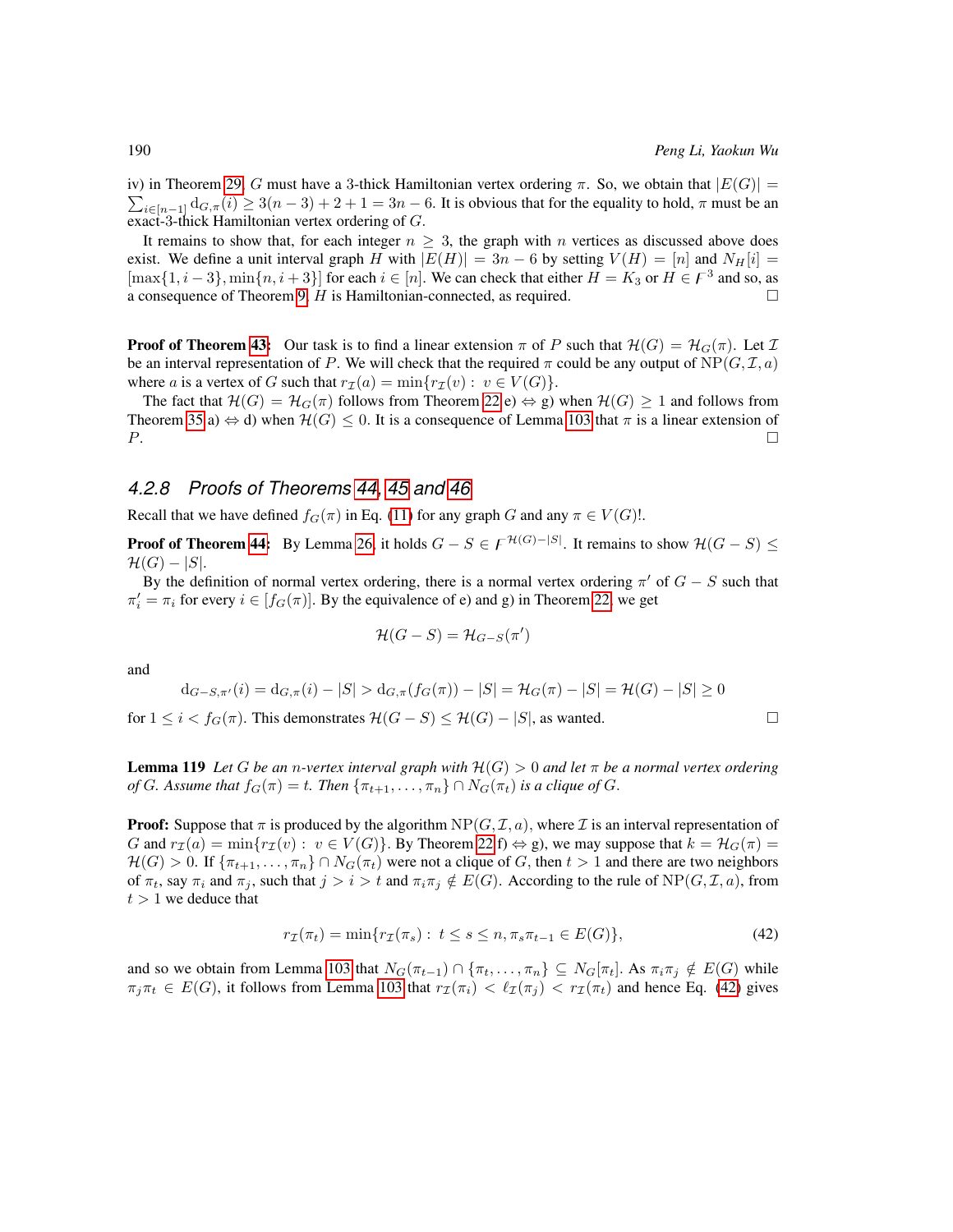$\sum_{i\in[n-1]}$   $d_{G,\pi}(i) \ge 3(n-3)+2+1=3n-6$ . It is obvious that for the equality to hold,  $\pi$  must be an iv) in Theorem [29,](#page-20-1) G must have a 3-thick Hamiltonian vertex ordering  $\pi$ . So, we obtain that  $|E(G)| =$ exact-3-thick Hamiltonian vertex ordering of G.

It remains to show that, for each integer  $n \geq 3$ , the graph with n vertices as discussed above does exist. We define a unit interval graph H with  $|E(H)| = 3n - 6$  by setting  $V(H) = [n]$  and  $N_H[i] =$  $[\max\{1, i-3\}, \min\{n, i+3\}]$  for each  $i \in [n]$ . We can check that either  $H = K_3$  or  $H \in \mathcal{F}^3$  and so, as a consequence of Theorem [9,](#page-13-2)  $H$  is Hamiltonian-connected, as required.  $\Box$ 

**Proof of Theorem [43:](#page-23-2)** Our task is to find a linear extension  $\pi$  of P such that  $\mathcal{H}(G) = \mathcal{H}_G(\pi)$ . Let  $\mathcal{I}$ be an interval representation of P. We will check that the required  $\pi$  could be any output of NP( $(G, \mathcal{I}, a)$ ) where a is a vertex of G such that  $r_{\mathcal{I}}(a) = \min\{r_{\mathcal{I}}(v) : v \in V(G)\}.$ 

The fact that  $\mathcal{H}(G) = \mathcal{H}_G(\pi)$  follows from Theorem [22](#page-19-0) e)  $\Leftrightarrow$  g) when  $\mathcal{H}(G) \geq 1$  and follows from Theorem [35](#page-21-0) a)  $\Leftrightarrow$  d) when  $\mathcal{H}(G) \leq 0$ . It is a consequence of Lemma [103](#page-49-3) that  $\pi$  is a linear extension of  $P$ .

## *4.2.8 Proofs of Theorems [44,](#page-23-4) [45](#page-23-5) and [46](#page-24-0)*

Recall that we have defined  $f_G(\pi)$  in Eq. [\(11\)](#page-23-6) for any graph G and any  $\pi \in V(G)!$ .

**Proof of Theorem [44:](#page-23-4)** By Lemma [26,](#page-19-4) it holds  $G - S \in F^{\mathcal{H}(G)-|S|}$ . It remains to show  $\mathcal{H}(G - S) \leq$  $\mathcal{H}(G) - |S|.$ 

By the definition of normal vertex ordering, there is a normal vertex ordering  $\pi'$  of  $G - S$  such that  $\pi'_i = \pi_i$  for every  $i \in [f_G(\pi)]$ . By the equivalence of e) and g) in Theorem [22,](#page-19-0) we get

$$
\mathcal{H}(G-S)=\mathcal{H}_{G-S}(\pi')
$$

and

$$
d_{G-S,\pi'}(i) = d_{G,\pi}(i) - |S| > d_{G,\pi}(f_G(\pi)) - |S| = \mathcal{H}_G(\pi) - |S| = \mathcal{H}(G) - |S| \ge 0
$$

for  $1 \leq i < f_G(\pi)$ . This demonstrates  $\mathcal{H}(G-S) \leq \mathcal{H}(G) - |S|$ , as wanted.

<span id="page-65-1"></span>**Lemma 119** *Let* G *be an n-vertex interval graph with*  $H(G) > 0$  *and let*  $\pi$  *be a normal vertex ordering of* G. Assume that  $f_G(\pi) = t$ . Then  $\{\pi_{t+1}, \ldots, \pi_n\} \cap N_G(\pi_t)$  *is a clique of* G.

**Proof:** Suppose that  $\pi$  is produced by the algorithm  $NP(G, \mathcal{I}, a)$ , where  $\mathcal{I}$  is an interval representation of G and  $r_{\mathcal{I}}(a) = \min\{r_{\mathcal{I}}(v): v \in V(G)\}\$ . By Theorem [22](#page-19-0) f)  $\Leftrightarrow$  g), we may suppose that  $k = \mathcal{H}_G(\pi) =$  $\mathcal{H}(G) > 0$ . If  $\{\pi_{t+1}, \ldots, \pi_n\} \cap N_G(\pi_t)$  were not a clique of G, then  $t > 1$  and there are two neighbors of  $\pi_t$ , say  $\pi_i$  and  $\pi_j$ , such that  $j > i > t$  and  $\pi_i \pi_j \notin E(G)$ . According to the rule of NP( $G, \mathcal{I}, a$ ), from  $t > 1$  we deduce that

<span id="page-65-0"></span>
$$
r_{\mathcal{I}}(\pi_t) = \min\{r_{\mathcal{I}}(\pi_s) : t \le s \le n, \pi_s \pi_{t-1} \in E(G)\},\tag{42}
$$

and so we obtain from Lemma [103](#page-49-3) that  $N_G(\pi_{t-1}) \cap {\pi_t, \ldots, \pi_n} \subseteq N_G[\pi_t]$ . As  $\pi_i \pi_j \notin E(G)$  while  $\pi_i \pi_t \in E(G)$ , it follows from Lemma [103](#page-49-3) that  $r_\mathcal{I}(\pi_i) < \ell_\mathcal{I}(\pi_i) < r_\mathcal{I}(\pi_t)$  and hence Eq. [\(42\)](#page-65-0) gives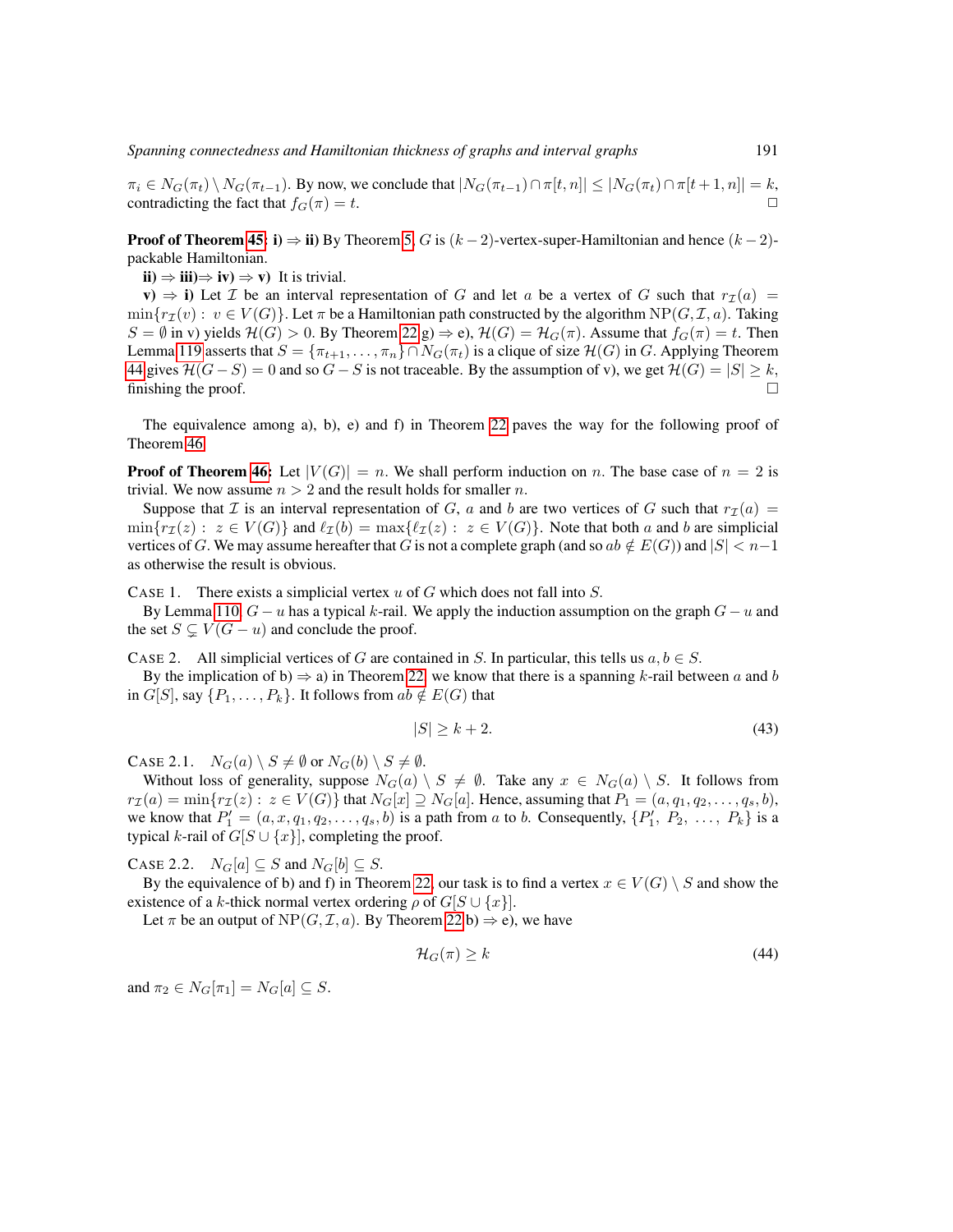*Spanning connectedness and Hamiltonian thickness of graphs and interval graphs* 191

 $\pi_i \in N_G(\pi_t) \setminus N_G(\pi_{t-1})$ . By now, we conclude that  $|N_G(\pi_{t-1}) \cap \pi[t, n]| \leq |N_G(\pi_t) \cap \pi[t+1, n]| = k$ , contradicting the fact that  $f_G(\pi) - t$ contradicting the fact that  $f_G(\pi) = t$ .

**Proof of Theorem [45:](#page-23-5) i**)  $\Rightarrow$  ii) By Theorem [5,](#page-13-1) G is  $(k-2)$ -vertex-super-Hamiltonian and hence  $(k-2)$ packable Hamiltonian.

 $\Rightarrow$  $**iii**$  $\Rightarrow$  $**iv**$  $\Rightarrow$  $**v**$ **) It is trivial.** 

v)  $\Rightarrow$  i) Let *T* be an interval representation of *G* and let *a* be a vertex of *G* such that  $r_1(a)$  =  $\min\{r_{\mathcal{I}}(v): v \in V(G)\}\$ . Let  $\pi$  be a Hamiltonian path constructed by the algorithm  $NP(G, \mathcal{I}, a)$ . Taking  $S = \emptyset$  in v) yields  $\mathcal{H}(G) > 0$ . By Theorem [22](#page-19-0) g)  $\Rightarrow$  e),  $\mathcal{H}(G) = \mathcal{H}_G(\pi)$ . Assume that  $f_G(\pi) = t$ . Then Lemma [119](#page-65-1) asserts that  $S = {\pi_{t+1}, \dots, \pi_n} \cap N_G(\pi_t)$  is a clique of size  $\mathcal{H}(G)$  in G. Applying Theorem [44](#page-23-4) gives  $\mathcal{H}(G - S) = 0$  and so  $G - S$  is not traceable. By the assumption of v), we get  $\mathcal{H}(G) = |S| \geq k$ , finishing the proof.  $\Box$ 

The equivalence among a), b), e) and f) in Theorem [22](#page-19-0) paves the way for the following proof of Theorem [46.](#page-24-0)

**Proof of Theorem [46:](#page-24-0)** Let  $|V(G)| = n$ . We shall perform induction on n. The base case of  $n = 2$  is trivial. We now assume  $n > 2$  and the result holds for smaller n.

Suppose that I is an interval representation of G, a and b are two vertices of G such that  $r_{\mathcal{I}}(a)$  =  $\min\{r_{\mathcal{I}}(z) : z \in V(G)\}\$ and  $\ell_{\mathcal{I}}(b) = \max\{\ell_{\mathcal{I}}(z) : z \in V(G)\}\$ . Note that both a and b are simplicial vertices of G. We may assume hereafter that G is not a complete graph (and so  $ab \notin E(G)$ ) and  $|S| < n-1$ as otherwise the result is obvious.

CASE 1. There exists a simplicial vertex  $u$  of  $G$  which does not fall into  $S$ .

By Lemma [110,](#page-54-1)  $G - u$  has a typical k-rail. We apply the induction assumption on the graph  $G - u$  and the set  $S \subseteq V(G - u)$  and conclude the proof.

CASE 2. All simplicial vertices of G are contained in S. In particular, this tells us  $a, b \in S$ .

By the implication of b)  $\Rightarrow$  a) in Theorem [22,](#page-19-0) we know that there is a spanning k-rail between a and b in  $G[S]$ , say  $\{P_1, \ldots, P_k\}$ . It follows from  $ab \notin E(G)$  that

<span id="page-66-0"></span>
$$
|S| \ge k + 2. \tag{43}
$$

CASE 2.1.  $N_G(a) \setminus S \neq \emptyset$  or  $N_G(b) \setminus S \neq \emptyset$ .

Without loss of generality, suppose  $N_G(a) \setminus S \neq \emptyset$ . Take any  $x \in N_G(a) \setminus S$ . It follows from  $r_{\mathcal{I}}(a) = \min\{r_{\mathcal{I}}(z): z \in V(G)\}\$ that  $N_G[x] \supseteq N_G[a]$ . Hence, assuming that  $P_1 = (a, q_1, q_2, \ldots, q_s, b),$ we know that  $P'_1 = (a, x, q_1, q_2, \dots, q_s, b)$  is a path from a to b. Consequently,  $\{P'_1, P_2, \dots, P_k\}$  is a typical k-rail of  $G[S \cup \{x\}]$ , completing the proof.

CASE 2.2.  $N_G[a] \subseteq S$  and  $N_G[b] \subseteq S$ .

By the equivalence of b) and f) in Theorem [22,](#page-19-0) our task is to find a vertex  $x \in V(G) \setminus S$  and show the existence of a k-thick normal vertex ordering  $\rho$  of  $G[S \cup \{x\}]$ .

Let  $\pi$  be an output of NP(G, I, a). By Theorem [22](#page-19-0) b)  $\Rightarrow$  e), we have

<span id="page-66-1"></span>
$$
\mathcal{H}_G(\pi) \ge k \tag{44}
$$

and  $\pi_2 \in N_G[\pi_1] = N_G[a] \subseteq S$ .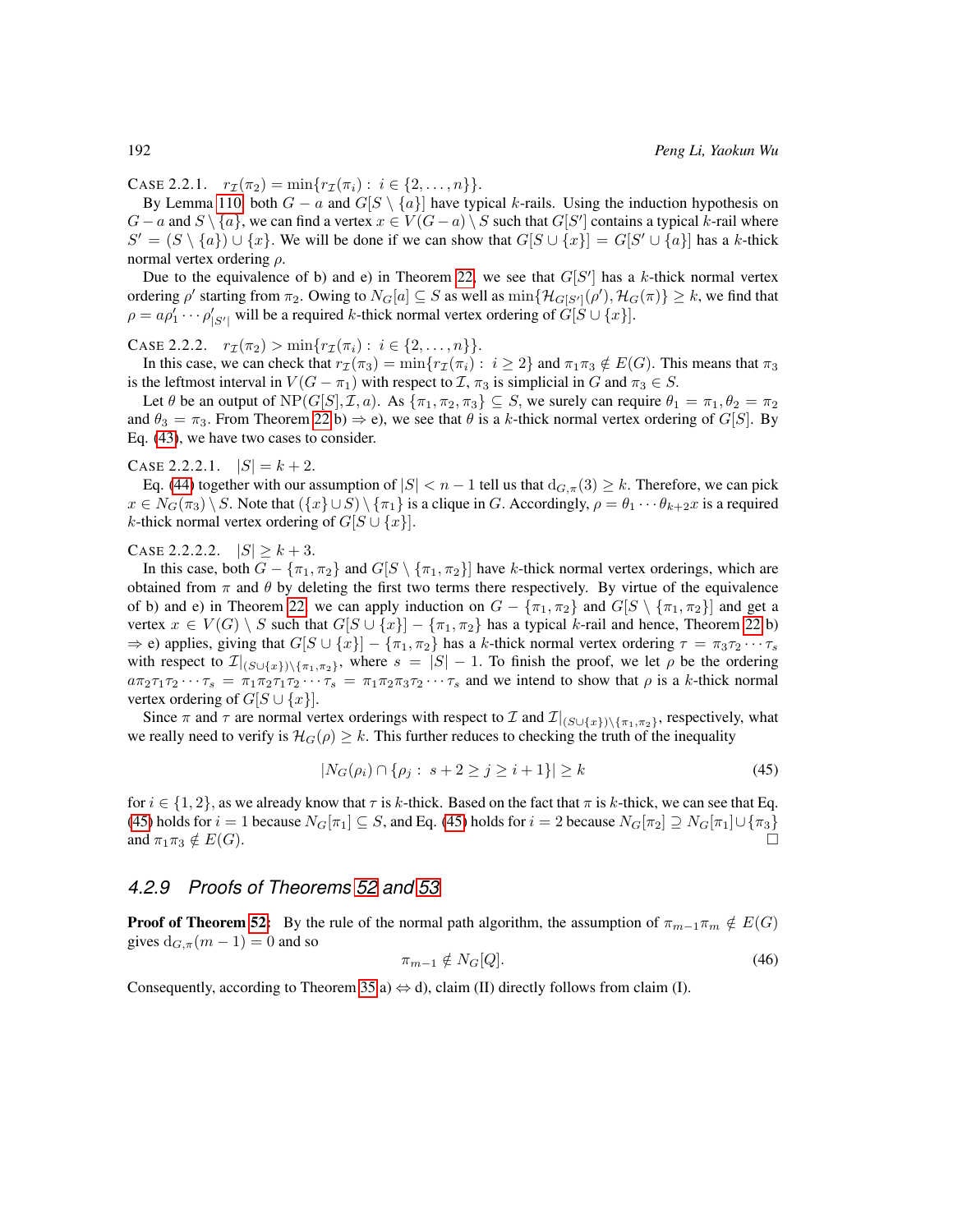CASE 2.2.1.  $r_{\mathcal{I}}(\pi_2) = \min\{r_{\mathcal{I}}(\pi_i): i \in \{2,\ldots,n\}\}.$ 

By Lemma [110,](#page-54-1) both  $G - a$  and  $G[S \setminus \{a\}]$  have typical k-rails. Using the induction hypothesis on  $G - a$  and  $S \setminus \{a\}$ , we can find a vertex  $x \in V(G - a) \setminus S$  such that  $G[S']$  contains a typical k-rail where  $S' = (S \setminus \{a\}) \cup \{x\}$ . We will be done if we can show that  $G[S \cup \{x\}] = G[S' \cup \{a\}]$  has a k-thick normal vertex ordering  $ρ$ .

Due to the equivalence of b) and e) in Theorem [22,](#page-19-0) we see that  $G[S']$  has a k-thick normal vertex ordering  $\rho'$  starting from  $\pi_2$ . Owing to  $N_G[a] \subseteq S$  as well as  $\min\{\mathcal{H}_{G[S']}(\rho'),\mathcal{H}_G(\pi)\}\geq k$ , we find that  $\rho = a \rho'_1 \cdots \rho'_{|S'|}$  will be a required k-thick normal vertex ordering of  $G[S \cup \{x\}]$ .

CASE 2.2.2.  $r_{\mathcal{I}}(\pi_2) > \min\{r_{\mathcal{I}}(\pi_i): i \in \{2,\ldots,n\}\}.$ 

In this case, we can check that  $r_{\mathcal{I}}(\pi_3) = \min\{r_{\mathcal{I}}(\pi_i): i \geq 2\}$  and  $\pi_1\pi_3 \notin E(G)$ . This means that  $\pi_3$ is the leftmost interval in  $V(G - \pi_1)$  with respect to  $\mathcal{I}, \pi_3$  is simplicial in G and  $\pi_3 \in S$ .

Let  $\theta$  be an output of  $NP(G[S], \mathcal{I}, a)$ . As  $\{\pi_1, \pi_2, \pi_3\} \subseteq S$ , we surely can require  $\theta_1 = \pi_1, \theta_2 = \pi_2$ and  $\theta_3 = \pi_3$ . From Theorem [22](#page-19-0) b)  $\Rightarrow$  e), we see that  $\theta$  is a k-thick normal vertex ordering of G[S]. By Eq. [\(43\)](#page-66-0), we have two cases to consider.

CASE 2.2.2.1.  $|S| = k + 2$ .

Eq. [\(44\)](#page-66-1) together with our assumption of  $|S| < n - 1$  tell us that  $d_{G,\pi}(3) \geq k$ . Therefore, we can pick  $x \in N_G(\pi_3) \setminus S$ . Note that  $({x} \cup S) \setminus {\pi_1}$  is a clique in G. Accordingly,  $\rho = \theta_1 \cdots \theta_{k+2} x$  is a required k-thick normal vertex ordering of  $G[S \cup \{x\}]$ .

CASE 2.2.2.2.  $|S| \ge k+3$ .

In this case, both  $G - \{\pi_1, \pi_2\}$  and  $G[S \setminus {\pi_1, \pi_2}]$  have k-thick normal vertex orderings, which are obtained from  $\pi$  and  $\theta$  by deleting the first two terms there respectively. By virtue of the equivalence of b) and e) in Theorem [22,](#page-19-0) we can apply induction on  $G - {\pi_1, \pi_2}$  and  $G[S \setminus {\pi_1, \pi_2}]$  and get a vertex  $x \in V(G) \setminus S$  such that  $G[S \cup \{x\}] - \{\pi_1, \pi_2\}$  has a typical k-rail and hence, Theorem [22](#page-19-0) b)  $\Rightarrow$  e) applies, giving that  $G[S \cup \{x\}] - \{\pi_1, \pi_2\}$  has a k-thick normal vertex ordering  $\tau = \pi_3 \tau_2 \cdots \tau_s$ with respect to  $\mathcal{I}|_{(S\cup\{x\})\setminus\{\pi_1,\pi_2\}}$ , where  $s = |S|-1$ . To finish the proof, we let  $\rho$  be the ordering  $a\pi_2\tau_1\tau_2\cdots\tau_s = \pi_1\pi_2\tau_1\tau_2\cdots\tau_s = \pi_1\pi_2\pi_3\tau_2\cdots\tau_s$  and we intend to show that  $\rho$  is a k-thick normal vertex ordering of  $G[S \cup \{x\}]$ .

Since  $\pi$  and  $\tau$  are normal vertex orderings with respect to  $\mathcal I$  and  $\mathcal I|_{(S\cup\{x\})\setminus\{\pi_1,\pi_2\}}$ , respectively, what we really need to verify is  $\mathcal{H}_G(\rho) \geq k$ . This further reduces to checking the truth of the inequality

$$
|N_G(\rho_i) \cap \{\rho_j : s + 2 \ge j \ge i + 1\}| \ge k \tag{45}
$$

for  $i \in \{1, 2\}$ , as we already know that  $\tau$  is k-thick. Based on the fact that  $\pi$  is k-thick, we can see that Eq. [\(45\)](#page-67-0) holds for  $i = 1$  because  $N_G[\pi_1] \subseteq S$ , and Eq. (45) holds for  $i = 2$  because  $N_G[\pi_2] \supseteq N_G[\pi_1] \cup \{\pi_3\}$ and  $\pi_1\pi_3 \notin E(G)$ .

### *4.2.9 Proofs of Theorems [52](#page-25-0) and [53](#page-26-0)*

**Proof of Theorem [52:](#page-25-0)** By the rule of the normal path algorithm, the assumption of  $\pi_{m-1}\pi_m \notin E(G)$ gives  $d_{G,\pi}(m-1) = 0$  and so

<span id="page-67-1"></span><span id="page-67-0"></span>
$$
\pi_{m-1} \notin N_G[Q]. \tag{46}
$$

Consequently, according to Theorem [35](#page-21-0) a)  $\Leftrightarrow$  d), claim (II) directly follows from claim (I).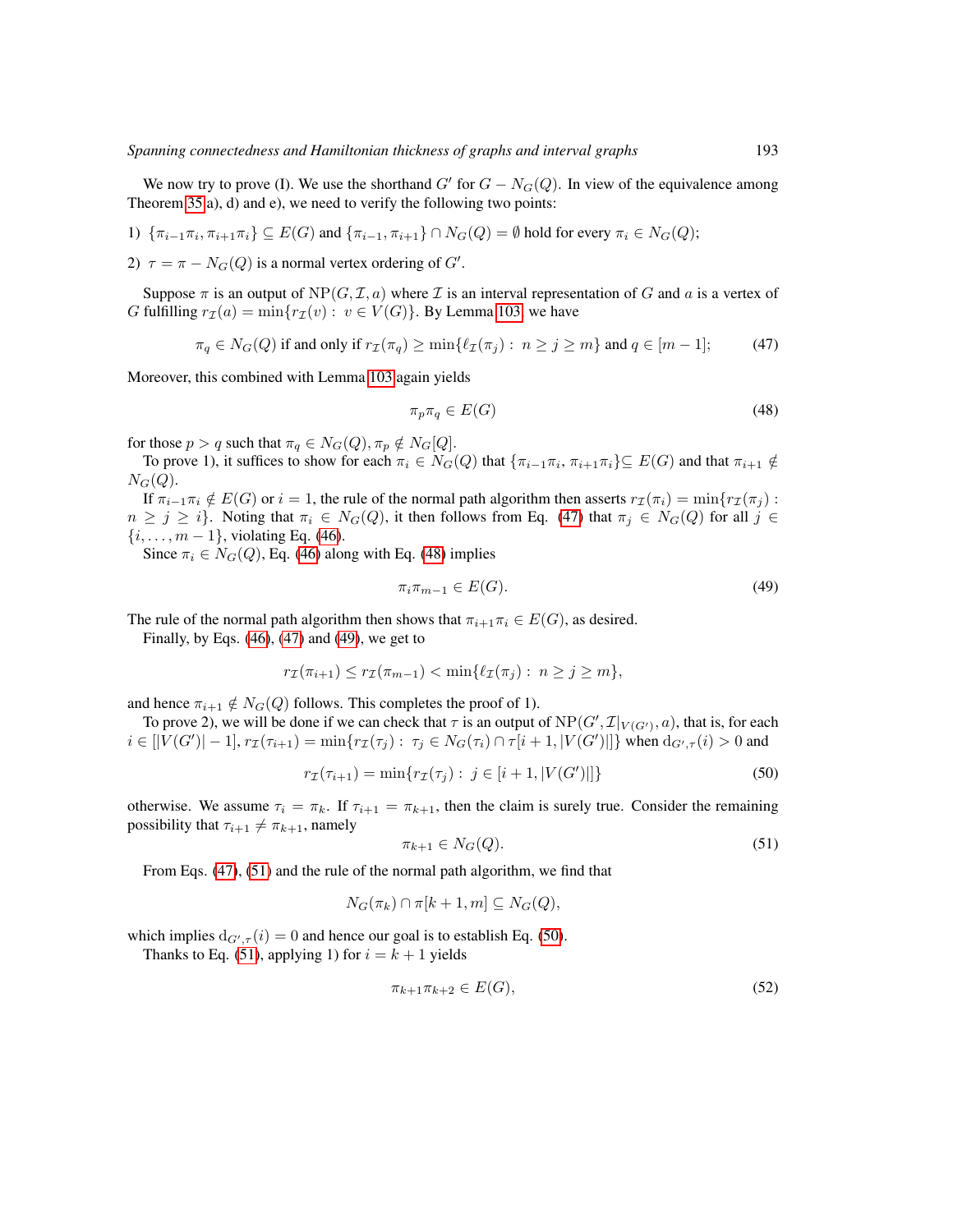We now try to prove (I). We use the shorthand G' for  $G - N_G(Q)$ . In view of the equivalence among Theorem [35](#page-21-0) a), d) and e), we need to verify the following two points:

1) 
$$
\{\pi_{i-1}\pi_i, \pi_{i+1}\pi_i\} \subseteq E(G) \text{ and } \{\pi_{i-1}, \pi_{i+1}\} \cap N_G(Q) = \emptyset \text{ hold for every } \pi_i \in N_G(Q);
$$

2)  $\tau = \pi - N_G(Q)$  is a normal vertex ordering of  $G'$ .

Suppose  $\pi$  is an output of NP(G, I, a) where I is an interval representation of G and a is a vertex of G fulfilling  $r_{\mathcal{I}}(a) = \min\{r_{\mathcal{I}}(v): v \in V(G)\}\)$ . By Lemma [103,](#page-49-3) we have

 $\pi_q \in N_G(Q)$  if and only if  $r_\mathcal{I}(\pi_q) \ge \min\{\ell_\mathcal{I}(\pi_i) : n \ge j \ge m\}$  and  $q \in [m-1]$ ; (47)

Moreover, this combined with Lemma [103](#page-49-3) again yields

<span id="page-68-1"></span><span id="page-68-0"></span>
$$
\pi_p \pi_q \in E(G) \tag{48}
$$

for those  $p > q$  such that  $\pi_q \in N_G(Q), \pi_p \notin N_G[Q]$ .

To prove 1), it suffices to show for each  $\pi_i \in N_G(Q)$  that  $\{\pi_{i-1}\pi_i, \pi_{i+1}\pi_i\} \subseteq E(G)$  and that  $\pi_{i+1} \notin$  $N_G(Q)$ .

If  $\pi_{i-1}\pi_i \notin E(G)$  or  $i = 1$ , the rule of the normal path algorithm then asserts  $r_{\mathcal{I}}(\pi_i) = \min\{r_{\mathcal{I}}(\pi_i) :$  $n \ge j \ge i$ . Noting that  $\pi_i \in N_G(Q)$ , it then follows from Eq. [\(47\)](#page-68-0) that  $\pi_j \in N_G(Q)$  for all  $j \in$  $\{i, \ldots, m-1\}$ , violating Eq. [\(46\)](#page-67-1).

Since  $\pi_i \in N_G(Q)$ , Eq. [\(46\)](#page-67-1) along with Eq. [\(48\)](#page-68-1) implies

<span id="page-68-2"></span>
$$
\pi_i \pi_{m-1} \in E(G). \tag{49}
$$

The rule of the normal path algorithm then shows that  $\pi_{i+1}\pi_i \in E(G)$ , as desired.

Finally, by Eqs.  $(46)$ ,  $(47)$  and  $(49)$ , we get to

$$
r_{\mathcal{I}}(\pi_{i+1}) \leq r_{\mathcal{I}}(\pi_{m-1}) < \min\{\ell_{\mathcal{I}}(\pi_j) : n \geq j \geq m\},\
$$

and hence  $\pi_{i+1} \notin N_G(Q)$  follows. This completes the proof of 1).

To prove 2), we will be done if we can check that  $\tau$  is an output of  $NP(G', \mathcal{I}|_{V(G')}, a)$ , that is, for each  $i \in [|V(G')|-1], r_{\mathcal{I}}(\tau_{i+1}) = \min\{r_{\mathcal{I}}(\tau_j) : \tau_j \in N_G(\tau_i) \cap \tau[i+1, |V(G')|]\}$  when  $d_{G', \tau}(i) > 0$  and

$$
r_{\mathcal{I}}(\tau_{i+1}) = \min\{r_{\mathcal{I}}(\tau_j) : j \in [i+1, |V(G')|]\}\
$$
\n(50)

otherwise. We assume  $\tau_i = \pi_k$ . If  $\tau_{i+1} = \pi_{k+1}$ , then the claim is surely true. Consider the remaining possibility that  $\tau_{i+1} \neq \pi_{k+1}$ , namely

<span id="page-68-4"></span><span id="page-68-3"></span>
$$
\pi_{k+1} \in N_G(Q). \tag{51}
$$

From Eqs. [\(47\)](#page-68-0), [\(51\)](#page-68-3) and the rule of the normal path algorithm, we find that

$$
N_G(\pi_k) \cap \pi[k+1, m] \subseteq N_G(Q),
$$

which implies  $d_{G',\tau}(i) = 0$  and hence our goal is to establish Eq. [\(50\)](#page-68-4). Thanks to Eq. [\(51\)](#page-68-3), applying 1) for  $i = k + 1$  yields

<span id="page-68-5"></span>
$$
\pi_{k+1}\pi_{k+2} \in E(G),\tag{52}
$$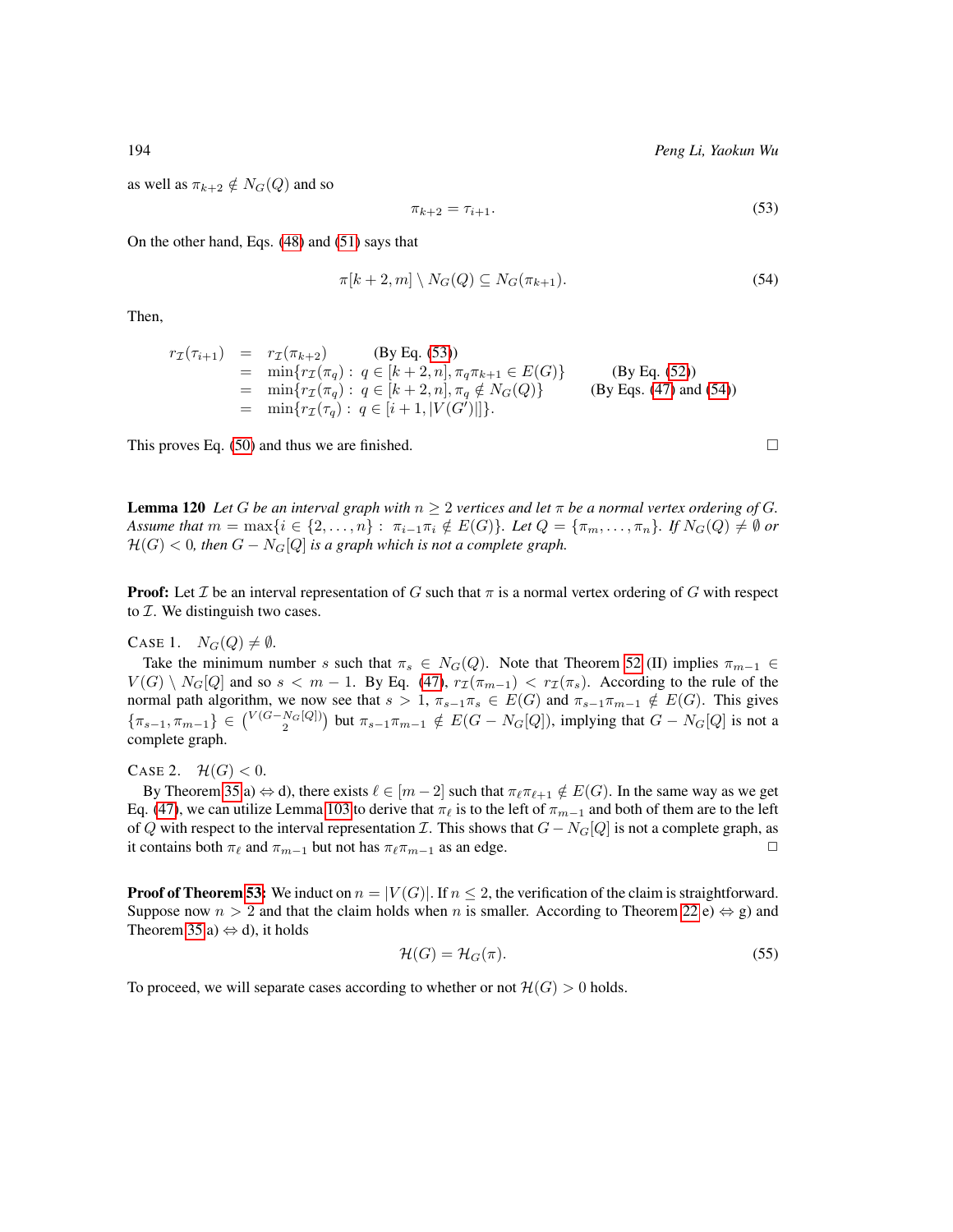as well as  $\pi_{k+2} \notin N_G(Q)$  and so

<span id="page-69-1"></span><span id="page-69-0"></span>
$$
\pi_{k+2} = \tau_{i+1}.\tag{53}
$$

On the other hand, Eqs. [\(48\)](#page-68-1) and [\(51\)](#page-68-3) says that

$$
\pi[k+2,m] \setminus N_G(Q) \subseteq N_G(\pi_{k+1}).\tag{54}
$$

Then,

$$
r_{\mathcal{I}}(\tau_{i+1}) = r_{\mathcal{I}}(\pi_{k+2})
$$
 (By Eq. (53))  
\n
$$
= \min\{r_{\mathcal{I}}(\pi_q) : q \in [k+2, n], \pi_q \pi_{k+1} \in E(G)\}
$$
 (By Eq. (52))  
\n
$$
= \min\{r_{\mathcal{I}}(\pi_q) : q \in [k+2, n], \pi_q \notin N_G(Q)\}
$$
 (By Eqs. (47) and (54))  
\n
$$
= \min\{r_{\mathcal{I}}(\pi_q) : q \in [i+1, |V(G')|]\}.
$$

This proves Eq. [\(50\)](#page-68-4) and thus we are finished.  $\square$ 

<span id="page-69-3"></span>**Lemma 120** *Let* G *be an interval graph with*  $n \geq 2$  *vertices and let*  $\pi$  *be a normal vertex ordering of* G. *Assume that*  $m = \max\{i \in \{2, ..., n\} : \pi_{i-1}\pi_i \notin E(G)\}$ *. Let*  $Q = \{\pi_m, ..., \pi_n\}$ *. If*  $N_G(Q) \neq \emptyset$  or  $H(G) < 0$ , then  $G - N_G[Q]$  *is a graph which is not a complete graph.* 

**Proof:** Let  $\mathcal I$  be an interval representation of G such that  $\pi$  is a normal vertex ordering of G with respect to  $\mathcal I$ . We distinguish two cases.

CASE 1.  $N_G(Q) \neq \emptyset$ .

Take the minimum number s such that  $\pi_s \in N_G(Q)$ . Note that Theorem [52](#page-25-0) (II) implies  $\pi_{m-1} \in$  $V(G) \setminus N_G[Q]$  and so  $s < m - 1$ . By Eq. [\(47\)](#page-68-0),  $r_{\mathcal{I}}(\pi_{m-1}) < r_{\mathcal{I}}(\pi_s)$ . According to the rule of the normal path algorithm, we now see that  $s > 1$ ,  $\pi_{s-1}\pi_s \in E(G)$  and  $\pi_{s-1}\pi_{m-1} \notin E(G)$ . This gives  $\{\pi_{s-1}, \pi_{m-1}\} \in {V(G-N_G[Q]) \choose 2}$  but  $\pi_{s-1}\pi_{m-1} \notin E(G-N_G[Q])$ , implying that  $G-N_G[Q]$  is not a complete graph.

CASE 2.  $\mathcal{H}(G) < 0$ .

By Theorem [35](#page-21-0) a)  $\Leftrightarrow$  d), there exists  $\ell \in [m-2]$  such that  $\pi_{\ell} \pi_{\ell+1} \notin E(G)$ . In the same way as we get Eq. [\(47\)](#page-68-0), we can utilize Lemma [103](#page-49-3) to derive that  $\pi_\ell$  is to the left of  $\pi_{m-1}$  and both of them are to the left of Q with respect to the interval representation  $\mathcal I$ . This shows that  $G - N_G[Q]$  is not a complete graph, as it contains both  $\pi_\ell$  and  $\pi_{m-1}$  but not has  $\pi_\ell \pi_{m-1}$  as an edge.

**Proof of Theorem [53:](#page-26-0)** We induct on  $n = |V(G)|$ . If  $n \le 2$ , the verification of the claim is straightforward. Suppose now  $n > 2$  and that the claim holds when n is smaller. According to Theorem [22](#page-19-0) e)  $\Leftrightarrow$  g) and Theorem [35](#page-21-0) a)  $\Leftrightarrow$  d), it holds

<span id="page-69-2"></span>
$$
\mathcal{H}(G) = \mathcal{H}_G(\pi). \tag{55}
$$

To proceed, we will separate cases according to whether or not  $\mathcal{H}(G) > 0$  holds.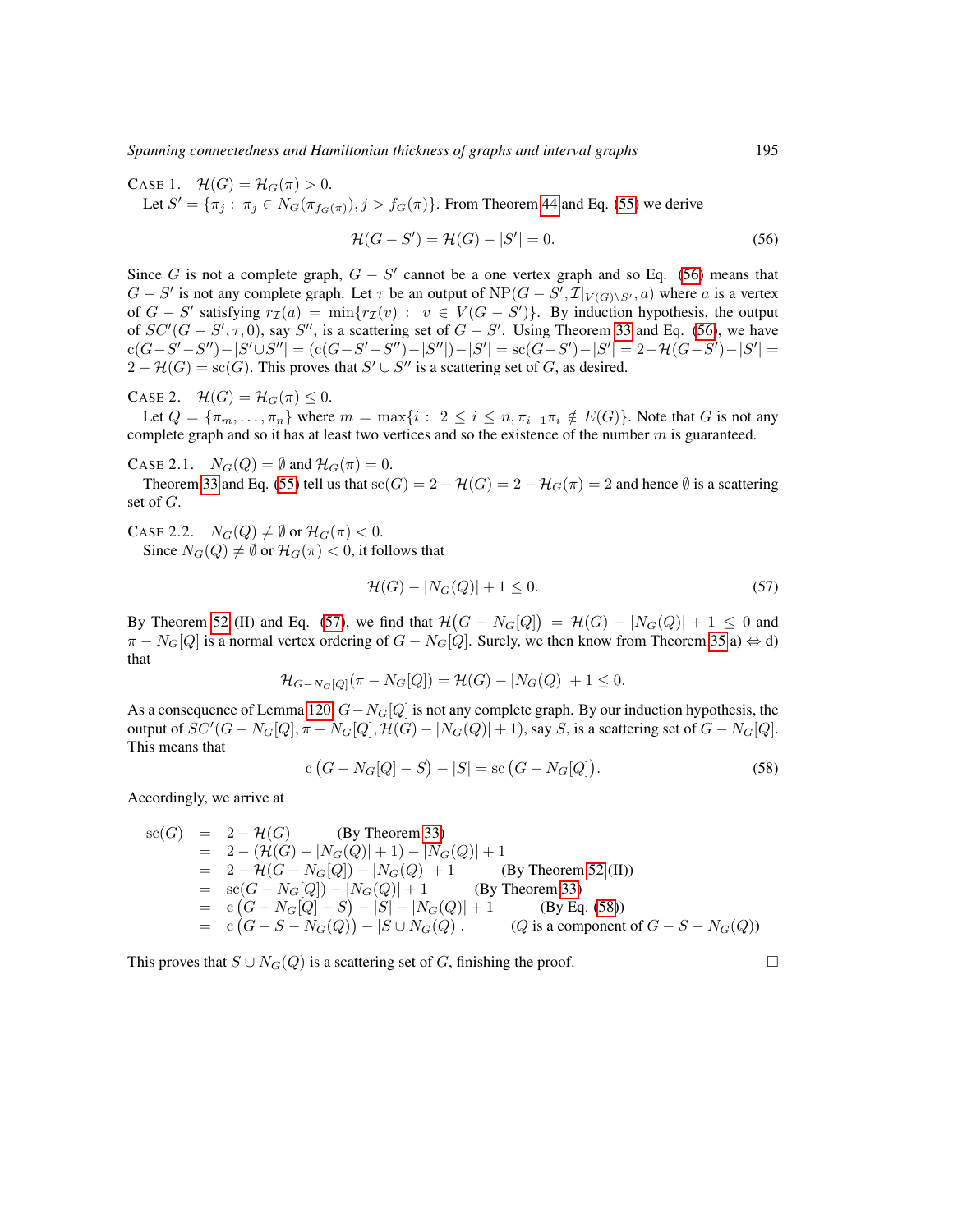*Spanning connectedness and Hamiltonian thickness of graphs and interval graphs* 195

CASE 1.  $\mathcal{H}(G) = \mathcal{H}_G(\pi) > 0$ . Let  $S' = {\pi_j : \pi_j \in N_G(\pi_{f_G(\pi)}), j > f_G(\pi)}$ . From Theorem [44](#page-23-4) and Eq. [\(55\)](#page-69-2) we derive

$$
\mathcal{H}(G - S') = \mathcal{H}(G) - |S'| = 0.
$$
\n(56)

Since G is not a complete graph,  $G - S'$  cannot be a one vertex graph and so Eq. [\(56\)](#page-70-0) means that  $G - S'$  is not any complete graph. Let  $\tau$  be an output of  $NP(G - S', \mathcal{I}|_{V(G)\setminus S'}, a)$  where a is a vertex of  $G - S'$  satisfying  $r_{\mathcal{I}}(a) = \min\{r_{\mathcal{I}}(v) : v \in V(G - S')\}$ . By induction hypothesis, the output of  $SC'(G - S', \tau, 0)$ , say S'', is a scattering set of  $G - S'$ . Using Theorem [33](#page-21-1) and Eq. [\(56\)](#page-70-0), we have  ${\rm cl}(G{-}S'-S'')-|S'\cup S''| = ({\rm cl}(G{-}S'-S'')-|S''|)-|S'| = {\rm sc}(G{-}S')-|S'| = 2{-}\mathcal{H}(G{-}S')-|S'| =$  $2 - H(G) = sc(G)$ . This proves that  $S' \cup S''$  is a scattering set of G, as desired.

CASE 2.  $\mathcal{H}(G) = \mathcal{H}_G(\pi) \leq 0$ .

Let  $Q = {\pi_m, \ldots, \pi_n}$  where  $m = \max\{i : 2 \le i \le n, \pi_{i-1}\pi_i \notin E(G)\}$ . Note that G is not any complete graph and so it has at least two vertices and so the existence of the number  $m$  is guaranteed.

CASE 2.1.  $N_G(Q) = \emptyset$  and  $\mathcal{H}_G(\pi) = 0$ .

Theorem [33](#page-21-1) and Eq. [\(55\)](#page-69-2) tell us that  $sc(G) = 2 - H(G) = 2 - H<sub>G</sub>(\pi) = 2$  and hence  $\emptyset$  is a scattering set of G.

CASE 2.2.  $N_G(Q) \neq \emptyset$  or  $\mathcal{H}_G(\pi) < 0$ . Since  $N_G(Q) \neq \emptyset$  or  $\mathcal{H}_G(\pi) < 0$ , it follows that

<span id="page-70-1"></span>
$$
\mathcal{H}(G) - |N_G(Q)| + 1 \le 0. \tag{57}
$$

By Theorem [52](#page-25-0) (II) and Eq. [\(57\)](#page-70-1), we find that  $\mathcal{H}(G - N_G[Q]) = \mathcal{H}(G) - |N_G(Q)| + 1 \leq 0$  and  $\pi - N_G[Q]$  is a normal vertex ordering of  $G - N_G[Q]$ . Surely, we then know from Theorem [35](#page-21-0) a)  $\Leftrightarrow$  d) that

$$
\mathcal{H}_{G-N_G[Q]}(\pi - N_G[Q]) = \mathcal{H}(G) - |N_G(Q)| + 1 \le 0.
$$

As a consequence of Lemma [120,](#page-69-3)  $G - N_G[Q]$  is not any complete graph. By our induction hypothesis, the output of  $SC'(G-N_G[Q],\pi-N_G[Q],\mathcal{H}(G)-|N_G(Q)|+1),$  say  $S,$  is a scattering set of  $G-N_G[Q].$ This means that

<span id="page-70-2"></span>
$$
c(G - N_G[Q] - S) - |S| = sc(G - N_G[Q]).
$$
\n(58)

Accordingly, we arrive at

$$
sc(G) = 2 - \mathcal{H}(G)
$$
 (By Theorem 33)  
\n
$$
= 2 - (\mathcal{H}(G) - |N_G(Q)| + 1) - |N_G(Q)| + 1
$$
  
\n
$$
= 2 - \mathcal{H}(G - N_G[Q]) - |N_G(Q)| + 1
$$
 (By Theorem 52 (II))  
\n
$$
= sc(G - N_G[Q]) - |N_G(Q)| + 1
$$
 (By Theorem 33)  
\n
$$
= c(G - N_G[Q] - S) - |S| - |N_G(Q)| + 1
$$
 (By Eq. (58))  
\n
$$
= c(G - S - N_G(Q)) - |S \cup N_G(Q)|.
$$
 (Q is a component of  $G - S - N_G(Q)$ )

This proves that  $S \cup N_G(Q)$  is a scattering set of G, finishing the proof.

<span id="page-70-0"></span>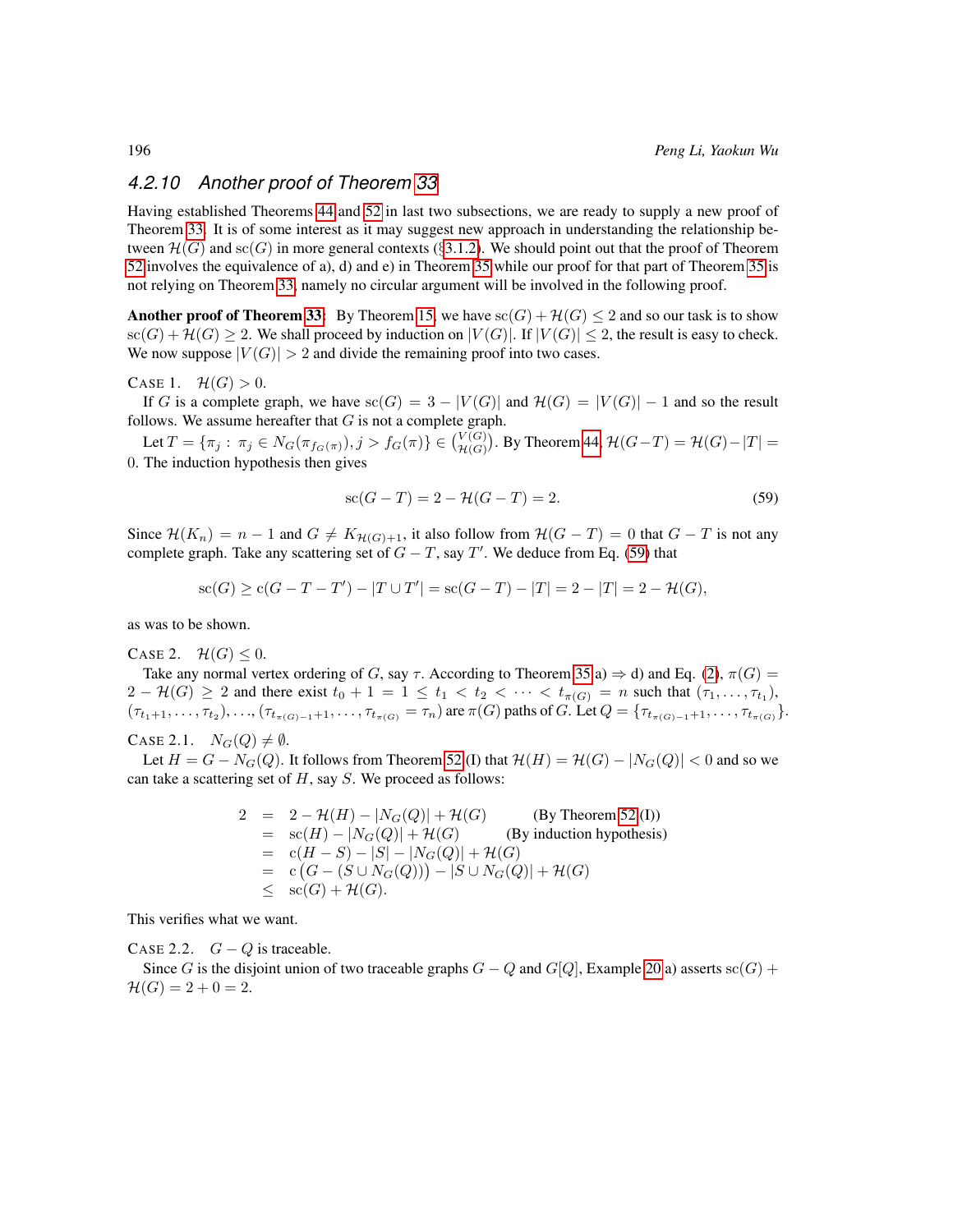# *4.2.10 Another proof of Theorem [33](#page-21-1)*

Having established Theorems [44](#page-23-4) and [52](#page-25-0) in last two subsections, we are ready to supply a new proof of Theorem [33.](#page-21-1) It is of some interest as it may suggest new approach in understanding the relationship between  $\mathcal{H}(G)$  and  $\mathrm{sc}(G)$  in more general contexts (§[3.1.2\)](#page-14-1). We should point out that the proof of Theorem [52](#page-25-0) involves the equivalence of a), d) and e) in Theorem [35](#page-21-0) while our proof for that part of Theorem [35](#page-21-0) is not relying on Theorem [33,](#page-21-1) namely no circular argument will be involved in the following proof.

**Another proof of Theorem [33:](#page-21-1)** By Theorem [15,](#page-15-0) we have  $sc(G) + \mathcal{H}(G) \leq 2$  and so our task is to show  $\operatorname{sc}(G) + \mathcal{H}(G) \geq 2$ . We shall proceed by induction on  $|V(G)|$ . If  $|V(G)| \leq 2$ , the result is easy to check. We now suppose  $|V(G)| > 2$  and divide the remaining proof into two cases.

### CASE 1.  $\mathcal{H}(G) > 0$ .

If G is a complete graph, we have  $\operatorname{sc}(G) = 3 - |V(G)|$  and  $\mathcal{H}(G) = |V(G)| - 1$  and so the result follows. We assume hereafter that  $G$  is not a complete graph.

Let  $T = \{\pi_j : \pi_j \in N_G(\pi_{f_G(\pi)}), j > f_G(\pi) \} \in {V(G) \choose H(G)}$ . By Theorem [44,](#page-23-4)  $H(G-T) = H(G) - |T| =$ 0. The induction hypothesis then gives

<span id="page-71-0"></span>
$$
sc(G - T) = 2 - \mathcal{H}(G - T) = 2.
$$
\n(59)

Since  $\mathcal{H}(K_n) = n - 1$  and  $G \neq K_{\mathcal{H}(G)+1}$ , it also follow from  $\mathcal{H}(G-T) = 0$  that  $G - T$  is not any complete graph. Take any scattering set of  $G - T$ , say T'. We deduce from Eq. [\(59\)](#page-71-0) that

$$
sc(G) \ge c(G - T - T') - |T \cup T'| = sc(G - T) - |T| = 2 - |T| = 2 - \mathcal{H}(G),
$$

as was to be shown.

CASE 2.  $\mathcal{H}(G) \leq 0$ .

Take any normal vertex ordering of G, say  $\tau$ . According to Theorem [35](#page-21-0) a)  $\Rightarrow$  d) and Eq. [\(2\)](#page-6-0),  $\pi(G)$  =  $2 - H(G) \ge 2$  and there exist  $t_0 + 1 = 1 \le t_1 < t_2 < \cdots < t_{\pi(G)} = n$  such that  $(\tau_1, \ldots, \tau_{t_1})$ ,  $(\tau_{t_1+1}, \ldots, \tau_{t_2}), \ldots, (\tau_{t_{\pi(G)-1}+1}, \ldots, \tau_{t_{\pi(G)}} = \tau_n)$  are  $\pi(G)$  paths of G. Let  $Q = \{\tau_{t_{\pi(G)-1}+1}, \ldots, \tau_{t_{\pi(G)}}\}.$ 

CASE 2.1.  $N_G(Q) \neq \emptyset$ .

Let  $H = G - N_G(Q)$ . It follows from Theorem [52](#page-25-0) (I) that  $\mathcal{H}(H) = \mathcal{H}(G) - |N_G(Q)| < 0$  and so we can take a scattering set of  $H$ , say  $S$ . We proceed as follows:

$$
2 = 2 - \mathcal{H}(H) - |N_G(Q)| + \mathcal{H}(G)
$$
 (By Theorem 52 (I))  
\n
$$
= sc(H) - |N_G(Q)| + \mathcal{H}(G)
$$
 (By induction hypothesis)  
\n
$$
= c(H - S) - |S| - |N_G(Q)| + \mathcal{H}(G)
$$
  
\n
$$
= c(G - (S \cup N_G(Q))) - |S \cup N_G(Q)| + \mathcal{H}(G)
$$
  
\n
$$
\leq sc(G) + \mathcal{H}(G).
$$

This verifies what we want.

CASE 2.2.  $G - Q$  is traceable.

Since G is the disjoint union of two traceable graphs  $G - Q$  and  $G[Q]$ , Example [20](#page-16-2) a) asserts sc(G) +  $\mathcal{H}(G) = 2 + 0 = 2.$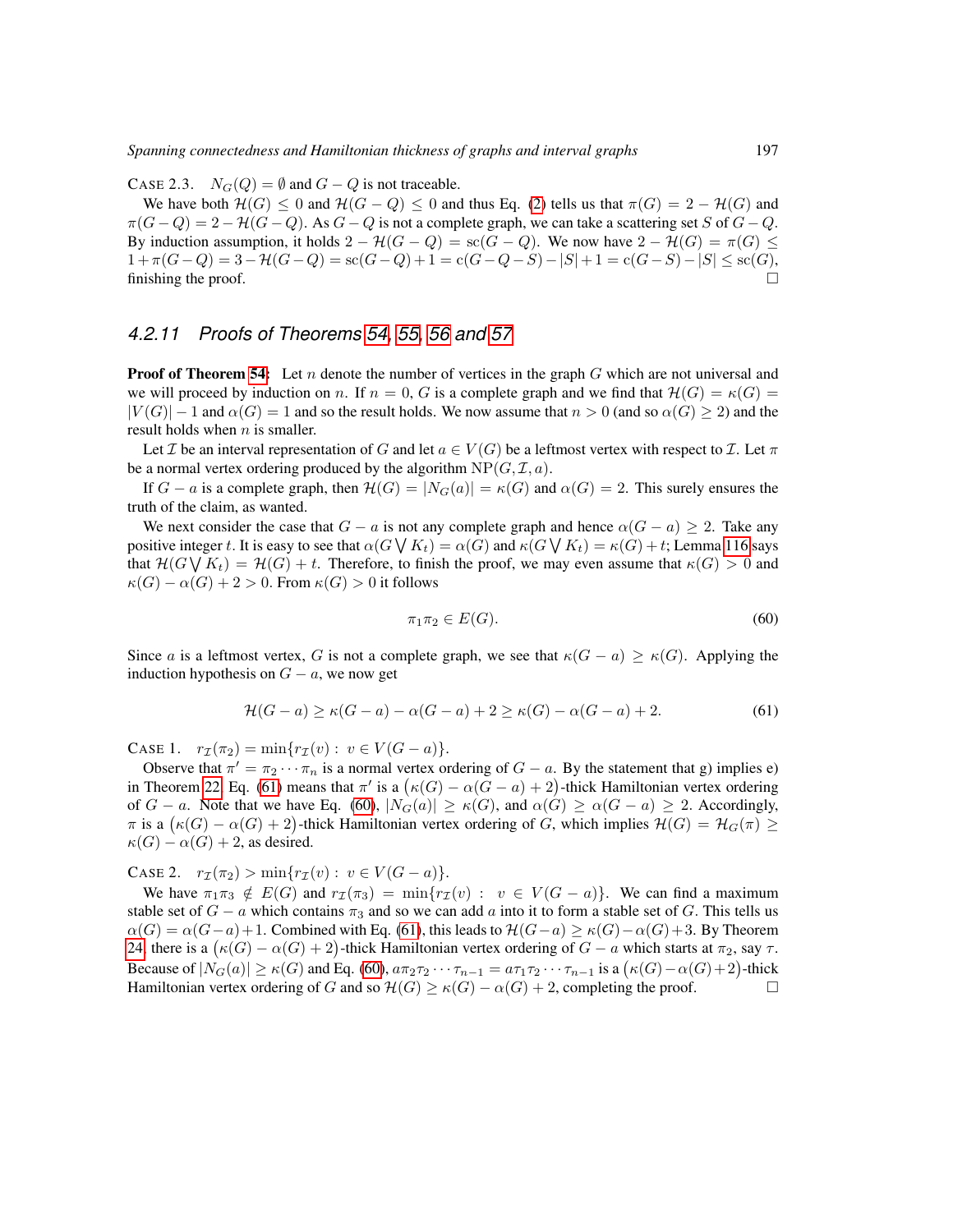CASE 2.3.  $N_G(Q) = \emptyset$  and  $G - Q$  is not traceable.

We have both  $\mathcal{H}(G) \leq 0$  and  $\mathcal{H}(G - Q) \leq 0$  and thus Eq. [\(2\)](#page-6-0) tells us that  $\pi(G) = 2 - \mathcal{H}(G)$  and  $\pi(G-Q) = 2 - \mathcal{H}(G-Q)$ . As  $G-Q$  is not a complete graph, we can take a scattering set S of  $G-Q$ . By induction assumption, it holds  $2 - \mathcal{H}(G - Q) = \text{sc}(G - Q)$ . We now have  $2 - \mathcal{H}(G) = \pi(G) \le$  $1 + \pi(G-Q) = 3 - \mathcal{H}(G-Q) = \text{sc}(G-Q) + 1 = \text{c}(G-Q-S) - |S| + 1 = \text{c}(G-S) - |S| \leq \text{sc}(G),$ finishing the proof.  $\Box$ 

### *4.2.11 Proofs of Theorems [54,](#page-26-0) [55,](#page-26-1) [56](#page-26-2) and [57](#page-26-3)*

**Proof of Theorem [54:](#page-26-0)** Let n denote the number of vertices in the graph  $G$  which are not universal and we will proceed by induction on n. If  $n = 0$ , G is a complete graph and we find that  $\mathcal{H}(G) = \kappa(G)$  $|V(G)| - 1$  and  $\alpha(G) = 1$  and so the result holds. We now assume that  $n > 0$  (and so  $\alpha(G) \ge 2$ ) and the result holds when  $n$  is smaller.

Let *I* be an interval representation of G and let  $a \in V(G)$  be a leftmost vertex with respect to *I*. Let  $\pi$ be a normal vertex ordering produced by the algorithm  $NP(G, \mathcal{I}, a)$ .

If  $G - a$  is a complete graph, then  $\mathcal{H}(G) = |N_G(a)| = \kappa(G)$  and  $\alpha(G) = 2$ . This surely ensures the truth of the claim, as wanted.

We next consider the case that  $G - a$  is not any complete graph and hence  $\alpha(G - a) \geq 2$ . Take any positive integer t. It is easy to see that  $\alpha(G \bigvee K_t) = \alpha(G)$  and  $\kappa(G \bigvee K_t) = \kappa(G) + t$ ; Lemma [116](#page-59-0) says that  $\mathcal{H}(G \setminus K_t) = \mathcal{H}(G) + t$ . Therefore, to finish the proof, we may even assume that  $\kappa(G) > 0$  and  $\kappa(G) - \alpha(G) + 2 > 0$ . From  $\kappa(G) > 0$  it follows

<span id="page-72-1"></span><span id="page-72-0"></span>
$$
\pi_1 \pi_2 \in E(G). \tag{60}
$$

Since a is a leftmost vertex, G is not a complete graph, we see that  $\kappa(G - a) \geq \kappa(G)$ . Applying the induction hypothesis on  $G - a$ , we now get

$$
\mathcal{H}(G-a) \ge \kappa(G-a) - \alpha(G-a) + 2 \ge \kappa(G) - \alpha(G-a) + 2. \tag{61}
$$

CASE 1.  $r_{\mathcal{I}}(\pi_2) = \min\{r_{\mathcal{I}}(v): v \in V(G - a)\}.$ 

Observe that  $\pi' = \pi_2 \cdots \pi_n$  is a normal vertex ordering of  $G - a$ . By the statement that g) implies e) in Theorem [22,](#page-19-0) Eq. [\(61\)](#page-72-0) means that  $\pi'$  is a  $\left(\kappa(G) - \alpha(G - a) + 2\right)$ -thick Hamiltonian vertex ordering of  $G - a$ . Note that we have Eq. [\(60\)](#page-72-1),  $|N_G(a)| \ge \kappa(G)$ , and  $\alpha(G) \ge \alpha(G - a) \ge 2$ . Accordingly,  $\pi$  is a  $\big(\kappa(G) - \alpha(G) + 2\big)$ -thick Hamiltonian vertex ordering of G, which implies  $\mathcal{H}(G) = \mathcal{H}_G(\pi) \geq 0$  $\kappa(G) - \alpha(G) + 2$ , as desired.

CASE 2.  $r_{\mathcal{I}}(\pi_2) > \min\{r_{\mathcal{I}}(v): v \in V(G - a)\}.$ 

We have  $\pi_1 \pi_3 \notin E(G)$  and  $r_{\pi}(\pi_3) = \min\{r_{\pi}(v) : v \in V(G - a)\}\)$ . We can find a maximum stable set of  $G - a$  which contains  $\pi_3$  and so we can add a into it to form a stable set of G. This tells us  $\alpha(G) = \alpha(G-a)+1$ . Combined with Eq. [\(61\)](#page-72-0), this leads to  $\mathcal{H}(G-a) \geq \kappa(G)-\alpha(G)+3$ . By Theorem [24,](#page-19-1) there is a  $\left(\kappa(G) - \alpha(G) + 2\right)$ -thick Hamiltonian vertex ordering of  $G - a$  which starts at  $\pi_2$ , say  $\tau$ . Because of  $|N_G(a)| \ge \kappa(G)$  and Eq. [\(60\)](#page-72-1),  $a\pi_2\tau_2\cdots\tau_{n-1} = a\tau_1\tau_2\cdots\tau_{n-1}$  is a  $(\kappa(G) - \alpha(G) + 2)$ -thick Hamiltonian vertex ordering of G and so  $\mathcal{H}(G) \ge \kappa(G) - \alpha(G) + 2$ , completing the proof.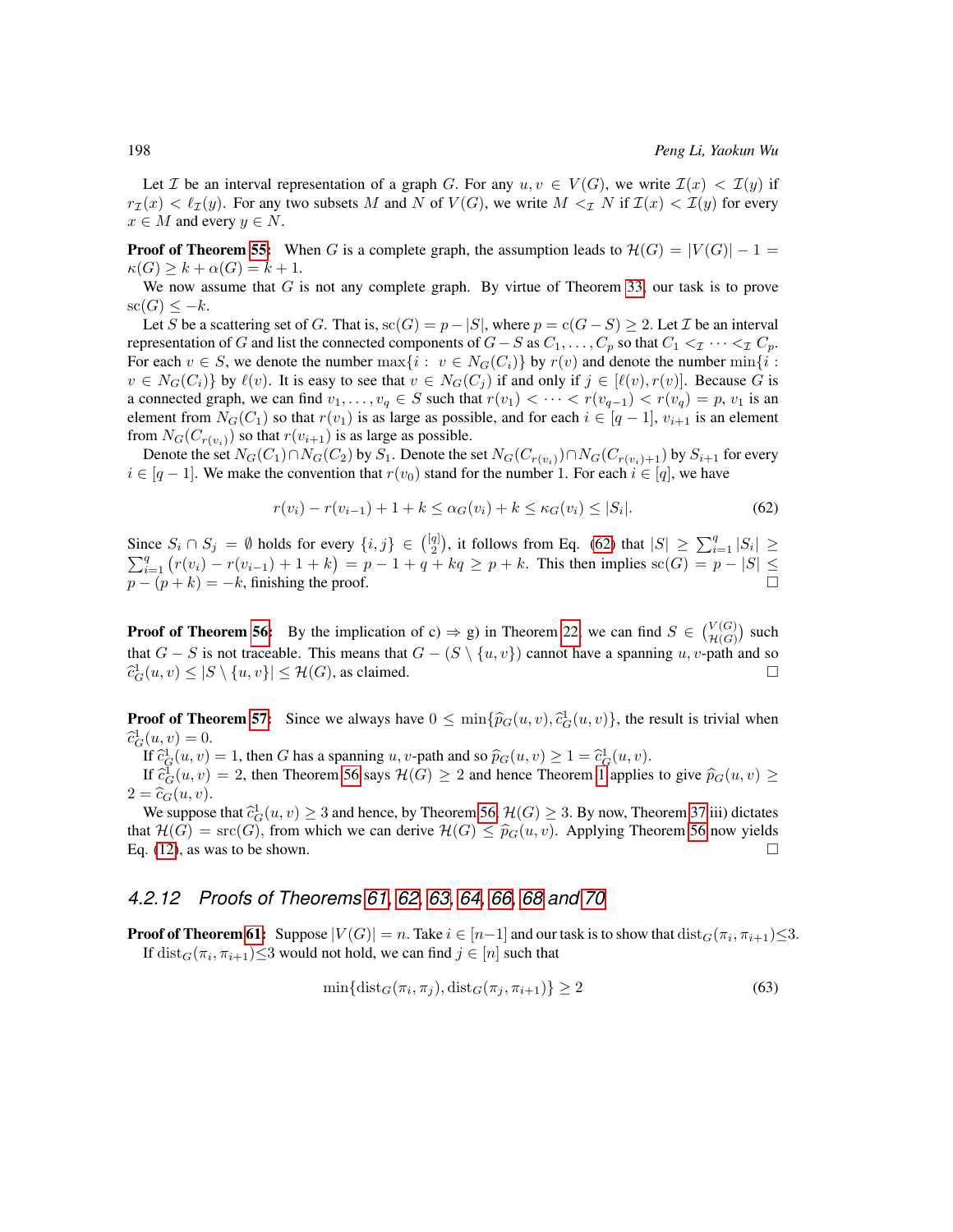Let I be an interval representation of a graph G. For any  $u, v \in V(G)$ , we write  $\mathcal{I}(x) < \mathcal{I}(y)$  if  $r_{\mathcal{I}}(x) < \ell_{\mathcal{I}}(y)$ . For any two subsets M and N of  $V(G)$ , we write  $M <_{\mathcal{I}} N$  if  $\mathcal{I}(x) < \mathcal{I}(y)$  for every  $x \in M$  and every  $y \in N$ .

**Proof of Theorem [55:](#page-26-1)** When G is a complete graph, the assumption leads to  $\mathcal{H}(G) = |V(G)| - 1 =$  $\kappa(G) \geq k + \alpha(G) = k + 1.$ 

We now assume that  $G$  is not any complete graph. By virtue of Theorem [33,](#page-21-0) our task is to prove  $\operatorname{sc}(G) \leq -k$ .

Let S be a scattering set of G. That is,  $\operatorname{sc}(G) = p - |S|$ , where  $p = \operatorname{c}(G - S) \geq 2$ . Let  $\mathcal I$  be an interval representation of G and list the connected components of  $G - S$  as  $C_1, \ldots, C_p$  so that  $C_1 <_{\mathcal{I}} \cdots <_{\mathcal{I}} C_p$ . For each  $v \in S$ , we denote the number  $\max\{i : v \in N_G(C_i)\}$  by  $r(v)$  and denote the number  $\min\{i : v \in N_G(C_i)\}$  $v \in N_G(C_i)$  by  $\ell(v)$ . It is easy to see that  $v \in N_G(C_i)$  if and only if  $j \in [\ell(v), r(v)]$ . Because G is a connected graph, we can find  $v_1, \ldots, v_q \in S$  such that  $r(v_1) < \cdots < r(v_{q-1}) < r(v_q) = p$ ,  $v_1$  is an element from  $N_G(C_1)$  so that  $r(v_1)$  is as large as possible, and for each  $i \in [q-1]$ ,  $v_{i+1}$  is an element from  $N_G(C_{r(v_i)})$  so that  $r(v_{i+1})$  is as large as possible.

Denote the set  $N_G(C_1) \cap N_G(C_2)$  by  $S_1$ . Denote the set  $N_G(C_{r(v_i)}) \cap N_G(C_{r(v_i)+1})$  by  $S_{i+1}$  for every  $i \in [q-1]$ . We make the convention that  $r(v_0)$  stand for the number 1. For each  $i \in [q]$ , we have

<span id="page-73-0"></span>
$$
r(v_i) - r(v_{i-1}) + 1 + k \leq \alpha_G(v_i) + k \leq \kappa_G(v_i) \leq |S_i|.
$$
 (62)

Since  $S_i \cap S_j = \emptyset$  holds for every  $\{i, j\} \in \binom{[q]}{2}$ , it follows from Eq. [\(62\)](#page-73-0) that  $|S| \ge \sum_{i=1}^q |S_i| \ge$  $\sum_{i=1}^{q} (r(v_i) - r(v_{i-1}) + 1 + k) = p - 1 + q + kq \ge p + k$ . This then implies sc(G) = p - |S|  $\le$  $p - (p + k) = -k$ , finishing the proof.

**Proof of Theorem [56:](#page-26-2)** By the implication of c)  $\Rightarrow$  g) in Theorem [22,](#page-19-0) we can find  $S \in \binom{V(G)}{\mathcal{H}(G)}$  such that  $G - S$  is not traceable. This means that  $G - (S \setminus \{u, v\})$  cannot have a spanning u, v-path and so  $\widehat{c}_G^1(u,v) \leq |S \setminus \{u,v\}| \leq \mathcal{H}(G)$ , as claimed.

**Proof of Theorem [57:](#page-26-3)** Since we always have  $0 \le \min\{\hat{p}_G(u, v), \hat{c}_G^1(u, v)\}\)$ , the result is trivial when  $\hat{c}_G^1(u, v) = 0$  $\widehat{c}_G^1(u,v) = 0.$ <br>
If  $\widehat{c}_G^1(u,v)$ 

If  $\hat{c}_G^1(u, v) = 1$ , then G has a spanning u, v-path and so  $\hat{p}_G(u, v) \ge 1 = \hat{c}_G^1(u, v)$ .<br>If  $\hat{c}_G^1(u, v) = 2$ , then Theorem 56 save  $\mathcal{H}(G) > 2$  and hence Theorem 1 applies

If  $\hat{c}_{G}(u, v) = 2$ , then Theorem [56](#page-26-2) says  $\mathcal{H}(G) \ge 2$  and hence Theorem [1](#page-12-0) applies to give  $\hat{p}_{G}(u, v) \ge$  $2 = \widehat{c}_G(u, v).$ 

We suppose that  $\hat{c}_G^1(u, v) \geq 3$  and hence, by Theorem [56,](#page-26-2)  $\mathcal{H}(G) \geq 3$ . By now, Theorem [37](#page-22-0) iii) dictates  $\mathcal{H}(G) = \text{src}(G)$  from which we can derive  $\mathcal{H}(G) \leq \hat{v}_G(u, v)$ . Applying Theorem 56 now vialds that  $\mathcal{H}(G) = \text{src}(G)$ , from which we can derive  $\mathcal{H}(G) \le \hat{p}_G(u, v)$ . Applying Theorem [56](#page-26-2) now yields Eq. (12), as was to be shown. Eq. [\(12\)](#page-26-4), as was to be shown.

## *4.2.12 Proofs of Theorems [61,](#page-27-0) [62,](#page-27-1) [63,](#page-28-0) [64,](#page-28-1) [66,](#page-28-2) [68](#page-28-3) and [70](#page-28-4)*

**Proof of Theorem [61:](#page-27-0)** Suppose  $|V(G)| = n$ . Take  $i \in [n-1]$  and our task is to show that  $\text{dist}_G(\pi_i, \pi_{i+1}) \leq 3$ . If  $dist_G(\pi_i, \pi_{i+1}) \leq 3$  would not hold, we can find  $j \in [n]$  such that

<span id="page-73-1"></span>
$$
\min\{\text{dist}_G(\pi_i, \pi_j), \text{dist}_G(\pi_j, \pi_{i+1})\} \ge 2\tag{63}
$$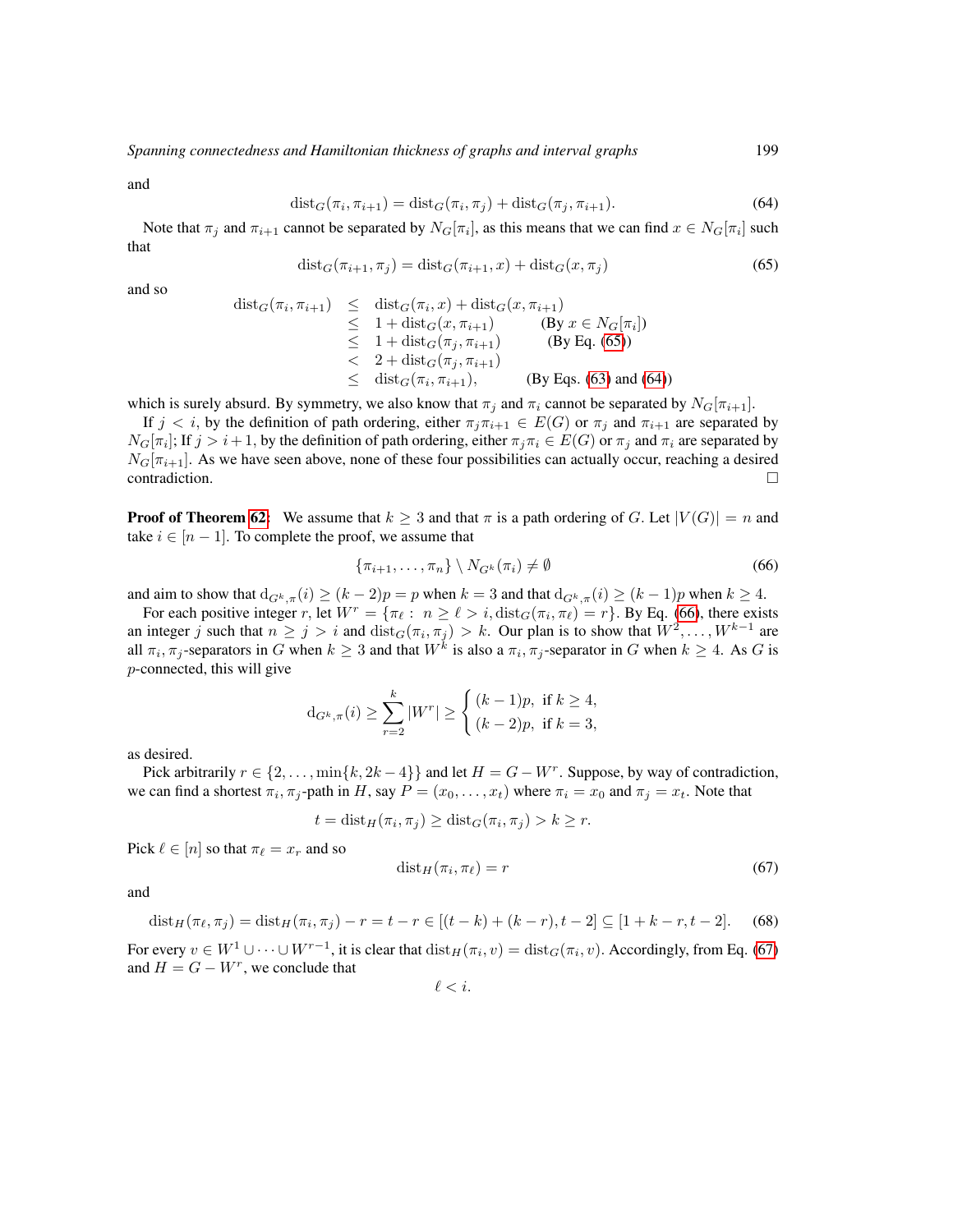<span id="page-74-1"></span>and

$$
\text{dist}_G(\pi_i, \pi_{i+1}) = \text{dist}_G(\pi_i, \pi_j) + \text{dist}_G(\pi_j, \pi_{i+1}).\tag{64}
$$

<span id="page-74-0"></span>Note that  $\pi_j$  and  $\pi_{i+1}$  cannot be separated by  $N_G[\pi_i]$ , as this means that we can find  $x \in N_G[\pi_i]$  such that

$$
\operatorname{dist}_{G}(\pi_{i+1}, \pi_{j}) = \operatorname{dist}_{G}(\pi_{i+1}, x) + \operatorname{dist}_{G}(x, \pi_{j})
$$
\n(65)

and so

$$
dist_G(\pi_i, \pi_{i+1}) \leq dist_G(\pi_i, x) + dist_G(x, \pi_{i+1})
$$
  
\n
$$
\leq 1 + dist_G(x, \pi_{i+1})
$$
 (By  $x \in N_G[\pi_i]$ )  
\n
$$
\leq 1 + dist_G(\pi_j, \pi_{i+1})
$$
 (By Eq. (65))  
\n
$$
\leq 2 + dist_G(\pi_j, \pi_{i+1})
$$
 (By Eqs. (63) and (64))

which is surely absurd. By symmetry, we also know that  $\pi_j$  and  $\pi_i$  cannot be separated by  $N_G[\pi_{i+1}]$ .

If  $j < i$ , by the definition of path ordering, either  $\pi_j \pi_{i+1} \in E(G)$  or  $\pi_j$  and  $\pi_{i+1}$  are separated by  $N_G[\pi_i]$ ; If  $j > i+1$ , by the definition of path ordering, either  $\pi_j \pi_i \in E(G)$  or  $\pi_j$  and  $\pi_i$  are separated by  $N_G[\pi_{i+1}]$ . As we have seen above, none of these four possibilities can actually occur, reaching a desired  $\Box$ contradiction.  $\Box$ 

**Proof of Theorem [62:](#page-27-1)** We assume that  $k \geq 3$  and that  $\pi$  is a path ordering of G. Let  $|V(G)| = n$  and take  $i \in [n-1]$ . To complete the proof, we assume that

<span id="page-74-2"></span>
$$
\{\pi_{i+1}, \dots, \pi_n\} \setminus N_{G^k}(\pi_i) \neq \emptyset
$$
\n(66)

and aim to show that  $d_{G^k, \pi}(i) \ge (k-2)p = p$  when  $k = 3$  and that  $d_{G^k, \pi}(i) \ge (k-1)p$  when  $k \ge 4$ .

For each positive integer r, let  $W^r = \{\pi_\ell : n \geq \ell > i, \text{dist}_G(\pi_i, \pi_\ell) = r\}$ . By Eq. [\(66\)](#page-74-2), there exists an integer j such that  $n \ge j > i$  and  $dist_G(\pi_i, \pi_j) > k$ . Our plan is to show that  $W^2, \ldots, W^{k-1}$  are all  $\pi_i$ ,  $\pi_j$ -separators in G when  $k \ge 3$  and that  $W^k$  is also a  $\pi_i$ ,  $\pi_j$ -separator in G when  $k \ge 4$ . As G is p-connected, this will give

$$
d_{G^k, \pi}(i) \ge \sum_{r=2}^k |W^r| \ge \begin{cases} (k-1)p, & \text{if } k \ge 4, \\ (k-2)p, & \text{if } k = 3, \end{cases}
$$

as desired.

Pick arbitrarily  $r \in \{2, \ldots, \min\{k, 2k - 4\}\}\$ and let  $H = G - W^r$ . Suppose, by way of contradiction, we can find a shortest  $\pi_i$ ,  $\pi_j$ -path in H, say  $P = (x_0, \dots, x_t)$  where  $\pi_i = x_0$  and  $\pi_j = x_t$ . Note that

<span id="page-74-3"></span>
$$
t = \text{dist}_H(\pi_i, \pi_j) \ge \text{dist}_G(\pi_i, \pi_j) > k \ge r.
$$

Pick  $\ell \in [n]$  so that  $\pi_{\ell} = x_r$  and so

$$
dist_H(\pi_i, \pi_\ell) = r \tag{67}
$$

<span id="page-74-4"></span>and

$$
dist_H(\pi_\ell, \pi_j) = dist_H(\pi_i, \pi_j) - r = t - r \in [(t - k) + (k - r), t - 2] \subseteq [1 + k - r, t - 2].
$$
 (68)

For every  $v \in W^1 \cup \cdots \cup W^{r-1}$ , it is clear that  $dist_H(\pi_i, v) = dist_G(\pi_i, v)$ . Accordingly, from Eq. [\(67\)](#page-74-3) and  $H = G - W^r$ , we conclude that

$$
\ell
$$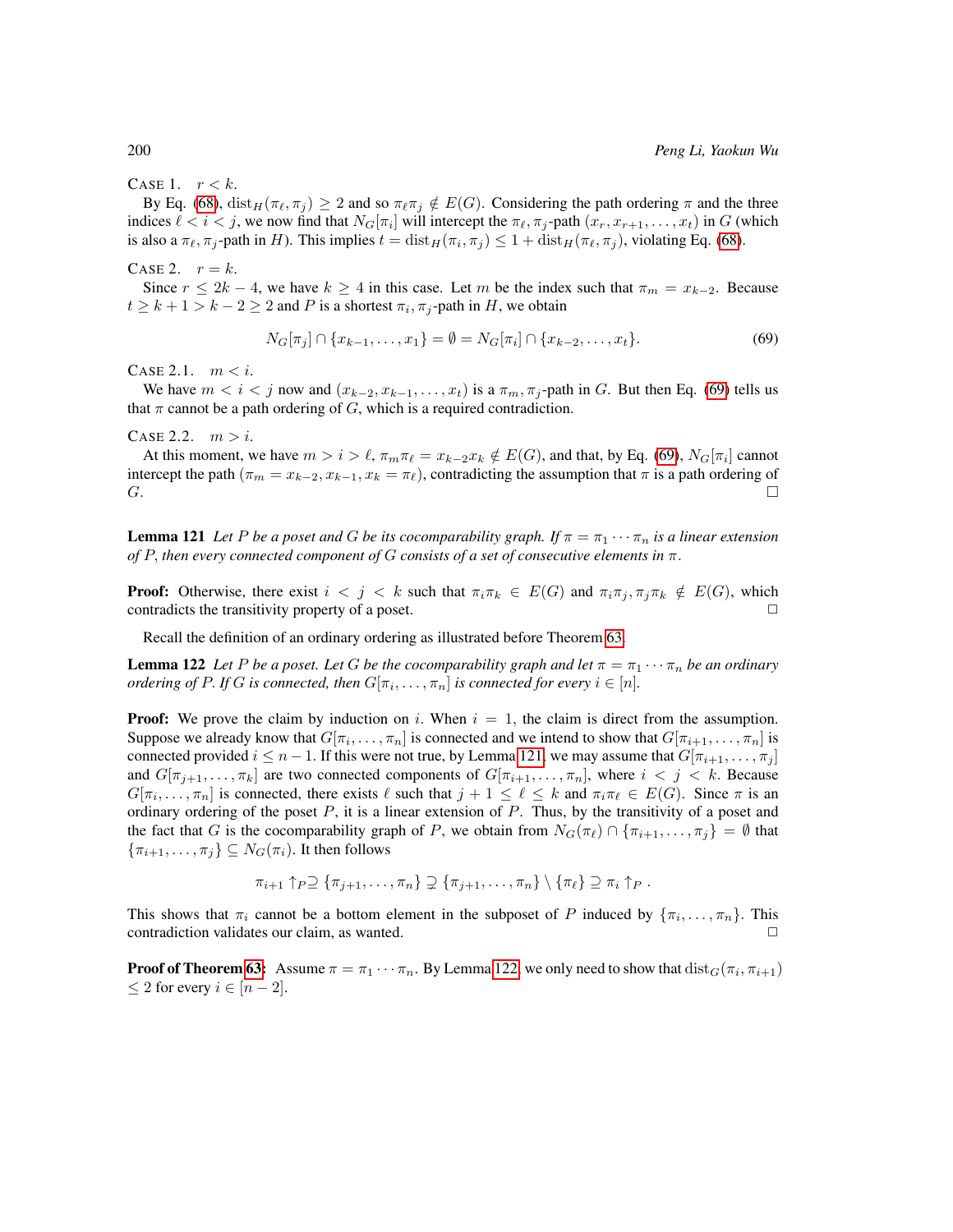### CASE 1.  $r < k$ .

By Eq. [\(68\)](#page-74-4),  $dist_H(\pi_\ell, \pi_i) \geq 2$  and so  $\pi_\ell \pi_j \notin E(G)$ . Considering the path ordering  $\pi$  and the three indices  $\ell < i < j$ , we now find that  $N_G[\pi_i]$  will intercept the  $\pi_{\ell}, \pi_j$ -path  $(x_r, x_{r+1}, \ldots, x_t)$  in G (which is also a  $\pi_\ell, \pi_j$ -path in H). This implies  $t = dist_H(\pi_i, \pi_j) \leq 1 + dist_H(\pi_\ell, \pi_j)$ , violating Eq. [\(68\)](#page-74-4).

#### CASE 2.  $r = k$ .

Since  $r \le 2k - 4$ , we have  $k \ge 4$  in this case. Let m be the index such that  $\pi_m = x_{k-2}$ . Because  $t \geq k+1 > k-2 \geq 2$  and P is a shortest  $\pi_i$ ,  $\pi_j$ -path in H, we obtain

<span id="page-75-0"></span>
$$
N_G[\pi_j] \cap \{x_{k-1}, \dots, x_1\} = \emptyset = N_G[\pi_i] \cap \{x_{k-2}, \dots, x_t\}.
$$
 (69)

CASE 2.1.  $m < i$ .

We have  $m < i < j$  now and  $(x_{k-2}, x_{k-1}, \ldots, x_t)$  is a  $\pi_m, \pi_j$ -path in G. But then Eq. [\(69\)](#page-75-0) tells us that  $\pi$  cannot be a path ordering of G, which is a required contradiction.

CASE 2.2.  $m > i$ .

At this moment, we have  $m > i > \ell$ ,  $\pi_m \pi_\ell = x_{k-2} x_k \notin E(G)$ , and that, by Eq. [\(69\)](#page-75-0),  $N_G[\pi_i]$  cannot intercept the path ( $\pi_m = x_{k-2}, x_{k-1}, x_k = \pi_\ell$ ), contradicting the assumption that  $\pi$  is a path ordering of G.  $G.$ 

<span id="page-75-1"></span>**Lemma 121** *Let* P *be a poset and* G *be its cocomparability graph. If*  $\pi = \pi_1 \cdots \pi_n$  *is a linear extension of* P, *then every connected component of* G *consists of a set of consecutive elements in* π.

**Proof:** Otherwise, there exist  $i < j < k$  such that  $\pi_i \pi_k \in E(G)$  and  $\pi_i \pi_j, \pi_j \pi_k \notin E(G)$ , which contradicts the transitivity property of a poset.  $\Box$ 

Recall the definition of an ordinary ordering as illustrated before Theorem [63.](#page-28-0)

<span id="page-75-2"></span>**Lemma 122** *Let* P *be a poset. Let* G *be the cocomparability graph and let*  $\pi = \pi_1 \cdots \pi_n$  *be an ordinary ordering of P. If G is connected, then*  $G[\pi_i, \ldots, \pi_n]$  *is connected for every*  $i \in [n]$ *.* 

**Proof:** We prove the claim by induction on i. When  $i = 1$ , the claim is direct from the assumption. Suppose we already know that  $G[\pi_i, \ldots, \pi_n]$  is connected and we intend to show that  $G[\pi_{i+1}, \ldots, \pi_n]$  is connected provided  $i \leq n-1$ . If this were not true, by Lemma [121,](#page-75-1) we may assume that  $G[\pi_{i+1}, \ldots, \pi_j]$ and  $G[\pi_{j+1}, \ldots, \pi_k]$  are two connected components of  $G[\pi_{i+1}, \ldots, \pi_n]$ , where  $i < j < k$ . Because  $G[\pi_i, \ldots, \pi_n]$  is connected, there exists  $\ell$  such that  $j + 1 \leq \ell \leq k$  and  $\pi_i \pi_\ell \in E(G)$ . Since  $\pi$  is an ordinary ordering of the poset  $P$ , it is a linear extension of  $P$ . Thus, by the transitivity of a poset and the fact that G is the cocomparability graph of P, we obtain from  $N_G(\pi_\ell) \cap \{\pi_{i+1}, \ldots, \pi_j\} = \emptyset$  that  $\{\pi_{i+1}, \ldots, \pi_j\} \subseteq N_G(\pi_i)$ . It then follows

$$
\pi_{i+1} \uparrow_P \supseteq \{\pi_{j+1}, \ldots, \pi_n\} \supsetneq \{\pi_{j+1}, \ldots, \pi_n\} \setminus \{\pi_\ell\} \supseteq \pi_i \uparrow_P.
$$

This shows that  $\pi_i$  cannot be a bottom element in the subposet of P induced by  $\{\pi_i, \ldots, \pi_n\}$ . This contradiction validates our claim, as wanted.

**Proof of Theorem [63:](#page-28-0)** Assume  $\pi = \pi_1 \cdots \pi_n$ . By Lemma [122,](#page-75-2) we only need to show that  $dist_G(\pi_i, \pi_{i+1})$  $\leq 2$  for every  $i \in [n-2]$ .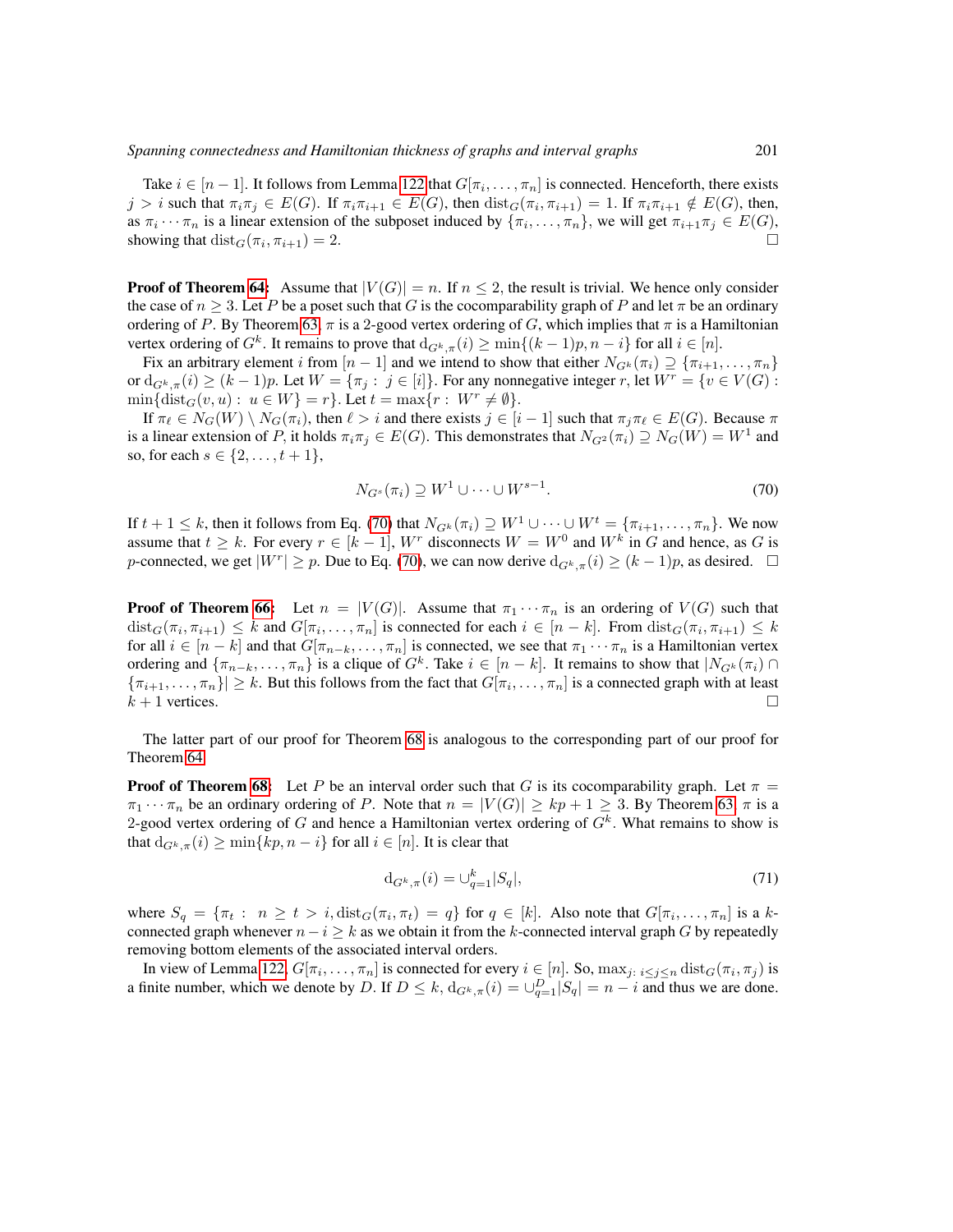Take  $i \in [n-1]$ . It follows from Lemma [122](#page-75-2) that  $G[\pi_i, \ldots, \pi_n]$  is connected. Henceforth, there exists  $j > i$  such that  $\pi_i \pi_j \in E(G)$ . If  $\pi_i \pi_{i+1} \in E(G)$ , then  $dist_G(\pi_i, \pi_{i+1}) = 1$ . If  $\pi_i \pi_{i+1} \notin E(G)$ , then, as  $\pi_i \cdots \pi_n$  is a linear extension of the subposet induced by  $\{\pi_i, \ldots, \pi_n\}$ , we will get  $\pi_{i+1}\pi_j \in E(G)$ , showing that  $dist_G(\pi_i, \pi_{i+1}) = 2$ .

**Proof of Theorem [64:](#page-28-1)** Assume that  $|V(G)| = n$ . If  $n \leq 2$ , the result is trivial. We hence only consider the case of  $n \geq 3$ . Let P be a poset such that G is the cocomparability graph of P and let  $\pi$  be an ordinary ordering of P. By Theorem [63,](#page-28-0)  $\pi$  is a 2-good vertex ordering of G, which implies that  $\pi$  is a Hamiltonian vertex ordering of  $G^k$ . It remains to prove that  $d_{G^k, \pi}(i) \ge \min\{(k-1)p, n-i\}$  for all  $i \in [n]$ .

Fix an arbitrary element i from  $[n-1]$  and we intend to show that either  $N_{G^k}(\pi_i) \supseteq {\pi_{i+1}, \ldots, \pi_n}$ or  $d_{G^k,\pi}(i) \ge (k-1)p$ . Let  $W = {\pi_j : j \in [i]}$ . For any nonnegative integer r, let  $W^r = \{v \in V(G) :$  $\min\{\text{dist}_G(v, u): u \in W\} = r\}.$  Let  $t = \max\{r: W^r \neq \emptyset\}.$ 

If  $\pi_\ell \in N_G(W) \setminus N_G(\pi_i)$ , then  $\ell > i$  and there exists  $j \in [i - 1]$  such that  $\pi_j \pi_\ell \in E(G)$ . Because  $\pi$ is a linear extension of P, it holds  $\pi_i \pi_j \in E(G)$ . This demonstrates that  $N_{G^2}(\pi_i) \supseteq N_G(W) = W^1$  and so, for each  $s \in \{2, ..., t + 1\},\$ 

<span id="page-76-0"></span>
$$
N_{G^s}(\pi_i) \supseteq W^1 \cup \dots \cup W^{s-1}.
$$
\n
$$
(70)
$$

If  $t + 1 \leq k$ , then it follows from Eq. [\(70\)](#page-76-0) that  $N_{G_k}(\pi_i) \supseteq W^1 \cup \cdots \cup W^t = \{\pi_{i+1}, \ldots, \pi_n\}$ . We now assume that  $t \geq k$ . For every  $r \in [k-1]$ ,  $W^r$  disconnects  $W = W^0$  and  $W^k$  in G and hence, as G is p-connected, we get  $|W^r| \ge p$ . Due to Eq. [\(70\)](#page-76-0), we can now derive  $d_{G^k, \pi}(i) \ge (k-1)p$ , as desired.  $\Box$ 

**Proof of Theorem [66:](#page-28-2)** Let  $n = |V(G)|$ . Assume that  $\pi_1 \cdots \pi_n$  is an ordering of  $V(G)$  such that  $dist_G(\pi_i, \pi_{i+1}) \leq k$  and  $G[\pi_i, \ldots, \pi_n]$  is connected for each  $i \in [n-k]$ . From  $dist_G(\pi_i, \pi_{i+1}) \leq k$ for all  $i \in [n-k]$  and that  $G[\pi_{n-k}, \ldots, \pi_n]$  is connected, we see that  $\pi_1 \cdots \pi_n$  is a Hamiltonian vertex ordering and  $\{\pi_{n-k}, \ldots, \pi_n\}$  is a clique of  $G^k$ . Take  $i \in [n-k]$ . It remains to show that  $|N_{G^k}(\pi_i) \cap$  $\{\pi_{i+1},\ldots,\pi_n\}|\geq k$ . But this follows from the fact that  $G[\pi_i,\ldots,\pi_n]$  is a connected graph with at least  $k + 1$  vertices.

The latter part of our proof for Theorem [68](#page-28-3) is analogous to the corresponding part of our proof for Theorem [64.](#page-28-1)

**Proof of Theorem [68:](#page-28-3)** Let P be an interval order such that G is its cocomparability graph. Let  $\pi$  =  $\pi_1 \cdots \pi_n$  be an ordinary ordering of P. Note that  $n = |V(G)| \ge kp + 1 \ge 3$ . By Theorem [63,](#page-28-0)  $\pi$  is a 2-good vertex ordering of G and hence a Hamiltonian vertex ordering of  $G<sup>k</sup>$ . What remains to show is that  $d_{G^k,\pi}(i) \ge \min\{kp,n-i\}$  for all  $i \in [n]$ . It is clear that

<span id="page-76-1"></span>
$$
d_{G^k, \pi}(i) = \bigcup_{q=1}^k |S_q|,\tag{71}
$$

where  $S_q = \{\pi_t : n \ge t > i, \text{dist}_G(\pi_i, \pi_t) = q\}$  for  $q \in [k]$ . Also note that  $G[\pi_i, \dots, \pi_n]$  is a kconnected graph whenever  $n - i \geq k$  as we obtain it from the k-connected interval graph G by repeatedly removing bottom elements of the associated interval orders.

In view of Lemma [122,](#page-75-2)  $G[\pi_i, \ldots, \pi_n]$  is connected for every  $i \in [n]$ . So,  $\max_{j: i \leq j \leq n} \text{dist}_G(\pi_i, \pi_j)$  is a finite number, which we denote by D. If  $D \le k$ ,  $d_{G^k, \pi}(i) = \bigcup_{q=1}^D |S_q| = n - i$  and thus we are done.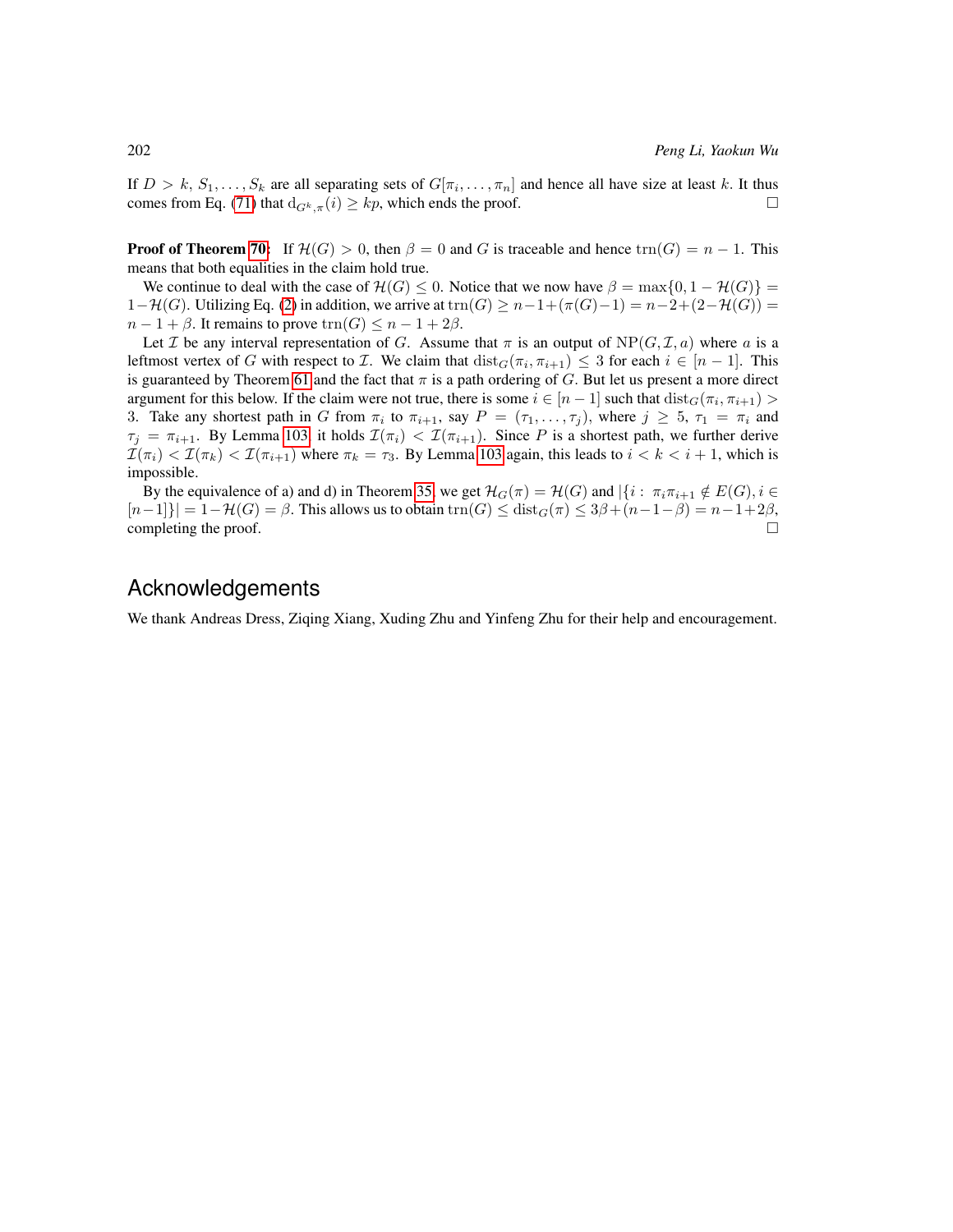If  $D > k$ ,  $S_1, \ldots, S_k$  are all separating sets of  $G[\pi_i, \ldots, \pi_n]$  and hence all have size at least k. It thus comes from Eq. [\(71\)](#page-76-1) that  $d_{G^k,\pi}(i) \geq kp$ , which ends the proof.

**Proof of Theorem [70:](#page-28-4)** If  $\mathcal{H}(G) > 0$ , then  $\beta = 0$  and G is traceable and hence  $\text{tr}_1(G) = n - 1$ . This means that both equalities in the claim hold true.

We continue to deal with the case of  $\mathcal{H}(G) \leq 0$ . Notice that we now have  $\beta = \max\{0, 1 - \mathcal{H}(G)\}$  $1-\mathcal{H}(G)$ . Utilizing Eq. [\(2\)](#page-6-0) in addition, we arrive at trn $(G) \geq n-1+(\pi(G)-1) = n-2+(2-\mathcal{H}(G)) =$  $n-1+\beta$ . It remains to prove  $\text{trn}(G) \leq n-1+2\beta$ .

Let *I* be any interval representation of *G*. Assume that  $\pi$  is an output of  $NP(G, \mathcal{I}, a)$  where *a* is a leftmost vertex of G with respect to *I*. We claim that  $dist_G(\pi_i, \pi_{i+1}) \leq 3$  for each  $i \in [n-1]$ . This is guaranteed by Theorem [61](#page-27-0) and the fact that  $\pi$  is a path ordering of G. But let us present a more direct argument for this below. If the claim were not true, there is some  $i \in [n-1]$  such that  $dist_G(\pi_i, \pi_{i+1}) >$ 3. Take any shortest path in G from  $\pi_i$  to  $\pi_{i+1}$ , say  $P = (\tau_1, \ldots, \tau_j)$ , where  $j \geq 5$ ,  $\tau_1 = \pi_i$  and  $\tau_j = \pi_{i+1}$ . By Lemma [103,](#page-49-0) it holds  $\mathcal{I}(\pi_i) < \mathcal{I}(\pi_{i+1})$ . Since P is a shortest path, we further derive  $\mathcal{I}(\pi_i) < \mathcal{I}(\pi_k) < \mathcal{I}(\pi_{i+1})$  where  $\pi_k = \tau_3$ . By Lemma [103](#page-49-0) again, this leads to  $i < k < i+1$ , which is impossible.

By the equivalence of a) and d) in Theorem [35,](#page-21-1) we get  $\mathcal{H}_G(\pi) = \mathcal{H}(G)$  and  $|\{i : \pi_i \pi_{i+1} \notin E(G), i \in$  $[n-1]\}| = 1-\mathcal{H}(G) = \beta$ . This allows us to obtain  $\text{trn}(G) \leq \text{dist}_G(\pi) \leq 3\beta + (n-1-\beta) = n-1+2\beta$ , completing the proof.  $\Box$ 

# Acknowledgements

We thank Andreas Dress, Ziqing Xiang, Xuding Zhu and Yinfeng Zhu for their help and encouragement.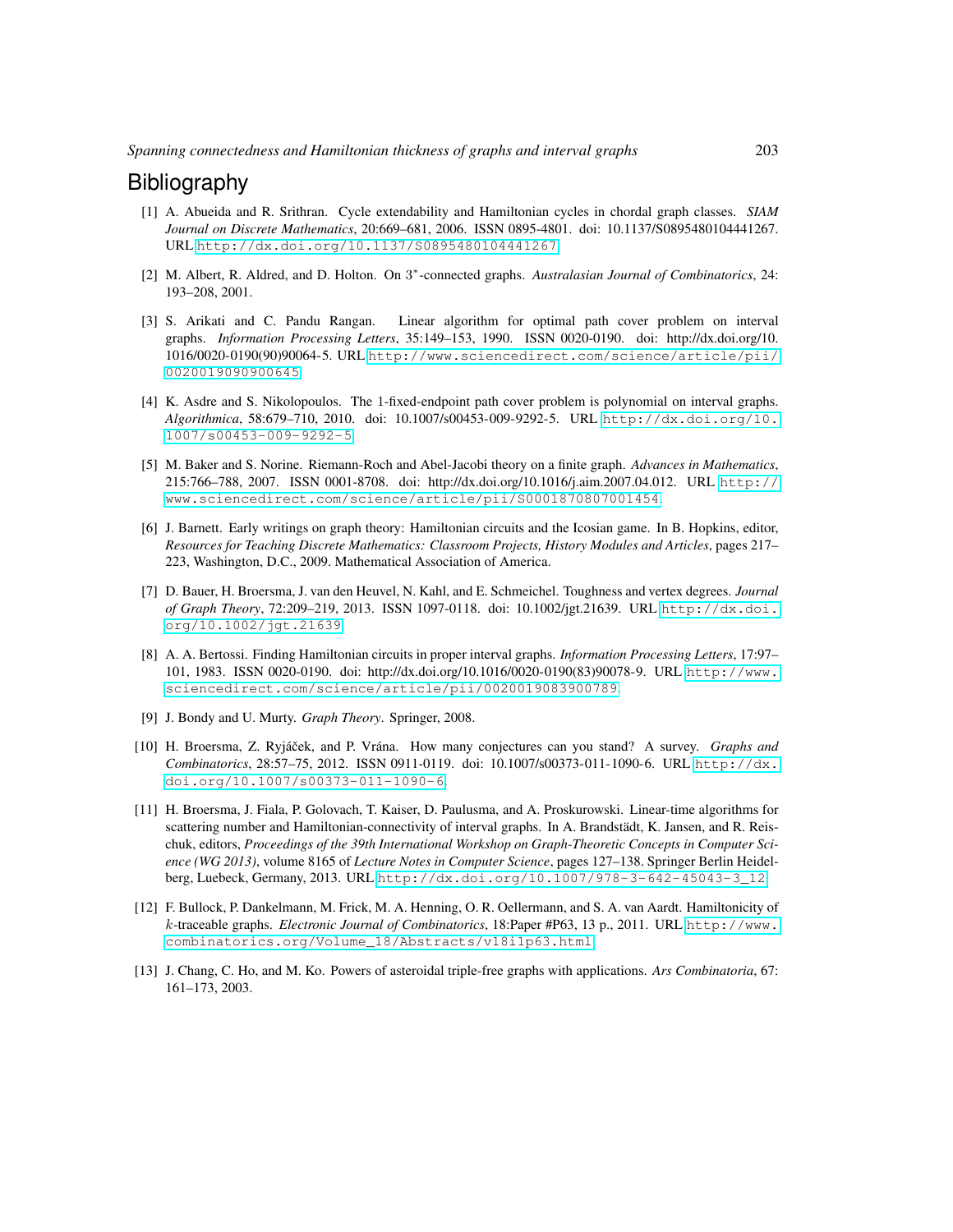# **Bibliography**

- [1] A. Abueida and R. Srithran. Cycle extendability and Hamiltonian cycles in chordal graph classes. *SIAM Journal on Discrete Mathematics*, 20:669–681, 2006. ISSN 0895-4801. doi: 10.1137/S0895480104441267. URL <http://dx.doi.org/10.1137/S0895480104441267>.
- [2] M. Albert, R. Aldred, and D. Holton. On 3<sup>\*</sup>-connected graphs. Australasian Journal of Combinatorics, 24: 193–208, 2001.
- [3] S. Arikati and C. Pandu Rangan. Linear algorithm for optimal path cover problem on interval graphs. *Information Processing Letters*, 35:149–153, 1990. ISSN 0020-0190. doi: http://dx.doi.org/10. 1016/0020-0190(90)90064-5. URL [http://www.sciencedirect.com/science/article/pii/](http://www.sciencedirect.com/science/article/pii/0020019090900645) [0020019090900645](http://www.sciencedirect.com/science/article/pii/0020019090900645).
- [4] K. Asdre and S. Nikolopoulos. The 1-fixed-endpoint path cover problem is polynomial on interval graphs. *Algorithmica*, 58:679–710, 2010. doi: 10.1007/s00453-009-9292-5. URL [http://dx.doi.org/10.](http://dx.doi.org/10.1007/s00453-009-9292-5) [1007/s00453-009-9292-5](http://dx.doi.org/10.1007/s00453-009-9292-5).
- [5] M. Baker and S. Norine. Riemann-Roch and Abel-Jacobi theory on a finite graph. *Advances in Mathematics*, 215:766–788, 2007. ISSN 0001-8708. doi: http://dx.doi.org/10.1016/j.aim.2007.04.012. URL [http://](http://www.sciencedirect.com/science/article/pii/S0001870807001454) [www.sciencedirect.com/science/article/pii/S0001870807001454](http://www.sciencedirect.com/science/article/pii/S0001870807001454).
- [6] J. Barnett. Early writings on graph theory: Hamiltonian circuits and the Icosian game. In B. Hopkins, editor, *Resources for Teaching Discrete Mathematics: Classroom Projects, History Modules and Articles*, pages 217– 223, Washington, D.C., 2009. Mathematical Association of America.
- [7] D. Bauer, H. Broersma, J. van den Heuvel, N. Kahl, and E. Schmeichel. Toughness and vertex degrees. *Journal of Graph Theory*, 72:209–219, 2013. ISSN 1097-0118. doi: 10.1002/jgt.21639. URL [http://dx.doi.](http://dx.doi.org/10.1002/jgt.21639) [org/10.1002/jgt.21639](http://dx.doi.org/10.1002/jgt.21639).
- [8] A. A. Bertossi. Finding Hamiltonian circuits in proper interval graphs. *Information Processing Letters*, 17:97– 101, 1983. ISSN 0020-0190. doi: http://dx.doi.org/10.1016/0020-0190(83)90078-9. URL [http://www.](http://www.sciencedirect.com/science/article/pii/0020019083900789) [sciencedirect.com/science/article/pii/0020019083900789](http://www.sciencedirect.com/science/article/pii/0020019083900789).
- [9] J. Bondy and U. Murty. *Graph Theory*. Springer, 2008.
- [10] H. Broersma, Z. Ryjáček, and P. Vrána. How many conjectures can you stand? A survey. *Graphs and Combinatorics*, 28:57–75, 2012. ISSN 0911-0119. doi: 10.1007/s00373-011-1090-6. URL [http://dx.](http://dx.doi.org/10.1007/s00373-011-1090-6) [doi.org/10.1007/s00373-011-1090-6](http://dx.doi.org/10.1007/s00373-011-1090-6).
- [11] H. Broersma, J. Fiala, P. Golovach, T. Kaiser, D. Paulusma, and A. Proskurowski. Linear-time algorithms for scattering number and Hamiltonian-connectivity of interval graphs. In A. Brandstädt, K. Jansen, and R. Reischuk, editors, *Proceedings of the 39th International Workshop on Graph-Theoretic Concepts in Computer Science (WG 2013)*, volume 8165 of *Lecture Notes in Computer Science*, pages 127–138. Springer Berlin Heidelberg, Luebeck, Germany, 2013. URL [http://dx.doi.org/10.1007/978-3-642-45043-3\\_12](http://dx.doi.org/10.1007/978-3-642-45043-3_12).
- [12] F. Bullock, P. Dankelmann, M. Frick, M. A. Henning, O. R. Oellermann, and S. A. van Aardt. Hamiltonicity of k-traceable graphs. *Electronic Journal of Combinatorics*, 18:Paper #P63, 13 p., 2011. URL [http://www.](http://www.combinatorics.org/Volume_18/Abstracts/v18i1p63.html) [combinatorics.org/Volume\\_18/Abstracts/v18i1p63.html](http://www.combinatorics.org/Volume_18/Abstracts/v18i1p63.html).
- [13] J. Chang, C. Ho, and M. Ko. Powers of asteroidal triple-free graphs with applications. *Ars Combinatoria*, 67: 161–173, 2003.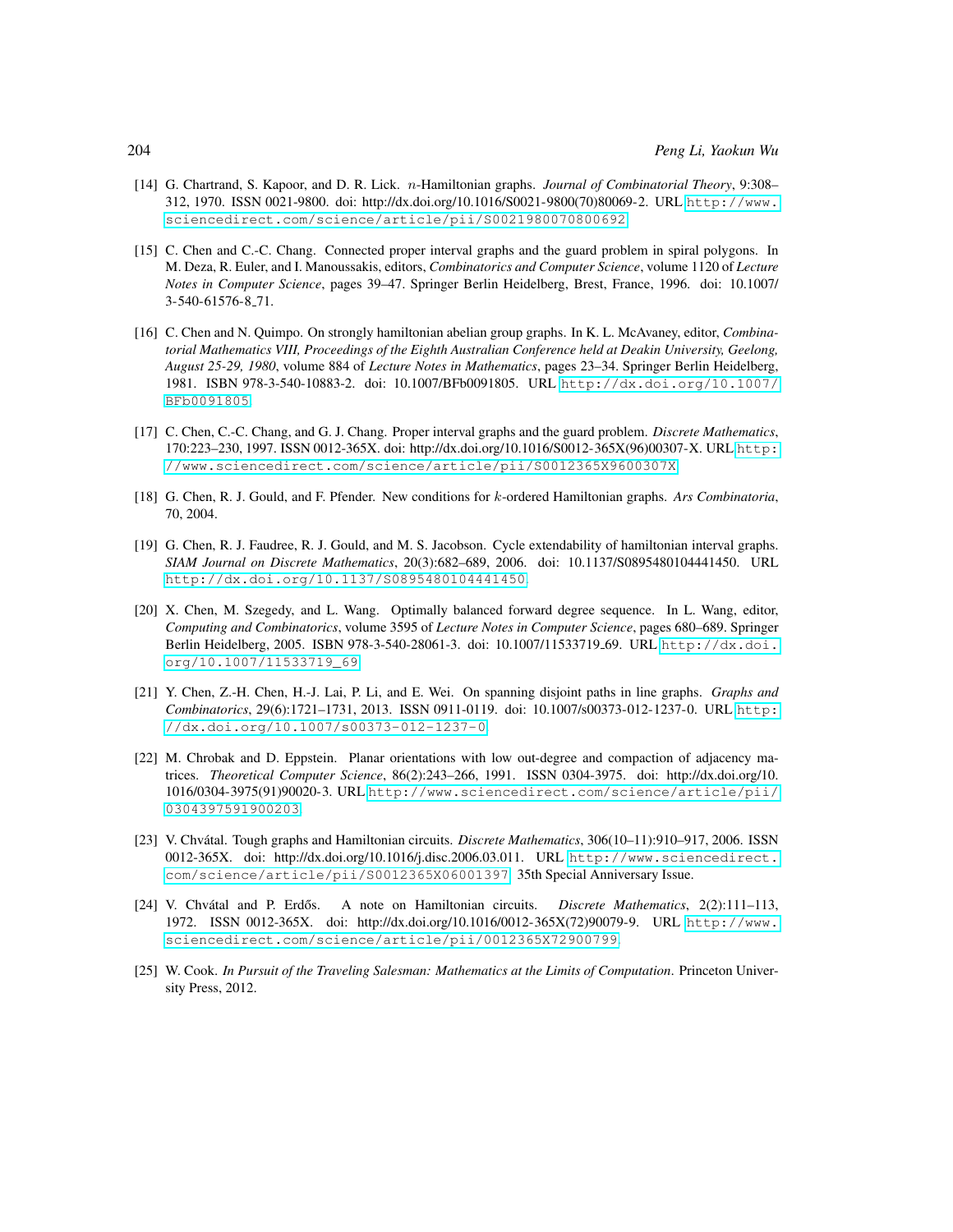- [14] G. Chartrand, S. Kapoor, and D. R. Lick. n-Hamiltonian graphs. *Journal of Combinatorial Theory*, 9:308– 312, 1970. ISSN 0021-9800. doi: http://dx.doi.org/10.1016/S0021-9800(70)80069-2. URL [http://www.](http://www.sciencedirect.com/science/article/pii/S0021980070800692) [sciencedirect.com/science/article/pii/S0021980070800692](http://www.sciencedirect.com/science/article/pii/S0021980070800692).
- [15] C. Chen and C.-C. Chang. Connected proper interval graphs and the guard problem in spiral polygons. In M. Deza, R. Euler, and I. Manoussakis, editors, *Combinatorics and Computer Science*, volume 1120 of *Lecture Notes in Computer Science*, pages 39–47. Springer Berlin Heidelberg, Brest, France, 1996. doi: 10.1007/ 3-540-61576-8 71.
- [16] C. Chen and N. Quimpo. On strongly hamiltonian abelian group graphs. In K. L. McAvaney, editor, *Combinatorial Mathematics VIII, Proceedings of the Eighth Australian Conference held at Deakin University, Geelong, August 25-29, 1980*, volume 884 of *Lecture Notes in Mathematics*, pages 23–34. Springer Berlin Heidelberg, 1981. ISBN 978-3-540-10883-2. doi: 10.1007/BFb0091805. URL [http://dx.doi.org/10.1007/](http://dx.doi.org/10.1007/BFb0091805) [BFb0091805](http://dx.doi.org/10.1007/BFb0091805).
- [17] C. Chen, C.-C. Chang, and G. J. Chang. Proper interval graphs and the guard problem. *Discrete Mathematics*, 170:223–230, 1997. ISSN 0012-365X. doi: http://dx.doi.org/10.1016/S0012-365X(96)00307-X. URL [http:](http://www.sciencedirect.com/science/article/pii/S0012365X9600307X) [//www.sciencedirect.com/science/article/pii/S0012365X9600307X](http://www.sciencedirect.com/science/article/pii/S0012365X9600307X).
- [18] G. Chen, R. J. Gould, and F. Pfender. New conditions for k-ordered Hamiltonian graphs. *Ars Combinatoria*, 70, 2004.
- [19] G. Chen, R. J. Faudree, R. J. Gould, and M. S. Jacobson. Cycle extendability of hamiltonian interval graphs. *SIAM Journal on Discrete Mathematics*, 20(3):682–689, 2006. doi: 10.1137/S0895480104441450. URL <http://dx.doi.org/10.1137/S0895480104441450>.
- [20] X. Chen, M. Szegedy, and L. Wang. Optimally balanced forward degree sequence. In L. Wang, editor, *Computing and Combinatorics*, volume 3595 of *Lecture Notes in Computer Science*, pages 680–689. Springer Berlin Heidelberg, 2005. ISBN 978-3-540-28061-3. doi: 10.1007/11533719 69. URL [http://dx.doi.](http://dx.doi.org/10.1007/11533719_69) [org/10.1007/11533719\\_69](http://dx.doi.org/10.1007/11533719_69).
- [21] Y. Chen, Z.-H. Chen, H.-J. Lai, P. Li, and E. Wei. On spanning disjoint paths in line graphs. *Graphs and Combinatorics*, 29(6):1721–1731, 2013. ISSN 0911-0119. doi: 10.1007/s00373-012-1237-0. URL [http:](http://dx.doi.org/10.1007/s00373-012-1237-0) [//dx.doi.org/10.1007/s00373-012-1237-0](http://dx.doi.org/10.1007/s00373-012-1237-0).
- [22] M. Chrobak and D. Eppstein. Planar orientations with low out-degree and compaction of adjacency matrices. *Theoretical Computer Science*, 86(2):243–266, 1991. ISSN 0304-3975. doi: http://dx.doi.org/10. 1016/0304-3975(91)90020-3. URL [http://www.sciencedirect.com/science/article/pii/](http://www.sciencedirect.com/science/article/pii/0304397591900203) [0304397591900203](http://www.sciencedirect.com/science/article/pii/0304397591900203).
- [23] V. Chvátal. Tough graphs and Hamiltonian circuits. *Discrete Mathematics*, 306(10–11):910–917, 2006. ISSN 0012-365X. doi: http://dx.doi.org/10.1016/j.disc.2006.03.011. URL [http://www.sciencedirect.](http://www.sciencedirect.com/science/article/pii/S0012365X06001397) [com/science/article/pii/S0012365X06001397](http://www.sciencedirect.com/science/article/pii/S0012365X06001397). 35th Special Anniversary Issue.
- [24] V. Chvátal and P. Erdős. A note on Hamiltonian circuits. *Discrete Mathematics*, 2(2):111-113, 1972. ISSN 0012-365X. doi: http://dx.doi.org/10.1016/0012-365X(72)90079-9. URL [http://www.](http://www.sciencedirect.com/science/article/pii/0012365X72900799) [sciencedirect.com/science/article/pii/0012365X72900799](http://www.sciencedirect.com/science/article/pii/0012365X72900799).
- [25] W. Cook. *In Pursuit of the Traveling Salesman: Mathematics at the Limits of Computation*. Princeton University Press, 2012.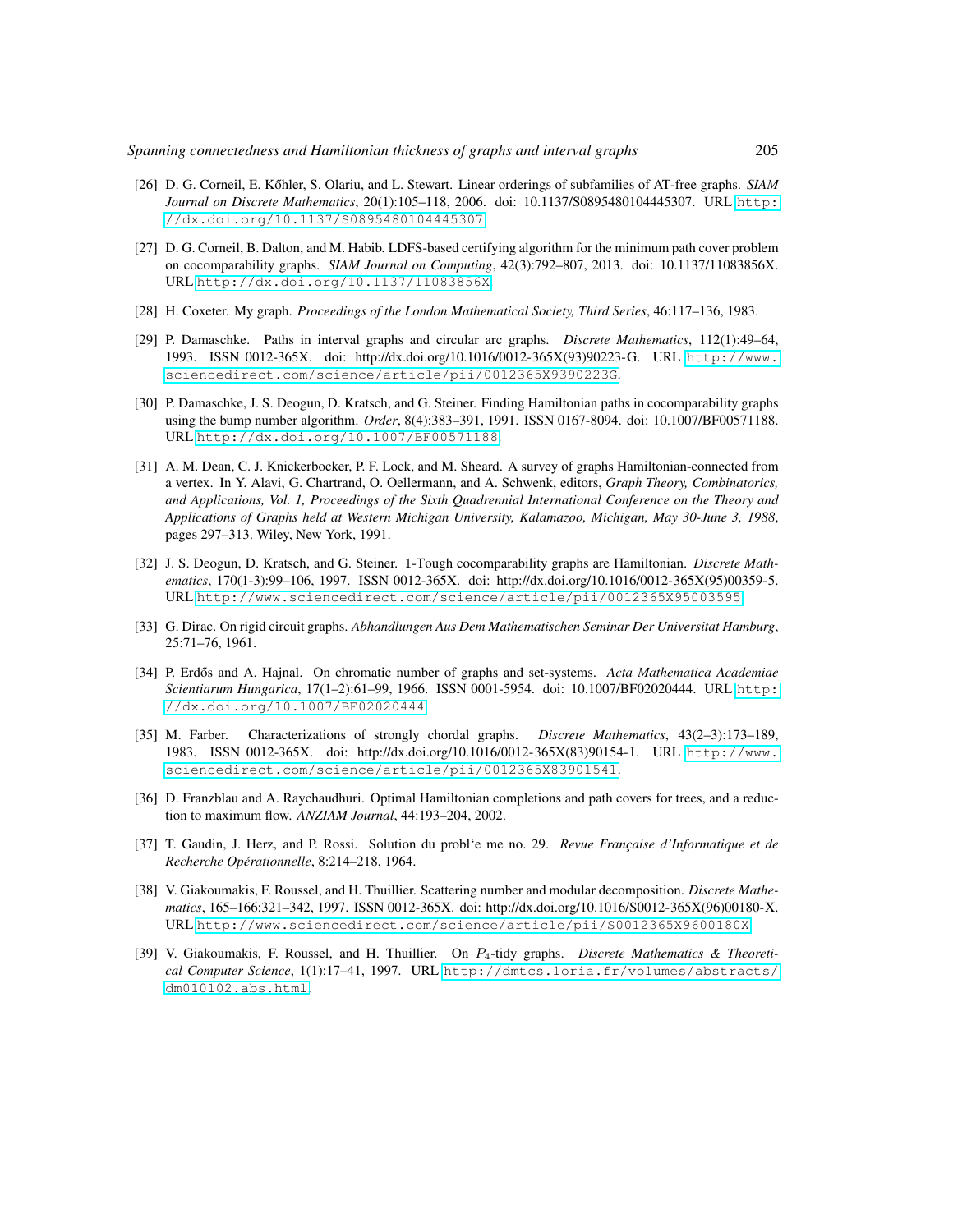- [26] D. G. Corneil, E. Kőhler, S. Olariu, and L. Stewart. Linear orderings of subfamilies of AT-free graphs. *SIAM Journal on Discrete Mathematics*, 20(1):105–118, 2006. doi: 10.1137/S0895480104445307. URL [http:](http://dx.doi.org/10.1137/S0895480104445307) [//dx.doi.org/10.1137/S0895480104445307](http://dx.doi.org/10.1137/S0895480104445307).
- [27] D. G. Corneil, B. Dalton, and M. Habib. LDFS-based certifying algorithm for the minimum path cover problem on cocomparability graphs. *SIAM Journal on Computing*, 42(3):792–807, 2013. doi: 10.1137/11083856X. URL <http://dx.doi.org/10.1137/11083856X>.
- [28] H. Coxeter. My graph. *Proceedings of the London Mathematical Society, Third Series*, 46:117–136, 1983.
- [29] P. Damaschke. Paths in interval graphs and circular arc graphs. *Discrete Mathematics*, 112(1):49–64, 1993. ISSN 0012-365X. doi: http://dx.doi.org/10.1016/0012-365X(93)90223-G. URL [http://www.](http://www.sciencedirect.com/science/article/pii/0012365X9390223G) [sciencedirect.com/science/article/pii/0012365X9390223G](http://www.sciencedirect.com/science/article/pii/0012365X9390223G).
- [30] P. Damaschke, J. S. Deogun, D. Kratsch, and G. Steiner. Finding Hamiltonian paths in cocomparability graphs using the bump number algorithm. *Order*, 8(4):383–391, 1991. ISSN 0167-8094. doi: 10.1007/BF00571188. URL <http://dx.doi.org/10.1007/BF00571188>.
- [31] A. M. Dean, C. J. Knickerbocker, P. F. Lock, and M. Sheard. A survey of graphs Hamiltonian-connected from a vertex. In Y. Alavi, G. Chartrand, O. Oellermann, and A. Schwenk, editors, *Graph Theory, Combinatorics, and Applications, Vol. 1, Proceedings of the Sixth Quadrennial International Conference on the Theory and Applications of Graphs held at Western Michigan University, Kalamazoo, Michigan, May 30-June 3, 1988*, pages 297–313. Wiley, New York, 1991.
- [32] J. S. Deogun, D. Kratsch, and G. Steiner. 1-Tough cocomparability graphs are Hamiltonian. *Discrete Mathematics*, 170(1-3):99–106, 1997. ISSN 0012-365X. doi: http://dx.doi.org/10.1016/0012-365X(95)00359-5. URL <http://www.sciencedirect.com/science/article/pii/0012365X95003595>.
- [33] G. Dirac. On rigid circuit graphs. *Abhandlungen Aus Dem Mathematischen Seminar Der Universitat Hamburg*, 25:71–76, 1961.
- [34] P. Erdős and A. Hajnal. On chromatic number of graphs and set-systems. Acta Mathematica Academiae *Scientiarum Hungarica*, 17(1–2):61–99, 1966. ISSN 0001-5954. doi: 10.1007/BF02020444. URL [http:](http://dx.doi.org/10.1007/BF02020444) [//dx.doi.org/10.1007/BF02020444](http://dx.doi.org/10.1007/BF02020444).
- [35] M. Farber. Characterizations of strongly chordal graphs. *Discrete Mathematics*, 43(2–3):173–189, 1983. ISSN 0012-365X. doi: http://dx.doi.org/10.1016/0012-365X(83)90154-1. URL [http://www.](http://www.sciencedirect.com/science/article/pii/0012365X83901541) [sciencedirect.com/science/article/pii/0012365X83901541](http://www.sciencedirect.com/science/article/pii/0012365X83901541).
- [36] D. Franzblau and A. Raychaudhuri. Optimal Hamiltonian completions and path covers for trees, and a reduction to maximum flow. *ANZIAM Journal*, 44:193–204, 2002.
- [37] T. Gaudin, J. Herz, and P. Rossi. Solution du probl'e me no. 29. *Revue Française d'Informatique et de Recherche Operationnelle ´* , 8:214–218, 1964.
- [38] V. Giakoumakis, F. Roussel, and H. Thuillier. Scattering number and modular decomposition. *Discrete Mathematics*, 165–166:321–342, 1997. ISSN 0012-365X. doi: http://dx.doi.org/10.1016/S0012-365X(96)00180-X. URL <http://www.sciencedirect.com/science/article/pii/S0012365X9600180X>.
- [39] V. Giakoumakis, F. Roussel, and H. Thuillier. On P4-tidy graphs. *Discrete Mathematics & Theoretical Computer Science*, 1(1):17–41, 1997. URL [http://dmtcs.loria.fr/volumes/abstracts/](http://dmtcs.loria.fr/volumes/abstracts/dm010102.abs.html) [dm010102.abs.html](http://dmtcs.loria.fr/volumes/abstracts/dm010102.abs.html).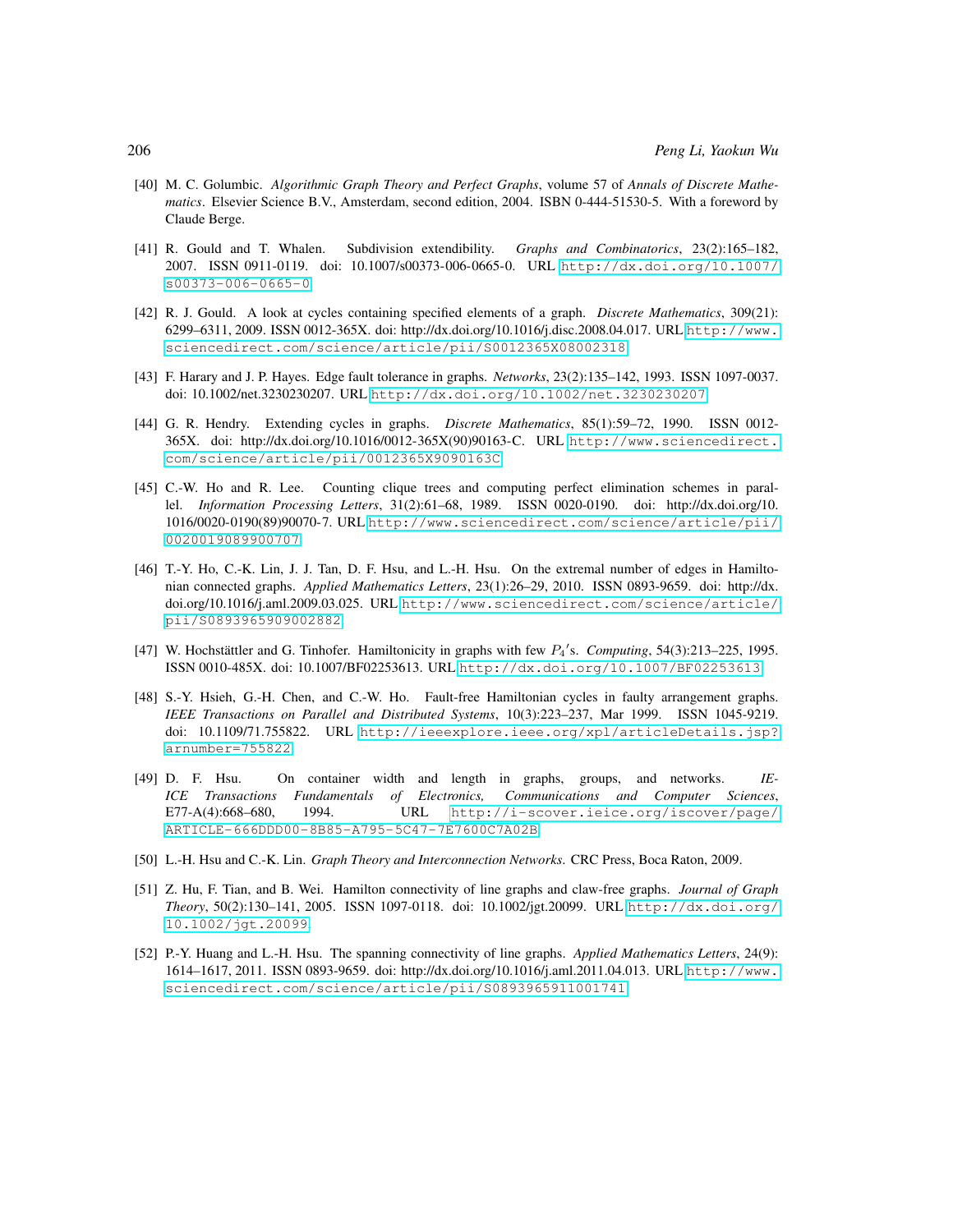- [40] M. C. Golumbic. *Algorithmic Graph Theory and Perfect Graphs*, volume 57 of *Annals of Discrete Mathematics*. Elsevier Science B.V., Amsterdam, second edition, 2004. ISBN 0-444-51530-5. With a foreword by Claude Berge.
- [41] R. Gould and T. Whalen. Subdivision extendibility. *Graphs and Combinatorics*, 23(2):165–182, 2007. ISSN 0911-0119. doi: 10.1007/s00373-006-0665-0. URL [http://dx.doi.org/10.1007/](http://dx.doi.org/10.1007/s00373-006-0665-0) [s00373-006-0665-0](http://dx.doi.org/10.1007/s00373-006-0665-0).
- [42] R. J. Gould. A look at cycles containing specified elements of a graph. *Discrete Mathematics*, 309(21): 6299–6311, 2009. ISSN 0012-365X. doi: http://dx.doi.org/10.1016/j.disc.2008.04.017. URL [http://www.](http://www.sciencedirect.com/science/article/pii/S0012365X08002318) [sciencedirect.com/science/article/pii/S0012365X08002318](http://www.sciencedirect.com/science/article/pii/S0012365X08002318).
- [43] F. Harary and J. P. Hayes. Edge fault tolerance in graphs. *Networks*, 23(2):135–142, 1993. ISSN 1097-0037. doi: 10.1002/net.3230230207. URL <http://dx.doi.org/10.1002/net.3230230207>.
- [44] G. R. Hendry. Extending cycles in graphs. *Discrete Mathematics*, 85(1):59–72, 1990. ISSN 0012- 365X. doi: http://dx.doi.org/10.1016/0012-365X(90)90163-C. URL [http://www.sciencedirect.](http://www.sciencedirect.com/science/article/pii/0012365X9090163C) [com/science/article/pii/0012365X9090163C](http://www.sciencedirect.com/science/article/pii/0012365X9090163C).
- [45] C.-W. Ho and R. Lee. Counting clique trees and computing perfect elimination schemes in parallel. *Information Processing Letters*, 31(2):61–68, 1989. ISSN 0020-0190. doi: http://dx.doi.org/10. 1016/0020-0190(89)90070-7. URL [http://www.sciencedirect.com/science/article/pii/](http://www.sciencedirect.com/science/article/pii/0020019089900707) [0020019089900707](http://www.sciencedirect.com/science/article/pii/0020019089900707).
- [46] T.-Y. Ho, C.-K. Lin, J. J. Tan, D. F. Hsu, and L.-H. Hsu. On the extremal number of edges in Hamiltonian connected graphs. *Applied Mathematics Letters*, 23(1):26–29, 2010. ISSN 0893-9659. doi: http://dx. doi.org/10.1016/j.aml.2009.03.025. URL [http://www.sciencedirect.com/science/article/](http://www.sciencedirect.com/science/article/pii/S0893965909002882) [pii/S0893965909002882](http://www.sciencedirect.com/science/article/pii/S0893965909002882).
- [47] W. Hochstättler and G. Tinhofer. Hamiltonicity in graphs with few  $P_4$ 's. *Computing*, 54(3):213-225, 1995. ISSN 0010-485X. doi: 10.1007/BF02253613. URL <http://dx.doi.org/10.1007/BF02253613>.
- [48] S.-Y. Hsieh, G.-H. Chen, and C.-W. Ho. Fault-free Hamiltonian cycles in faulty arrangement graphs. *IEEE Transactions on Parallel and Distributed Systems*, 10(3):223–237, Mar 1999. ISSN 1045-9219. doi: 10.1109/71.755822. URL [http://ieeexplore.ieee.org/xpl/articleDetails.jsp?](http://ieeexplore.ieee.org/xpl/articleDetails.jsp?arnumber=755822) [arnumber=755822](http://ieeexplore.ieee.org/xpl/articleDetails.jsp?arnumber=755822).
- [49] D. F. Hsu. On container width and length in graphs, groups, and networks. *IE-ICE Transactions Fundamentals of Electronics, Communications and Computer Sciences*, E77-A(4):668–680, 1994. URL [http://i-scover.ieice.org/iscover/page/](http://i-scover.ieice.org/iscover/page/ARTICLE-666DDD00-8B85-A795-5C47-7E7600C7A02B) [ARTICLE-666DDD00-8B85-A795-5C47-7E7600C7A02B](http://i-scover.ieice.org/iscover/page/ARTICLE-666DDD00-8B85-A795-5C47-7E7600C7A02B).
- [50] L.-H. Hsu and C.-K. Lin. *Graph Theory and Interconnection Networks*. CRC Press, Boca Raton, 2009.
- [51] Z. Hu, F. Tian, and B. Wei. Hamilton connectivity of line graphs and claw-free graphs. *Journal of Graph Theory*, 50(2):130–141, 2005. ISSN 1097-0118. doi: 10.1002/jgt.20099. URL [http://dx.doi.org/](http://dx.doi.org/10.1002/jgt.20099) [10.1002/jgt.20099](http://dx.doi.org/10.1002/jgt.20099).
- [52] P.-Y. Huang and L.-H. Hsu. The spanning connectivity of line graphs. *Applied Mathematics Letters*, 24(9): 1614–1617, 2011. ISSN 0893-9659. doi: http://dx.doi.org/10.1016/j.aml.2011.04.013. URL [http://www.](http://www.sciencedirect.com/science/article/pii/S0893965911001741) [sciencedirect.com/science/article/pii/S0893965911001741](http://www.sciencedirect.com/science/article/pii/S0893965911001741).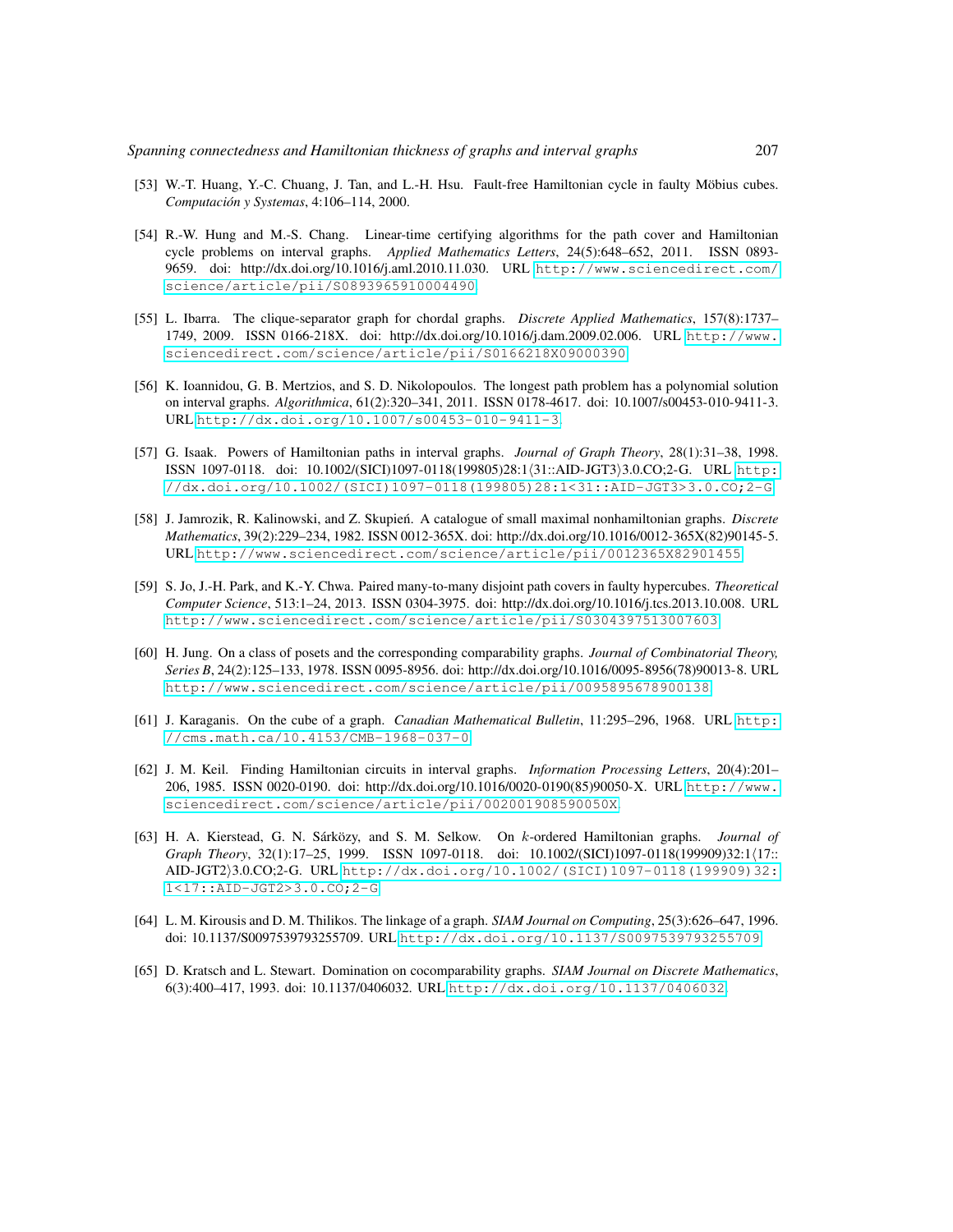- [53] W.-T. Huang, Y.-C. Chuang, J. Tan, and L.-H. Hsu. Fault-free Hamiltonian cycle in faulty Möbius cubes. *Computacion y Systemas ´* , 4:106–114, 2000.
- [54] R.-W. Hung and M.-S. Chang. Linear-time certifying algorithms for the path cover and Hamiltonian cycle problems on interval graphs. *Applied Mathematics Letters*, 24(5):648–652, 2011. ISSN 0893- 9659. doi: http://dx.doi.org/10.1016/j.aml.2010.11.030. URL [http://www.sciencedirect.com/](http://www.sciencedirect.com/science/article/pii/S0893965910004490) [science/article/pii/S0893965910004490](http://www.sciencedirect.com/science/article/pii/S0893965910004490).
- [55] L. Ibarra. The clique-separator graph for chordal graphs. *Discrete Applied Mathematics*, 157(8):1737– 1749, 2009. ISSN 0166-218X. doi: http://dx.doi.org/10.1016/j.dam.2009.02.006. URL [http://www.](http://www.sciencedirect.com/science/article/pii/S0166218X09000390) [sciencedirect.com/science/article/pii/S0166218X09000390](http://www.sciencedirect.com/science/article/pii/S0166218X09000390).
- [56] K. Ioannidou, G. B. Mertzios, and S. D. Nikolopoulos. The longest path problem has a polynomial solution on interval graphs. *Algorithmica*, 61(2):320–341, 2011. ISSN 0178-4617. doi: 10.1007/s00453-010-9411-3. URL <http://dx.doi.org/10.1007/s00453-010-9411-3>.
- [57] G. Isaak. Powers of Hamiltonian paths in interval graphs. *Journal of Graph Theory*, 28(1):31–38, 1998. ISSN 1097-0118. doi: 10.1002/(SICI)1097-0118(199805)28:1/31::AID-JGT3)3.0.CO;2-G. URL [http:](http://dx.doi.org/10.1002/(SICI)1097-0118(199805)28:1<31::AID-JGT3>3.0.CO;2-G) [//dx.doi.org/10.1002/\(SICI\)1097-0118\(199805\)28:1<31::AID-JGT3>3.0.CO;2-G](http://dx.doi.org/10.1002/(SICI)1097-0118(199805)28:1<31::AID-JGT3>3.0.CO;2-G).
- [58] J. Jamrozik, R. Kalinowski, and Z. Skupień. A catalogue of small maximal nonhamiltonian graphs. *Discrete Mathematics*, 39(2):229–234, 1982. ISSN 0012-365X. doi: http://dx.doi.org/10.1016/0012-365X(82)90145-5. URL <http://www.sciencedirect.com/science/article/pii/0012365X82901455>.
- [59] S. Jo, J.-H. Park, and K.-Y. Chwa. Paired many-to-many disjoint path covers in faulty hypercubes. *Theoretical Computer Science*, 513:1–24, 2013. ISSN 0304-3975. doi: http://dx.doi.org/10.1016/j.tcs.2013.10.008. URL <http://www.sciencedirect.com/science/article/pii/S0304397513007603>.
- [60] H. Jung. On a class of posets and the corresponding comparability graphs. *Journal of Combinatorial Theory, Series B*, 24(2):125–133, 1978. ISSN 0095-8956. doi: http://dx.doi.org/10.1016/0095-8956(78)90013-8. URL <http://www.sciencedirect.com/science/article/pii/0095895678900138>.
- [61] J. Karaganis. On the cube of a graph. *Canadian Mathematical Bulletin*, 11:295–296, 1968. URL [http:](http://cms.math.ca/10.4153/CMB-1968-037-0) [//cms.math.ca/10.4153/CMB-1968-037-0](http://cms.math.ca/10.4153/CMB-1968-037-0).
- [62] J. M. Keil. Finding Hamiltonian circuits in interval graphs. *Information Processing Letters*, 20(4):201– 206, 1985. ISSN 0020-0190. doi: http://dx.doi.org/10.1016/0020-0190(85)90050-X. URL [http://www.](http://www.sciencedirect.com/science/article/pii/002001908590050X) [sciencedirect.com/science/article/pii/002001908590050X](http://www.sciencedirect.com/science/article/pii/002001908590050X).
- [63] H. A. Kierstead, G. N. Sárközy, and S. M. Selkow. On k-ordered Hamiltonian graphs. *Journal of Graph Theory*, 32(1):17–25, 1999. ISSN 1097-0118. doi: 10.1002/(SICI)1097-0118(199909)32:1/17:: AID-JGT2i3.0.CO;2-G. URL [http://dx.doi.org/10.1002/\(SICI\)1097-0118\(199909\)32:](http://dx.doi.org/10.1002/(SICI)1097-0118(199909)32:1<17::AID-JGT2>3.0.CO;2-G) [1<17::AID-JGT2>3.0.CO;2-G](http://dx.doi.org/10.1002/(SICI)1097-0118(199909)32:1<17::AID-JGT2>3.0.CO;2-G).
- [64] L. M. Kirousis and D. M. Thilikos. The linkage of a graph. *SIAM Journal on Computing*, 25(3):626–647, 1996. doi: 10.1137/S0097539793255709. URL <http://dx.doi.org/10.1137/S0097539793255709>.
- [65] D. Kratsch and L. Stewart. Domination on cocomparability graphs. *SIAM Journal on Discrete Mathematics*, 6(3):400–417, 1993. doi: 10.1137/0406032. URL <http://dx.doi.org/10.1137/0406032>.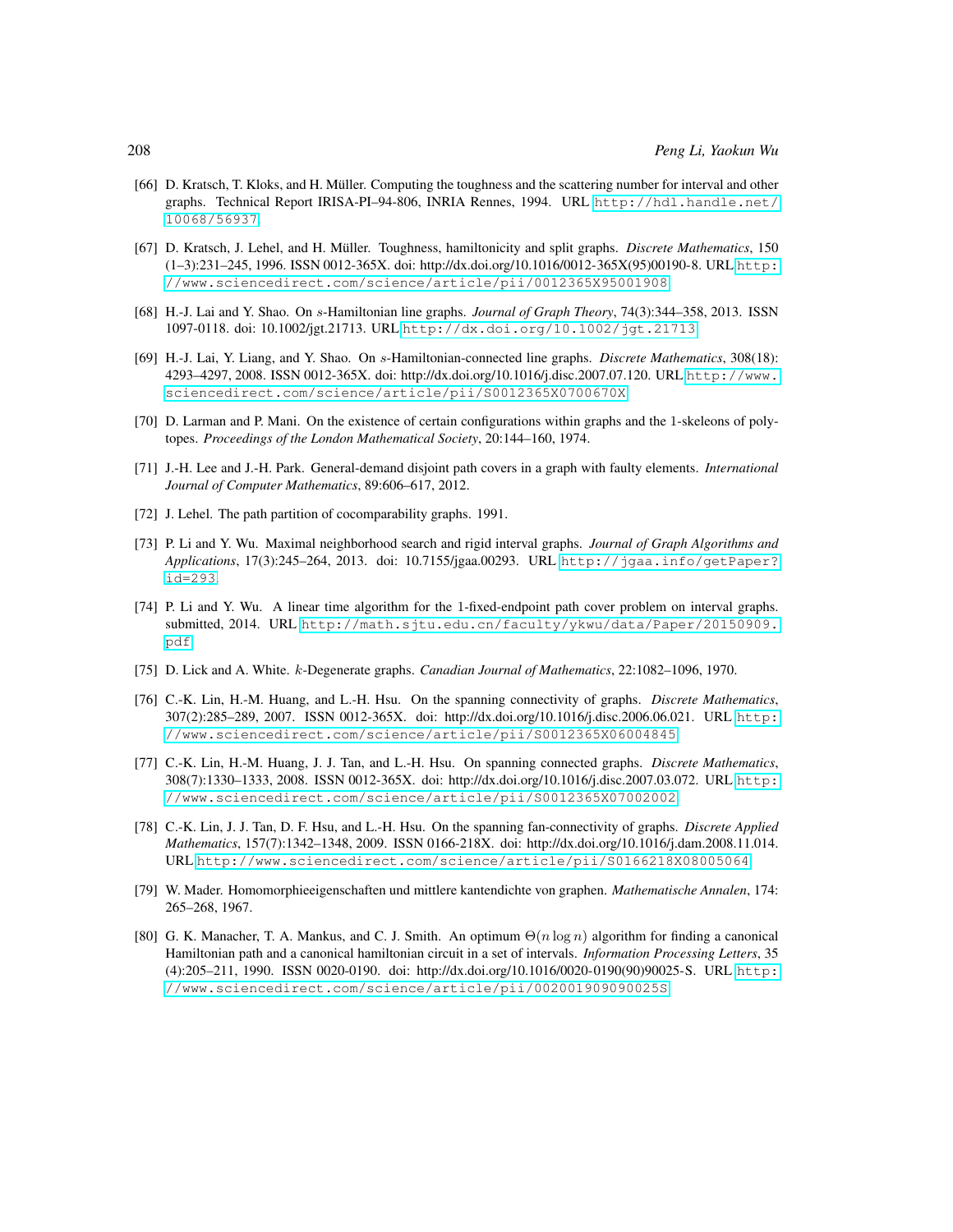- [66] D. Kratsch, T. Kloks, and H. Müller. Computing the toughness and the scattering number for interval and other graphs. Technical Report IRISA-PI–94-806, INRIA Rennes, 1994. URL [http://hdl.handle.net/](http://hdl.handle.net/10068/56937) [10068/56937](http://hdl.handle.net/10068/56937).
- [67] D. Kratsch, J. Lehel, and H. Müller. Toughness, hamiltonicity and split graphs. *Discrete Mathematics*, 150 (1–3):231–245, 1996. ISSN 0012-365X. doi: http://dx.doi.org/10.1016/0012-365X(95)00190-8. URL [http:](http://www.sciencedirect.com/science/article/pii/0012365X95001908) [//www.sciencedirect.com/science/article/pii/0012365X95001908](http://www.sciencedirect.com/science/article/pii/0012365X95001908).
- [68] H.-J. Lai and Y. Shao. On s-Hamiltonian line graphs. *Journal of Graph Theory*, 74(3):344–358, 2013. ISSN 1097-0118. doi: 10.1002/jgt.21713. URL <http://dx.doi.org/10.1002/jgt.21713>.
- [69] H.-J. Lai, Y. Liang, and Y. Shao. On s-Hamiltonian-connected line graphs. *Discrete Mathematics*, 308(18): 4293–4297, 2008. ISSN 0012-365X. doi: http://dx.doi.org/10.1016/j.disc.2007.07.120. URL [http://www.](http://www.sciencedirect.com/science/article/pii/S0012365X0700670X) [sciencedirect.com/science/article/pii/S0012365X0700670X](http://www.sciencedirect.com/science/article/pii/S0012365X0700670X).
- [70] D. Larman and P. Mani. On the existence of certain configurations within graphs and the 1-skeleons of polytopes. *Proceedings of the London Mathematical Society*, 20:144–160, 1974.
- [71] J.-H. Lee and J.-H. Park. General-demand disjoint path covers in a graph with faulty elements. *International Journal of Computer Mathematics*, 89:606–617, 2012.
- [72] J. Lehel. The path partition of cocomparability graphs. 1991.
- [73] P. Li and Y. Wu. Maximal neighborhood search and rigid interval graphs. *Journal of Graph Algorithms and Applications*, 17(3):245–264, 2013. doi: 10.7155/jgaa.00293. URL [http://jgaa.info/getPaper?](http://jgaa.info/getPaper?id=293) [id=293](http://jgaa.info/getPaper?id=293).
- [74] P. Li and Y. Wu. A linear time algorithm for the 1-fixed-endpoint path cover problem on interval graphs. submitted, 2014. URL [http://math.sjtu.edu.cn/faculty/ykwu/data/Paper/20150909.](http://math.sjtu.edu.cn/faculty/ykwu/data/Paper/20150909.pdf) [pdf](http://math.sjtu.edu.cn/faculty/ykwu/data/Paper/20150909.pdf).
- [75] D. Lick and A. White. k-Degenerate graphs. *Canadian Journal of Mathematics*, 22:1082–1096, 1970.
- [76] C.-K. Lin, H.-M. Huang, and L.-H. Hsu. On the spanning connectivity of graphs. *Discrete Mathematics*, 307(2):285–289, 2007. ISSN 0012-365X. doi: http://dx.doi.org/10.1016/j.disc.2006.06.021. URL [http:](http://www.sciencedirect.com/science/article/pii/S0012365X06004845) [//www.sciencedirect.com/science/article/pii/S0012365X06004845](http://www.sciencedirect.com/science/article/pii/S0012365X06004845).
- [77] C.-K. Lin, H.-M. Huang, J. J. Tan, and L.-H. Hsu. On spanning connected graphs. *Discrete Mathematics*, 308(7):1330–1333, 2008. ISSN 0012-365X. doi: http://dx.doi.org/10.1016/j.disc.2007.03.072. URL [http:](http://www.sciencedirect.com/science/article/pii/S0012365X07002002) [//www.sciencedirect.com/science/article/pii/S0012365X07002002](http://www.sciencedirect.com/science/article/pii/S0012365X07002002).
- [78] C.-K. Lin, J. J. Tan, D. F. Hsu, and L.-H. Hsu. On the spanning fan-connectivity of graphs. *Discrete Applied Mathematics*, 157(7):1342–1348, 2009. ISSN 0166-218X. doi: http://dx.doi.org/10.1016/j.dam.2008.11.014. URL <http://www.sciencedirect.com/science/article/pii/S0166218X08005064>.
- [79] W. Mader. Homomorphieeigenschaften und mittlere kantendichte von graphen. *Mathematische Annalen*, 174: 265–268, 1967.
- [80] G. K. Manacher, T. A. Mankus, and C. J. Smith. An optimum  $\Theta(n \log n)$  algorithm for finding a canonical Hamiltonian path and a canonical hamiltonian circuit in a set of intervals. *Information Processing Letters*, 35 (4):205–211, 1990. ISSN 0020-0190. doi: http://dx.doi.org/10.1016/0020-0190(90)90025-S. URL [http:](http://www.sciencedirect.com/science/article/pii/002001909090025S) [//www.sciencedirect.com/science/article/pii/002001909090025S](http://www.sciencedirect.com/science/article/pii/002001909090025S).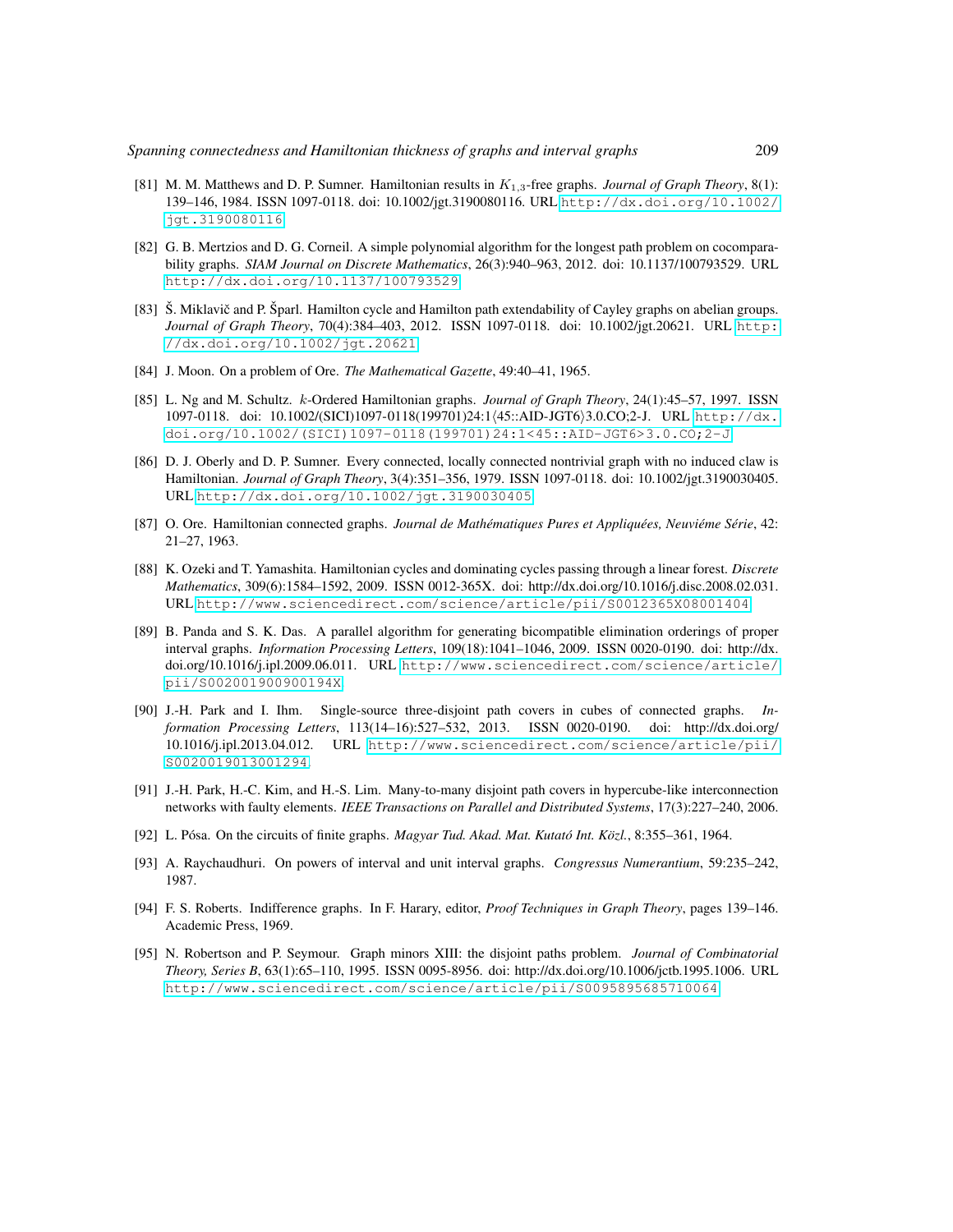- [81] M. M. Matthews and D. P. Sumner. Hamiltonian results in K1,3-free graphs. *Journal of Graph Theory*, 8(1): 139–146, 1984. ISSN 1097-0118. doi: 10.1002/jgt.3190080116. URL [http://dx.doi.org/10.1002/](http://dx.doi.org/10.1002/jgt.3190080116) [jgt.3190080116](http://dx.doi.org/10.1002/jgt.3190080116).
- [82] G. B. Mertzios and D. G. Corneil. A simple polynomial algorithm for the longest path problem on cocomparability graphs. *SIAM Journal on Discrete Mathematics*, 26(3):940–963, 2012. doi: 10.1137/100793529. URL <http://dx.doi.org/10.1137/100793529>.
- [83] Š. Miklavič and P. Šparl. Hamilton cycle and Hamilton path extendability of Cayley graphs on abelian groups. *Journal of Graph Theory*, 70(4):384–403, 2012. ISSN 1097-0118. doi: 10.1002/jgt.20621. URL [http:](http://dx.doi.org/10.1002/jgt.20621) [//dx.doi.org/10.1002/jgt.20621](http://dx.doi.org/10.1002/jgt.20621).
- [84] J. Moon. On a problem of Ore. *The Mathematical Gazette*, 49:40–41, 1965.
- [85] L. Ng and M. Schultz. k-Ordered Hamiltonian graphs. *Journal of Graph Theory*, 24(1):45–57, 1997. ISSN 1097-0118. doi: 10.1002/(SICI)1097-0118(199701)24:1/45::AID-JGT6)3.0.CO;2-J. URL [http://dx.](http://dx.doi.org/10.1002/(SICI)1097-0118(199701)24:1<45::AID-JGT6>3.0.CO;2-J) [doi.org/10.1002/\(SICI\)1097-0118\(199701\)24:1<45::AID-JGT6>3.0.CO;2-J](http://dx.doi.org/10.1002/(SICI)1097-0118(199701)24:1<45::AID-JGT6>3.0.CO;2-J).
- [86] D. J. Oberly and D. P. Sumner. Every connected, locally connected nontrivial graph with no induced claw is Hamiltonian. *Journal of Graph Theory*, 3(4):351–356, 1979. ISSN 1097-0118. doi: 10.1002/jgt.3190030405. URL <http://dx.doi.org/10.1002/jgt.3190030405>.
- [87] O. Ore. Hamiltonian connected graphs. *Journal de Mathematiques Pures et Appliqu ´ ees, Neuvi ´ eme S ´ erie ´* , 42: 21–27, 1963.
- [88] K. Ozeki and T. Yamashita. Hamiltonian cycles and dominating cycles passing through a linear forest. *Discrete Mathematics*, 309(6):1584–1592, 2009. ISSN 0012-365X. doi: http://dx.doi.org/10.1016/j.disc.2008.02.031. URL <http://www.sciencedirect.com/science/article/pii/S0012365X08001404>.
- [89] B. Panda and S. K. Das. A parallel algorithm for generating bicompatible elimination orderings of proper interval graphs. *Information Processing Letters*, 109(18):1041–1046, 2009. ISSN 0020-0190. doi: http://dx. doi.org/10.1016/j.ipl.2009.06.011. URL [http://www.sciencedirect.com/science/article/](http://www.sciencedirect.com/science/article/pii/S002001900900194X) [pii/S002001900900194X](http://www.sciencedirect.com/science/article/pii/S002001900900194X).
- [90] J.-H. Park and I. Ihm. Single-source three-disjoint path covers in cubes of connected graphs. *Information Processing Letters*, 113(14–16):527–532, 2013. ISSN 0020-0190. doi: http://dx.doi.org/ 10.1016/j.ipl.2013.04.012. URL [http://www.sciencedirect.com/science/article/pii/](http://www.sciencedirect.com/science/article/pii/S0020019013001294) [S0020019013001294](http://www.sciencedirect.com/science/article/pii/S0020019013001294).
- [91] J.-H. Park, H.-C. Kim, and H.-S. Lim. Many-to-many disjoint path covers in hypercube-like interconnection networks with faulty elements. *IEEE Transactions on Parallel and Distributed Systems*, 17(3):227–240, 2006.
- [92] L. Pósa. On the circuits of finite graphs. *Magyar Tud. Akad. Mat. Kutató Int. Közl.*, 8:355–361, 1964.
- [93] A. Raychaudhuri. On powers of interval and unit interval graphs. *Congressus Numerantium*, 59:235–242, 1987.
- [94] F. S. Roberts. Indifference graphs. In F. Harary, editor, *Proof Techniques in Graph Theory*, pages 139–146. Academic Press, 1969.
- [95] N. Robertson and P. Seymour. Graph minors XIII: the disjoint paths problem. *Journal of Combinatorial Theory, Series B*, 63(1):65–110, 1995. ISSN 0095-8956. doi: http://dx.doi.org/10.1006/jctb.1995.1006. URL <http://www.sciencedirect.com/science/article/pii/S0095895685710064>.